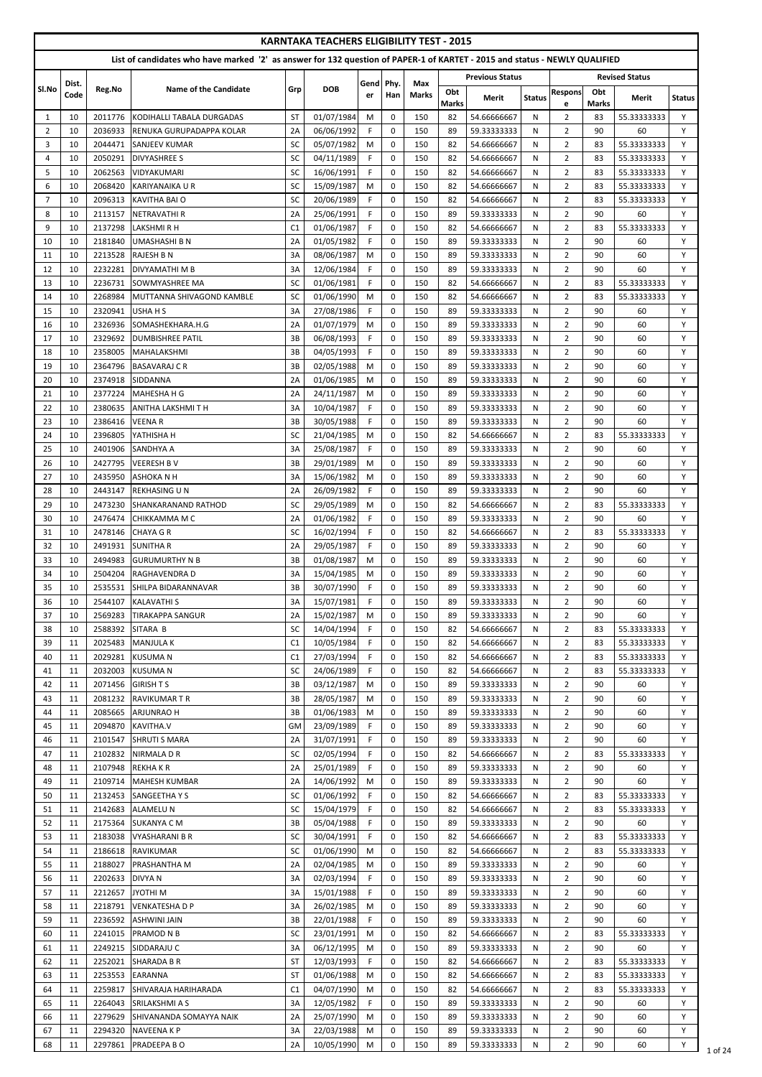|                     |               |                    |                                                                                                                            |                 | <b>KARNTAKA TEACHERS ELIGIBILITY TEST - 2015</b> |             |                            |                     |              |                            |               |                                  |              |                            |               |
|---------------------|---------------|--------------------|----------------------------------------------------------------------------------------------------------------------------|-----------------|--------------------------------------------------|-------------|----------------------------|---------------------|--------------|----------------------------|---------------|----------------------------------|--------------|----------------------------|---------------|
|                     |               |                    | List of candidates who have marked '2' as answer for 132 question of PAPER-1 of KARTET - 2015 and status - NEWLY QUALIFIED |                 |                                                  |             |                            |                     |              | <b>Previous Status</b>     |               |                                  |              | <b>Revised Status</b>      |               |
| Sl.No               | Dist.<br>Code | Reg.No             | <b>Name of the Candidate</b>                                                                                               | Grp             | <b>DOB</b>                                       | Gend<br>er  | Phy.<br>Han                | Max<br><b>Marks</b> | Obt          |                            |               | <b>Respons</b>                   | Obt          |                            |               |
|                     |               |                    |                                                                                                                            |                 |                                                  |             |                            |                     | <b>Marks</b> | Merit                      | <b>Status</b> | e                                | <b>Marks</b> | Merit                      | <b>Status</b> |
| 1<br>$\overline{2}$ | 10<br>10      | 2011776<br>2036933 | KODIHALLI TABALA DURGADAS<br>RENUKA GURUPADAPPA KOLAR                                                                      | <b>ST</b><br>2A | 01/07/1984<br>06/06/1992                         | M<br>F.     | $\Omega$<br>$\Omega$       | 150<br>150          | 82<br>89     | 54.66666667<br>59.33333333 | N<br>N        | $\overline{2}$<br>$\overline{2}$ | 83<br>90     | 55.33333333<br>60          | Y<br>Y        |
| 3                   | 10            | 2044471            | <b>SANJEEV KUMAR</b>                                                                                                       | <b>SC</b>       | 05/07/1982                                       | M           | $\mathbf 0$                | 150                 | 82           | 54.66666667                | N             | $\overline{2}$                   | 83           | 55.33333333                | Y             |
| $\overline{4}$      | 10            | 2050291            | <b>DIVYASHREE S</b>                                                                                                        | SC              | 04/11/1989                                       | F.          | $\mathbf 0$                | 150                 | 82           | 54.66666667                | N             | $\overline{2}$                   | 83           | 55.33333333                | Y             |
| 5                   | 10            | 2062563            | <b>VIDYAKUMARI</b>                                                                                                         | SC              | 16/06/1991                                       | F.          | $\mathbf 0$                | 150                 | 82           | 54.66666667                | N             | $\overline{2}$                   | 83           | 55.33333333                | Y             |
| 6<br>7              | 10            | 2068420<br>2096313 | KARIYANAIKA U R                                                                                                            | SC              | 15/09/1987<br>20/06/1989                         | M<br>F.     | $\mathbf 0$<br>$\mathbf 0$ | 150                 | 82<br>82     | 54.66666667                | N<br>N        | $\overline{2}$<br>$\overline{2}$ | 83           | 55.33333333<br>55.33333333 | Y<br>Y        |
| 8                   | 10<br>10      | 2113157            | <b>KAVITHA BAI O</b><br><b>NETRAVATHI R</b>                                                                                | SC<br>2A        | 25/06/1991                                       | F.          | $\mathbf 0$                | 150<br>150          | 89           | 54.66666667<br>59.33333333 | N             | $\overline{2}$                   | 83<br>90     | 60                         | Y             |
| 9                   | 10            | 2137298            | <b>LAKSHMIRH</b>                                                                                                           | C1              | 01/06/1987                                       | $\mathsf F$ | $\mathbf 0$                | 150                 | 82           | 54.66666667                | N             | $\overline{2}$                   | 83           | 55.33333333                | Y             |
| 10                  | 10            | 2181840            | UMASHASHI B N                                                                                                              | 2A              | 01/05/1982                                       | F.          | $\Omega$                   | 150                 | 89           | 59.33333333                | N             | $\overline{2}$                   | 90           | 60                         | Y             |
| 11                  | 10            | 2213528            | <b>RAJESH B N</b>                                                                                                          | 3A              | 08/06/1987                                       | M           | $\Omega$                   | 150                 | 89           | 59.33333333                | N             | $\overline{2}$                   | 90           | 60                         | Y             |
| 12                  | 10            | 2232281            | <b>DIVYAMATHI M B</b>                                                                                                      | 3A              | 12/06/1984                                       | F.          | $\mathbf 0$                | 150                 | 89           | 59.33333333                | N             | $\overline{2}$                   | 90           | 60                         | Y             |
| 13<br>14            | 10<br>10      | 2236731<br>2268984 | <b>SOWMYASHREE MA</b><br>MUTTANNA SHIVAGOND KAMBLE                                                                         | SC<br>SC        | 01/06/1981<br>01/06/1990                         | F.<br>M     | $\mathbf 0$<br>$\pmb{0}$   | 150<br>150          | 82<br>82     | 54.66666667<br>54.66666667 | N<br>N        | $\overline{2}$<br>$\overline{2}$ | 83<br>83     | 55.33333333<br>55.33333333 | Y<br>Y        |
| 15                  | 10            | 2320941            | <b>USHAHS</b>                                                                                                              | 3A              | 27/08/1986                                       | F.          | $\mathbf 0$                | 150                 | 89           | 59.33333333                | N             | $\overline{2}$                   | 90           | 60                         | Y             |
| 16                  | 10            | 2326936            | SOMASHEKHARA.H.G                                                                                                           | 2A              | 01/07/1979                                       | M           | 0                          | 150                 | 89           | 59.33333333                | N             | $\overline{2}$                   | 90           | 60                         | Y             |
| 17                  | 10            | 2329692            | <b>DUMBISHREE PATIL</b>                                                                                                    | 3B              | 06/08/1993                                       | F.          | $\mathbf 0$                | 150                 | 89           | 59.33333333                | N             | $\overline{2}$                   | 90           | 60                         | Y             |
| 18                  | 10            | 2358005            | MAHALAKSHMI                                                                                                                | 3B              | 04/05/1993                                       | $\mathsf F$ | $\mathbf 0$                | 150                 | 89           | 59.33333333                | N             | $\overline{2}$                   | 90           | 60                         | Y             |
| 19                  | 10            | 2364796            | <b>BASAVARAJ C R</b>                                                                                                       | 3B              | 02/05/1988                                       | M           | $\mathbf 0$                | 150                 | 89           | 59.33333333                | N             | $\overline{2}$                   | 90           | 60                         | Y             |
| 20<br>21            | 10<br>10      | 2374918<br>2377224 | <b>SIDDANNA</b><br><b>MAHESHA H G</b>                                                                                      | 2A<br>2A        | 01/06/1985<br>24/11/1987                         | M<br>M      | $\Omega$<br>$\Omega$       | 150<br>150          | 89<br>89     | 59.33333333<br>59.33333333 | N<br>N        | $\overline{2}$<br>$\overline{2}$ | 90<br>90     | 60<br>60                   | Y<br>Y        |
| 22                  | 10            | 2380635            | <b>ANITHA LAKSHMITH</b>                                                                                                    | 3A              | 10/04/1987                                       | F.          | $\mathbf 0$                | 150                 | 89           | 59.33333333                | N             | $\overline{2}$                   | 90           | 60                         | Y             |
| 23                  | 10            | 2386416            | <b>VEENAR</b>                                                                                                              | 3B              | 30/05/1988                                       | F.          | 0                          | 150                 | 89           | 59.33333333                | N             | $\overline{2}$                   | 90           | 60                         | Y             |
| 24                  | 10            |                    | 2396805 YATHISHA H                                                                                                         | SC              | 21/04/1985 M                                     |             | $\pmb{0}$                  | 150                 | 82           | 54.66666667                | N             | $\overline{2}$                   | 83           | 55.33333333                | Y             |
| 25                  | 10            | 2401906            | <b>SANDHYA A</b>                                                                                                           | 3A              | 25/08/1987                                       | F.          | $\mathbf 0$                | 150                 | 89           | 59.33333333                | N             | $\overline{2}$                   | 90           | 60                         | Y             |
| 26                  | 10            | 2427795            | <b>VEERESH BV</b>                                                                                                          | 3B              | 29/01/1989                                       | M           | $\mathbf 0$                | 150                 | 89           | 59.33333333                | N             | $\overline{2}$                   | 90           | 60                         | Y             |
| 27<br>28            | 10<br>10      | 2435950<br>2443147 | <b>ASHOKA N H</b><br><b>REKHASING UN</b>                                                                                   | 3A<br>2A        | 15/06/1982<br>26/09/1982                         | M<br>F.     | $\mathbf 0$<br>$\mathbf 0$ | 150<br>150          | 89<br>89     | 59.33333333<br>59.33333333 | N<br>N        | $\overline{2}$<br>$\overline{2}$ | 90<br>90     | 60<br>60                   | Y<br>Y        |
| 29                  | 10            | 2473230            | <b>SHANKARANAND RATHOD</b>                                                                                                 | SC              | 29/05/1989                                       | M           | $\mathbf 0$                | 150                 | 82           | 54.66666667                | N             | $\overline{2}$                   | 83           | 55.33333333                | Y             |
| 30                  | 10            | 2476474            | СНІККАММА М С                                                                                                              | 2A              | 01/06/1982                                       | F.          | $\mathbf 0$                | 150                 | 89           | 59.33333333                | N             | $\overline{2}$                   | 90           | 60                         | Y             |
| 31                  | 10            | 2478146            | <b>CHAYA G R</b>                                                                                                           | SC              | 16/02/1994                                       | F.          | $\mathbf 0$                | 150                 | 82           | 54.66666667                | N             | $\overline{2}$                   | 83           | 55.33333333                | Y             |
| 32                  | 10            | 2491931            | <b>SUNITHAR</b>                                                                                                            | 2A              | 29/05/1987                                       | F.          | $\mathbf 0$                | 150                 | 89           | 59.33333333                | N             | $\overline{2}$                   | 90           | 60                         | Y             |
| 33                  | 10            | 2494983            | <b>GURUMURTHY N B</b>                                                                                                      | 3B              | 01/08/1987                                       | M           | $\mathbf 0$                | 150                 | 89           | 59.33333333                | N             | $\overline{2}$                   | 90           | 60                         | Y             |
| 34<br>35            | 10<br>10      | 2504204<br>2535531 | RAGHAVENDRA D<br><b>SHILPA BIDARANNAVAR</b>                                                                                | 3A<br>3B        | 15/04/1985<br>30/07/1990                         | M<br>F.     | $\mathbf 0$<br>$\mathbf 0$ | 150<br>150          | 89<br>89     | 59.33333333<br>59.33333333 | N<br>N        | $\overline{2}$<br>$\overline{2}$ | 90<br>90     | 60<br>60                   | Y<br>Y        |
| 36                  | 10            | 2544107            | <b>KALAVATHI S</b>                                                                                                         | 3A              | 15/07/1981                                       | $\mathsf F$ | $\mathbf 0$                | 150                 | 89           | 59.33333333                | N             | $\overline{2}$                   | 90           | 60                         | $\mathsf Y$   |
| 37                  | 10            | 2569283            | <b>TIRAKAPPA SANGUR</b>                                                                                                    | 2A              | 15/02/1987                                       | M           | $\mathbf 0$                | 150                 | 89           | 59.33333333                | N             | $\overline{2}$                   | 90           | 60                         | Y             |
| 38                  | 10            | 2588392            | SITARA B                                                                                                                   | SC              | 14/04/1994                                       | F.          | $\mathbf 0$                | 150                 | 82           | 54.66666667                | N             | $\overline{2}$                   | 83           | 55.33333333                | Y             |
| 39                  | 11            | 2025483            | <b>MANJULA K</b>                                                                                                           | C1              | 10/05/1984                                       | F.          | $\mathbf 0$                | 150                 | 82           | 54.66666667                | N             | $\overline{2}$                   | 83           | 55.33333333                | Y             |
| 40                  | 11            | 2029281            | <b>KUSUMAN</b>                                                                                                             | C <sub>1</sub>  | 27/03/1994                                       | F.          | $\mathbf 0$                | 150                 | 82           | 54.66666667                | N             | $\overline{2}$                   | 83           | 55.33333333                | Y             |
| 41<br>42            | 11<br>11      | 2032003<br>2071456 | <b>KUSUMAN</b><br><b>GIRISH T S</b>                                                                                        | SC<br>3B        | 24/06/1989<br>03/12/1987                         | F.<br>M     | $\mathbf 0$<br>0           | 150<br>150          | 82<br>89     | 54.66666667<br>59.33333333 | N<br>N        | $\overline{2}$<br>$\overline{2}$ | 83<br>90     | 55.33333333<br>60          | Y<br>Y        |
| 43                  | 11            | 2081232            | <b>IRAVIKUMAR T R</b>                                                                                                      | 3B              | 28/05/1987                                       | M           | $\mathbf 0$                | 150                 | 89           | 59.33333333                | N             | $\overline{2}$                   | 90           | 60                         | Y             |
| 44                  | 11            | 2085665            | <b>ARJUNRAO H</b>                                                                                                          | 3B              | 01/06/1983                                       | M           | $\mathbf 0$                | 150                 | 89           | 59.33333333                | N             | $\overline{2}$                   | 90           | 60                         | Y             |
| 45                  | 11            | 2094870            | <b>KAVITHA.V</b>                                                                                                           | <b>GM</b>       | 23/09/1989                                       | F.          | $\mathbf 0$                | 150                 | 89           | 59.33333333                | N             | $\overline{2}$                   | 90           | 60                         | Y             |
| 46                  | 11            | 2101547            | <b>SHRUTI S MARA</b>                                                                                                       | 2A              | 31/07/1991                                       | F.          | $\mathbf 0$                | 150                 | 89           | 59.33333333                | N             | $\overline{2}$                   | 90           | 60                         | Y             |
| 47                  | 11            | 2102832            | <b>NIRMALA D R</b>                                                                                                         | SC              | 02/05/1994                                       | F.          | $\mathbf 0$                | 150                 | 82           | 54.66666667                | N             | $\overline{2}$                   | 83<br>90     | 55.33333333                | Y<br>Y        |
| 48<br>49            | 11<br>11      | 2107948<br>2109714 | <b>REKHAKR</b><br><b>MAHESH KUMBAR</b>                                                                                     | 2A<br>2A        | 25/01/1989<br>14/06/1992                         | F.<br>M     | $\mathbf 0$<br>$\mathbf 0$ | 150<br>150          | 89<br>89     | 59.33333333<br>59.33333333 | N<br>N        | $\overline{2}$<br>$\overline{2}$ | 90           | 60<br>60                   | Y             |
| 50                  | 11            | 2132453            | <b>SANGEETHAYS</b>                                                                                                         | SC              | 01/06/1992                                       | F.          | $\mathbf 0$                | 150                 | 82           | 54.66666667                | N             | $\overline{2}$                   | 83           | 55.33333333                | Y             |
| 51                  | 11            | 2142683            | <b>ALAMELU N</b>                                                                                                           | SC              | 15/04/1979                                       | F.          | $\mathbf 0$                | 150                 | -82          | 54.66666667                | N             | $\overline{2}$                   | 83           | 55.33333333                | Y             |
| 52                  | 11            | 2175364            | <b>SUKANYA C M</b>                                                                                                         | 3B              | 05/04/1988                                       | F.          | 0                          | 150                 | 89           | 59.33333333                | N             | 2                                | 90           | 60                         | Y             |
| 53                  | 11            | 2183038            | <b>VYASHARANI B R</b>                                                                                                      | SC              | 30/04/1991                                       | F.          | $\mathbf 0$                | 150                 | 82           | 54.66666667                | N             | $\overline{2}$                   | 83           | 55.33333333                | Y             |
| 54                  | 11            |                    | 2186618 RAVIKUMAR                                                                                                          | SC              | 01/06/1990                                       | M           | 0                          | 150                 | 82           | 54.66666667                | N             | $\overline{2}$                   | 83           | 55.33333333                | Y             |
| 55<br>56            | 11<br>11      | 2188027<br>2202633 | <b>PRASHANTHA M</b><br><b>DIVYA N</b>                                                                                      | 2A<br>3A        | 02/04/1985<br>02/03/1994                         | M<br>F.     | 0<br>$\mathbf 0$           | 150<br>150          | 89<br>89     | 59.33333333<br>59.33333333 | N<br>N        | $\overline{2}$<br>$\overline{2}$ | 90<br>90     | 60<br>60                   | Υ<br>Y        |
| 57                  | 11            | 2212657            | JYOTHI M                                                                                                                   | 3A              | 15/01/1988                                       | F.          | 0                          | 150                 | 89           | 59.33333333                | N             | $\overline{2}$                   | 90           | 60                         | Y             |
| 58                  | 11            | 2218791            | <b>VENKATESHA D P</b>                                                                                                      | 3A              | 26/02/1985                                       | M           | $\mathbf 0$                | 150                 | 89           | 59.33333333                | N             | $\overline{2}$                   | 90           | 60                         | Y             |
| 59                  | 11            | 2236592            | <b>ASHWINI JAIN</b>                                                                                                        | 3B              | 22/01/1988                                       | F.          | $\mathbf 0$                | 150                 | 89           | 59.33333333                | N             | $\overline{2}$                   | 90           | 60                         | Y             |
| 60                  | 11            | 2241015            | <b>PRAMOD N B</b>                                                                                                          | SC              | 23/01/1991                                       | M           | $\mathbf 0$                | 150                 | -82          | 54.66666667                | N             | $\overline{2}$                   | 83           | 55.33333333                | Y             |
| 61<br>62            | 11<br>11      | 2249215<br>2252021 | SIDDARAJU C<br><b>SHARADA B R</b>                                                                                          | 3A<br><b>ST</b> | 06/12/1995<br>12/03/1993                         | M<br>F.     | 0<br>$\mathbf 0$           | 150<br>150          | 89<br>82     | 59.33333333<br>54.66666667 | N<br>N        | $\mathbf{2}$<br>$\overline{2}$   | 90<br>83     | 60<br>55.33333333          | Y<br>Y        |
| 63                  | 11            | 2253553            | <b>EARANNA</b>                                                                                                             | <b>ST</b>       | 01/06/1988                                       | M           | 0                          | 150                 | 82           | 54.66666667                | N             | $\overline{2}$                   | 83           | 55.33333333                | Y             |
| 64                  | 11            | 2259817            | SHIVARAJA HARIHARADA                                                                                                       | C1              | 04/07/1990                                       | M           | 0                          | 150                 | 82           | 54.66666667                | N             | $\overline{2}$                   | 83           | 55.33333333                | Y             |
| 65                  | 11            | 2264043            | <b>SRILAKSHMI A S</b>                                                                                                      | 3A              | 12/05/1982                                       | F.          | $\mathbf 0$                | 150                 | 89           | 59.33333333                | N             | $2^{\circ}$                      | 90           | 60                         | Y             |
| 66                  | 11            | 2279629            | ISHIVANANDA SOMAYYA NAIK                                                                                                   | 2A              | 25/07/1990                                       | M           | 0                          | 150                 | 89           | 59.33333333                | N             | $\overline{2}$                   | 90           | 60                         | Y             |
| 67                  | 11            | 2294320            | <b>NAVEENA K P</b>                                                                                                         | 3A              | 22/03/1988                                       | M           | 0                          | 150                 | 89           | 59.33333333                | N             | $\overline{2}$                   | 90           | 60                         | Y             |
| 68                  | 11            | 2297861            | <b>PRADEEPA B O</b>                                                                                                        | 2A              | 10/05/1990                                       | M           | 0                          | 150                 | 89           | 59.33333333                | N             | $\overline{2}$                   | 90           | 60                         | Y             |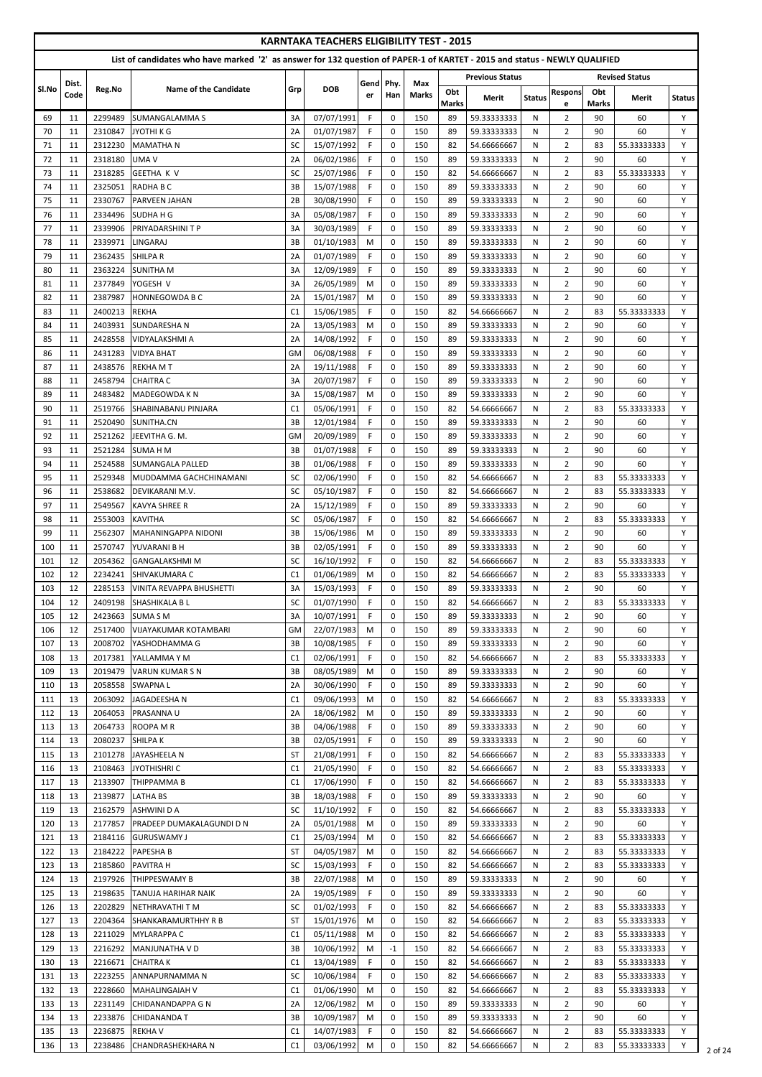|            |               |                    | List of candidates who have marked '2' as answer for 132 question of PAPER-1 of KARTET - 2015 and status - NEWLY QUALIFIED |                 | <b>KARNTAKA TEACHERS ELIGIBILITY TEST - 2015</b> |                   |                            |                     |                     |                            |               |                                  |                     |                            |               |
|------------|---------------|--------------------|----------------------------------------------------------------------------------------------------------------------------|-----------------|--------------------------------------------------|-------------------|----------------------------|---------------------|---------------------|----------------------------|---------------|----------------------------------|---------------------|----------------------------|---------------|
|            |               |                    |                                                                                                                            |                 |                                                  |                   |                            |                     |                     | <b>Previous Status</b>     |               |                                  |                     | <b>Revised Status</b>      |               |
| Sl.No      | Dist.<br>Code | Reg.No             | Name of the Candidate                                                                                                      | Grp             | <b>DOB</b>                                       | Gend<br>er        | Phy.<br>Han                | Max<br><b>Marks</b> | Obt<br><b>Marks</b> | Merit                      | <b>Status</b> | <b>Respons</b><br>e              | Obt<br><b>Marks</b> | Merit                      | <b>Status</b> |
| 69         | 11            | 2299489            | <b>SUMANGALAMMA S</b>                                                                                                      | 3A              | 07/07/1991                                       | F.                | $\mathbf 0$                | 150                 | 89                  | 59.33333333                | N             | $\overline{2}$                   | 90                  | 60                         | Y             |
| 70         | 11            | 2310847            | JYOTHI K G                                                                                                                 | 2A              | 01/07/1987                                       | F.                | $\mathbf 0$                | 150                 | 89                  | 59.33333333                | N             | $\overline{2}$                   | 90                  | 60                         | Y             |
| 71         | 11            | 2312230            | <b>MAMATHAN</b>                                                                                                            | SC              | 15/07/1992                                       | F                 | $\mathbf 0$                | 150                 | 82                  | 54.66666667                | N             | $\overline{2}$                   | 83                  | 55.33333333                | Y             |
| 72         | 11            | 2318180            | UMA V                                                                                                                      | 2A              | 06/02/1986                                       | F.                | $\mathbf 0$                | 150                 | 89                  | 59.33333333                | N             | $\overline{2}$                   | 90                  | 60                         | Y             |
| 73<br>74   | 11<br>11      | 2318285<br>2325051 | <b>GEETHA K V</b><br>RADHA B C                                                                                             | SC<br>3B        | 25/07/1986<br>15/07/1988                         | F.<br>F.          | $\mathbf 0$<br>$\Omega$    | 150<br>150          | 82<br>89            | 54.66666667<br>59.33333333 | N<br>N        | $\overline{2}$<br>$\overline{2}$ | 83<br>90            | 55.33333333<br>60          | Y<br>Y        |
| 75         | 11            | 2330767            | <b>PARVEEN JAHAN</b>                                                                                                       | 2B              | 30/08/1990                                       | F.                | $\Omega$                   | 150                 | 89                  | 59.33333333                | N             | $\overline{2}$                   | 90                  | 60                         | Y             |
| 76         | 11            | 2334496            | <b>SUDHAHG</b>                                                                                                             | 3A              | 05/08/1987                                       | F.                | $\Omega$                   | 150                 | 89                  | 59.33333333                | N             | $\overline{2}$                   | 90                  | 60                         | Y             |
| 77         | 11            | 2339906            | <b>PRIYADARSHINI T P</b>                                                                                                   | 3A              | 30/03/1989                                       | F.                | $\mathbf 0$                | 150                 | 89                  | 59.33333333                | N             | $\overline{2}$                   | 90                  | 60                         | Y             |
| 78         | 11            | 2339971            | LINGARAJ                                                                                                                   | 3B              | 01/10/1983                                       | M                 | $\mathbf 0$                | 150                 | 89                  | 59.33333333                | N             | $\overline{2}$                   | 90                  | 60                         | Y             |
| 79         | 11            | 2362435            | <b>SHILPA R</b>                                                                                                            | 2A              | 01/07/1989                                       | F.                | $\mathbf 0$                | 150                 | 89                  | 59.33333333                | N             | $\overline{2}$                   | 90                  | 60                         | Y             |
| 80         | 11            | 2363224            | <b>SUNITHA M</b>                                                                                                           | 3A              | 12/09/1989                                       | F                 | $\mathbf 0$                | 150                 | 89                  | 59.33333333                | N             | $\overline{2}$                   | 90                  | 60                         | Y             |
| 81         | 11            | 2377849            | YOGESH V                                                                                                                   | 3A              | 26/05/1989                                       | M                 | $\mathbf 0$                | 150                 | 89                  | 59.33333333                | N             | $\overline{2}$                   | 90                  | 60                         | Y             |
| 82<br>83   | 11<br>11      | 2387987<br>2400213 | <b>HONNEGOWDA B C</b><br><b>REKHA</b>                                                                                      | 2A<br>C1        | 15/01/1987<br>15/06/1985                         | M<br>F.           | $\mathbf 0$<br>$\Omega$    | 150<br>150          | 89<br>82            | 59.33333333<br>54.66666667 | N<br>N        | $\overline{2}$<br>$\overline{2}$ | 90<br>83            | 60<br>55.33333333          | Y<br>Y        |
| 84         | 11            | 2403931            | <b>SUNDARESHAN</b>                                                                                                         | 2A              | 13/05/1983                                       | M                 | $\mathbf 0$                | 150                 | 89                  | 59.33333333                | N             | $\overline{2}$                   | 90                  | 60                         | Y             |
| 85         | 11            | 2428558            | VIDYALAKSHMI A                                                                                                             | 2A              | 14/08/1992                                       | F.                | $\Omega$                   | 150                 | 89                  | 59.33333333                | N             | $\overline{2}$                   | 90                  | 60                         | Y             |
| 86         | 11            | 2431283            | <b>VIDYA BHAT</b>                                                                                                          | GM              | 06/08/1988                                       | F.                | $\Omega$                   | 150                 | 89                  | 59.33333333                | N             | $\overline{2}$                   | 90                  | 60                         | Y             |
| 87         | 11            | 2438576            | <b>REKHAMT</b>                                                                                                             | 2A              | 19/11/1988                                       | F.                | $\mathbf 0$                | 150                 | 89                  | 59.33333333                | N             | $\overline{2}$                   | 90                  | 60                         | Y             |
| 88         | 11            | 2458794            | <b>CHAITRA C</b>                                                                                                           | 3A              | 20/07/1987                                       | F.                | $\mathbf 0$                | 150                 | 89                  | 59.33333333                | N             | $\overline{2}$                   | 90                  | 60                         | Y             |
| 89         | 11            | 2483482            | MADEGOWDA K N                                                                                                              | 3A              | 15/08/1987                                       | M                 | $\mathbf 0$                | 150                 | 89                  | 59.33333333                | N             | $\overline{2}$                   | 90                  | 60                         | Y             |
| 90         | 11            | 2519766            | <b>SHABINABANU PINJARA</b>                                                                                                 | C1              | 05/06/1991                                       | F.                | $\mathbf 0$                | 150                 | 82                  | 54.66666667                | N             | $\overline{2}$                   | 83                  | 55.33333333                | Y             |
| 91<br>92   | 11<br>11      | 2520490            | SUNITHA.CN<br>2521262 JEEVITHA G. M.                                                                                       | 3B<br><b>GM</b> | 12/01/1984<br>20/09/1989                         | F.<br>$\mathsf F$ | 0<br>$\mathbf 0$           | 150<br>150          | 89<br>89            | 59.33333333<br>59.33333333 | N<br>N        | $\overline{2}$<br>2              | 90<br>90            | 60<br>60                   | Y             |
| 93         | 11            | 2521284            | <b>SUMA H M</b>                                                                                                            | 3B              | 01/07/1988                                       | F.                | $\Omega$                   | 150                 | 89                  | 59.33333333                | N             | $\overline{2}$                   | 90                  | 60                         | Y             |
| 94         | 11            | 2524588            | <b>ISUMANGALA PALLED</b>                                                                                                   | 3B              | 01/06/1988                                       | F.                | $\mathbf 0$                | 150                 | 89                  | 59.33333333                | N             | $\overline{2}$                   | 90                  | 60                         | Y             |
| 95         | 11            | 2529348            | MUDDAMMA GACHCHINAMANI                                                                                                     | SC              | 02/06/1990                                       | F.                | $\mathbf 0$                | 150                 | 82                  | 54.66666667                | N             | $\overline{2}$                   | 83                  | 55.33333333                | Y             |
| 96         | 11            | 2538682            | DEVIKARANI M.V.                                                                                                            | SC              | 05/10/1987                                       | F.                | $\mathbf 0$                | 150                 | 82                  | 54.66666667                | N             | $\mathbf{2}$                     | 83                  | 55.33333333                | Y             |
| 97         | 11            | 2549567            | <b>KAVYA SHREE R</b>                                                                                                       | 2A              | 15/12/1989                                       | F.                | $\mathbf 0$                | 150                 | 89                  | 59.33333333                | N             | $\overline{2}$                   | 90                  | 60                         | Y             |
| 98         | 11            | 2553003            | <b>KAVITHA</b>                                                                                                             | SC              | 05/06/1987                                       | F.                | $\mathbf 0$                | 150                 | 82                  | 54.66666667                | N             | $\overline{2}$                   | 83                  | 55.33333333                | Y             |
| 99         | 11            | 2562307            | MAHANINGAPPA NIDONI                                                                                                        | 3B              | 15/06/1986                                       | M                 | $\mathbf 0$                | 150                 | 89                  | 59.33333333                | N             | $\overline{2}$                   | 90                  | 60                         | Y             |
| 100        | 11            | 2570747            | YUVARANI B H                                                                                                               | 3B              | 02/05/1991                                       | F.                | $\mathbf 0$                | 150                 | 89                  | 59.33333333                | N             | $\overline{2}$                   | 90                  | 60                         | Y             |
| 101<br>102 | 12<br>12      | 2054362<br>2234241 | <b>GANGALAKSHMI M</b><br><b>SHIVAKUMARA C</b>                                                                              | SC<br>C1        | 16/10/1992<br>01/06/1989                         | F.<br>M           | $\mathbf 0$<br>$\mathbf 0$ | 150<br>150          | 82<br>82            | 54.66666667<br>54.66666667 | N<br>N        | $\overline{2}$<br>$\overline{2}$ | 83<br>83            | 55.33333333<br>55.33333333 | Y<br>Y        |
| 103        | 12            | 2285153            | <b>VINITA REVAPPA BHUSHETTI</b>                                                                                            | 3A              | 15/03/1993                                       | F.                | $\mathbf 0$                | 150                 | 89                  | 59.33333333                | N             | $\overline{2}$                   | 90                  | 60                         | Y             |
| 104        | 12            | 2409198            | <b>SHASHIKALA BL</b>                                                                                                       | SC              | 01/07/1990                                       | F.                | $\mathbf 0$                | 150                 | 82                  | 54.66666667                | N             | $\overline{2}$                   | 83                  | 55.33333333                | Y             |
| 105        | 12            | 2423663            | <b>SUMA SM</b>                                                                                                             | 3A              | 10/07/1991                                       | F.                | $\mathbf 0$                | 150                 | 89                  | 59.33333333                | N             | $\overline{2}$                   | 90                  | 60                         | Y             |
| 106        | 12            | 2517400            | <b>VIJAYAKUMAR KOTAMBARI</b>                                                                                               | <b>GM</b>       | 22/07/1983                                       | M                 | $\mathbf 0$                | 150                 | 89                  | 59.33333333                | N             | $\overline{2}$                   | 90                  | 60                         | Y             |
| 107        | 13            | 2008702            | IYASHODHAMMA G                                                                                                             | 3B              | 10/08/1985                                       | F.                | $\mathbf 0$                | 150                 | 89                  | 59.33333333                | N             | $\overline{2}$                   | 90                  | 60                         | Y             |
| 108        | 13            | 2017381            | YALLAMMA Y M                                                                                                               | C1              | 02/06/1991                                       | F.                | $\mathbf 0$                | 150                 | 82                  | 54.66666667                | N             | $\overline{2}$                   | 83                  | 55.33333333                | Y             |
| 109        | 13            | 2019479            | <b>VARUN KUMAR S N</b>                                                                                                     | 3B              | 08/05/1989                                       | M                 | 0                          | 150                 | 89                  | 59.33333333                | N             | $\overline{2}$                   | 90                  | 60                         | Y             |
| 110<br>111 | 13<br>13      | 2058558<br>2063092 | <b>SWAPNAL</b><br><b>JAGADEESHAN</b>                                                                                       | 2A<br>C1        | 30/06/1990<br>09/06/1993                         | F.<br>M           | $\mathbf 0$<br>$\mathbf 0$ | 150<br>150          | 89<br>82            | 59.33333333<br>54.66666667 | N<br>N        | $\overline{2}$<br>$\overline{2}$ | 90<br>83            | 60<br>55.33333333          | Y<br>Y        |
| 112        | 13            | 2064053            | PRASANNA U                                                                                                                 | 2A              | 18/06/1982                                       | M                 | $\mathbf 0$                | 150                 | 89                  | 59.33333333                | N             | $\overline{2}$                   | 90                  | 60                         | Y             |
| 113        | 13            | 2064733            | <b>ROOPA M R</b>                                                                                                           | 3B              | 04/06/1988                                       | F.                | $\mathbf 0$                | 150                 | 89                  | 59.33333333                | N             | $\overline{2}$                   | 90                  | 60                         | Y             |
| 114        | 13            | 2080237            | <b>SHILPAK</b>                                                                                                             | 3B              | 02/05/1991                                       | F.                | $\mathbf 0$                | 150                 | 89                  | 59.33333333                | N             | $\overline{2}$                   | 90                  | 60                         | Y             |
| 115        | 13            | 2101278            | JAYASHEELA N                                                                                                               | <b>ST</b>       | 21/08/1991                                       | F.                | $\mathbf 0$                | 150                 | 82                  | 54.66666667                | N             | $\overline{2}$                   | 83                  | 55.33333333                | Y             |
| 116        | 13            | 2108463            | JYOTHISHRI C                                                                                                               | C1              | 21/05/1990                                       | F.                | $\mathbf 0$                | 150                 | 82                  | 54.66666667                | N             | $\overline{2}$                   | 83                  | 55.33333333                | Y             |
| 117        | 13            | 2133907            | <b>THIPPAMMAB</b>                                                                                                          | C1              | 17/06/1990                                       | F.                | $\mathbf 0$                | 150                 | 82                  | 54.66666667                | N             | $\overline{2}$                   | 83                  | 55.33333333                | Y             |
| 118        | 13            | 2139877            | LATHA BS                                                                                                                   | 3B              | 18/03/1988                                       | F.                | $\mathbf 0$                | 150                 | 89                  | 59.33333333                | N             | $\overline{2}$                   | 90                  | 60                         | Y             |
| 119<br>120 | 13<br>13      | 2162579<br>2177857 | <b>ASHWINI D A</b><br>PRADEEP DUMAKALAGUNDI D N                                                                            | SC<br>2A        | 11/10/1992<br>05/01/1988                         | F.<br>M           | $\mathbf 0$<br>0           | 150<br>150          | 82<br>89            | 54.66666667<br>59.33333333 | N<br>N        | $\overline{2}$<br>$\overline{2}$ | 83<br>90            | 55.33333333<br>60          | Y<br>Y        |
| 121        | 13            | 2184116            | <b>GURUSWAMY J</b>                                                                                                         | C1              | 25/03/1994                                       | M                 | $\Omega$                   | 150                 | 82                  | 54.66666667                | N             | $\overline{2}$                   | 83                  | 55.33333333                | Y             |
| 122        | 13            | 2184222            | <b>PAPESHAB</b>                                                                                                            | <b>ST</b>       | 04/05/1987                                       | M                 | $\mathbf 0$                | 150                 | 82                  | 54.66666667                | N             | $\overline{2}$                   | 83                  | 55.33333333                | Y             |
| 123        | 13            | 2185860            | <b>PAVITRA H</b>                                                                                                           | SC              | 15/03/1993                                       | F.                | $\mathbf 0$                | 150                 | 82                  | 54.66666667                | N             | $\overline{2}$                   | 83                  | 55.33333333                | Y             |
| 124        | 13            | 2197926            | <b>THIPPESWAMY B</b>                                                                                                       | 3B              | 22/07/1988                                       | M                 | $\mathbf 0$                | 150                 | 89                  | 59.33333333                | N             | $\overline{2}$                   | 90                  | 60                         | Y             |
| 125        | 13            | 2198635            | <b>TANUJA HARIHAR NAIK</b>                                                                                                 | 2A              | 19/05/1989                                       | F.                | 0                          | 150                 | 89                  | 59.33333333                | N             | $\overline{2}$                   | 90                  | 60                         | Y             |
| 126        | 13            | 2202829            | <b>INETHRAVATHI T M</b>                                                                                                    | SC              | 01/02/1993                                       | F.                | $\mathbf 0$                | 150                 | 82                  | 54.66666667                | N             | $\overline{2}$                   | 83                  | 55.33333333                | Y             |
| 127        | 13            | 2204364            | <b>SHANKARAMURTHHY R B</b>                                                                                                 | <b>ST</b>       | 15/01/1976                                       | M                 | 0                          | 150                 | 82                  | 54.66666667                | N             | $\overline{2}$                   | 83                  | 55.33333333                | Y             |
| 128<br>129 | 13<br>13      | 2211029<br>2216292 | <b>MYLARAPPA C</b><br>MANJUNATHA V D                                                                                       | C1<br>3B        | 05/11/1988<br>10/06/1992                         | M<br>M            | 0<br>$^{\mbox{-}}1$        | 150                 | 82<br>82            | 54.66666667<br>54.66666667 | N<br>N        | $\overline{2}$<br>$\overline{2}$ | 83<br>83            | 55.33333333<br>55.33333333 | Y<br>Y        |
| 130        | 13            | 2216671            | <b>CHAITRAK</b>                                                                                                            | C1              | 13/04/1989                                       | F.                | 0                          | 150<br>150          | 82                  | 54.66666667                | N             | 2                                | 83                  | 55.33333333                | Y             |
| 131        | 13            | 2223255            | ANNAPURNAMMA N                                                                                                             | SC              | 10/06/1984                                       | F.                | $\mathbf 0$                | 150                 | 82                  | 54.66666667                | N             | $\overline{2}$                   | 83                  | 55.33333333                | Y             |
| 132        | 13            | 2228660            | MAHALINGAIAH V                                                                                                             | C1              | 01/06/1990                                       | M                 | $\mathbf 0$                | 150                 | 82                  | 54.66666667                | N             | $\overline{2}$                   | 83                  | 55.33333333                | Y             |
| 133        | 13            | 2231149            | <b>CHIDANANDAPPA G N</b>                                                                                                   | 2A              | 12/06/1982                                       | M                 | $\mathbf 0$                | 150                 | 89                  | 59.33333333                | N             | $\overline{2}$                   | 90                  | 60                         | Y             |
| 134        | 13            | 2233876            | <b>CHIDANANDA T</b>                                                                                                        | 3B              | 10/09/1987                                       | M                 | 0                          | 150                 | 89                  | 59.33333333                | N             | $\mathbf{2}$                     | 90                  | 60                         | Y             |
| 135        | 13            | 2236875            | <b>REKHAV</b>                                                                                                              | C1              | 14/07/1983                                       | F.                | 0                          | 150                 | 82                  | 54.66666667                | N             | $\overline{2}$                   | 83                  | 55.33333333                | Y             |
| 136        | 13            | 2238486            | <b>CHANDRASHEKHARA N</b>                                                                                                   | C1              | 03/06/1992                                       | M                 | 0                          | 150                 | 82                  | 54.66666667                | N             | $\overline{2}$                   | 83                  | 55.33333333                | Y             |

 $\frac{1}{2}$  of 24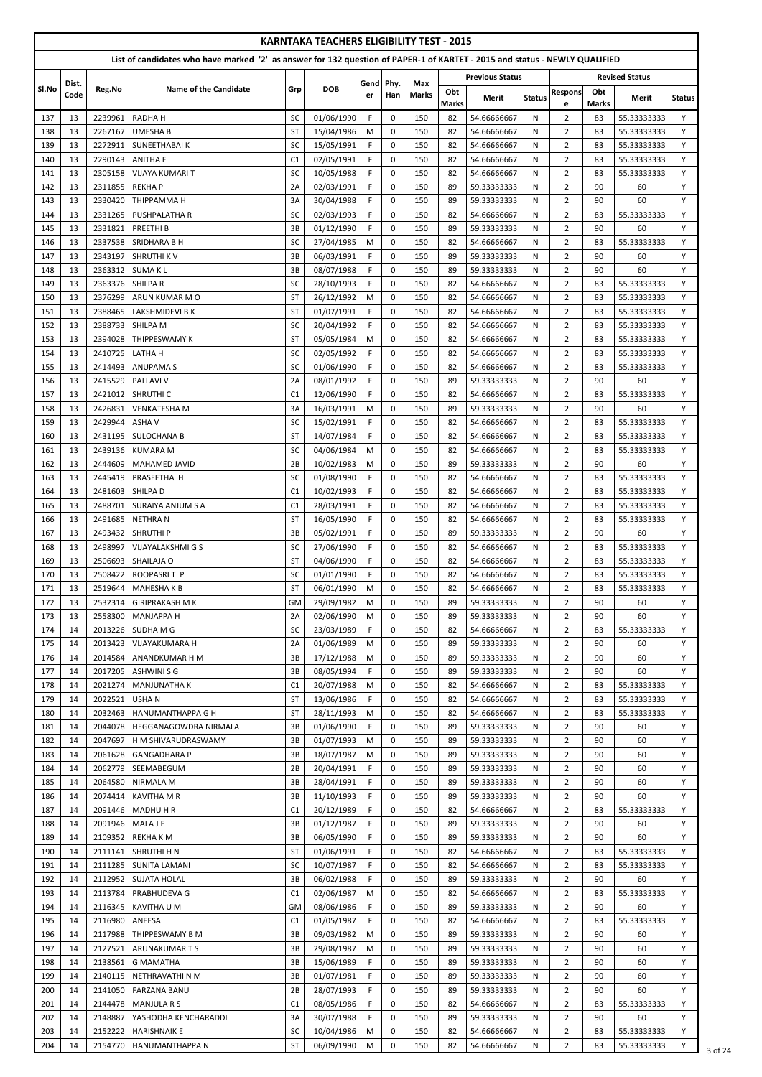|            |          |                    |                                                                                                                            |                          | <b>KARNTAKA TEACHERS ELIGIBILITY TEST - 2015</b> |             |                            |              |                     |                            |               |                                  |                     |                            |               |
|------------|----------|--------------------|----------------------------------------------------------------------------------------------------------------------------|--------------------------|--------------------------------------------------|-------------|----------------------------|--------------|---------------------|----------------------------|---------------|----------------------------------|---------------------|----------------------------|---------------|
|            |          |                    | List of candidates who have marked '2' as answer for 132 question of PAPER-1 of KARTET - 2015 and status - NEWLY QUALIFIED |                          |                                                  |             |                            |              |                     |                            |               |                                  |                     |                            |               |
|            | Dist.    |                    |                                                                                                                            |                          |                                                  | Gend        | Phy.                       | Max          |                     | <b>Previous Status</b>     |               |                                  |                     | <b>Revised Status</b>      |               |
| SI.No      | Code     | Reg.No             | <b>Name of the Candidate</b>                                                                                               | Grp                      | <b>DOB</b>                                       | er          | Han                        | <b>Marks</b> | Obt<br><b>Marks</b> | Merit                      | <b>Status</b> | <b>Respons</b>                   | Obt<br><b>Marks</b> | Merit                      | <b>Status</b> |
| 137        | 13       | 2239961            | <b>RADHAH</b>                                                                                                              | SC                       | 01/06/1990                                       | F.          | 0                          | 150          | 82                  | 54.66666667                | N             | e<br>$\overline{2}$              | 83                  | 55.33333333                | Y             |
| 138        | 13       | 2267167            | <b>UMESHA B</b>                                                                                                            | <b>ST</b>                | 15/04/1986                                       | M           | $\mathbf 0$                | 150          | 82                  | 54.66666667                | N             | $\overline{2}$                   | 83                  | 55.33333333                | Y             |
| 139        | 13       | 2272911            | <b>SUNEETHABAIK</b>                                                                                                        | SC                       | 15/05/1991                                       | F           | 0                          | 150          | 82                  | 54.66666667                | N             | $\overline{2}$                   | 83                  | 55.33333333                | Y             |
| 140        | 13       | 2290143            | <b>ANITHA E</b>                                                                                                            | C <sub>1</sub>           | 02/05/1991                                       | F.          | $\mathbf 0$                | 150          | 82                  | 54.66666667                | N             | $\overline{2}$                   | 83                  | 55.33333333                | Y             |
| 141<br>142 | 13<br>13 | 2305158<br>2311855 | <b>VIJAYA KUMARI T</b><br><b>REKHAP</b>                                                                                    | SC<br>2A                 | 10/05/1988<br>02/03/1991                         | F<br>F.     | 0<br>$\mathbf 0$           | 150<br>150   | 82<br>89            | 54.66666667<br>59.33333333 | N<br>N        | $\overline{2}$<br>$\overline{2}$ | 83<br>90            | 55.33333333<br>60          | Y<br>Y        |
| 143        | 13       | 2330420            | <b>THIPPAMMAH</b>                                                                                                          | 3A                       | 30/04/1988                                       | F           | $\mathbf 0$                | 150          | 89                  | 59.33333333                | N             | $\overline{2}$                   | 90                  | 60                         | Y             |
| 144        | 13       | 2331265            | <b>PUSHPALATHA R</b>                                                                                                       | SC                       | 02/03/1993                                       | F.          | $\mathbf 0$                | 150          | 82                  | 54.66666667                | N             | $\overline{2}$                   | 83                  | 55.33333333                | Y             |
| 145        | 13       | 2331821            | <b>PREETHIB</b>                                                                                                            | 3B                       | 01/12/1990                                       | E           | $\mathbf 0$                | 150          | 89                  | 59.33333333                | N             | $\overline{2}$                   | 90                  | 60                         | Y             |
| 146        | 13       | 2337538            | <b>SRIDHARA B H</b>                                                                                                        | SC                       | 27/04/1985                                       | М           | 0                          | 150          | 82                  | 54.66666667                | N             | $\overline{2}$                   | 83                  | 55.33333333                | Y             |
| 147<br>148 | 13<br>13 | 2343197<br>2363312 | <b>SHRUTHI K V</b><br><b>SUMAKL</b>                                                                                        | 3B<br>3B                 | 06/03/1991<br>08/07/1988                         | F<br>F.     | $\mathbf 0$<br>0           | 150<br>150   | 89<br>89            | 59.33333333<br>59.33333333 | N<br>N        | $\overline{2}$<br>$\overline{2}$ | 90<br>90            | 60<br>60                   | Y<br>Y        |
| 149        | 13       | 2363376            | <b>SHILPAR</b>                                                                                                             | SC                       | 28/10/1993                                       | F           | $\mathbf 0$                | 150          | 82                  | 54.66666667                | N             | $\overline{2}$                   | 83                  | 55.33333333                | Y             |
| 150        | 13       | 2376299            | ARUN KUMAR M O                                                                                                             | <b>ST</b>                | 26/12/1992                                       | M           | 0                          | 150          | 82                  | 54.66666667                | N             | $\overline{2}$                   | 83                  | 55.33333333                | Y             |
| 151        | 13       | 2388465            | LAKSHMIDEVI B K                                                                                                            | <b>ST</b>                | 01/07/1991                                       | F.          | $\mathbf 0$                | 150          | 82                  | 54.66666667                | N             | $\overline{2}$                   | 83                  | 55.33333333                | Y             |
| 152        | 13       | 2388733            | SHILPA M                                                                                                                   | SC                       | 20/04/1992                                       | F           | $\mathbf 0$                | 150          | 82                  | 54.66666667                | N             | $\overline{2}$                   | 83                  | 55.33333333                | Y             |
| 153        | 13       | 2394028            | <b>THIPPESWAMY K</b>                                                                                                       | ST                       | 05/05/1984                                       | M           | $\mathbf 0$                | 150          | 82                  | 54.66666667                | N             | $\overline{2}$                   | 83                  | 55.33333333                | Y             |
| 154        | 13       | 2410725            | <b>LATHAH</b>                                                                                                              | SC<br>SC                 | 02/05/1992<br>01/06/1990                         | F.          | $\mathbf 0$                | 150<br>150   | 82<br>82            | 54.66666667                | N             | $\overline{2}$                   | 83                  | 55.33333333                | Y<br>Y        |
| 155<br>156 | 13<br>13 | 2414493<br>2415529 | <b>ANUPAMAS</b><br><b>PALLAVI V</b>                                                                                        | 2A                       | 08/01/1992                                       | F.<br>F     | 0<br>$\mathbf 0$           | 150          | 89                  | 54.66666667<br>59.33333333 | N<br>N        | $\overline{2}$<br>$\overline{2}$ | 83<br>90            | 55.33333333<br>60          | Y             |
| 157        | 13       | 2421012            | <b>SHRUTHI C</b>                                                                                                           | C <sub>1</sub>           | 12/06/1990                                       | F.          | 0                          | 150          | 82                  | 54.66666667                | N             | $\overline{2}$                   | 83                  | 55.33333333                | Y             |
| 158        | 13       | 2426831            | <b>VENKATESHA M</b>                                                                                                        | 3A                       | 16/03/1991                                       | M           | $\mathbf 0$                | 150          | 89                  | 59.33333333                | N             | $\overline{2}$                   | 90                  | 60                         | Y             |
| 159        | 13       | 2429944            | <b>ASHAV</b>                                                                                                               | SC                       | 15/02/1991                                       | F.          | $\pmb{0}$                  | 150          | 82                  | 54.66666667                | N             | $\overline{2}$                   | 83                  | 55.33333333                | Y             |
| 160        | 13       | 2431195            | <b>SULOCHANA B</b>                                                                                                         | $\overline{\mathsf{ST}}$ | 14/07/1984                                       | $\mathsf F$ | $\mathbf 0$                | 150          | 82                  | 54.66666667                | $\mathsf{N}$  | $\overline{2}$                   | 83                  | 55.33333333                | Y             |
| 161        | 13       | 2439136            | <b>KUMARA M</b>                                                                                                            | SC                       | 04/06/1984                                       | М           | 0                          | 150          | 82                  | 54.66666667                | N             | $\overline{2}$                   | 83                  | 55.33333333                | Y             |
| 162<br>163 | 13<br>13 | 2444609<br>2445419 | MAHAMED JAVID<br><b>PRASEETHA H</b>                                                                                        | 2B<br>SC                 | 10/02/1983<br>01/08/1990                         | М<br>F.     | $\mathbf 0$<br>$\mathbf 0$ | 150<br>150   | 89<br>82            | 59.33333333<br>54.66666667 | N<br>N        | $\overline{2}$<br>$\overline{2}$ | 90<br>83            | 60<br>55.33333333          | Y<br>Y        |
| 164        | 13       | 2481603            | <b>SHILPA D</b>                                                                                                            | C1                       | 10/02/1993                                       | F.          | 0                          | 150          | 82                  | 54.66666667                | N             | $\overline{2}$                   | 83                  | 55.33333333                | Y             |
| 165        | 13       | 2488701            | <b>ISURAIYA ANJUM S A</b>                                                                                                  | C1                       | 28/03/1991                                       | F.          | $\mathbf 0$                | 150          | 82                  | 54.66666667                | N             | $\overline{2}$                   | 83                  | 55.33333333                | Y             |
| 166        | 13       | 2491685            | <b>NETHRAN</b>                                                                                                             | ST                       | 16/05/1990                                       | F.          | 0                          | 150          | 82                  | 54.66666667                | N             | $\overline{2}$                   | 83                  | 55.33333333                | Y             |
| 167        | 13       | 2493432            | <b>SHRUTHIP</b>                                                                                                            | 3B                       | 05/02/1991                                       | F.          | $\mathbf 0$                | 150          | 89                  | 59.33333333                | N             | $\overline{2}$                   | 90                  | 60                         | Y             |
| 168        | 13       | 2498997            | <b>VIJAYALAKSHMI G S</b>                                                                                                   | SC                       | 27/06/1990                                       | F.          | 0                          | 150          | 82                  | 54.66666667                | N             | $\overline{2}$                   | 83                  | 55.33333333                | Y             |
| 169<br>170 | 13<br>13 | 2506693<br>2508422 | <b>SHAILAJA O</b><br>ROOPASRIT P                                                                                           | <b>ST</b><br>SC          | 04/06/1990<br>01/01/1990                         | F.<br>F     | $\mathbf 0$<br>0           | 150<br>150   | 82<br>82            | 54.66666667<br>54.66666667 | N<br>N        | $\overline{2}$<br>$\overline{2}$ | 83<br>83            | 55.33333333<br>55.33333333 | Y<br>Y        |
| 171        | 13       | 2519644            | <b>MAHESHAKB</b>                                                                                                           | ST                       | 06/01/1990                                       | М           | 0                          | 150          | 82                  | 54.66666667                | N             | $\overline{2}$                   | 83                  | 55.33333333                | Y             |
| 172        | 13       | 2532314            | <b>GIRIPRAKASH M K</b>                                                                                                     | <b>GM</b>                | 29/09/1982                                       | М           | 0                          | 150          | 89                  | 59.33333333                | N             | $\overline{2}$                   | 90                  | 60                         | Y             |
| 173        | 13       | 2558300            | <b>MANJAPPA H</b>                                                                                                          | 2A                       | 02/06/1990                                       | М           | $\mathbf 0$                | 150          | 89                  | 59.33333333                | N             | $\overline{2}$                   | 90                  | 60                         | Y             |
| 174        | 14       | 2013226            | SUDHA M G                                                                                                                  | SC                       | 23/03/1989                                       | F           | $\mathbf 0$                | 150          | 82                  | 54.66666667                | N             | $\overline{2}$                   | 83                  | 55.33333333                | Y             |
| 175        | 14       | 2013423            | VIJAYAKUMARA H                                                                                                             | 2A                       | 01/06/1989                                       | М           | 0                          | 150          | 89                  | 59.33333333                | N             | $\overline{2}$                   | 90                  | 60                         | Y             |
| 176<br>177 | 14<br>14 | 2014584<br>2017205 | <b>ANANDKUMAR H M</b><br><b>ASHWINI S G</b>                                                                                | 3B<br>3B                 | 17/12/1988<br>08/05/1994                         | M<br>F.     | 0<br>0                     | 150<br>150   | 89<br>89            | 59.33333333<br>59.33333333 | N<br>N        | $\overline{2}$<br>$\overline{2}$ | 90<br>90            | 60<br>60                   | Y<br>Y        |
| 178        | 14       | 2021274            | <b>MANJUNATHA K</b>                                                                                                        | C <sub>1</sub>           | 20/07/1988                                       | M           | $\mathbf 0$                | 150          | 82                  | 54.66666667                | N             | $\overline{2}$                   | 83                  | 55.33333333                | Y             |
| 179        | 14       | 2022521            | <b>USHAN</b>                                                                                                               | ST                       | 13/06/1986                                       | F.          | 0                          | 150          | 82                  | 54.66666667                | N             | $\overline{2}$                   | 83                  | 55.33333333                | Y             |
| 180        | 14       | 2032463            | <b>HANUMANTHAPPA G H</b>                                                                                                   | ST                       | 28/11/1993                                       | M           | 0                          | 150          | 82                  | 54.66666667                | N             | $\overline{2}$                   | 83                  | 55.33333333                | Y             |
| 181        | 14       | 2044078            | <b>HEGGANAGOWDRA NIRMALA</b>                                                                                               | 3B                       | 01/06/1990                                       | F           | $\mathbf 0$                | 150          | 89                  | 59.33333333                | N             | $\overline{2}$                   | 90                  | 60                         | Y             |
| 182        | 14       | 2047697            | <b>H M SHIVARUDRASWAMY</b>                                                                                                 | 3B                       | 01/07/1993                                       | М           | 0                          | 150          | 89                  | 59.33333333                | N             | $\overline{2}$                   | 90                  | 60                         | Y             |
| 183<br>184 | 14<br>14 | 2061628<br>2062779 | <b>GANGADHARA P</b><br><b>SEEMABEGUM</b>                                                                                   | 3B<br>2B                 | 18/07/1987<br>20/04/1991                         | M<br>F.     | $\mathbf 0$<br>0           | 150<br>150   | 89<br>89            | 59.33333333<br>59.33333333 | N<br>N        | $\overline{2}$<br>$\overline{2}$ | 90<br>90            | 60<br>60                   | Y<br>Y        |
| 185        | 14       | 2064580            | <b>NIRMALA M</b>                                                                                                           | 3B                       | 28/04/1991                                       | F.          | 0                          | 150          | 89                  | 59.33333333                | N             | $\overline{2}$                   | 90                  | 60                         | Y             |
| 186        | 14       | 2074414            | <b>KAVITHA M R</b>                                                                                                         | 3B                       | 11/10/1993                                       | F.          | 0                          | 150          | 89                  | 59.33333333                | N             | $\overline{2}$                   | 90                  | 60                         | Y             |
| 187        | 14       | 2091446            | <b>MADHU H R</b>                                                                                                           | C1                       | 20/12/1989                                       | F.          | $\mathbf 0$                | 150          | 82                  | 54.66666667                | N             | $\overline{2}$                   | 83                  | 55.33333333                | Y             |
| 188        | 14       | 2091946            | MALA J E                                                                                                                   | 3B                       | 01/12/1987                                       | F           | 0                          | 150          | 89                  | 59.33333333                | N             | $\overline{2}$                   | 90                  | 60                         | Y             |
| 189        | 14       |                    | 2109352 REKHA K M                                                                                                          | 3B                       | 06/05/1990                                       | F           | $\mathbf 0$                | 150          | 89                  | 59.33333333                | N             | $\overline{2}$                   | 90                  | 60                         | Y             |
| 190<br>191 | 14<br>14 | 2111285            | 2111141 SHRUTHI H N<br><b>SUNITA LAMANI</b>                                                                                | <b>ST</b><br>SC          | 01/06/1991<br>10/07/1987                         | F.<br>F.    | $\mathbf{0}$<br>0          | 150<br>150   | 82<br>82            | 54.66666667<br>54.66666667 | N<br>N        | $\overline{2}$<br>$\overline{2}$ | 83<br>83            | 55.33333333<br>55.33333333 | Y<br>Y        |
| 192        | 14       | 2112952            | <b>SUJATA HOLAL</b>                                                                                                        | 3B                       | 06/02/1988                                       | F           | $\mathbf 0$                | 150          | 89                  | 59.33333333                | N             | $\overline{2}$                   | 90                  | 60                         | Y             |
| 193        | 14       | 2113784            | <b>PRABHUDEVA G</b>                                                                                                        | C1                       | 02/06/1987                                       | M           | 0                          | 150          | 82                  | 54.66666667                | N             | $\overline{2}$                   | 83                  | 55.33333333                | Y             |
| 194        | 14       | 2116345            | KAVITHA U M                                                                                                                | <b>GM</b>                | 08/06/1986                                       | F.          | $\mathbf 0$                | 150          | 89                  | 59.33333333                | N             | $\overline{2}$                   | 90                  | 60                         | Y             |
| 195        | 14       | 2116980            | ANEESA                                                                                                                     | C1                       | 01/05/1987                                       | F.          | 0                          | 150          | 82                  | 54.66666667                | N             | $\overline{2}$                   | 83                  | 55.33333333                | Y             |
| 196        | 14       | 2117988            | THIPPESWAMY B M                                                                                                            | 3B                       | 09/03/1982                                       | M           | 0                          | 150          | 89                  | 59.33333333                | N             | $\overline{2}$                   | 90                  | 60                         | Y             |
| 197<br>198 | 14<br>14 | 2127521<br>2138561 | <b>ARUNAKUMARTS</b><br><b>G MAMATHA</b>                                                                                    | 3B<br>3B                 | 29/08/1987<br>15/06/1989                         | M<br>F.     | $\boldsymbol{0}$<br>0      | 150<br>150   | 89<br>89            | 59.33333333<br>59.33333333 | N<br>N        | $\overline{2}$<br>$\overline{2}$ | 90<br>90            | 60<br>60                   | Y<br>Y        |
| 199        | 14       | 2140115            | NETHRAVATHI N M                                                                                                            | 3B                       | 01/07/1981                                       | F.          | 0                          | 150          | 89                  | 59.33333333                | N             | $\overline{2}$                   | 90                  | 60                         | Y             |
| 200        | 14       | 2141050            | <b>FARZANA BANU</b>                                                                                                        | 2B                       | 28/07/1993                                       | F.          | 0                          | 150          | 89                  | 59.33333333                | N             | $\overline{2}$                   | 90                  | 60                         | Y             |
| 201        | 14       | 2144478            | <b>MANJULA R S</b>                                                                                                         | C1                       | 08/05/1986                                       | F.          | 0                          | 150          | 82                  | 54.66666667                | N             | $\overline{2}$                   | 83                  | 55.33333333                | Y             |
| 202        | 14       | 2148887            | YASHODHA KENCHARADDI                                                                                                       | 3A                       | 30/07/1988                                       | F.          | 0                          | 150          | 89                  | 59.33333333                | N             | $\overline{2}$                   | 90                  | 60                         | Y             |
| 203        | 14       | 2152222            | <b>HARISHNAIK E</b>                                                                                                        | SC                       | 10/04/1986                                       | М           | 0                          | 150          | 82                  | 54.66666667                | N             | $\overline{2}$                   | 83                  | 55.33333333                | Y             |
| 204        | 14       | 2154770            | HANUMANTHAPPA N                                                                                                            | <b>ST</b>                | 06/09/1990                                       | M           | 0                          | 150          | 82                  | 54.66666667                | N             | $\overline{2}$                   | 83                  | 55.33333333                | Y             |

 $\frac{1}{3}$  of 24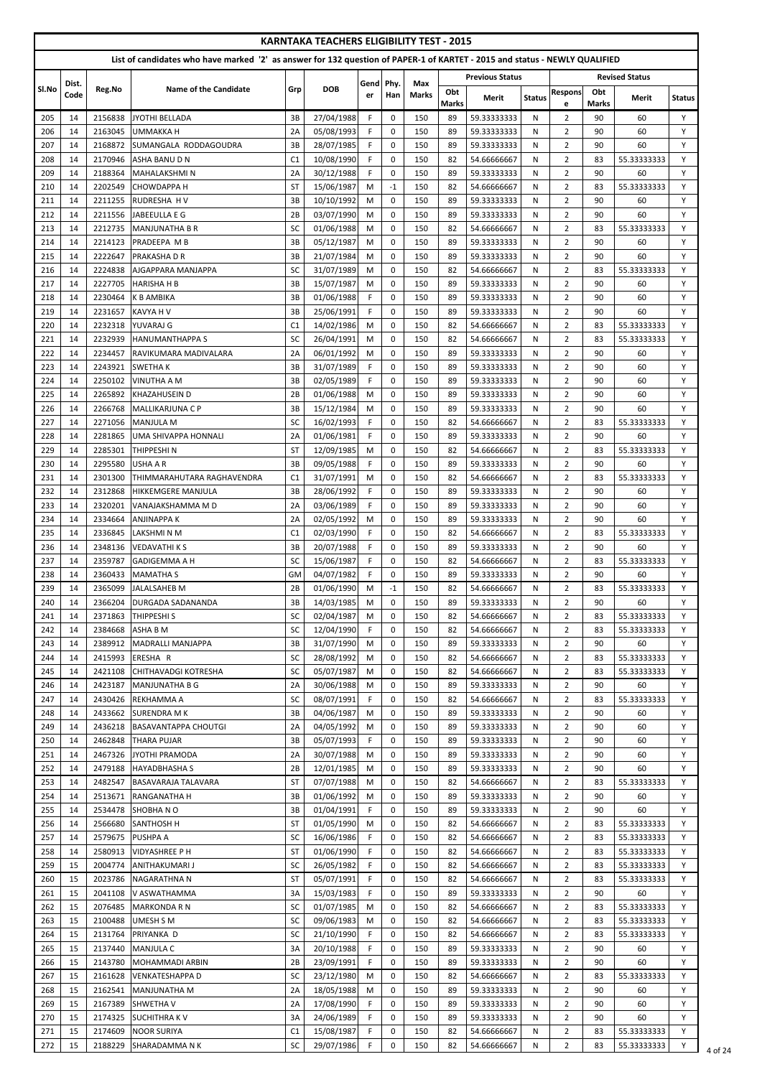|            |               |                    | List of candidates who have marked '2' as answer for 132 question of PAPER-1 of KARTET - 2015 and status - NEWLY QUALIFIED |                 | <b>KARNTAKA TEACHERS ELIGIBILITY TEST - 2015</b> |            |                            |                     |                     |                            |               |                                  |                     |                            |               |
|------------|---------------|--------------------|----------------------------------------------------------------------------------------------------------------------------|-----------------|--------------------------------------------------|------------|----------------------------|---------------------|---------------------|----------------------------|---------------|----------------------------------|---------------------|----------------------------|---------------|
|            |               |                    |                                                                                                                            |                 |                                                  |            |                            |                     |                     | <b>Previous Status</b>     |               |                                  |                     | <b>Revised Status</b>      |               |
| Sl.No      | Dist.<br>Code | Reg.No             | Name of the Candidate                                                                                                      | Grp             | <b>DOB</b>                                       | Gend<br>er | Phy.<br>Han                | Max<br><b>Marks</b> | Obt<br><b>Marks</b> | Merit                      | <b>Status</b> | <b>Respons</b><br>e              | Obt<br><b>Marks</b> | Merit                      | <b>Status</b> |
| 205        | 14            | 2156838            | JYOTHI BELLADA                                                                                                             | 3B              | 27/04/1988                                       | F.         | $\mathbf 0$                | 150                 | 89                  | 59.33333333                | N             | $\overline{2}$                   | 90                  | 60                         | Y             |
| 206        | 14            | 2163045            | <b>UMMAKKA H</b>                                                                                                           | 2A              | 05/08/1993                                       | F.         | $\mathbf 0$                | 150                 | 89                  | 59.33333333                | N             | $\overline{2}$                   | 90                  | 60                         | Y             |
| 207        | 14            | 2168872            | SUMANGALA RODDAGOUDRA                                                                                                      | 3B              | 28/07/1985                                       | F          | $\mathbf 0$                | 150                 | 89                  | 59.33333333                | N             | $\overline{2}$                   | 90                  | 60                         | Y             |
| 208        | 14            | 2170946            | ASHA BANU D N                                                                                                              | C1              | 10/08/1990                                       | F.         | $\mathbf 0$                | 150                 | 82                  | 54.66666667                | N             | $\overline{2}$                   | 83                  | 55.33333333                | Y             |
| 209<br>210 | 14<br>14      | 2188364<br>2202549 | <b>MAHALAKSHMIN</b><br><b>CHOWDAPPA H</b>                                                                                  | 2A<br><b>ST</b> | 30/12/1988<br>15/06/1987                         | F.<br>M    | $\mathbf 0$<br>$-1$        | 150<br>150          | 89<br>82            | 59.33333333<br>54.66666667 | N<br>N        | $\overline{2}$<br>$\overline{2}$ | 90<br>83            | 60<br>55.33333333          | Y<br>Y        |
| 211        | 14            | 2211255            | <b>RUDRESHA HV</b>                                                                                                         | 3B              | 10/10/1992                                       | M          | $\Omega$                   | 150                 | 89                  | 59.33333333                | N             | $\overline{2}$                   | 90                  | 60                         | Y             |
| 212        | 14            | 2211556            | JABEEULLA E G                                                                                                              | 2B              | 03/07/1990                                       | M          | $\Omega$                   | 150                 | 89                  | 59.33333333                | N             | $\overline{2}$                   | 90                  | 60                         | Y             |
| 213        | 14            | 2212735            | MANJUNATHA B R                                                                                                             | SC              | 01/06/1988                                       | M          | $\mathbf 0$                | 150                 | 82                  | 54.66666667                | N             | $\overline{2}$                   | 83                  | 55.33333333                | Y             |
| 214        | 14            | 2214123            | <b>PRADEEPA MB</b>                                                                                                         | 3B              | 05/12/1987                                       | M          | $\mathbf 0$                | 150                 | 89                  | 59.33333333                | N             | $\overline{2}$                   | 90                  | 60                         | Y             |
| 215        | 14            | 2222647            | <b>PRAKASHA D R</b>                                                                                                        | 3B              | 21/07/1984                                       | M          | $\mathbf 0$                | 150                 | 89                  | 59.33333333                | N             | $\overline{2}$                   | 90                  | 60                         | Y             |
| 216<br>217 | 14<br>14      | 2224838<br>2227705 | AJGAPPARA MANJAPPA<br><b>HARISHA H B</b>                                                                                   | SC<br>3B        | 31/07/1989<br>15/07/1987                         | M<br>M     | $\mathbf 0$<br>$\mathbf 0$ | 150<br>150          | 82<br>89            | 54.66666667<br>59.33333333 | N<br>N        | $\overline{2}$<br>$\overline{2}$ | 83<br>90            | 55.33333333<br>60          | Y<br>Y        |
| 218        | 14            | 2230464            | <b>K B AMBIKA</b>                                                                                                          | 3B              | 01/06/1988                                       | F.         | $\mathbf 0$                | 150                 | 89                  | 59.33333333                | N             | $\overline{2}$                   | 90                  | 60                         | Υ             |
| 219        | 14            | 2231657            | <b>KAVYA H V</b>                                                                                                           | 3B              | 25/06/1991                                       | F.         | $\Omega$                   | 150                 | 89                  | 59.33333333                | N             | $\overline{2}$                   | 90                  | 60                         | Y             |
| 220        | 14            | 2232318            | YUVARAJ G                                                                                                                  | C1              | 14/02/1986                                       | M          | $\Omega$                   | 150                 | 82                  | 54.66666667                | N             | $\overline{2}$                   | 83                  | 55.33333333                | Y             |
| 221        | 14            | 2232939            | <b>HANUMANTHAPPA S</b>                                                                                                     | <b>SC</b>       | 26/04/1991                                       | M          | $\Omega$                   | 150                 | 82                  | 54.66666667                | N             | $\overline{2}$                   | 83                  | 55.33333333                | Y             |
| 222        | 14            | 2234457            | RAVIKUMARA MADIVALARA                                                                                                      | 2A              | 06/01/1992                                       | M          | $\Omega$                   | 150                 | 89                  | 59.33333333                | N             | $\overline{2}$                   | 90                  | 60                         | Y             |
| 223        | 14            | 2243921            | <b>SWETHAK</b>                                                                                                             | 3B              | 31/07/1989                                       | F.         | $\mathbf 0$                | 150                 | 89                  | 59.33333333                | N             | $\overline{2}$                   | 90                  | 60                         | Y             |
| 224<br>225 | 14<br>14      | 2250102<br>2265892 | <b>VINUTHA A M</b><br><b>KHAZAHUSEIN D</b>                                                                                 | 3B<br>2B        | 02/05/1989<br>01/06/1988                         | F.<br>M    | $\mathbf 0$<br>$\mathbf 0$ | 150<br>150          | 89<br>89            | 59.33333333<br>59.33333333 | N<br>N        | $\overline{2}$<br>$\overline{2}$ | 90<br>90            | 60<br>60                   | Y<br>Y        |
| 226        | 14            | 2266768            | MALLIKARJUNA C P                                                                                                           | 3B              | 15/12/1984                                       | M          | $\mathbf 0$                | 150                 | 89                  | 59.33333333                | N             | $\overline{2}$                   | 90                  | 60                         | Y             |
| 227        | 14            | 2271056            | <b>MANJULA M</b>                                                                                                           | SC              | 16/02/1993                                       | F.         | 0                          | 150                 | 82                  | 54.66666667                | N             | $\overline{2}$                   | 83                  | 55.33333333                | Y             |
| 228        | 14            | 2281865            | <b>UMA SHIVAPPA HONNALI</b>                                                                                                | 2A              | 01/06/1981                                       | F          | $\mathbf 0$                | 150                 | 89                  | 59.33333333                | N             | 2                                | 90                  | 60                         |               |
| 229        | 14            | 2285301            | THIPPESHI <sub>N</sub>                                                                                                     | <b>ST</b>       | 12/09/1985                                       | M          | $\Omega$                   | 150                 | 82                  | 54.66666667                | N             | $\overline{2}$                   | 83                  | 55.33333333                | Y             |
| 230        | 14            | 2295580            | USHA A R                                                                                                                   | 3B              | 09/05/1988                                       | F.         | $\mathbf 0$                | 150                 | 89                  | 59.33333333                | N             | $\overline{2}$                   | 90                  | 60                         | Y             |
| 231        | 14            | 2301300            | THIMMARAHUTARA RAGHAVENDRA                                                                                                 | C <sub>1</sub>  | 31/07/1991                                       | M          | $\mathbf 0$                | 150                 | 82                  | 54.66666667                | N             | $\overline{2}$                   | 83                  | 55.33333333                | Y             |
| 232        | 14            | 2312868            | <b>HIKKEMGERE MANJULA</b>                                                                                                  | 3B              | 28/06/1992                                       | F.         | $\mathbf 0$                | 150                 | 89                  | 59.33333333                | N             | 2                                | 90                  | 60                         | Y             |
| 233<br>234 | 14<br>14      | 2320201<br>2334664 | VANAJAKSHAMMA M D<br><b>ANJINAPPA K</b>                                                                                    | 2A<br>2A        | 03/06/1989<br>02/05/1992                         | F.<br>M    | $\mathbf 0$<br>0           | 150<br>150          | 89<br>89            | 59.33333333<br>59.33333333 | N<br>N        | $\overline{2}$<br>$\overline{2}$ | 90<br>90            | 60<br>60                   | Y<br>Y        |
| 235        | 14            | 2336845            | LAKSHMI N M                                                                                                                | C1              | 02/03/1990                                       | F.         | $\mathbf 0$                | 150                 | 82                  | 54.66666667                | N             | $\overline{2}$                   | 83                  | 55.33333333                | Y             |
| 236        | 14            | 2348136            | <b>VEDAVATHI K S</b>                                                                                                       | 3B              | 20/07/1988                                       | F.         | $\mathbf 0$                | 150                 | 89                  | 59.33333333                | N             | $\overline{2}$                   | 90                  | 60                         | Y             |
| 237        | 14            | 2359787            | <b>GADIGEMMA A H</b>                                                                                                       | SC              | 15/06/1987                                       | F.         | $\mathbf 0$                | 150                 | 82                  | 54.66666667                | N             | $\overline{2}$                   | 83                  | 55.33333333                | Y             |
| 238        | 14            | 2360433            | <b>MAMATHA S</b>                                                                                                           | GM              | 04/07/1982                                       | F.         | $\mathbf 0$                | 150                 | 89                  | 59.33333333                | N             | $\overline{2}$                   | 90                  | 60                         | Y             |
| 239        | 14            | 2365099            | JALALSAHEB M                                                                                                               | 2B              | 01/06/1990                                       | M          | $-1$                       | 150                 | 82                  | 54.66666667                | N             | $\overline{2}$                   | 83                  | 55.33333333                | Y             |
| 240        | 14            | 2366204            | <b>DURGADA SADANANDA</b>                                                                                                   | 3B              | 14/03/1985                                       | M          | $\mathbf 0$                | 150                 | 89                  | 59.33333333                | N             | $\overline{2}$                   | 90                  | 60                         | Y             |
| 241<br>242 | 14<br>14      | 2371863            | <b>THIPPESHI S</b><br>ASHA B M                                                                                             | SC<br>SC        | 02/04/1987<br>12/04/1990                         | M<br>F.    | $\mathbf 0$<br>$\mathbf 0$ | 150<br>150          | 82<br>82            | 54.66666667                | N<br>N        | $\overline{2}$<br>$\overline{2}$ | 83<br>83            | 55.33333333<br>55.33333333 | Y<br>Y        |
| 243        | 14            | 2384668<br>2389912 | MADRALLI MANJAPPA                                                                                                          | 3B              | 31/07/1990                                       | M          | $\mathbf 0$                | 150                 | 89                  | 54.66666667<br>59.33333333 | N             | $\overline{2}$                   | 90                  | 60                         | Y             |
| 244        | 14            | 2415993            | ERESHA R                                                                                                                   | SC              | 28/08/1992                                       | M          | $\mathbf 0$                | 150                 | 82                  | 54.66666667                | N             | $\overline{2}$                   | 83                  | 55.33333333                | Y             |
| 245        | 14            | 2421108            | <b>CHITHAVADGI KOTRESHA</b>                                                                                                | SC              | 05/07/1987                                       | M          | 0                          | 150                 | 82                  | 54.66666667                | N             | $\overline{2}$                   | 83                  | 55.33333333                | Y             |
| 246        | 14            | 2423187            | MANJUNATHA B G                                                                                                             | 2A              | 30/06/1988                                       | M          | $\mathbf 0$                | 150                 | 89                  | 59.33333333                | N             | $\overline{2}$                   | 90                  | 60                         | Y             |
| 247        | 14            | 2430426            | <b>REKHAMMA A</b>                                                                                                          | SC              | 08/07/1991                                       | F.         | $\mathbf 0$                | 150                 | 82                  | 54.66666667                | N             | $\overline{2}$                   | 83                  | 55.33333333                | Y             |
| 248        | 14            | 2433662            | <b>SURENDRA M K</b>                                                                                                        | 3B              | 04/06/1987                                       | M          | $\mathbf 0$                | 150                 | 89                  | 59.33333333                | N             | $\overline{2}$                   | 90                  | 60                         | Y             |
| 249        | 14            | 2436218            | <b>BASAVANTAPPA CHOUTGI</b>                                                                                                | 2A              | 04/05/1992                                       | M          | $\mathbf 0$<br>$\mathbf 0$ | 150                 | 89                  | 59.33333333                | N             | $\overline{2}$                   | 90                  | 60                         | Y<br>Y        |
| 250<br>251 | 14<br>14      | 2462848<br>2467326 | <b>THARA PUJAR</b><br>JYOTHI PRAMODA                                                                                       | 3B<br>2A        | 05/07/1993<br>30/07/1988                         | F.<br>M    | $\mathbf 0$                | 150<br>150          | 89<br>89            | 59.33333333<br>59.33333333 | N<br>N        | $\overline{2}$<br>$\overline{2}$ | 90<br>90            | 60<br>60                   | Y             |
| 252        | 14            | 2479188            | <b>HAYADBHASHA S</b>                                                                                                       | 2B              | 12/01/1985                                       | M          | $\mathbf 0$                | 150                 | 89                  | 59.33333333                | N             | $\overline{2}$                   | 90                  | 60                         | Y             |
| 253        | 14            | 2482547            | <b>BASAVARAJA TALAVARA</b>                                                                                                 | <b>ST</b>       | 07/07/1988                                       | M          | $\mathbf 0$                | 150                 | 82                  | 54.66666667                | N             | $\overline{2}$                   | 83                  | 55.33333333                | Y             |
| 254        | 14            | 2513671            | <b>RANGANATHA H</b>                                                                                                        | 3B              | 01/06/1992                                       | M          | 0                          | 150                 | 89                  | 59.33333333                | N             | $\overline{2}$                   | 90                  | 60                         | Y             |
| 255        | 14            | 2534478            | <b>SHOBHANO</b>                                                                                                            | 3B              | 01/04/1991                                       | F.         | $\mathbf 0$                | 150                 | 89                  | 59.33333333                | N             | $\overline{2}$                   | 90                  | 60                         | Y             |
| 256        | 14            | 2566680            | <b>SANTHOSH H</b>                                                                                                          | ST              | 01/05/1990                                       | M          | 0                          | 150                 | 82                  | 54.66666667                | N             | $\overline{2}$                   | 83                  | 55.33333333                | Y             |
| 257        | 14            |                    | 2579675 PUSHPA A                                                                                                           | <b>SC</b>       | 16/06/1986                                       | F.         | $\mathbf 0$                | 150                 | 82                  | 54.66666667                | N             | $\overline{2}$                   | 83                  | 55.33333333                | Y             |
| 258<br>259 | 14<br>15      | 2580913<br>2004774 | <b>VIDYASHREE P H</b><br>ANITHAKUMARI J                                                                                    | <b>ST</b><br>SC | 01/06/1990<br>26/05/1982                         | F.<br>F.   | $\mathbf 0$<br>$\mathbf 0$ | 150<br>150          | 82<br>82            | 54.66666667<br>54.66666667 | N<br>N        | $\overline{2}$<br>$\overline{2}$ | 83<br>83            | 55.33333333<br>55.33333333 | Y<br>Y        |
| 260        | 15            | 2023786            | NAGARATHNA N                                                                                                               | <b>ST</b>       | 05/07/1991                                       | F.         | $\mathbf 0$                | 150                 | -82                 | 54.66666667                | N             | $\overline{2}$                   | 83                  | 55.33333333                | Y             |
| 261        | 15            | 2041108            | V ASWATHAMMA                                                                                                               | 3A              | 15/03/1983                                       | F.         | 0                          | 150                 | 89                  | 59.33333333                | N             | $\overline{2}$                   | 90                  | 60                         | Y             |
| 262        | 15            | 2076485            | <b>MARKONDA R N</b>                                                                                                        | SC              | 01/07/1985                                       | M          | $\mathbf 0$                | 150                 | 82                  | 54.66666667                | N             | $\overline{2}$                   | 83                  | 55.33333333                | Y             |
| 263        | 15            | 2100488            | <b>UMESH S M</b>                                                                                                           | SC              | 09/06/1983                                       | M          | 0                          | 150                 | 82                  | 54.66666667                | N             | $\overline{2}$                   | 83                  | 55.33333333                | Y             |
| 264        | 15            | 2131764            | <b>PRIYANKA D</b>                                                                                                          | SC              | 21/10/1990                                       | F.         | $\mathbf 0$                | 150                 | 82                  | 54.66666667                | N             | $\overline{2}$                   | 83                  | 55.33333333                | Y             |
| 265        | 15            | 2137440            | <b>MANJULA C</b>                                                                                                           | 3A              | 20/10/1988                                       | F          | $\mathbf 0$                | 150                 | 89                  | 59.33333333                | N             | $\overline{2}$                   | 90                  | 60                         | Y             |
| 266<br>267 | 15<br>15      | 2143780<br>2161628 | MOHAMMADI ARBIN<br><b>VENKATESHAPPA D</b>                                                                                  | 2B<br>SC        | 23/09/1991<br>23/12/1980                         | F.<br>M    | 0<br>$\mathbf 0$           | 150<br>150          | 89<br>82            | 59.33333333<br>54.66666667 | N<br>N        | $\overline{2}$<br>$\overline{2}$ | 90<br>83            | 60<br>55.33333333          | Υ<br>Y        |
| 268        | 15            | 2162541            | <b>MANJUNATHA M</b>                                                                                                        | 2A              | 18/05/1988                                       | M          | $\mathbf 0$                | 150                 | 89                  | 59.33333333                | N             | $\overline{2}$                   | 90                  | 60                         | Y             |
| 269        | 15            | 2167389            | <b>SHWETHAV</b>                                                                                                            | 2A              | 17/08/1990                                       | F.         | $\mathbf 0$                | 150                 | 89                  | 59.33333333                | N             | $\overline{2}$                   | 90                  | 60                         | Y             |
| 270        | 15            | 2174325            | <b>SUCHITHRAKV</b>                                                                                                         | 3A              | 24/06/1989                                       | F.         | $\mathbf 0$                | 150                 | 89                  | 59.33333333                | N             | $\overline{2}$                   | 90                  | 60                         | Y             |
| 271        | 15            | 2174609            | <b>NOOR SURIYA</b>                                                                                                         | C1              | 15/08/1987                                       | F.         | 0                          | 150                 | 82                  | 54.66666667                | N             | $\overline{2}$                   | 83                  | 55.33333333                | Y             |
| 272        | 15            | 2188229            | SHARADAMMA N K                                                                                                             | SC              | 29/07/1986                                       | F.         | $\boldsymbol{0}$           | 150                 | 82                  | 54.66666667                | N             | $\overline{2}$                   | 83                  | 55.33333333                | Y             |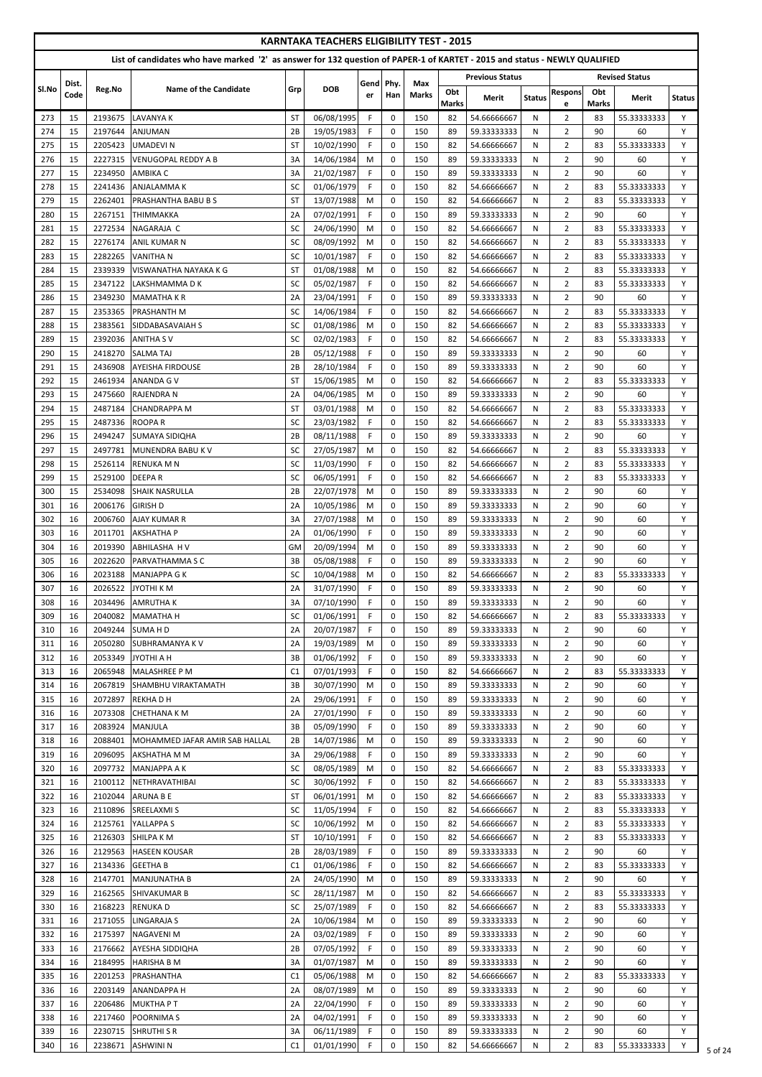|            |          |                    |                                                                                                                            |                 | <b>KARNTAKA TEACHERS ELIGIBILITY TEST - 2015</b> |             |                            |              |                     |                            |               |                                  |                     |                            |               |
|------------|----------|--------------------|----------------------------------------------------------------------------------------------------------------------------|-----------------|--------------------------------------------------|-------------|----------------------------|--------------|---------------------|----------------------------|---------------|----------------------------------|---------------------|----------------------------|---------------|
|            |          |                    | List of candidates who have marked '2' as answer for 132 question of PAPER-1 of KARTET - 2015 and status - NEWLY QUALIFIED |                 |                                                  |             |                            |              |                     |                            |               |                                  |                     |                            |               |
|            | Dist.    |                    |                                                                                                                            |                 |                                                  | Gend        | Phy.                       | Max          |                     | <b>Previous Status</b>     |               |                                  |                     | <b>Revised Status</b>      |               |
| SI.No      | Code     | Reg.No             | <b>Name of the Candidate</b>                                                                                               | Grp             | <b>DOB</b>                                       | er          | Han                        | <b>Marks</b> | Obt<br><b>Marks</b> | Merit                      | <b>Status</b> | <b>Respons</b><br>e              | Obt<br><b>Marks</b> | Merit                      | <b>Status</b> |
| 273        | 15       | 2193675            | <b>LAVANYA K</b>                                                                                                           | <b>ST</b>       | 06/08/1995                                       | F.          | $\mathbf 0$                | 150          | 82                  | 54.66666667                | N             | 2                                | 83                  | 55.33333333                | Y             |
| 274        | 15       | 2197644            | ANJUMAN                                                                                                                    | 2B              | 19/05/1983                                       | F.          | $\mathbf 0$                | 150          | 89                  | 59.33333333                | N             | $\overline{2}$                   | 90                  | 60                         | Y             |
| 275        | 15       | 2205423            | <b>UMADEVIN</b>                                                                                                            | <b>ST</b>       | 10/02/1990                                       | F.          | $\mathbf 0$                | 150          | 82                  | 54.66666667                | N             | $\overline{2}$                   | 83                  | 55.33333333                | Y             |
| 276<br>277 | 15<br>15 | 2227315<br>2234950 | <b>VENUGOPAL REDDY A B</b><br><b>AMBIKA C</b>                                                                              | 3A<br>3A        | 14/06/1984<br>21/02/1987                         | M<br>F      | $\mathbf 0$<br>0           | 150<br>150   | 89<br>89            | 59.33333333<br>59.33333333 | N<br>N        | $\overline{2}$<br>$\overline{2}$ | 90<br>90            | 60<br>60                   | Y<br>Y        |
| 278        | 15       | 2241436            | <b>ANJALAMMAK</b>                                                                                                          | SC              | 01/06/1979                                       | F.          | $\mathbf 0$                | 150          | 82                  | 54.66666667                | N             | $\overline{2}$                   | 83                  | 55.33333333                | Y             |
| 279        | 15       | 2262401            | <b>PRASHANTHA BABU B S</b>                                                                                                 | <b>ST</b>       | 13/07/1988                                       | M           | $\mathbf 0$                | 150          | 82                  | 54.66666667                | N             | $\overline{2}$                   | 83                  | 55.33333333                | Y             |
| 280        | 15       | 2267151            | <b>THIMMAKKA</b>                                                                                                           | 2A              | 07/02/1991                                       | F.          | $\mathbf 0$                | 150          | 89                  | 59.33333333                | N             | $\overline{2}$                   | 90                  | 60                         | Y             |
| 281        | 15       | 2272534            | NAGARAJA C                                                                                                                 | SC              | 24/06/1990                                       | M           | $\mathbf 0$                | 150          | 82                  | 54.66666667                | N             | $\overline{2}$                   | 83                  | 55.33333333                | Y             |
| 282        | 15       | 2276174            | <b>ANIL KUMAR N</b>                                                                                                        | SC              | 08/09/1992                                       | M           | $\mathbf 0$                | 150          | 82                  | 54.66666667                | N             | $\overline{2}$                   | 83                  | 55.33333333                | Y             |
| 283<br>284 | 15<br>15 | 2282265<br>2339339 | <b>VANITHA N</b><br>VISWANATHA NAYAKA K G                                                                                  | SC<br><b>ST</b> | 10/01/1987<br>01/08/1988                         | F.<br>M     | $\Omega$<br>$\mathbf 0$    | 150<br>150   | 82<br>82            | 54.66666667<br>54.66666667 | N<br>N        | $\overline{2}$<br>$\overline{2}$ | 83<br>83            | 55.33333333<br>55.33333333 | Y<br>Y        |
| 285        | 15       | 2347122            | LAKSHMAMMA D K                                                                                                             | SC              | 05/02/1987                                       | F.          | $\mathbf 0$                | 150          | 82                  | 54.66666667                | N             | $\overline{2}$                   | 83                  | 55.33333333                | Y             |
| 286        | 15       | 2349230            | <b>MAMATHAKR</b>                                                                                                           | 2A              | 23/04/1991                                       | F           | $\mathbf 0$                | 150          | 89                  | 59.33333333                | N             | $\overline{2}$                   | 90                  | 60                         | Y             |
| 287        | 15       | 2353365            | <b>PRASHANTH M</b>                                                                                                         | SC              | 14/06/1984                                       | F.          | $\mathbf 0$                | 150          | 82                  | 54.66666667                | N             | $\overline{2}$                   | 83                  | 55.33333333                | Y             |
| 288        | 15       | 2383561            | <b>SIDDABASAVAIAH S</b>                                                                                                    | SC              | 01/08/1986                                       | M           | $\mathbf 0$                | 150          | 82                  | 54.66666667                | N             | $\overline{2}$                   | 83                  | 55.33333333                | Y             |
| 289        | 15<br>15 | 2392036            | <b>ANITHA SV</b><br><b>SALMATAJ</b>                                                                                        | SC<br>2B        | 02/02/1983<br>05/12/1988                         | F.<br>F.    | $\mathbf 0$<br>$\Omega$    | 150<br>150   | 82<br>89            | 54.66666667<br>59.33333333 | N             | $\overline{2}$<br>$\overline{2}$ | 83<br>90            | 55.33333333                | Y<br>Y        |
| 290<br>291 | 15       | 2418270<br>2436908 | <b>AYEISHA FIRDOUSE</b>                                                                                                    | 2B              | 28/10/1984                                       | F.          | $\Omega$                   | 150          | 89                  | 59.33333333                | N<br>N        | $\overline{2}$                   | 90                  | 60<br>60                   | Y             |
| 292        | 15       | 2461934            | <b>ANANDA G V</b>                                                                                                          | <b>ST</b>       | 15/06/1985                                       | M           | $\mathbf 0$                | 150          | 82                  | 54.66666667                | N             | $\overline{2}$                   | 83                  | 55.33333333                | Y             |
| 293        | 15       | 2475660            | <b>RAJENDRA N</b>                                                                                                          | 2A              | 04/06/1985                                       | M           | $\mathbf 0$                | 150          | 89                  | 59.33333333                | N             | $\overline{2}$                   | 90                  | 60                         | Y             |
| 294        | 15       | 2487184            | <b>CHANDRAPPA M</b>                                                                                                        | <b>ST</b>       | 03/01/1988                                       | M           | $\mathbf 0$                | 150          | 82                  | 54.66666667                | N             | $\overline{2}$                   | 83                  | 55.33333333                | Y             |
| 295        | 15       | 2487336            | <b>ROOPAR</b>                                                                                                              | SC              | 23/03/1982                                       | F           | 0                          | 150          | 82                  | 54.66666667                | N             | $\overline{2}$                   | 83                  | 55.33333333                | Υ             |
| 296        | 15       |                    | 2494247 SUMAYA SIDIQHA                                                                                                     | 2B              | 08/11/1988                                       | $\mathsf F$ | $\pmb{0}$                  | 150          | 89                  | 59.33333333                | $\mathsf{N}$  | $\overline{2}$                   | 90                  | 60                         | Y             |
| 297<br>298 | 15<br>15 | 2497781<br>2526114 | MUNENDRA BABU K V<br><b>RENUKA M N</b>                                                                                     | SC<br>SC        | 27/05/1987<br>11/03/1990                         | M<br>F.     | $\mathbf 0$<br>$\mathbf 0$ | 150<br>150   | 82<br>82            | 54.66666667<br>54.66666667 | N<br>N        | $\overline{2}$<br>$\overline{2}$ | 83<br>83            | 55.33333333<br>55.33333333 | Y<br>Y        |
| 299        | 15       | 2529100            | <b>DEEPAR</b>                                                                                                              | SC              | 06/05/1991                                       | F.          | $\mathbf 0$                | 150          | 82                  | 54.66666667                | N             | $\overline{2}$                   | 83                  | 55.33333333                | Y             |
| 300        | 15       | 2534098            | <b>SHAIK NASRULLA</b>                                                                                                      | 2B              | 22/07/1978                                       | M           | $\Omega$                   | 150          | 89                  | 59.33333333                | N             | $\overline{2}$                   | 90                  | 60                         | Y             |
| 301        | 16       | 2006176            | <b>GIRISH D</b>                                                                                                            | 2A              | 10/05/1986                                       | M           | $\mathbf 0$                | 150          | 89                  | 59.33333333                | N             | $\overline{2}$                   | 90                  | 60                         | Y             |
| 302        | 16       | 2006760            | <b>AJAY KUMAR R</b>                                                                                                        | 3A              | 27/07/1988                                       | M           | $\mathbf 0$                | 150          | 89                  | 59.33333333                | N             | $\overline{2}$                   | 90                  | 60                         | Y             |
| 303        | 16       | 2011701            | <b>AKSHATHA P</b>                                                                                                          | 2A              | 01/06/1990                                       | F.          | $\mathbf 0$                | 150          | 89                  | 59.33333333                | N             | $\overline{2}$                   | 90                  | 60                         | Y             |
| 304<br>305 | 16<br>16 | 2019390<br>2022620 | ABHILASHA H V<br><b>PARVATHAMMASC</b>                                                                                      | <b>GM</b><br>3B | 20/09/1994<br>05/08/1988                         | M<br>F.     | $\mathbf 0$<br>$\mathbf 0$ | 150<br>150   | 89<br>89            | 59.33333333<br>59.33333333 | N<br>N        | $\overline{2}$<br>$\overline{2}$ | 90<br>90            | 60<br>60                   | Y<br>Y        |
| 306        | 16       | 2023188            | <b>MANJAPPA G K</b>                                                                                                        | SC              | 10/04/1988                                       | M           | $\mathbf 0$                | 150          | 82                  | 54.66666667                | N             | $\overline{2}$                   | 83                  | 55.33333333                | Y             |
| 307        | 16       | 2026522            | JYOTHI K M                                                                                                                 | 2A              | 31/07/1990                                       | F.          | $\mathbf 0$                | 150          | 89                  | 59.33333333                | N             | $\overline{2}$                   | 90                  | 60                         | Y             |
| 308        | 16       | 2034496            | <b>AMRUTHAK</b>                                                                                                            | 3A              | 07/10/1990                                       | F.          | $\mathbf 0$                | 150          | 89                  | 59.33333333                | N             | $\overline{2}$                   | 90                  | 60                         | Y             |
| 309        | 16       | 2040082            | <b>MAMATHA H</b>                                                                                                           | SC              | 01/06/1991                                       | F.          | $\mathbf 0$                | 150          | 82                  | 54.66666667                | N             | $\overline{2}$                   | 83                  | 55.33333333                | Y             |
| 310        | 16       | 2049244            | <b>SUMAHD</b>                                                                                                              | 2A              | 20/07/1987                                       | F.          | $\mathbf 0$<br>$\mathbf 0$ | 150          | 89                  | 59.33333333                | N             | $\overline{2}$                   | 90                  | 60                         | Y<br>Y        |
| 311<br>312 | 16<br>16 | 2050280<br>2053349 | <b>SUBHRAMANYA K V</b><br><b>JYOTHI A H</b>                                                                                | 2A<br>3B        | 19/03/1989<br>01/06/1992                         | M<br>F.     | $\mathbf 0$                | 150<br>150   | 89<br>89            | 59.33333333<br>59.33333333 | N<br>N        | $\overline{2}$<br>$\overline{2}$ | 90<br>90            | 60<br>60                   | Y             |
| 313        | 16       | 2065948            | MALASHREE P M                                                                                                              | C1              | 07/01/1993                                       | F.          | $\mathbf 0$                | 150          | 82                  | 54.66666667                | N             | $\overline{2}$                   | 83                  | 55.33333333                | Y             |
| 314        | 16       | 2067819            | <b>SHAMBHU VIRAKTAMATH</b>                                                                                                 | 3B              | 30/07/1990                                       | M           | $\mathbf 0$                | 150          | 89                  | 59.33333333                | N             | $\overline{2}$                   | 90                  | 60                         | Y             |
| 315        | 16       | 2072897            | <b>REKHADH</b>                                                                                                             | 2A              | 29/06/1991                                       | F.          | $\mathbf 0$                | 150          | 89                  | 59.33333333                | N             | $\overline{2}$                   | 90                  | 60                         | Y             |
| 316        | 16       | 2073308            | <b>CHETHANA K M</b>                                                                                                        | 2A              | 27/01/1990                                       | F.          | $\mathbf 0$                | 150          | 89                  | 59.33333333                | N             | $\overline{2}$                   | 90                  | 60                         | Y             |
| 317<br>318 | 16<br>16 | 2083924<br>2088401 | <b>MANJULA</b><br><b>IMOHAMMED JAFAR AMIR SAB HALLAL</b>                                                                   | 3B<br>2B        | 05/09/1990<br>14/07/1986                         | F.<br>M     | $\mathbf 0$<br>$\mathbf 0$ | 150<br>150   | 89<br>89            | 59.33333333<br>59.33333333 | N<br>N        | $\overline{2}$<br>$\overline{2}$ | 90<br>90            | 60<br>60                   | Y<br>Y        |
| 319        | 16       | 2096095            | <b>AKSHATHA M M</b>                                                                                                        | 3A              | 29/06/1988                                       | F           | $\mathbf 0$                | 150          | 89                  | 59.33333333                | N             | $\overline{2}$                   | 90                  | 60                         | Y             |
| 320        | 16       | 2097732            | <b>MANJAPPA A K</b>                                                                                                        | SC              | 08/05/1989                                       | M           | $\mathbf 0$                | 150          | 82                  | 54.66666667                | N             | $\overline{2}$                   | 83                  | 55.33333333                | Y             |
| 321        | 16       | 2100112            | NETHRAVATHIBAI                                                                                                             | SC              | 30/06/1992                                       | F.          | $\mathbf 0$                | 150          | 82                  | 54.66666667                | N             | $\overline{2}$                   | 83                  | 55.33333333                | Y             |
| 322        | 16       | 2102044            | <b>ARUNA B E</b>                                                                                                           | <b>ST</b>       | 06/01/1991                                       | M           | $\mathbf 0$                | 150          | 82                  | 54.66666667                | N             | $\overline{2}$                   | 83                  | 55.33333333                | Y             |
| 323        | 16       | 2110896            | <b>SREELAXMIS</b>                                                                                                          | SC              | 11/05/1994                                       | F.          | $\mathbf 0$                | 150          | 82                  | 54.66666667                | N             | $\overline{2}$                   | 83                  | 55.33333333                | Y             |
| 324<br>325 | 16<br>16 | 2125761            | YALLAPPA S<br>2126303 SHILPA K M                                                                                           | SC<br><b>ST</b> | 10/06/1992<br>10/10/1991                         | M<br>F.     | 0<br>$\Omega$              | 150<br>150   | 82<br>82            | 54.66666667<br>54.66666667 | N<br>N        | $\overline{2}$<br>$\overline{2}$ | 83<br>83            | 55.33333333<br>55.33333333 | Y<br>Y        |
| 326        | 16       |                    | 2129563 HASEEN KOUSAR                                                                                                      | 2B              | 28/03/1989                                       | F.          | $\mathbf 0$                | 150          | 89                  | 59.33333333                | N             | $\overline{2}$                   | 90                  | 60                         | Y             |
| 327        | 16       | 2134336            | <b>GEETHA B</b>                                                                                                            | C1              | 01/06/1986                                       | F.          | 0                          | 150          | 82                  | 54.66666667                | N             | $\overline{2}$                   | 83                  | 55.33333333                | Y             |
| 328        | 16       | 2147701            | <b>MANJUNATHA B</b>                                                                                                        | 2A              | 24/05/1990                                       | M           | $\mathbf 0$                | 150          | 89                  | 59.33333333                | N             | $\overline{2}$                   | 90                  | 60                         | Y             |
| 329        | 16       | 2162565            | <b>SHIVAKUMAR B</b>                                                                                                        | SC              | 28/11/1987                                       | M           | 0                          | 150          | 82                  | 54.66666667                | N             | $\overline{2}$                   | 83                  | 55.33333333                | Y             |
| 330        | 16       | 2168223            | <b>RENUKAD</b>                                                                                                             | SC              | 25/07/1989                                       | F.          | $\mathbf 0$                | 150          | 82                  | 54.66666667                | N             | $\overline{2}$                   | 83                  | 55.33333333                | Y             |
| 331<br>332 | 16<br>16 | 2171055<br>2175397 | <b>LINGARAJA S</b><br><b>NAGAVENI M</b>                                                                                    | 2A<br>2A        | 10/06/1984<br>03/02/1989                         | M<br>F.     | $\mathbf 0$<br>0           | 150<br>150   | 89<br>89            | 59.33333333<br>59.33333333 | N<br>N        | $\overline{2}$<br>$\overline{2}$ | 90<br>90            | 60<br>60                   | Y<br>Y        |
| 333        | 16       | 2176662            | <b>AYESHA SIDDIQHA</b>                                                                                                     | 2B              | 07/05/1992                                       | F.          | $\mathbf 0$                | 150          | 89                  | 59.33333333                | N             | $\overline{2}$                   | 90                  | 60                         | Y             |
| 334        | 16       | 2184995            | <b>HARISHA B M</b>                                                                                                         | 3A              | 01/07/1987                                       | M           | $\mathbf 0$                | 150          | 89                  | 59.33333333                | N             | $\overline{2}$                   | 90                  | 60                         | Y             |
| 335        | 16       | 2201253            | PRASHANTHA                                                                                                                 | C1              | 05/06/1988                                       | M           | $\mathbf 0$                | 150          | 82                  | 54.66666667                | N             | $\overline{2}$                   | 83                  | 55.33333333                | Y             |
| 336        | 16       | 2203149            | <b>ANANDAPPA H</b>                                                                                                         | 2A              | 08/07/1989                                       | M           | 0                          | 150          | 89                  | 59.33333333                | N             | $\overline{2}$                   | 90                  | 60                         | Y             |
| 337        | 16       | 2206486<br>2217460 | <b>MUKTHAPT</b><br><b>POORNIMA S</b>                                                                                       | 2A<br>2A        | 22/04/1990<br>04/02/1991                         | F.<br>F.    | $\mathbf 0$<br>$\mathbf 0$ | 150<br>150   | 89                  | 59.33333333<br>59.33333333 | N             | $\overline{2}$                   | 90<br>90            | 60<br>60                   | Υ<br>Y        |
| 338<br>339 | 16<br>16 | 2230715            | <b>SHRUTHI S R</b>                                                                                                         | 3A              | 06/11/1989                                       | F.          | $\mathbf 0$                | 150          | 89<br>89            | 59.33333333                | N<br>N        | $\mathbf{2}$<br>$\overline{2}$   | 90                  | 60                         | Y             |
| 340        | 16       | 2238671            | <b>ASHWINI N</b>                                                                                                           | C1              | 01/01/1990                                       | F.          | 0                          | 150          | 82                  | 54.66666667                | N             | $\overline{2}$                   | 83                  | 55.33333333                | Y             |

 $\frac{1}{5}$  of 24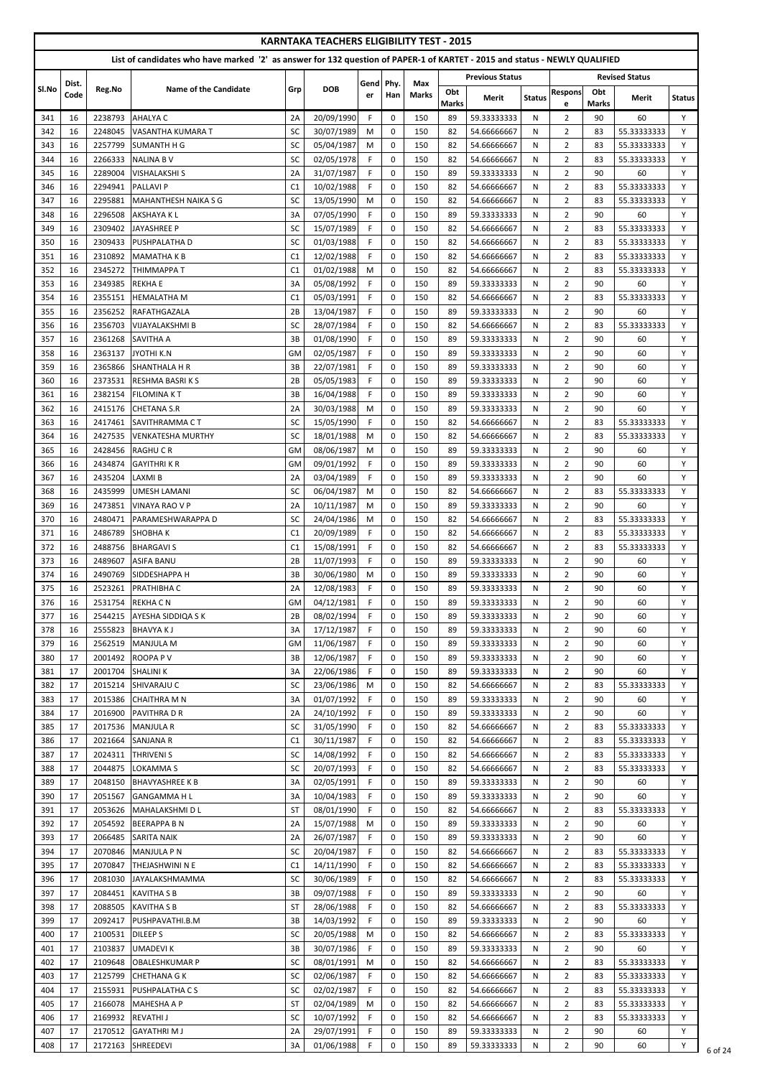|            |          |                    |                                                                                                                            |                                  | <b>KARNTAKA TEACHERS ELIGIBILITY TEST - 2015</b> |           |                            |              |                     |                            |               |                                  |                     |                            |                  |
|------------|----------|--------------------|----------------------------------------------------------------------------------------------------------------------------|----------------------------------|--------------------------------------------------|-----------|----------------------------|--------------|---------------------|----------------------------|---------------|----------------------------------|---------------------|----------------------------|------------------|
|            |          |                    | List of candidates who have marked '2' as answer for 132 question of PAPER-1 of KARTET - 2015 and status - NEWLY QUALIFIED |                                  |                                                  |           |                            |              |                     |                            |               |                                  |                     |                            |                  |
|            | Dist.    |                    |                                                                                                                            |                                  |                                                  | Gend      | Phy.                       | Max          |                     | <b>Previous Status</b>     |               |                                  |                     | <b>Revised Status</b>      |                  |
| SI.No      | Code     | Reg.No             | <b>Name of the Candidate</b>                                                                                               | Grp                              | <b>DOB</b>                                       | er        | Han                        | <b>Marks</b> | Obt<br><b>Marks</b> | Merit                      | <b>Status</b> | <b>Respons</b><br>e              | Obt<br><b>Marks</b> | Merit                      | <b>Status</b>    |
| 341        | 16       | 2238793            | <b>AHALYA C</b>                                                                                                            | 2A                               | 20/09/1990                                       | F.        | 0                          | 150          | 89                  | 59.33333333                | N             | $\overline{2}$                   | 90                  | 60                         | Y                |
| 342        | 16       | 2248045            | VASANTHA KUMARA T                                                                                                          | <b>SC</b>                        | 30/07/1989                                       | M         | $\pmb{0}$                  | 150          | 82                  | 54.66666667                | N             | $\overline{2}$                   | 83                  | 55.33333333                | Y                |
| 343        | 16       | 2257799            | <b>SUMANTH H G</b>                                                                                                         | <b>SC</b>                        | 05/04/1987                                       | M         | $\pmb{0}$                  | 150          | 82                  | 54.66666667                | N             | $\overline{2}$                   | 83                  | 55.33333333                | Y                |
| 344        | 16       | 2266333            | <b>NALINA B V</b>                                                                                                          | SC                               | 02/05/1978                                       | F         | $\pmb{0}$                  | 150          | 82                  | 54.66666667                | N             | $\overline{2}$                   | 83                  | 55.33333333                | Y                |
| 345<br>346 | 16<br>16 | 2289004<br>2294941 | <b>VISHALAKSHI S</b><br><b>PALLAVI P</b>                                                                                   | 2A<br>C <sub>1</sub>             | 31/07/1987<br>10/02/1988                         | F<br>F.   | $\pmb{0}$<br>$\mathbf 0$   | 150<br>150   | 89<br>82            | 59.33333333<br>54.66666667 | N<br>N        | $\overline{2}$<br>$\overline{2}$ | 90<br>83            | 60<br>55.33333333          | Y<br>Y           |
| 347        | 16       | 2295881            | <b>MAHANTHESH NAIKA S G</b>                                                                                                | SC                               | 13/05/1990                                       | ${\sf M}$ | $\mathbf 0$                | 150          | 82                  | 54.66666667                | N             | $\overline{2}$                   | 83                  | 55.33333333                | Y                |
| 348        | 16       | 2296508            | <b>AKSHAYAKL</b>                                                                                                           | 3A                               | 07/05/1990                                       | F.        | $\mathbf 0$                | 150          | 89                  | 59.33333333                | N             | $\overline{2}$                   | 90                  | 60                         | Y                |
| 349        | 16       | 2309402            | JAYASHREE P                                                                                                                | <b>SC</b>                        | 15/07/1989                                       | F.        | $\mathbf 0$                | 150          | 82                  | 54.66666667                | N             | $\overline{2}$                   | 83                  | 55.33333333                | Y                |
| 350        | 16       | 2309433            | <b>PUSHPALATHA D</b>                                                                                                       | <b>SC</b>                        | 01/03/1988                                       | F.        | 0                          | 150          | 82                  | 54.66666667                | N             | $\overline{2}$                   | 83                  | 55.33333333                | Y                |
| 351<br>352 | 16<br>16 | 2310892<br>2345272 | <b>MAMATHAKB</b><br><b>THIMMAPPA T</b>                                                                                     | C <sub>1</sub><br>C <sub>1</sub> | 12/02/1988<br>01/02/1988                         | F.<br>M   | $\mathbf 0$<br>0           | 150<br>150   | 82<br>82            | 54.66666667<br>54.66666667 | N<br>N        | $\overline{2}$<br>$\overline{2}$ | 83<br>83            | 55.33333333<br>55.33333333 | Y<br>Y           |
| 353        | 16       | 2349385            | <b>REKHAE</b>                                                                                                              | 3A                               | 05/08/1992                                       | F.        | $\pmb{0}$                  | 150          | 89                  | 59.33333333                | N             | $\overline{2}$                   | 90                  | 60                         | Y                |
| 354        | 16       | 2355151            | <b>HEMALATHA M</b>                                                                                                         | C <sub>1</sub>                   | 05/03/1991                                       | F.        | $\mathbf 0$                | 150          | 82                  | 54.66666667                | N             | $\overline{2}$                   | 83                  | 55.33333333                | Y                |
| 355        | 16       | 2356252            | RAFATHGAZALA                                                                                                               | 2B                               | 13/04/1987                                       | F.        | $\mathbf 0$                | 150          | 89                  | 59.33333333                | N             | $\overline{2}$                   | 90                  | 60                         | Y                |
| 356        | 16       | 2356703            | <b>VIJAYALAKSHMI B</b>                                                                                                     | <b>SC</b>                        | 28/07/1984                                       | F.        | $\mathbf 0$                | 150          | 82                  | 54.66666667                | N             | $\overline{2}$                   | 83                  | 55.33333333                | Y                |
| 357        | 16       | 2361268            | <b>SAVITHA A</b>                                                                                                           | 3B                               | 01/08/1990                                       | F.        | $\mathbf 0$                | 150          | 89                  | 59.33333333                | N             | $\overline{2}$                   | 90                  | 60                         | Y                |
| 358        | 16       | 2363137            | <b>JYOTHI K.N</b>                                                                                                          | GM<br>3B                         | 02/05/1987                                       | F.<br>F.  | $\Omega$<br>0              | 150          | 89                  | 59.33333333                | N             | $\overline{2}$                   | 90                  | 60<br>60                   | Y<br>Y           |
| 359<br>360 | 16<br>16 | 2365866<br>2373531 | <b>SHANTHALA H R</b><br><b>RESHMA BASRIKS</b>                                                                              | 2B                               | 22/07/1981<br>05/05/1983                         | F.        | $\mathbf 0$                | 150<br>150   | 89<br>89            | 59.33333333<br>59.33333333 | N<br>N        | $\overline{2}$<br>$\overline{2}$ | 90<br>90            | 60                         | Y                |
| 361        | 16       | 2382154            | <b>FILOMINA KT</b>                                                                                                         | 3B                               | 16/04/1988                                       | F.        | 0                          | 150          | 89                  | 59.33333333                | N             | $\overline{2}$                   | 90                  | 60                         | Y                |
| 362        | 16       | 2415176            | <b>CHETANA S.R</b>                                                                                                         | 2A                               | 30/03/1988                                       | M         | $\pmb{0}$                  | 150          | 89                  | 59.33333333                | N             | $\overline{2}$                   | 90                  | 60                         | Y                |
| 363        | 16       | 2417461            | SAVITHRAMMA C T                                                                                                            | SC                               | 15/05/1990                                       | F.        | 0                          | 150          | 82                  | 54.66666667                | N             | $\overline{2}$                   | 83                  | 55.33333333                | Y                |
| 364        | 16       |                    | 2427535 VENKATESHA MURTHY                                                                                                  | SC                               | 18/01/1988                                       | M         | $\boldsymbol{0}$           | 150          | 82                  | 54.66666667                | $\mathsf{N}$  | $\overline{2}$                   | 83                  | 55.33333333                | Y                |
| 365        | 16       | 2428456            | RAGHU C R                                                                                                                  | <b>GM</b>                        | 08/06/1987                                       | M         | 0                          | 150          | 89                  | 59.33333333                | N             | $\overline{2}$                   | 90                  | 60                         | Y                |
| 366<br>367 | 16<br>16 | 2434874<br>2435204 | <b>GAYITHRIKR</b><br>LAXMI B                                                                                               | GM<br>2A                         | 09/01/1992<br>03/04/1989                         | F.<br>F.  | $\mathbf 0$<br>$\mathbf 0$ | 150<br>150   | 89<br>89            | 59.33333333<br>59.33333333 | N<br>N        | $\overline{2}$<br>$\overline{2}$ | 90<br>90            | 60<br>60                   | Y<br>Y           |
| 368        | 16       | 2435999            | <b>UMESH LAMANI</b>                                                                                                        | SC                               | 06/04/1987                                       | M         | 0                          | 150          | 82                  | 54.66666667                | N             | $\overline{2}$                   | 83                  | 55.33333333                | Y                |
| 369        | 16       | 2473851            | <b>VINAYA RAO V P</b>                                                                                                      | 2A                               | 10/11/1987                                       | M         | $\mathbf 0$                | 150          | 89                  | 59.33333333                | N             | $\overline{2}$                   | 90                  | 60                         | Y                |
| 370        | 16       | 2480471            | PARAMESHWARAPPA D                                                                                                          | <b>SC</b>                        | 24/04/1986                                       | M         | 0                          | 150          | 82                  | 54.66666667                | N             | $\overline{2}$                   | 83                  | 55.33333333                | Y                |
| 371        | 16       | 2486789            | <b>SHOBHAK</b>                                                                                                             | C <sub>1</sub>                   | 20/09/1989                                       | F.        | $\mathbf 0$                | 150          | 82                  | 54.66666667                | N             | $\overline{2}$                   | 83                  | 55.33333333                | Y                |
| 372        | 16       | 2488756            | <b>BHARGAVI S</b>                                                                                                          | C <sub>1</sub>                   | 15/08/1991                                       | F.        | $\mathbf 0$                | 150          | 82                  | 54.66666667                | N             | $\overline{2}$                   | 83                  | 55.33333333                | Υ                |
| 373<br>374 | 16<br>16 | 2489607<br>2490769 | <b>ASIFA BANU</b><br>SIDDESHAPPA H                                                                                         | 2B<br>3B                         | 11/07/1993<br>30/06/1980                         | F.<br>M   | $\mathbf 0$<br>$\pmb{0}$   | 150<br>150   | 89<br>89            | 59.33333333<br>59.33333333 | N<br>N        | $\overline{2}$<br>$\overline{2}$ | 90<br>90            | 60<br>60                   | Y<br>$\mathsf Y$ |
| 375        | 16       | 2523261            | PRATHIBHA C                                                                                                                | 2A                               | 12/08/1983                                       | F.        | 0                          | 150          | 89                  | 59.33333333                | N             | $\overline{2}$                   | 90                  | 60                         | Υ                |
| 376        | 16       | 2531754            | <b>REKHACN</b>                                                                                                             | <b>GM</b>                        | 04/12/1981                                       | F.        | $\mathbf 0$                | 150          | 89                  | 59.33333333                | N             | $\overline{2}$                   | 90                  | 60                         | Y                |
| 377        | 16       | 2544215            | AYESHA SIDDIQA S K                                                                                                         | 2B                               | 08/02/1994                                       | F.        | $\mathbf 0$                | 150          | 89                  | 59.33333333                | N             | $\overline{2}$                   | 90                  | 60                         | Y                |
| 378        | 16       | 2555823            | <b>BHAVYAKJ</b>                                                                                                            | 3A                               | 17/12/1987                                       | F.        | $\mathbf 0$                | 150          | 89                  | 59.33333333                | N             | $\overline{2}$                   | 90                  | 60                         | Y                |
| 379        | 16       | 2562519            | MANJULA M                                                                                                                  | GM                               | 11/06/1987                                       | F.        | 0                          | 150          | 89                  | 59.33333333                | N             | $\overline{2}$                   | 90                  | 60                         | Y                |
| 380        | 17       | 2001492            | <b>ROOPAPV</b>                                                                                                             | 3B                               | 12/06/1987                                       | F.        | 0<br>$\mathbf 0$           | 150          | 89                  | 59.33333333                | N             | $\overline{2}$                   | 90                  | 60                         | Y<br>Y           |
| 381<br>382 | 17<br>17 | 2001704<br>2015214 | <b>SHALINI K</b><br><b>SHIVARAJU C</b>                                                                                     | 3A<br><b>SC</b>                  | 22/06/1986<br>23/06/1986                         | F.<br>M   | $\pmb{0}$                  | 150<br>150   | 89<br>82            | 59.33333333<br>54.66666667 | N<br>N        | $\overline{2}$<br>$\overline{2}$ | 90<br>83            | 60<br>55.33333333          | Y                |
| 383        | 17       | 2015386            | <b>CHAITHRA M N</b>                                                                                                        | 3A                               | 01/07/1992                                       | F.        | 0                          | 150          | 89                  | 59.33333333                | N             | $\overline{2}$                   | 90                  | 60                         | Y                |
| 384        | 17       | 2016900            | <b>PAVITHRA D R</b>                                                                                                        | 2A                               | 24/10/1992                                       | F.        | $\mathbf 0$                | 150          | 89                  | 59.33333333                | N             | $\overline{2}$                   | 90                  | 60                         | Y                |
| 385        | 17       | 2017536            | <b>MANJULA R</b>                                                                                                           | <b>SC</b>                        | 31/05/1990                                       | F         | $\mathbf 0$                | 150          | 82                  | 54.66666667                | N             | $\overline{2}$                   | 83                  | 55.33333333                | Y                |
| 386        | 17       | 2021664            | <b>SANJANA R</b>                                                                                                           | C <sub>1</sub>                   | 30/11/1987                                       | F.        | $\mathbf 0$                | 150          | 82                  | 54.66666667                | N             | $\overline{2}$                   | 83                  | 55.33333333                | Y                |
| 387        | 17       | 2024311            | <b>THRIVENI S</b>                                                                                                          | <b>SC</b>                        | 14/08/1992                                       | F.        | $\mathbf 0$                | 150          | 82                  | 54.66666667                | N             | $\overline{2}$                   | 83                  | 55.33333333                | Y                |
| 388<br>389 | 17<br>17 | 2044875<br>2048150 | LOKAMMA S<br><b>BHAVYASHREE K B</b>                                                                                        | <b>SC</b><br>3A                  | 20/07/1993<br>02/05/1991                         | F.<br>F.  | 0<br>$\mathbf 0$           | 150<br>150   | 82<br>89            | 54.66666667<br>59.33333333 | N<br>N        | $\overline{2}$<br>$\overline{2}$ | 83<br>90            | 55.33333333<br>60          | Y<br>Y           |
| 390        | 17       | 2051567            | <b>GANGAMMA HL</b>                                                                                                         | 3A                               | 10/04/1983                                       | F.        | 0                          | 150          | 89                  | 59.33333333                | N             | $\overline{2}$                   | 90                  | 60                         | Y                |
| 391        | 17       | 2053626            | MAHALAKSHMI D L                                                                                                            | <b>ST</b>                        | 08/01/1990                                       | F.        | $\pmb{0}$                  | 150          | 82                  | 54.66666667                | N             | $\overline{2}$                   | 83                  | 55.33333333                | Y                |
| 392        | 17       | 2054592            | <b>BEERAPPA B N</b>                                                                                                        | 2A                               | 15/07/1988                                       | M         | 0                          | 150          | 89                  | 59.33333333                | N             | $\overline{2}$                   | 90                  | 60                         | Y                |
| 393        | 17       |                    | 2066485 SARITA NAIK                                                                                                        | 2A                               | 26/07/1987                                       | F.        | $\Omega$                   | 150          | 89                  | 59.33333333                | N             | $\overline{2}$                   | 90                  | 60                         | Y                |
| 394        | 17       | 2070846            | <b>MANJULA PN</b>                                                                                                          | <b>SC</b>                        | 20/04/1987                                       | F.        | $\mathbf 0$                | 150          | 82                  | 54.66666667                | N             | $\overline{2}$                   | 83                  | 55.33333333                | Y                |
| 395<br>396 | 17<br>17 | 2070847<br>2081030 | THEJASHWINI N E<br><b>JAYALAKSHMAMMA</b>                                                                                   | C <sub>1</sub><br><b>SC</b>      | 14/11/1990<br>30/06/1989                         | F.<br>F   | 0<br>$\mathbf 0$           | 150<br>150   | 82<br>-82           | 54.66666667<br>54.66666667 | N<br>N        | $\overline{2}$<br>$\overline{2}$ | 83<br>83            | 55.33333333<br>55.33333333 | Y<br>Y           |
| 397        | 17       | 2084451            | <b>KAVITHA S B</b>                                                                                                         | 3B                               | 09/07/1988                                       | F.        | 0                          | 150          | 89                  | 59.33333333                | N             | $\overline{2}$                   | 90                  | 60                         | Y                |
| 398        | 17       | 2088505            | <b>KAVITHA S B</b>                                                                                                         | <b>ST</b>                        | 28/06/1988                                       | F.        | $\mathbf 0$                | 150          | 82                  | 54.66666667                | N             | $\overline{2}$                   | 83                  | 55.33333333                | Y                |
| 399        | 17       | 2092417            | PUSHPAVATHI.B.M                                                                                                            | 3B                               | 14/03/1992                                       | F.        | $\mathbf 0$                | 150          | 89                  | 59.33333333                | N             | $\overline{2}$                   | 90                  | 60                         | Y                |
| 400        | 17       | 2100531            | <b>DILEEP S</b>                                                                                                            | <b>SC</b>                        | 20/05/1988                                       | M         | 0                          | 150          | 82                  | 54.66666667                | N             | $\overline{2}$                   | 83                  | 55.33333333                | Y                |
| 401        | 17       | 2103837            | <b>UMADEVIK</b>                                                                                                            | 3B                               | 30/07/1986                                       | F         | 0                          | 150          | 89                  | 59.33333333                | N             | $\overline{2}$                   | 90                  | 60                         | Y                |
| 402<br>403 | 17<br>17 | 2109648<br>2125799 | <b>OBALESHKUMAR P</b><br><b>CHETHANA G K</b>                                                                               | <b>SC</b><br><b>SC</b>           | 08/01/1991<br>02/06/1987                         | M<br>F.   | $\pmb{0}$<br>$\mathbf 0$   | 150<br>150   | 82<br>82            | 54.66666667<br>54.66666667 | N<br>N        | $\overline{2}$<br>$\overline{2}$ | 83<br>83            | 55.33333333<br>55.33333333 | Y<br>Y           |
| 404        | 17       | 2155931            | <b>PUSHPALATHA CS</b>                                                                                                      | <b>SC</b>                        | 02/02/1987                                       | F.        | 0                          | 150          | 82                  | 54.66666667                | N             | $\overline{2}$                   | 83                  | 55.33333333                | Y                |
| 405        | 17       | 2166078            | <b>MAHESHA A P</b>                                                                                                         | <b>ST</b>                        | 02/04/1989                                       | M         | 0                          | 150          | 82                  | 54.66666667                | N             | $\overline{2}$                   | 83                  | 55.33333333                | Y                |
| 406        | 17       | 2169932            | <b>REVATHIJ</b>                                                                                                            | <b>SC</b>                        | 10/07/1992                                       | F.        | $\mathbf 0$                | 150          | 82                  | 54.66666667                | N             | 2                                | 83                  | 55.33333333                | Y                |
| 407        | 17       | 2170512            | <b>GAYATHRIMJ</b>                                                                                                          | 2A                               | 29/07/1991                                       | F.        | $\pmb{0}$                  | 150          | 89                  | 59.33333333                | N             | $\overline{2}$                   | 90                  | 60                         | Y                |
| 408        | 17       |                    | 2172163 SHREEDEVI                                                                                                          | 3A                               | 01/06/1988                                       | F.        | 0                          | 150          | 89                  | 59.33333333                | N             | $\overline{2}$                   | 90                  | 60                         | Y                |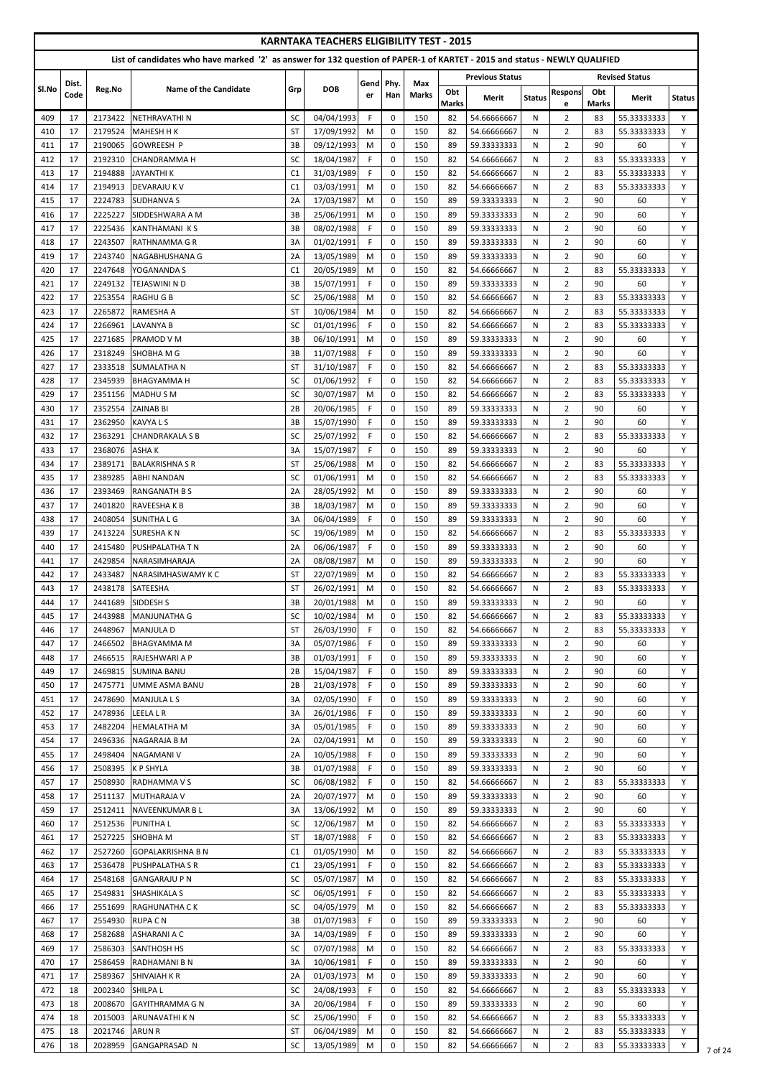|            |          |                    |                                                                                                                            |                 | <b>KARNTAKA TEACHERS ELIGIBILITY TEST - 2015</b> |             |                            |              |                     |                            |               |                                  |                     |                            |               |
|------------|----------|--------------------|----------------------------------------------------------------------------------------------------------------------------|-----------------|--------------------------------------------------|-------------|----------------------------|--------------|---------------------|----------------------------|---------------|----------------------------------|---------------------|----------------------------|---------------|
|            |          |                    | List of candidates who have marked '2' as answer for 132 question of PAPER-1 of KARTET - 2015 and status - NEWLY QUALIFIED |                 |                                                  |             |                            |              |                     |                            |               |                                  |                     |                            |               |
|            | Dist.    |                    |                                                                                                                            |                 |                                                  | Gend        | Phy.                       | Max          |                     | <b>Previous Status</b>     |               |                                  |                     | <b>Revised Status</b>      |               |
| SI.No      | Code     | Reg.No             | <b>Name of the Candidate</b>                                                                                               | Grp             | <b>DOB</b>                                       | er          | Han                        | <b>Marks</b> | Obt<br><b>Marks</b> | Merit                      | <b>Status</b> | <b>Respons</b><br>e              | Obt<br><b>Marks</b> | Merit                      | <b>Status</b> |
| 409        | 17       | 2173422            | NETHRAVATHI N                                                                                                              | SC              | 04/04/1993                                       | F.          | 0                          | 150          | 82                  | 54.66666667                | N             | $\overline{2}$                   | 83                  | 55.33333333                | Y             |
| 410        | 17       | 2179524            | <b>MAHESH H K</b>                                                                                                          | <b>ST</b>       | 17/09/1992                                       | M           | $\mathbf 0$                | 150          | 82                  | 54.66666667                | N             | $\overline{2}$                   | 83                  | 55.33333333                | Y             |
| 411        | 17       | 2190065            | <b>GOWREESH P</b>                                                                                                          | 3B              | 09/12/1993                                       | M           | 0                          | 150          | 89                  | 59.33333333                | N             | $\overline{2}$                   | 90                  | 60                         | Y             |
| 412        | 17       | 2192310            | <b>CHANDRAMMA H</b>                                                                                                        | SC              | 18/04/1987                                       | F.          | $\mathbf 0$                | 150          | 82                  | 54.66666667                | N             | $\overline{2}$                   | 83                  | 55.33333333                | Y             |
| 413        | 17       | 2194888            | <b>JAYANTHIK</b>                                                                                                           | C1              | 31/03/1989                                       | $\mathsf F$ | 0                          | 150          | 82                  | 54.66666667                | N             | $\overline{2}$                   | 83                  | 55.33333333                | Y             |
| 414<br>415 | 17<br>17 | 2194913<br>2224783 | <b>DEVARAJU K V</b><br><b>SUDHANVA S</b>                                                                                   | C1<br>2A        | 03/03/1991<br>17/03/1987                         | M<br>M      | $\mathbf 0$<br>$\mathbf 0$ | 150<br>150   | 82<br>89            | 54.66666667<br>59.33333333 | N<br>N        | $\overline{2}$<br>$\overline{2}$ | 83<br>90            | 55.33333333<br>60          | Y<br>Y        |
| 416        | 17       | 2225227            | SIDDESHWARA A M                                                                                                            | 3B              | 25/06/1991                                       | M           | $\mathbf 0$                | 150          | 89                  | 59.33333333                | N             | $\overline{2}$                   | 90                  | 60                         | Y             |
| 417        | 17       | 2225436            | KANTHAMANIKS                                                                                                               | 3B              | 08/02/1988                                       | $\mathsf F$ | $\mathbf 0$                | 150          | 89                  | 59.33333333                | N             | $\overline{2}$                   | 90                  | 60                         | Y             |
| 418        | 17       | 2243507            | <b>RATHNAMMA G R</b>                                                                                                       | 3A              | 01/02/1991                                       | F.          | $\Omega$                   | 150          | 89                  | 59.33333333                | N             | $\overline{2}$                   | 90                  | 60                         | Y             |
| 419        | 17       | 2243740            | NAGABHUSHANA G                                                                                                             | 2A              | 13/05/1989                                       | M           | $\mathbf 0$                | 150          | 89                  | 59.33333333                | N             | $\overline{2}$                   | 90                  | 60                         | Y             |
| 420        | 17       | 2247648            | YOGANANDA S                                                                                                                | C1              | 20/05/1989                                       | M           | 0                          | 150          | 82                  | 54.66666667                | N             | $\overline{2}$                   | 83                  | 55.33333333                | Y             |
| 421<br>422 | 17<br>17 | 2249132<br>2253554 | TEJASWINI N D<br><b>RAGHUGB</b>                                                                                            | 3B<br><b>SC</b> | 15/07/1991<br>25/06/1988                         | F.<br>M     | $\mathbf 0$<br>0           | 150<br>150   | 89<br>82            | 59.33333333<br>54.66666667 | N<br>N        | $\overline{2}$<br>$\overline{2}$ | 90<br>83            | 60<br>55.33333333          | Y<br>Y        |
| 423        | 17       | 2265872            | RAMESHA A                                                                                                                  | <b>ST</b>       | 10/06/1984                                       | M           | $\mathbf 0$                | 150          | 82                  | 54.66666667                | N             | $\overline{2}$                   | 83                  | 55.33333333                | Y             |
| 424        | 17       | 2266961            | <b>LAVANYA B</b>                                                                                                           | SC              | 01/01/1996                                       | F.          | $\mathbf 0$                | 150          | 82                  | 54.66666667                | N             | $\overline{2}$                   | 83                  | 55.33333333                | Y             |
| 425        | 17       | 2271685            | <b>PRAMOD V M</b>                                                                                                          | 3B              | 06/10/1991                                       | M           | $\mathbf 0$                | 150          | 89                  | 59.33333333                | N             | $\overline{2}$                   | 90                  | 60                         | Y             |
| 426        | 17       | 2318249            | <b>SHOBHA M G</b>                                                                                                          | 3B              | 11/07/1988                                       | F.          | $\mathbf 0$                | 150          | 89                  | 59.33333333                | N             | $\overline{2}$                   | 90                  | 60                         | Y             |
| 427        | 17       | 2333518            | <b>SUMALATHAN</b>                                                                                                          | <b>ST</b>       | 31/10/1987                                       | F.          | $\mathbf 0$                | 150          | 82                  | 54.66666667                | N             | $\overline{2}$                   | 83                  | 55.33333333                | Y             |
| 428<br>429 | 17<br>17 | 2345939<br>2351156 | <b>BHAGYAMMA H</b><br><b>MADHUSM</b>                                                                                       | SC<br>SC        | 01/06/1992<br>30/07/1987                         | F.<br>M     | $\Omega$<br>0              | 150<br>150   | 82<br>82            | 54.66666667<br>54.66666667 | N<br>N        | $\overline{2}$<br>$\overline{2}$ | 83<br>83            | 55.33333333<br>55.33333333 | Y<br>Y        |
| 430        | 17       | 2352554            | <b>ZAINAB BI</b>                                                                                                           | 2B              | 20/06/1985                                       | F.          | $\mathbf 0$                | 150          | 89                  | 59.33333333                | N             | $\overline{2}$                   | 90                  | 60                         | Y             |
| 431        | 17       | 2362950            | <b>KAVYALS</b>                                                                                                             | 3B              | 15/07/1990                                       | F           | $\pmb{0}$                  | 150          | 89                  | 59.33333333                | N             | $\overline{2}$                   | 90                  | 60                         | Y             |
| 432        | 17       | 2363291            | <b>CHANDRAKALA S B</b>                                                                                                     | SC              | 25/07/1992                                       | $\mathsf F$ | $\pmb{0}$                  | 150          | 82                  | 54.66666667                | N             | $\overline{2}$                   | 83                  | 55.33333333                | Y             |
| 433        | 17       | 2368076            | <b>ASHAK</b>                                                                                                               | 3A              | 15/07/1987                                       | F.          | $\mathbf 0$                | 150          | 89                  | 59.33333333                | N             | $\overline{2}$                   | 90                  | 60                         | Y             |
| 434        | 17       | 2389171            | <b>BALAKRISHNA S R</b>                                                                                                     | <b>ST</b>       | 25/06/1988                                       | M           | $\mathbf 0$                | 150          | 82                  | 54.66666667                | N             | $\overline{2}$                   | 83                  | 55.33333333                | Y             |
| 435        | 17       | 2389285            | <b>ABHI NANDAN</b>                                                                                                         | <b>SC</b>       | 01/06/1991                                       | M           | $\mathbf 0$                | 150          | 82                  | 54.66666667                | N             | $\overline{2}$                   | 83                  | 55.33333333                | Y             |
| 436<br>437 | 17<br>17 | 2393469<br>2401820 | <b>IRANGANATH B S</b><br>RAVEESHA K B                                                                                      | 2A<br>3B        | 28/05/1992<br>18/03/1987                         | M<br>M      | $\mathbf 0$<br>$\mathbf 0$ | 150<br>150   | 89<br>89            | 59.33333333<br>59.33333333 | N<br>N        | $\overline{2}$<br>$\overline{2}$ | 90<br>90            | 60<br>60                   | Y<br>Y        |
| 438        | 17       | 2408054            | <b>SUNITHALG</b>                                                                                                           | 3A              | 06/04/1989                                       | F.          | $\mathbf 0$                | 150          | 89                  | 59.33333333                | N             | $\overline{2}$                   | 90                  | 60                         | Y             |
| 439        | 17       | 2413224            | <b>SURESHAKN</b>                                                                                                           | SC              | 19/06/1989                                       | M           | 0                          | 150          | 82                  | 54.66666667                | N             | $\overline{2}$                   | 83                  | 55.33333333                | Y             |
| 440        | 17       | 2415480            | <b>PUSHPALATHA T N</b>                                                                                                     | 2A              | 06/06/1987                                       | F.          | $\mathbf 0$                | 150          | 89                  | 59.33333333                | N             | $\overline{2}$                   | 90                  | 60                         | Y             |
| 441        | 17       | 2429854            | NARASIMHARAJA                                                                                                              | 2A              | 08/08/1987                                       | M           | $\mathbf 0$                | 150          | 89                  | 59.33333333                | N             | $\overline{2}$                   | 90                  | 60                         | Y             |
| 442        | 17<br>17 | 2433487<br>2438178 | <b>NARASIMHASWAMY K C</b>                                                                                                  | <b>ST</b><br>ST | 22/07/1989<br>26/02/1991                         | M<br>M      | $\mathbf 0$<br>0           | 150<br>150   | 82<br>82            | 54.66666667                | N<br>N        | $\overline{2}$<br>$\overline{2}$ | 83<br>83            | 55.33333333<br>55.33333333 | Y<br>Y        |
| 443<br>444 | 17       | 2441689            | SATEESHA<br>SIDDESH S                                                                                                      | 3B              | 20/01/1988                                       | M           | $\mathbf 0$                | 150          | 89                  | 54.66666667<br>59.33333333 | N             | $\overline{2}$                   | 90                  | 60                         | Y             |
| 445        | 17       | 2443988            | MANJUNATHA G                                                                                                               | SC              | 10/02/1984                                       | M           | $\mathbf 0$                | 150          | 82                  | 54.66666667                | N             | $\overline{2}$                   | 83                  | 55.33333333                | Y             |
| 446        | 17       | 2448967            | MANJULA D                                                                                                                  | <b>ST</b>       | 26/03/1990                                       | F.          | $\mathbf 0$                | 150          | 82                  | 54.66666667                | N             | $\overline{2}$                   | 83                  | 55.33333333                | Y             |
| 447        | 17       | 2466502            | <b>BHAGYAMMA M</b>                                                                                                         | 3A              | 05/07/1986                                       | F.          | $\mathbf 0$                | 150          | 89                  | 59.33333333                | N             | $\overline{2}$                   | 90                  | 60                         | Y             |
| 448        | 17       | 2466515            | <b>RAJESHWARI A P</b>                                                                                                      | 3B              | 01/03/1991                                       | F.          | 0                          | 150          | 89                  | 59.33333333                | N             | $\overline{2}$                   | 90                  | 60                         | Y             |
| 449        | 17       | 2469815            | <b>SUMINA BANU</b>                                                                                                         | 2B              | 15/04/1987                                       | F.          | 0                          | 150          | 89                  | 59.33333333                | N             | $\overline{2}$                   | 90                  | 60                         | Y             |
| 450<br>451 | 17<br>17 | 2475771<br>2478690 | UMME ASMA BANU<br><b>MANJULA L S</b>                                                                                       | 2B<br>3A        | 21/03/1978<br>02/05/1990                         | F.<br>F.    | $\mathbf 0$<br>$\mathbf 0$ | 150<br>150   | 89<br>89            | 59.33333333<br>59.33333333 | N<br>N        | $\overline{2}$<br>$\overline{2}$ | 90<br>90            | 60<br>60                   | Y<br>Y        |
| 452        | 17       | 2478936            | <b>LEELA L R</b>                                                                                                           | 3A              | 26/01/1986                                       | F.          | $\mathbf 0$                | 150          | 89                  | 59.33333333                | N             | $\overline{2}$                   | 90                  | 60                         | Y             |
| 453        | 17       | 2482204            | <b>HEMALATHA M</b>                                                                                                         | 3A              | 05/01/1985                                       | F.          | $\mathbf 0$                | 150          | 89                  | 59.33333333                | N             | $\overline{2}$                   | 90                  | 60                         | Y             |
| 454        | 17       | 2496336            | <b>NAGARAJA B M</b>                                                                                                        | 2A              | 02/04/1991                                       | M           | $\mathbf 0$                | 150          | 89                  | 59.33333333                | N             | $\overline{2}$                   | 90                  | 60                         | Y             |
| 455        | 17       | 2498404            | <b>NAGAMANI V</b>                                                                                                          | 2A              | 10/05/1988                                       | F           | $\mathbf 0$                | 150          | 89                  | 59.33333333                | N             | $\overline{2}$                   | 90                  | 60                         | Y             |
| 456        | 17       | 2508395            | <b>K P SHYLA</b>                                                                                                           | 3B              | 01/07/1988                                       | F.          | $\mathbf 0$                | 150          | 89                  | 59.33333333                | N             | $\overline{2}$                   | 90                  | 60                         | Y             |
| 457<br>458 | 17<br>17 | 2508930<br>2511137 | <b>RADHAMMA V S</b><br>MUTHARAJA V                                                                                         | SC<br>2A        | 06/08/1982<br>20/07/1977                         | F.<br>M     | $\mathbf 0$<br>0           | 150<br>150   | 82<br>89            | 54.66666667<br>59.33333333 | N<br>N        | $\overline{2}$<br>$\overline{2}$ | 83<br>90            | 55.33333333<br>60          | Y<br>Y        |
| 459        | 17       | 2512411            | NAVEENKUMAR B L                                                                                                            | 3A              | 13/06/1992                                       | M           | $\mathbf 0$                | 150          | 89                  | 59.33333333                | N             | $\overline{2}$                   | 90                  | 60                         | Y             |
| 460        | 17       | 2512536            | <b>PUNITHAL</b>                                                                                                            | SC              | 12/06/1987                                       | M           | 0                          | 150          | 82                  | 54.66666667                | N             | $\overline{2}$                   | 83                  | 55.33333333                | Y             |
| 461        | 17       |                    | 2527225 SHOBHA M                                                                                                           | <b>ST</b>       | 18/07/1988                                       | F.          | $\mathbf 0$                | 150          | 82                  | 54.66666667                | N             | $\overline{2}$                   | 83                  | 55.33333333                | Y             |
| 462        | 17       | 2527260            | <b>GOPALAKRISHNA B N</b>                                                                                                   | C1              | 01/05/1990                                       | M           | $\mathbf 0$                | 150          | 82                  | 54.66666667                | N             | $\overline{2}$                   | 83                  | 55.33333333                | Y             |
| 463        | 17       | 2536478            | <b>PUSHPALATHA S R</b>                                                                                                     | C1              | 23/05/1991                                       | F.          | 0                          | 150          | 82                  | 54.66666667                | N             | $\overline{2}$                   | 83                  | 55.33333333                | Y             |
| 464        | 17       | 2548168            | <b>GANGARAJU P N</b>                                                                                                       | SC              | 05/07/1987                                       | M           | $\mathbf 0$                | 150          | 82                  | 54.66666667                | N             | $\overline{2}$                   | 83                  | 55.33333333                | Y             |
| 465<br>466 | 17<br>17 | 2549831<br>2551699 | <b>SHASHIKALA S</b><br><b>RAGHUNATHA CK</b>                                                                                | SC<br>SC        | 06/05/1991<br>04/05/1979                         | F.<br>M     | $\mathbf 0$<br>$\mathbf 0$ | 150<br>150   | 82<br>82            | 54.66666667<br>54.66666667 | N<br>N        | $\overline{2}$<br>$\overline{2}$ | 83<br>83            | 55.33333333<br>55.33333333 | Y<br>Y        |
| 467        | 17       | 2554930            | RUPA C N                                                                                                                   | 3B              | 01/07/1983                                       | F.          | $\mathbf 0$                | 150          | 89                  | 59.33333333                | N             | $\overline{2}$                   | 90                  | 60                         | Y             |
| 468        | 17       | 2582688            | <b>ASHARANI A C</b>                                                                                                        | 3A              | 14/03/1989                                       | F.          | 0                          | 150          | 89                  | 59.33333333                | N             | $\overline{2}$                   | 90                  | 60                         | Y             |
| 469        | 17       | 2586303            | <b>SANTHOSH HS</b>                                                                                                         | SC              | 07/07/1988                                       | M           | 0                          | 150          | 82                  | 54.66666667                | N             | $\overline{2}$                   | 83                  | 55.33333333                | Y             |
| 470        | 17       | 2586459            | <b>RADHAMANIBN</b>                                                                                                         | 3A              | 10/06/1981                                       | F.          | $\mathbf 0$                | 150          | 89                  | 59.33333333                | N             | $\overline{2}$                   | 90                  | 60                         | Y             |
| 471        | 17       | 2589367            | <b>SHIVAIAH K R</b>                                                                                                        | 2A              | 01/03/1973                                       | M           | $\mathbf 0$                | 150          | 89                  | 59.33333333                | N             | $\overline{2}$                   | 90                  | 60                         | Y             |
| 472<br>473 | 18<br>18 | 2002340<br>2008670 | <b>SHILPAL</b><br><b>GAYITHRAMMA G N</b>                                                                                   | SC<br>3A        | 24/08/1993<br>20/06/1984                         | F.<br>F     | 0<br>0                     | 150<br>150   | 82<br>89            | 54.66666667<br>59.33333333 | N<br>N        | $\overline{2}$<br>$\overline{2}$ | 83<br>90            | 55.33333333<br>60          | Y<br>Y        |
| 474        | 18       | 2015003            | ARUNAVATHI K N                                                                                                             | SC              | 25/06/1990                                       | F.          | 0                          | 150          | 82                  | 54.66666667                | N             | $\overline{2}$                   | 83                  | 55.33333333                | Υ             |
| 475        | 18       | 2021746            | <b>ARUN R</b>                                                                                                              | <b>ST</b>       | 06/04/1989                                       | M           | 0                          | 150          | 82                  | 54.66666667                | N             | $\overline{2}$                   | 83                  | 55.33333333                | Y             |
| 476        | 18       | 2028959            | <b>GANGAPRASAD N</b>                                                                                                       | SC              | 13/05/1989                                       | M           | 0                          | 150          | 82                  | 54.66666667                | N             | $\overline{2}$                   | 83                  | 55.33333333                | Y             |

 $\frac{1}{7}$  of 24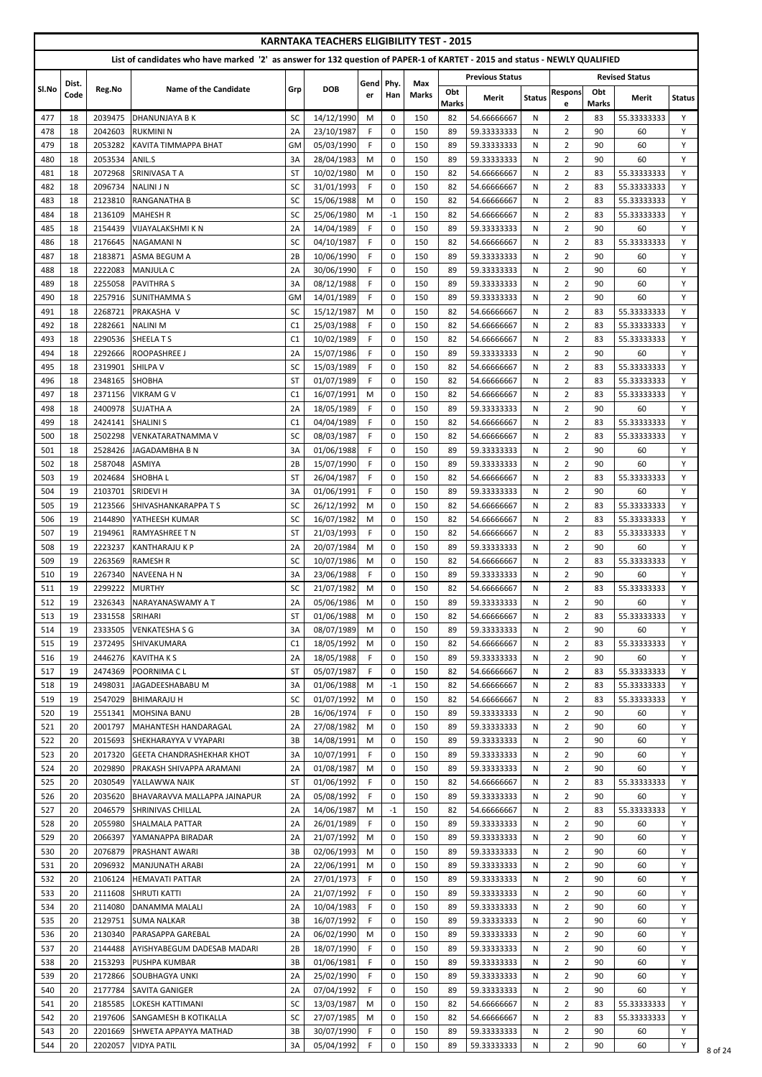|            |               |                    |                                                                                                                            |                 | <b>KARNTAKA TEACHERS ELIGIBILITY TEST - 2015</b> |            |                     |                     |              |                            |               |                                  |              |                            |               |
|------------|---------------|--------------------|----------------------------------------------------------------------------------------------------------------------------|-----------------|--------------------------------------------------|------------|---------------------|---------------------|--------------|----------------------------|---------------|----------------------------------|--------------|----------------------------|---------------|
|            |               |                    | List of candidates who have marked '2' as answer for 132 question of PAPER-1 of KARTET - 2015 and status - NEWLY QUALIFIED |                 |                                                  |            |                     |                     |              |                            |               |                                  |              |                            |               |
| Sl.No      | Dist.<br>Code | Reg.No             | <b>Name of the Candidate</b>                                                                                               | Grp             | <b>DOB</b>                                       | Gend<br>er | Phy.<br>Han         | Max<br><b>Marks</b> | Obt          | <b>Previous Status</b>     |               | <b>Respons</b>                   | Obt          | <b>Revised Status</b>      |               |
|            |               |                    |                                                                                                                            |                 |                                                  |            |                     |                     | <b>Marks</b> | Merit                      | <b>Status</b> | e                                | <b>Marks</b> | Merit                      | <b>Status</b> |
| 477<br>478 | 18<br>18      | 2039475<br>2042603 | <b>DHANUNJAYA B K</b><br><b>RUKMINI N</b>                                                                                  | SC<br>2A        | 14/12/1990<br>23/10/1987                         | M<br>F     | 0<br>$\pmb{0}$      | 150<br>150          | 82<br>89     | 54.66666667<br>59.33333333 | N<br>N        | $\overline{2}$<br>$\overline{2}$ | 83<br>90     | 55.33333333<br>60          | Y<br>Y        |
| 479        | 18            | 2053282            | KAVITA TIMMAPPA BHAT                                                                                                       | <b>GM</b>       | 05/03/1990                                       | F          | 0                   | 150                 | 89           | 59.33333333                | N             | $\overline{2}$                   | 90           | 60                         | Y             |
| 480        | 18            | 2053534            | ANIL.S                                                                                                                     | 3A              | 28/04/1983                                       | M          | 0                   | 150                 | 89           | 59.33333333                | N             | $\overline{2}$                   | 90           | 60                         | Y             |
| 481        | 18            | 2072968            | SRINIVASA T A                                                                                                              | <b>ST</b>       | 10/02/1980                                       | M          | 0                   | 150                 | 82           | 54.66666667                | N             | $\overline{2}$                   | 83           | 55.33333333                | Y             |
| 482        | 18            | 2096734            | <b>NALINI J N</b>                                                                                                          | SC              | 31/01/1993                                       | F          | 0                   | 150                 | 82           | 54.66666667                | N             | $\overline{2}$                   | 83           | 55.33333333                | Y             |
| 483<br>484 | 18<br>18      | 2123810<br>2136109 | <b>RANGANATHA B</b><br><b>MAHESH R</b>                                                                                     | SC<br>SC        | 15/06/1988<br>25/06/1980                         | M<br>М     | $\mathbf 0$<br>$-1$ | 150<br>150          | 82<br>82     | 54.66666667<br>54.66666667 | N<br>N        | $\overline{2}$<br>$\overline{2}$ | 83<br>83     | 55.33333333<br>55.33333333 | Y<br>Y        |
| 485        | 18            | 2154439            | <b>VIJAYALAKSHMI K N</b>                                                                                                   | 2A              | 14/04/1989                                       | F          | $\mathbf 0$         | 150                 | 89           | 59.33333333                | N             | $\overline{2}$                   | 90           | 60                         | Y             |
| 486        | 18            | 2176645            | <b>NAGAMANIN</b>                                                                                                           | SC              | 04/10/1987                                       | F          | 0                   | 150                 | 82           | 54.66666667                | N             | $\overline{2}$                   | 83           | 55.33333333                | Y             |
| 487        | 18            | 2183871            | <b>ASMA BEGUM A</b>                                                                                                        | 2B              | 10/06/1990                                       | F          | $\mathbf 0$         | 150                 | 89           | 59.33333333                | N             | $\overline{2}$                   | 90           | 60                         | Y             |
| 488<br>489 | 18<br>18      | 2222083<br>2255058 | <b>MANJULA C</b><br><b>PAVITHRA S</b>                                                                                      | 2A<br>3A        | 30/06/1990<br>08/12/1988                         | F<br>F.    | 0<br>$\mathbf 0$    | 150<br>150          | 89<br>89     | 59.33333333<br>59.33333333 | N<br>N        | $\overline{2}$<br>$\overline{2}$ | 90<br>90     | 60<br>60                   | Y<br>Y        |
| 490        | 18            | 2257916            | <b>SUNITHAMMAS</b>                                                                                                         | <b>GM</b>       | 14/01/1989                                       | F          | 0                   | 150                 | 89           | 59.33333333                | N             | $\overline{2}$                   | 90           | 60                         | Y             |
| 491        | 18            | 2268721            | PRAKASHA V                                                                                                                 | SC              | 15/12/1987                                       | M          | 0                   | 150                 | 82           | 54.66666667                | N             | $\overline{2}$                   | 83           | 55.33333333                | Y             |
| 492        | 18            | 2282661            | <b>NALINIM</b>                                                                                                             | C1              | 25/03/1988                                       | F          | $\mathbf 0$         | 150                 | 82           | 54.66666667                | N             | $\overline{2}$                   | 83           | 55.33333333                | Y             |
| 493        | 18            | 2290536            | <b>SHEELATS</b>                                                                                                            | C1              | 10/02/1989                                       | F          | $\mathbf 0$         | 150                 | 82           | 54.66666667                | N             | $\overline{2}$                   | 83           | 55.33333333                | Y             |
| 494<br>495 | 18<br>18      | 2292666<br>2319901 | <b>ROOPASHREE J</b><br><b>SHILPA V</b>                                                                                     | 2A<br>SC        | 15/07/1986<br>15/03/1989                         | F.<br>F.   | $\mathbf 0$<br>0    | 150<br>150          | 89<br>82     | 59.33333333<br>54.66666667 | N<br>N        | $\overline{2}$<br>$\overline{2}$ | 90<br>83     | 60<br>55.33333333          | Y<br>Y        |
| 496        | 18            | 2348165            | <b>SHOBHA</b>                                                                                                              | <b>ST</b>       | 01/07/1989                                       | F          | $\mathbf 0$         | 150                 | 82           | 54.66666667                | N             | $\overline{2}$                   | 83           | 55.33333333                | Y             |
| 497        | 18            | 2371156            | <b>VIKRAM G V</b>                                                                                                          | C <sub>1</sub>  | 16/07/1991                                       | M          | 0                   | 150                 | 82           | 54.66666667                | N             | $\overline{2}$                   | 83           | 55.33333333                | Y             |
| 498        | 18            | 2400978            | <b>SUJATHA A</b>                                                                                                           | 2A              | 18/05/1989                                       | F.         | $\mathbf 0$         | 150                 | 89           | 59.33333333                | N             | $\overline{2}$                   | 90           | 60                         | Y             |
| 499        | 18            | 2424141            | <b>SHALINI S</b>                                                                                                           | C1              | 04/04/1989                                       | F          | 0                   | 150                 | 82           | 54.66666667                | N             | $\overline{2}$                   | 83           | 55.33333333                | Y             |
| 500        | 18            | 2502298            | <b>VENKATARATNAMMA V</b>                                                                                                   | SC              | 08/03/1987                                       | F.         | $\mathbf 0$         | 150                 | 82           | 54.66666667                | N             | $\overline{2}$                   | 83           | 55.33333333                |               |
| 501<br>502 | 18<br>18      | 2528426<br>2587048 | JAGADAMBHA B N<br><b>ASMIYA</b>                                                                                            | 3A<br>2B        | 01/06/1988<br>15/07/1990                         | F<br>F.    | 0<br>0              | 150<br>150          | 89<br>89     | 59.33333333<br>59.33333333 | N<br>N        | $\overline{2}$<br>$\overline{2}$ | 90<br>90     | 60<br>60                   | Y<br>Y        |
| 503        | 19            | 2024684            | <b>SHOBHAL</b>                                                                                                             | ST              | 26/04/1987                                       | F          | $\mathbf 0$         | 150                 | 82           | 54.66666667                | N             | $\overline{2}$                   | 83           | 55.33333333                | Y             |
| 504        | 19            | 2103701            | <b>SRIDEVI H</b>                                                                                                           | 3A              | 01/06/1991                                       | F.         | 0                   | 150                 | 89           | 59.33333333                | N             | $\overline{2}$                   | 90           | 60                         | Y             |
| 505        | 19            | 2123566            | <b>SHIVASHANKARAPPA T S</b>                                                                                                | SC              | 26/12/1992                                       | М          | $\mathbf 0$         | 150                 | 82           | 54.66666667                | N             | $\overline{2}$                   | 83           | 55.33333333                | Y             |
| 506        | 19            | 2144890            | YATHEESH KUMAR                                                                                                             | SC              | 16/07/1982                                       | M          | 0                   | 150                 | 82           | 54.66666667                | N             | $\overline{2}$                   | 83           | 55.33333333                | Y             |
| 507<br>508 | 19<br>19      | 2194961<br>2223237 | <b>RAMYASHREE T N</b><br>IKANTHARAJU K P                                                                                   | <b>ST</b><br>2A | 21/03/1993<br>20/07/1984                         | F.<br>M    | $\mathbf 0$<br>0    | 150<br>150          | 82<br>89     | 54.66666667<br>59.33333333 | N<br>N        | $\overline{2}$<br>$\overline{2}$ | 83<br>90     | 55.33333333<br>60          | Y<br>Y        |
| 509        | 19            | 2263569            | <b>RAMESH R</b>                                                                                                            | SC              | 10/07/1986                                       | M          | 0                   | 150                 | 82           | 54.66666667                | N             | $\overline{2}$                   | 83           | 55.33333333                | Y             |
| 510        | 19            | 2267340            | <b>NAVEENA H N</b>                                                                                                         | 3A              | 23/06/1988                                       | F.         | 0                   | 150                 | 89           | 59.33333333                | N             | $\overline{2}$                   | 90           | 60                         | Y             |
| 511        | 19            | 2299222            | <b>MURTHY</b>                                                                                                              | SC              | 21/07/1982                                       | M          | 0                   | 150                 | 82           | 54.66666667                | N             | $\overline{2}$                   | 83           | 55.33333333                | Y             |
| 512        | 19            | 2326343            | NARAYANASWAMY A T                                                                                                          | 2A              | 05/06/1986                                       | М          | $\mathbf 0$         | 150                 | 89           | 59.33333333                | N             | $\overline{2}$                   | 90           | 60                         | Y             |
| 513<br>514 | 19<br>19      | 2331558<br>2333505 | <b>SRIHARI</b><br><b>VENKATESHA S G</b>                                                                                    | ST<br>3A        | 01/06/1988<br>08/07/1989                         | М<br>М     | 0<br>0              | 150<br>150          | 82<br>89     | 54.66666667<br>59.33333333 | N<br>N        | $\overline{2}$<br>$\overline{2}$ | 83<br>90     | 55.33333333<br>60          | Y<br>Y        |
| 515        | 19            | 2372495            | SHIVAKUMARA                                                                                                                | C <sub>1</sub>  | 18/05/1992                                       | M          | 0                   | 150                 | 82           | 54.66666667                | N             | $\overline{2}$                   | 83           | 55.33333333                | Y             |
| 516        | 19            | 2446276            | <b>KAVITHA K S</b>                                                                                                         | 2A              | 18/05/1988                                       | F.         | $\mathbf 0$         | 150                 | 89           | 59.33333333                | N             | $\overline{2}$                   | 90           | 60                         | Y             |
| 517        | 19            | 2474369            | IPOORNIMA C L                                                                                                              | <b>ST</b>       | 05/07/1987                                       | F.         | 0                   | 150                 | 82           | 54.66666667                | N             | $\overline{2}$                   | 83           | 55.33333333                | Y             |
| 518        | 19            | 2498031            | JAGADEESHABABU M                                                                                                           | 3A              | 01/06/1988                                       | М          | $-1$                | 150                 | 82           | 54.66666667                | N             | $\overline{2}$                   | 83           | 55.33333333                | Y             |
| 519        | 19            | 2547029            | <b>BHIMARAJU H</b>                                                                                                         | SC              | 01/07/1992                                       | M          | 0                   | 150                 | 82           | 54.66666667                | N             | $\overline{2}$                   | 83           | 55.33333333                | Y             |
| 520<br>521 | 19<br>20      | 2551341<br>2001797 | <b>MOHSINA BANU</b><br>MAHANTESH HANDARAGAL                                                                                | 2B<br>2A        | 16/06/1974<br>27/08/1982                         | F.<br>М    | 0<br>$\mathbf 0$    | 150<br>150          | 89<br>89     | 59.33333333<br>59.33333333 | N<br>N        | $\overline{2}$<br>$\overline{2}$ | 90<br>90     | 60<br>60                   | Y<br>Y        |
| 522        | 20            | 2015693            | SHEKHARAYYA V VYAPARI                                                                                                      | 3B              | 14/08/1991                                       | М          | 0                   | 150                 | 89           | 59.33333333                | N             | $\overline{2}$                   | 90           | 60                         | Y             |
| 523        | 20            | 2017320            | <b>GEETA CHANDRASHEKHAR KHOT</b>                                                                                           | 3A              | 10/07/1991                                       | F          | $\mathbf 0$         | 150                 | 89           | 59.33333333                | N             | $\overline{2}$                   | 90           | 60                         | Y             |
| 524        | 20            | 2029890            | PRAKASH SHIVAPPA ARAMANI                                                                                                   | 2A              | 01/08/1987                                       | М          | 0                   | 150                 | 89           | 59.33333333                | N             | $\overline{2}$                   | 90           | 60                         | Y             |
| 525        | 20            | 2030549            | YALLAWWA NAIK                                                                                                              | <b>ST</b>       | 01/06/1992                                       | F.         | 0                   | 150                 | 82           | 54.66666667                | N             | $\overline{2}$                   | 83           | 55.33333333                | Y             |
| 526<br>527 | 20<br>20      | 2035620<br>2046579 | BHAVARAVVA MALLAPPA JAINAPUR<br><b>SHRINIVAS CHILLAL</b>                                                                   | 2A<br>2A        | 05/08/1992<br>14/06/1987                         | F.<br>М    | 0<br>$-1$           | 150<br>150          | 89<br>82     | 59.33333333<br>54.66666667 | N<br>N        | $\overline{2}$<br>$\overline{2}$ | 90<br>83     | 60<br>55.33333333          | Y<br>Y        |
| 528        | 20            | 2055980            | <b>SHALMALA PATTAR</b>                                                                                                     | 2A              | 26/01/1989                                       | F.         | 0                   | 150                 | 89           | 59.33333333                | N             | $\overline{2}$                   | 90           | 60                         | Y             |
| 529        | 20            | 2066397            | YAMANAPPA BIRADAR                                                                                                          | 2A              | 21/07/1992                                       | M          | $\Omega$            | 150                 | 89           | 59.33333333                | N             | 2                                | 90           | 60                         | Y             |
| 530        | 20            | 2076879            | <b>PRASHANT AWARI</b>                                                                                                      | 3B              | 02/06/1993                                       | M          | 0                   | 150                 | 89           | 59.33333333                | N             | $\overline{2}$                   | 90           | 60                         | Y             |
| 531        | 20            | 2096932            | <b>MANJUNATH ARABI</b>                                                                                                     | 2A              | 22/06/1991                                       | M          | 0                   | 150                 | 89           | 59.33333333                | N             | $\overline{2}$                   | 90           | 60                         | Y             |
| 532<br>533 | 20<br>20      | 2106124<br>2111608 | <b>HEMAVATI PATTAR</b><br><b>SHRUTI KATTI</b>                                                                              | 2A<br>2A        | 27/01/1973<br>21/07/1992                         | F<br>F.    | $\mathbf 0$<br>0    | 150<br>150          | 89<br>89     | 59.33333333<br>59.33333333 | N<br>N        | $\overline{2}$<br>$\overline{2}$ | 90<br>90     | 60<br>60                   | Y<br>Y        |
| 534        | 20            | 2114080            | DANAMMA MALALI                                                                                                             | 2A              | 10/04/1983                                       | F.         | 0                   | 150                 | 89           | 59.33333333                | N             | $\overline{2}$                   | 90           | 60                         | Y             |
| 535        | 20            | 2129751            | <b>SUMA NALKAR</b>                                                                                                         | 3B              | 16/07/1992                                       | F.         | 0                   | 150                 | 89           | 59.33333333                | N             | $\overline{2}$                   | 90           | 60                         | Y             |
| 536        | 20            | 2130340            | <b>PARASAPPA GAREBAL</b>                                                                                                   | 2A              | 06/02/1990                                       | M          | 0                   | 150                 | 89           | 59.33333333                | N             | $\overline{2}$                   | 90           | 60                         | Y             |
| 537        | 20            | 2144488            | AYISHYABEGUM DADESAB MADARI                                                                                                | 2B              | 18/07/1990                                       | F.         | 0                   | 150                 | 89           | 59.33333333                | N             | $\overline{2}$                   | 90           | 60                         | Y             |
| 538<br>539 | 20<br>20      | 2153293<br>2172866 | <b>PUSHPA KUMBAR</b><br><b>SOUBHAGYA UNKI</b>                                                                              | 3B<br>2A        | 01/06/1981<br>25/02/1990                         | F.<br>F    | 0<br>$\mathbf{0}$   | 150<br>150          | 89<br>89     | 59.33333333<br>59.33333333 | N<br>N        | $\overline{2}$<br>$\overline{2}$ | 90<br>90     | 60<br>60                   | Y<br>Y        |
| 540        | 20            | 2177784            | <b>SAVITA GANIGER</b>                                                                                                      | 2A              | 07/04/1992                                       | F.         | 0                   | 150                 | 89           | 59.33333333                | N             | $\overline{2}$                   | 90           | 60                         | Y             |
| 541        | 20            | 2185585            | LOKESH KATTIMANI                                                                                                           | SC              | 13/03/1987                                       | М          | $\mathbf 0$         | 150                 | 82           | 54.66666667                | N             | $\overline{2}$                   | 83           | 55.33333333                | Y             |
| 542        | 20            | 2197606            | <b>SANGAMESH B KOTIKALLA</b>                                                                                               | SC              | 27/07/1985                                       | M          | 0                   | 150                 | 82           | 54.66666667                | N             | $\overline{2}$                   | 83           | 55.33333333                | Y             |
| 543        | 20            | 2201669            | <b>SHWETA APPAYYA MATHAD</b>                                                                                               | 3B              | 30/07/1990                                       | F.         | 0                   | 150                 | 89           | 59.33333333                | N             | $\overline{2}$                   | 90           | 60                         | Y             |
| 544        | 20            | 2202057            | <b>VIDYA PATIL</b>                                                                                                         | 3A              | 05/04/1992                                       | F.         | 0                   | 150                 | 89           | 59.33333333                | N             | $\overline{2}$                   | 90           | 60                         | Y             |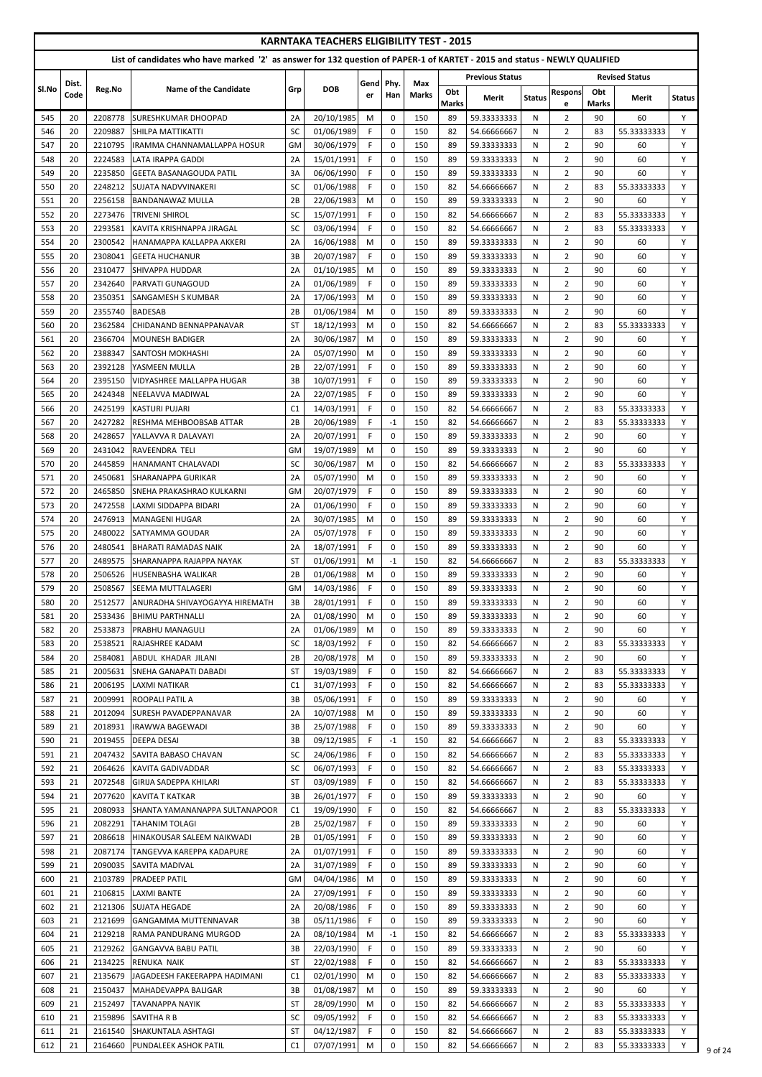|            |               |                    |                                                                                                                            |                        | <b>KARNTAKA TEACHERS ELIGIBILITY TEST - 2015</b> |            |                            |                     |              |                            |               |                                  |              |                       |               |
|------------|---------------|--------------------|----------------------------------------------------------------------------------------------------------------------------|------------------------|--------------------------------------------------|------------|----------------------------|---------------------|--------------|----------------------------|---------------|----------------------------------|--------------|-----------------------|---------------|
|            |               |                    | List of candidates who have marked '2' as answer for 132 question of PAPER-1 of KARTET - 2015 and status - NEWLY QUALIFIED |                        |                                                  |            |                            |                     |              | <b>Previous Status</b>     |               |                                  |              |                       |               |
| Sl.No      | Dist.<br>Code | Reg.No             | <b>Name of the Candidate</b>                                                                                               | Grp                    | <b>DOB</b>                                       | Gend<br>er | Phy.<br>Han                | Max<br><b>Marks</b> | Obt          |                            |               | <b>Respons</b>                   | Obt          | <b>Revised Status</b> |               |
|            |               |                    |                                                                                                                            |                        |                                                  |            |                            |                     | <b>Marks</b> | Merit                      | <b>Status</b> | e                                | <b>Marks</b> | Merit                 | <b>Status</b> |
| 545<br>546 | 20<br>20      | 2208778            | <b>SURESHKUMAR DHOOPAD</b>                                                                                                 | 2A<br>SC               | 20/10/1985<br>01/06/1989                         | M<br>F.    | 0                          | 150<br>150          | 89<br>82     | 59.33333333                | N             | $\mathbf{2}$<br>$\overline{2}$   | 90<br>83     | 60                    | Y<br>Y        |
| 547        | 20            | 2209887<br>2210795 | <b>SHILPA MATTIKATTI</b><br>IRAMMA CHANNAMALLAPPA HOSUR                                                                    | <b>GM</b>              | 30/06/1979                                       | F          | $\mathbf 0$<br>$\mathbf 0$ | 150                 | 89           | 54.66666667<br>59.33333333 | N<br>N        | $\overline{2}$                   | 90           | 55.33333333<br>60     | Y             |
| 548        | 20            | 2224583            | <b>LATA IRAPPA GADDI</b>                                                                                                   | 2A                     | 15/01/1991                                       | F.         | $\mathbf 0$                | 150                 | 89           | 59.33333333                | N             | $\overline{2}$                   | 90           | 60                    | Y             |
| 549        | 20            | 2235850            | <b>GEETA BASANAGOUDA PATIL</b>                                                                                             | 3A                     | 06/06/1990                                       | F.         | $\mathbf 0$                | 150                 | 89           | 59.33333333                | N             | $\overline{2}$                   | 90           | 60                    | Y             |
| 550        | 20            | 2248212            | <b>SUJATA NADVVINAKERI</b>                                                                                                 | SC                     | 01/06/1988                                       | F.         | $\mathbf 0$                | 150                 | 82           | 54.66666667                | N             | $\overline{2}$                   | 83           | 55.33333333           | Y             |
| 551        | 20            | 2256158            | <b>BANDANAWAZ MULLA</b>                                                                                                    | 2B                     | 22/06/1983                                       | M          | $\Omega$                   | 150                 | 89           | 59.33333333                | N             | $\overline{2}$                   | 90           | 60                    | Y             |
| 552        | 20            | 2273476            | <b>TRIVENI SHIROL</b>                                                                                                      | SC                     | 15/07/1991                                       | F.<br>F.   | $\Omega$                   | 150                 | 82           | 54.66666667                | N             | $\overline{2}$                   | 83           | 55.33333333           | Y             |
| 553<br>554 | 20<br>20      | 2293581<br>2300542 | KAVITA KRISHNAPPA JIRAGAL<br>HANAMAPPA KALLAPPA AKKERI                                                                     | SC<br>2A               | 03/06/1994<br>16/06/1988                         | M          | $\Omega$<br>0              | 150<br>150          | 82<br>89     | 54.66666667<br>59.33333333 | N<br>N        | $\overline{2}$<br>$\overline{2}$ | 83<br>90     | 55.33333333<br>60     | Y<br>Y        |
| 555        | 20            | 2308041            | <b>GEETA HUCHANUR</b>                                                                                                      | 3B                     | 20/07/1987                                       | F.         | $\mathbf 0$                | 150                 | 89           | 59.33333333                | N             | $\overline{2}$                   | 90           | 60                    | Y             |
| 556        | 20            | 2310477            | <b>SHIVAPPA HUDDAR</b>                                                                                                     | 2A                     | 01/10/1985                                       | M          | $\mathbf 0$                | 150                 | 89           | 59.33333333                | N             | $\overline{2}$                   | 90           | 60                    | Y             |
| 557        | 20            | 2342640            | <b>PARVATI GUNAGOUD</b>                                                                                                    | 2A                     | 01/06/1989                                       | F.         | $\mathbf 0$                | 150                 | 89           | 59.33333333                | N             | $\overline{2}$                   | 90           | 60                    | Y             |
| 558        | 20            | 2350351            | <b>SANGAMESH S KUMBAR</b>                                                                                                  | 2A                     | 17/06/1993                                       | M          | $\mathbf 0$                | 150                 | 89           | 59.33333333                | N             | $\overline{2}$                   | 90           | 60                    | Y             |
| 559        | 20            | 2355740            | <b>BADESAB</b>                                                                                                             | 2B                     | 01/06/1984                                       | M          | $\mathbf 0$                | 150                 | 89           | 59.33333333                | N             | $\overline{2}$                   | 90           | 60                    | Y             |
| 560        | 20<br>20      | 2362584            | CHIDANAND BENNAPPANAVAR                                                                                                    | <b>ST</b>              | 18/12/1993                                       | M          | $\mathbf 0$<br>$\Omega$    | 150<br>150          | 82<br>89     | 54.66666667                | N<br>N        | $\overline{2}$<br>$\overline{2}$ | 83<br>90     | 55.33333333<br>60     | Y<br>Y        |
| 561<br>562 | 20            | 2366704<br>2388347 | <b>MOUNESH BADIGER</b><br><b>SANTOSH MOKHASHI</b>                                                                          | 2A<br>2A               | 30/06/1987<br>05/07/1990                         | M<br>M     | $\Omega$                   | 150                 | 89           | 59.33333333<br>59.33333333 | N             | $\overline{2}$                   | 90           | 60                    | Y             |
| 563        | 20            | 2392128            | YASMEEN MULLA                                                                                                              | 2B                     | 22/07/1991                                       | F.         | $\mathbf 0$                | 150                 | 89           | 59.33333333                | N             | $\overline{2}$                   | 90           | 60                    | Y             |
| 564        | 20            | 2395150            | <b>VIDYASHREE MALLAPPA HUGAR</b>                                                                                           | 3B                     | 10/07/1991                                       | F.         | $\mathbf 0$                | 150                 | 89           | 59.33333333                | N             | $\overline{2}$                   | 90           | 60                    | Y             |
| 565        | 20            | 2424348            | NEELAVVA MADIWAL                                                                                                           | 2A                     | 22/07/1985                                       | F.         | $\mathbf 0$                | 150                 | 89           | 59.33333333                | N             | $\overline{2}$                   | 90           | 60                    | Y             |
| 566        | 20            | 2425199            | <b>KASTURI PUJARI</b>                                                                                                      | C <sub>1</sub>         | 14/03/1991                                       | F.         | $\mathbf 0$                | 150                 | 82           | 54.66666667                | N             | $\overline{2}$                   | 83           | 55.33333333           | Y             |
| 567        | 20            | 2427282            | <b>RESHMA MEHBOOBSAB ATTAR</b>                                                                                             | 2B                     | 20/06/1989                                       | F          | $^{\mbox{-}1}$             | 150                 | 82           | 54.66666667                | N             | $\overline{2}$                   | 83           | 55.33333333           | Υ             |
| 568        | 20            | 2428657            | YALLAVVA R DALAVAYI                                                                                                        | 2A                     | 20/07/1991                                       | F.         | $\pmb{0}$                  | 150                 | 89           | 59.33333333                | $\mathsf{N}$  | $\overline{2}$                   | 90           | 60                    |               |
| 569        | 20            | 2431042            | RAVEENDRA TELI                                                                                                             | <b>GM</b><br><b>SC</b> | 19/07/1989                                       | M          | $\mathbf 0$                | 150                 | 89           | 59.33333333                | N             | $\overline{2}$                   | 90           | 60                    | Y<br>Y        |
| 570<br>571 | 20<br>20      | 2445859<br>2450681 | <b>HANAMANT CHALAVADI</b><br><b>SHARANAPPA GURIKAR</b>                                                                     | 2Α                     | 30/06/1987<br>05/07/1990                         | M<br>M     | $\mathbf 0$<br>$\Omega$    | 150<br>150          | 82<br>89     | 54.66666667<br>59.33333333 | N<br>N        | $\overline{2}$<br>$\overline{2}$ | 83<br>90     | 55.33333333<br>60     | Y             |
| 572        | 20            | 2465850            | ISNEHA PRAKASHRAO KULKARNI                                                                                                 | GM                     | 20/07/1979                                       | F.         | $\mathbf 0$                | 150                 | 89           | 59.33333333                | N             | $\overline{2}$                   | 90           | 60                    | Y             |
| 573        | 20            | 2472558            | LAXMI SIDDAPPA BIDARI                                                                                                      | 2A                     | 01/06/1990                                       | F.         | $\mathbf 0$                | 150                 | 89           | 59.33333333                | N             | $\overline{2}$                   | 90           | 60                    | Y             |
| 574        | 20            | 2476913            | <b>MANAGENI HUGAR</b>                                                                                                      | 2A                     | 30/07/1985                                       | M          | 0                          | 150                 | 89           | 59.33333333                | N             | $\overline{2}$                   | 90           | 60                    | Y             |
| 575        | 20            | 2480022            | ISATYAMMA GOUDAR                                                                                                           | 2A                     | 05/07/1978                                       | F.         | $\mathbf 0$                | 150                 | 89           | 59.33333333                | N             | $\overline{2}$                   | 90           | 60                    | Y             |
| 576        | 20            | 2480541            | <b>BHARATI RAMADAS NAIK</b>                                                                                                | 2A                     | 18/07/1991                                       | F.         | 0                          | 150                 | 89           | 59.33333333                | N             | $\overline{2}$                   | 90           | 60                    | Y             |
| 577        | 20            | 2489575            | ISHARANAPPA RAJAPPA NAYAK                                                                                                  | <b>ST</b>              | 01/06/1991                                       | M          | $-1$                       | 150                 | 82           | 54.66666667                | N             | $\overline{2}$                   | 83           | 55.33333333           | Y             |
| 578<br>579 | 20<br>20      | 2506526<br>2508567 | <b>HUSENBASHA WALIKAR</b><br><b>SEEMA MUTTALAGERI</b>                                                                      | 2B<br>GM               | 01/06/1988<br>14/03/1986                         | M<br>F.    | $\mathbf 0$<br>$\mathbf 0$ | 150<br>150          | 89<br>89     | 59.33333333<br>59.33333333 | N<br>N        | $\overline{2}$<br>$\overline{2}$ | 90<br>90     | 60<br>60              | Y<br>Y        |
| 580        | 20            | 2512577            | <b>ANURADHA SHIVAYOGAYYA HIREMATH</b>                                                                                      | 3B                     | 28/01/1991                                       | F.         | $\mathbf 0$                | 150                 | 89           | 59.33333333                | N             | $\overline{2}$                   | 90           | 60                    | Y             |
| 581        | 20            | 2533436            | <b>BHIMU PARTHNALLI</b>                                                                                                    | 2A                     | 01/08/1990                                       | M          | $\mathbf 0$                | 150                 | 89           | 59.33333333                | N             | $\overline{2}$                   | 90           | 60                    | Y             |
| 582        | 20            | 2533873            | PRABHU MANAGULI                                                                                                            | 2A                     | 01/06/1989                                       | M          | $\mathbf 0$                | 150                 | 89           | 59.33333333                | N             | $\overline{2}$                   | 90           | 60                    | Y             |
| 583        | 20            | 2538521            | RAJASHREE KADAM                                                                                                            | SC                     | 18/03/1992                                       | F.         | $\mathbf 0$                | 150                 | 82           | 54.66666667                | N             | 2                                | 83           | 55.33333333           | Y             |
| 584        | 20            | 2584081            | <b>ABDUL KHADAR JILANI</b>                                                                                                 | 2B                     | 20/08/1978                                       | M          | $\mathbf 0$                | 150                 | 89           | 59.33333333                | N             | $\overline{2}$                   | 90           | 60                    | Y             |
| 585        | 21            | 2005631            | <b>SNEHA GANAPATI DABADI</b>                                                                                               | <b>ST</b>              | 19/03/1989                                       | F.         | 0                          | 150                 | 82           | 54.66666667                | N             | $\overline{2}$                   | 83           | 55.33333333           | Y             |
| 586        | 21            | 2006195            | <b>LAXMI NATIKAR</b>                                                                                                       | C1                     | 31/07/1993                                       | F.         | $\mathbf 0$                | 150                 | 82           | 54.66666667                | N             | $\overline{2}$                   | 83           | 55.33333333           | Y             |
| 587<br>588 | 21<br>21      | 2009991<br>2012094 | <b>ROOPALI PATIL A</b><br><b>SURESH PAVADEPPANAVAR</b>                                                                     | 3B<br>2A               | 05/06/1991<br>10/07/1988                         | F.<br>M    | $\mathbf 0$<br>$\mathbf 0$ | 150<br>150          | 89<br>89     | 59.33333333<br>59.33333333 | N<br>N        | $\overline{2}$<br>$\overline{2}$ | 90<br>90     | 60<br>60              | Y<br>Y        |
| 589        | 21            | 2018931            | <b>IRAWWA BAGEWADI</b>                                                                                                     | 3B                     | 25/07/1988                                       | F.         | $\mathbf 0$                | 150                 | 89           | 59.33333333                | N             | $\overline{2}$                   | 90           | 60                    | Y             |
| 590        | 21            | 2019455            | <b>DEEPA DESAI</b>                                                                                                         | 3B                     | 09/12/1985                                       | F.         | $-1$                       | 150                 | 82           | 54.66666667                | N             | $\overline{2}$                   | 83           | 55.33333333           | Y             |
| 591        | 21            | 2047432            | <b>ISAVITA BABASO CHAVAN</b>                                                                                               | <b>SC</b>              | 24/06/1986                                       | F.         | $\mathbf 0$                | 150                 | 82           | 54.66666667                | N             | $\overline{2}$                   | 83           | 55.33333333           | Y             |
| 592        | 21            | 2064626            | <b>KAVITA GADIVADDAR</b>                                                                                                   | SC                     | 06/07/1993                                       | F.         | $\mathbf 0$                | 150                 | 82           | 54.66666667                | N             | $\overline{2}$                   | 83           | 55.33333333           | Y             |
| 593        | 21            | 2072548            | İGIRIJA SADEPPA KHILARI                                                                                                    | <b>ST</b>              | 03/09/1989                                       | F.         | 0                          | 150                 | 82           | 54.66666667                | N             | $\overline{2}$                   | 83           | 55.33333333           | Y             |
| 594        | 21            | 2077620            | KAVITA T KATKAR                                                                                                            | 3B                     | 26/01/1977                                       | F.         | $\mathbf 0$                | 150                 | 89           | 59.33333333                | N             | $\overline{2}$                   | 90           | 60                    | Y             |
| 595        | 21            | 2080933            | SHANTA YAMANANAPPA SULTANAPOOR                                                                                             | C <sub>1</sub>         | 19/09/1990                                       | F.         | $\mathbf 0$                | 150                 | 82           | 54.66666667                | N             | $\overline{2}$                   | 83           | 55.33333333           | Y             |
| 596<br>597 | 21<br>21      | 2082291<br>2086618 | <b>TAHANIM TOLAGI</b><br>HINAKOUSAR SALEEM NAIKWADI                                                                        | 2B<br>2B               | 25/02/1987<br>01/05/1991                         | F.<br>F.   | 0<br>$\Omega$              | 150<br>150          | 89<br>89     | 59.33333333<br>59.33333333 | N<br>N        | $\overline{2}$<br>$\overline{2}$ | 90<br>90     | 60<br>60              | Υ<br>Y        |
| 598        | 21            | 2087174            | TANGEVVA KAREPPA KADAPURE                                                                                                  | 2A                     | 01/07/1991                                       | F.         | $\mathbf 0$                | 150                 | 89           | 59.33333333                | N             | $\overline{2}$                   | 90           | 60                    | Y             |
| 599        | 21            | 2090035            | SAVITA MADIVAL                                                                                                             | 2A                     | 31/07/1989                                       | F.         | $\mathbf 0$                | 150                 | 89           | 59.33333333                | N             | 2                                | 90           | 60                    | Y             |
| 600        | 21            | 2103789            | <b>PRADEEP PATIL</b>                                                                                                       | GM                     | 04/04/1986                                       | M          | $\mathbf 0$                | 150                 | 89           | 59.33333333                | N             | $\overline{2}$                   | 90           | 60                    | Y             |
| 601        | 21            | 2106815            | <b>LAXMI BANTE</b>                                                                                                         | 2A                     | 27/09/1991                                       | F.         | $\mathbf 0$                | 150                 | 89           | 59.33333333                | N             | $\overline{2}$                   | 90           | 60                    | Y             |
| 602        | 21            | 2121306            | <b>SUJATA HEGADE</b>                                                                                                       | 2A                     | 20/08/1986                                       | F.         | 0                          | 150                 | 89           | 59.33333333                | N             | $\overline{2}$                   | 90           | 60                    | Y             |
| 603        | 21            | 2121699            | <b>GANGAMMA MUTTENNAVAR</b>                                                                                                | 3B                     | 05/11/1986                                       | F.         | 0                          | 150                 | 89           | 59.33333333                | N             | $\mathbf{2}$                     | 90           | 60                    | Y             |
| 604<br>605 | 21<br>21      | 2129218<br>2129262 | <b>IRAMA PANDURANG MURGOD</b><br><b>GANGAVVA BABU PATIL</b>                                                                | 2A<br>3B               | 08/10/1984<br>22/03/1990                         | M<br>F.    | $-1$<br>0                  | 150<br>150          | 82<br>89     | 54.66666667<br>59.33333333 | N<br>N        | $\overline{2}$<br>$\overline{2}$ | 83<br>90     | 55.33333333<br>60     | Y<br>Y        |
| 606        | 21            | 2134225            | RENUKA NAIK                                                                                                                | <b>ST</b>              | 22/02/1988                                       | F.         | 0                          | 150                 | 82           | 54.66666667                | N             | $\overline{2}$                   | 83           | 55.33333333           | Y             |
| 607        | 21            | 2135679            | JAGADEESH FAKEERAPPA HADIMANI                                                                                              | C1                     | 02/01/1990                                       | M          | $\mathbf 0$                | 150                 | 82           | 54.66666667                | N             | $\overline{2}$                   | 83           | 55.33333333           | Y             |
| 608        | 21            | 2150437            | MAHADEVAPPA BALIGAR                                                                                                        | 3B                     | 01/08/1987                                       | M          | $\mathbf 0$                | 150                 | 89           | 59.33333333                | N             | $\overline{2}$                   | 90           | 60                    | Y             |
| 609        | 21            | 2152497            | <b>TAVANAPPA NAYIK</b>                                                                                                     | <b>ST</b>              | 28/09/1990                                       | M          | $\mathbf 0$                | 150                 | -82          | 54.66666667                | N             | $\overline{2}$                   | 83           | 55.33333333           | Y             |
| 610        | 21            | 2159896            | SAVITHA R B                                                                                                                | SC                     | 09/05/1992                                       | F.         | $\mathbf 0$                | 150                 | 82           | 54.66666667                | N             | $\mathbf{2}$                     | 83           | 55.33333333           | Y             |
| 611        | 21            | 2161540            | <b>SHAKUNTALA ASHTAGI</b>                                                                                                  | <b>ST</b>              | 04/12/1987                                       | F.         | 0                          | 150                 | -82          | 54.66666667                | N             | $\overline{2}$                   | 83           | 55.33333333           | Y             |
| 612        | 21            | 2164660            | <b>PUNDALEEK ASHOK PATIL</b>                                                                                               | C1                     | 07/07/1991                                       | M          | 0                          | 150                 | 82           | 54.66666667                | N             | $\mathbf{2}$                     | 83           | 55.33333333           | Y             |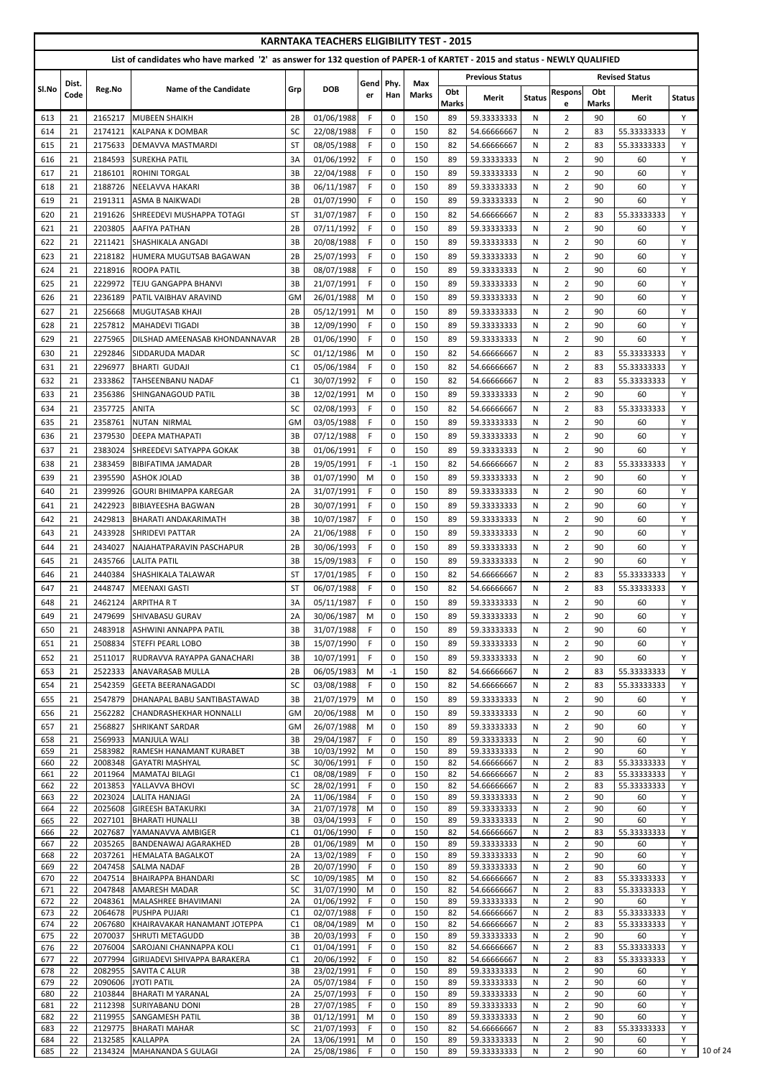|            |          |                    |                                                                                                                            |           | <b>KARNTAKA TEACHERS ELIGIBILITY TEST - 2015</b> |             |                            |              |              |                            |               |                                  |              |                            |               |
|------------|----------|--------------------|----------------------------------------------------------------------------------------------------------------------------|-----------|--------------------------------------------------|-------------|----------------------------|--------------|--------------|----------------------------|---------------|----------------------------------|--------------|----------------------------|---------------|
|            |          |                    | List of candidates who have marked '2' as answer for 132 question of PAPER-1 of KARTET - 2015 and status - NEWLY QUALIFIED |           |                                                  |             |                            |              |              |                            |               |                                  |              |                            |               |
| Sl.No      | Dist.    | Reg.No             | Name of the Candidate                                                                                                      | Grp       | <b>DOB</b>                                       | Gend        | Phy.                       | Max          | Obt          | <b>Previous Status</b>     |               | <b>Respons</b>                   | Obt          | <b>Revised Status</b>      |               |
|            | Code     |                    |                                                                                                                            |           |                                                  | er          | Han                        | <b>Marks</b> | <b>Marks</b> | <b>Merit</b>               | <b>Status</b> | e                                | <b>Marks</b> | Merit                      | <b>Status</b> |
| 613        | 21       | 2165217            | <b>MUBEEN SHAIKH</b>                                                                                                       | 2B        | 01/06/1988                                       | F.          | 0                          | 150          | 89           | 59.33333333                | N             | $\overline{2}$                   | 90           | 60                         | Y             |
| 614        | 21       | 2174121            | <b>KALPANA K DOMBAR</b>                                                                                                    | SC        | 22/08/1988                                       | F.          | $\pmb{0}$                  | 150          | 82           | 54.66666667                | N             | $\overline{2}$                   | 83           | 55.33333333                | Y             |
| 615        | 21       | 2175633            | DEMAVVA MASTMARDI                                                                                                          | <b>ST</b> | 08/05/1988                                       | F           | 0                          | 150          | 82           | 54.66666667                | N             | $\overline{2}$                   | 83           | 55.33333333                | Y             |
| 616<br>617 | 21<br>21 | 2184593<br>2186101 | <b>SUREKHA PATIL</b><br><b>ROHINI TORGAL</b>                                                                               | 3A<br>3B  | 01/06/1992<br>22/04/1988                         | F.<br>F     | $\mathbf 0$<br>$\mathbf 0$ | 150<br>150   | 89<br>89     | 59.33333333<br>59.33333333 | N<br>N        | $\overline{2}$<br>$\overline{2}$ | 90<br>90     | 60<br>60                   | Y<br>Y        |
| 618        | 21       | 2188726            | NEELAVVA HAKARI                                                                                                            | 3B        | 06/11/1987                                       | F           | $\mathbf 0$                | 150          | 89           | 59.33333333                | N             | $\overline{2}$                   | 90           | 60                         | Y             |
| 619        | 21       | 2191311            | <b>ASMA B NAIKWADI</b>                                                                                                     | 2B        | 01/07/1990                                       | F.          | $\Omega$                   | 150          | 89           | 59.33333333                | N             | $\overline{2}$                   | 90           | 60                         | Y             |
| 620        | 21       | 2191626            | ISHREEDEVI MUSHAPPA TOTAGI                                                                                                 | <b>ST</b> | 31/07/1987                                       | F.          | $\Omega$                   | 150          | 82           | 54.66666667                | N             | $\overline{2}$                   | 83           | 55.33333333                | Υ             |
| 621        | 21       | 2203805            | AAFIYA PATHAN                                                                                                              | 2B        | 07/11/1992                                       | F.          | $\mathbf 0$                | 150          | 89           | 59.33333333                | N             | $\overline{2}$                   | 90           | 60                         | Y             |
| 622        | 21       | 2211421            | ISHASHIKALA ANGADI                                                                                                         | 3B        | 20/08/1988                                       | F.          | $\mathbf 0$                | 150          | 89           | 59.33333333                | N             | $\overline{2}$                   | 90           | 60                         | Y             |
| 623        | 21       | 2218182            | <b>HUMERA MUGUTSAB BAGAWAN</b>                                                                                             | 2B        | 25/07/1993                                       | F.          | $\mathbf 0$                | 150          | 89           | 59.33333333                | N             | $\overline{2}$                   | 90           | 60                         | Y             |
| 624        | 21       | 2218916            | <b>ROOPA PATIL</b>                                                                                                         | 3B        | 08/07/1988                                       | F.          | 0                          | 150          | 89           | 59.33333333                | N             | $\overline{2}$                   | 90           | 60                         | Y             |
| 625        | 21       | 2229972            | <b>TEJU GANGAPPA BHANVI</b>                                                                                                | 3B        | 21/07/1991                                       | F.          | $\pmb{0}$                  | 150          | 89           | 59.33333333                | N             | $\overline{2}$                   | 90           | 60                         | Y             |
| 626        | 21       | 2236189            | PATIL VAIBHAV ARAVIND                                                                                                      | <b>GM</b> | 26/01/1988                                       | M           | $\mathbf 0$                | 150          | 89           | 59.33333333                | N             | $\overline{2}$                   | 90           | 60                         | Y             |
| 627        | 21       | 2256668            | <b>MUGUTASAB KHAJI</b>                                                                                                     | 2B        | 05/12/1991                                       | M           | $\mathbf 0$                | 150          | 89           | 59.33333333                | N             | $\overline{2}$                   | 90           | 60                         | Y             |
| 628<br>629 | 21<br>21 | 2257812<br>2275965 | <b>MAHADEVI TIGADI</b><br>DILSHAD AMEENASAB KHONDANNAVAR                                                                   | 3B<br>2B  | 12/09/1990<br>01/06/1990                         | F.<br>F.    | $\mathbf 0$<br>$\Omega$    | 150<br>150   | 89<br>89     | 59.33333333<br>59.33333333 | N<br>N        | $\overline{2}$<br>$\overline{2}$ | 90<br>90     | 60<br>60                   | Y<br>Y        |
| 630        | 21       | 2292846            | <b>SIDDARUDA MADAR</b>                                                                                                     | SC        | 01/12/1986                                       | M           | $\Omega$                   | 150          | 82           | 54.66666667                | N             | $\overline{2}$                   | 83           | 55.33333333                | Y             |
| 631        | 21       | 2296977            | <b>BHARTI GUDAJI</b>                                                                                                       | C1        | 05/06/1984                                       | F.          | 0                          | 150          | 82           | 54.66666667                | N             | $\overline{2}$                   | 83           | 55.33333333                | Υ             |
| 632        | 21       | 2333862            | TAHSEENBANU NADAF                                                                                                          | C1        | 30/07/1992                                       | F.          | $\mathbf 0$                | 150          | 82           | 54.66666667                | N             | $\overline{2}$                   | 83           | 55.33333333                | Y             |
| 633        | 21       | 2356386            | SHINGANAGOUD PATIL                                                                                                         | 3B        | 12/02/1991                                       | M           | $\mathbf 0$                | 150          | 89           | 59.33333333                | N             | $\overline{2}$                   | 90           | 60                         | Y             |
| 634        | 21       | 2357725            | <b>ANITA</b>                                                                                                               | SC        | 02/08/1993                                       | F.          | $\mathbf 0$                | 150          | 82           | 54.66666667                | N             | $\overline{2}$                   | 83           | 55.33333333                | Y             |
| 635        | 21       | 2358761            | <b>NUTAN NIRMAL</b>                                                                                                        | GM        | 03/05/1988                                       | F           | 0                          | 150          | 89           | 59.33333333                | N             | $\overline{2}$                   | 90           | 60                         | Y             |
| 636        | 21       | 2379530            | <b>DEEPA MATHAPATI</b>                                                                                                     | 3B        | 07/12/1988                                       | $\mathsf F$ | $\mathbf 0$                | 150          | 89           | 59.33333333                | N             | $\overline{2}$                   | 90           | 60                         |               |
| 637        | 21       | 2383024            | ISHREEDEVI SATYAPPA GOKAK                                                                                                  | 3B        | 01/06/1991                                       | F.          | $\Omega$                   | 150          | 89           | 59.33333333                | N             | $\overline{2}$                   | 90           | 60                         | Y             |
| 638        | 21       | 2383459            | IBIBIFATIMA JAMADAR                                                                                                        | 2B        | 19/05/1991                                       | F.          | $-1$                       | 150          | 82           | 54.66666667                | N             | $\overline{2}$                   | 83           | 55.33333333                | Y             |
| 639        | 21       | 2395590            | <b>ASHOK JOLAD</b>                                                                                                         | 3B        | 01/07/1990                                       | M           | $\Omega$                   | 150          | 89           | 59.33333333                | N             | $\overline{2}$                   | 90           | 60                         | Y             |
| 640<br>641 | 21<br>21 | 2399926<br>2422923 | <b>GOURI BHIMAPPA KAREGAR</b><br>BIBIAYEESHA BAGWAN                                                                        | 2A<br>2B  | 31/07/1991<br>30/07/1991                         | F.<br>F.    | $\Omega$<br>$\mathbf 0$    | 150<br>150   | 89<br>89     | 59.33333333<br>59.33333333 | N<br>N        | $\overline{2}$<br>$\overline{2}$ | 90<br>90     | 60<br>60                   | Υ<br>Y        |
| 642        | 21       | 2429813            | IBHARATI ANDAKARIMATH                                                                                                      | 3B        | 10/07/1987                                       | F.          | 0                          | 150          | 89           | 59.33333333                | N             | $\overline{2}$                   | 90           | 60                         | Υ             |
| 643        | 21       | 2433928            | ISHRIDEVI PATTAR                                                                                                           | 2A        | 21/06/1988                                       | F.          | $\mathbf 0$                | 150          | 89           | 59.33333333                | N             | $\overline{2}$                   | 90           | 60                         | Y             |
| 644        | 21       | 2434027            | NAJAHATPARAVIN PASCHAPUR                                                                                                   | 2B        | 30/06/1993                                       | F           | $\mathbf 0$                | 150          | 89           | 59.33333333                | N             | $\overline{2}$                   | 90           | 60                         | Y             |
| 645        | 21       | 2435766            | <b>LALITA PATIL</b>                                                                                                        | 3B        | 15/09/1983                                       | F.          | $\mathbf 0$                | 150          | 89           | 59.33333333                | N             | $\overline{2}$                   | 90           | 60                         | Y             |
| 646        | 21       | 2440384            | <b>SHASHIKALA TALAWAR</b>                                                                                                  | <b>ST</b> | 17/01/1985                                       | F           | $\mathbf 0$                | 150          | 82           | 54.66666667                | N             | $\overline{2}$                   | 83           | 55.33333333                | Y             |
| 647        | 21       | 2448747            | MEENAXI GASTI                                                                                                              | <b>ST</b> | 06/07/1988                                       | F.          | 0                          | 150          | 82           | 54.66666667                | N             | $\overline{2}$                   | 83           | 55.33333333                | Y             |
| 648        | 21       | 2462124            | ARPITHA R T                                                                                                                | 3A        | 05/11/1987                                       | F.          | $\mathbf 0$                | 150          | 89           | 59.33333333                | N             | $\overline{2}$                   | 90           | 60                         | Y             |
| 649        | 21       | 2479699            | ISHIVABASU GURAV                                                                                                           | 2A        | 30/06/1987                                       | M           | 0                          | 150          | 89           | 59.33333333                | N             | $\overline{2}$                   | 90           | 60                         | Υ             |
| 650        | 21       | 2483918            | IASHWINI ANNAPPA PATIL                                                                                                     | 3B        | 31/07/1988                                       | F.          | $\Omega$                   | 150          | 89           | 59.33333333                | N             | $\overline{2}$                   | 90           | 60                         | Y             |
| 651        | 21       | 2508834            | ISTEFFI PEARL LOBO                                                                                                         | 3B        | 15/07/1990                                       | F.          | 0                          | 150          | 89           | 59.33333333                | N             | $\overline{2}$                   | 90           | 60                         | Υ             |
| 652        | 21<br>21 | 2511017<br>2522333 | IRUDRAVVA RAYAPPA GANACHARI                                                                                                | 3B<br>2B  | 10/07/1991<br>06/05/1983                         | F.<br>M     | $\mathbf 0$<br>$-1$        | 150<br>150   | 89<br>82     | 59.33333333<br>54.66666667 | N             | $\overline{2}$<br>$\overline{2}$ | 90<br>83     | 60<br>55.33333333          | Y<br>Y        |
| 653<br>654 | 21       | 2542359            | ANAVARASAB MULLA<br><b>GEETA BEERANAGADDI</b>                                                                              | SC        | 03/08/1988                                       | F.          | $\mathbf 0$                | 150          | 82           | 54.66666667                | N<br>N        | $\overline{2}$                   | 83           | 55.33333333                | Y             |
| 655        | 21       | 2547879            | DHANAPAL BABU SANTIBASTAWAD                                                                                                | 3B        | 21/07/1979                                       | M           | 0                          | 150          | 89           | 59.33333333                | N             | $\overline{2}$                   | 90           | 60                         | Y             |
| 656        | 21       | 2562282            | CHANDRASHEKHAR HONNALLI                                                                                                    | GM        | 20/06/1988                                       | M           | 0                          | 150          | 89           | 59.33333333                | N             | $\overline{2}$                   | 90           | 60                         | Y             |
| 657        | 21       | 2568827            | SHRIKANT SARDAR                                                                                                            | <b>GM</b> | 26/07/1988                                       | M           | $\Omega$                   | 150          | 89           | 59.33333333                | N             | $\overline{2}$                   | 90           | 60                         | Y             |
| 658        | 21       | 2569933            | MANJULA WALI                                                                                                               | 3B        | 29/04/1987                                       | F.          | 0                          | 150          | 89           | 59.33333333                | N             | $\overline{2}$                   | 90           | 60                         | Y             |
| 659        | 21       | 2583982            | RAMESH HANAMANT KURABET                                                                                                    | 3B        | 10/03/1992                                       | M           | 0                          | 150          | 89           | 59.33333333                | N             | $\overline{2}$                   | 90           | 60                         | Y<br>Y        |
| 660<br>661 | 22<br>22 | 2008348<br>2011964 | <b>GAYATRI MASHYAL</b><br><b>MAMATAJ BILAGI</b>                                                                            | SC<br>C1  | 30/06/1991<br>08/08/1989                         | F.<br>F.    | 0<br>$\Omega$              | 150<br>150   | 82<br>82     | 54.66666667<br>54.66666667 | N<br>N        | $\overline{2}$<br>$\overline{2}$ | 83<br>83     | 55.33333333<br>55.33333333 | Υ             |
| 662        | 22       | 2013853            | YALLAVVA BHOVI                                                                                                             | SC        | 28/02/1991                                       | F           | $\mathbf 0$                | 150          | 82           | 54.66666667                | N             | $\overline{2}$                   | 83           | 55.33333333                | Y             |
| 663        | 22       | 2023024            | <b>LALITA HANJAGI</b>                                                                                                      | 2A        | 11/06/1984                                       | F.          | $\mathbf 0$                | 150          | 89           | 59.33333333                | N             | 2                                | 90           | 60                         | Y             |
| 664<br>665 | 22<br>22 | 2025608<br>2027101 | <b>GIREESH BATAKURKI</b><br><b>BHARATI HUNALLI</b>                                                                         | 3A<br>3B  | 21/07/1978<br>03/04/1993                         | M<br>F.     | 0<br>$\Omega$              | 150<br>150   | 89<br>89     | 59.33333333<br>59.33333333 | N<br>N        | $\overline{2}$<br>$\overline{2}$ | 90<br>90     | 60<br>60                   | Y<br>Y        |
| 666        | 22       | 2027687            | <b>YAMANAVVA AMBIGER</b>                                                                                                   | C1        | 01/06/1990                                       | F           | 0                          | 150          | 82           | 54.66666667                | N             | $\overline{2}$                   | 83           | 55.33333333                | Y             |
| 667        | 22       |                    | 2035265 BANDENAWAJ AGARAKHED                                                                                               | 2В        | 01/06/1989                                       | M           | 0                          | 150          | 89           | 59.33333333                | N             | $\overline{a}$                   | 90           | 60                         |               |
| 668<br>669 | 22<br>22 | 2037261<br>2047458 | <b>HEMALATA BAGALKOT</b><br><b>SALMA NADAF</b>                                                                             | 2A<br>2B  | 13/02/1989<br>20/07/1990                         | F.<br>F.    | $\Omega$<br>0              | 150<br>150   | 89<br>89     | 59.33333333<br>59.33333333 | N<br>N        | $\overline{2}$<br>$\overline{2}$ | 90<br>90     | 60<br>60                   | Υ<br>Y        |
| 670        | 22       | 2047514            | <b>BHAIRAPPA BHANDARI</b>                                                                                                  | SC        | 10/09/1985                                       | M           | 0                          | 150          | 82           | 54.66666667                | N             | $\overline{2}$                   | 83           | 55.33333333                | Y             |
| 671        | 22       | 2047848            | <b>AMARESH MADAR</b>                                                                                                       | SC        | 31/07/1990                                       | M           | $\mathbf 0$                | 150          | 82           | 54.66666667                | N             | $\overline{2}$                   | 83           | 55.33333333                | Y             |
| 672<br>673 | 22<br>22 | 2048361<br>2064678 | MALASHREE BHAVIMANI<br><b>PUSHPA PUJARI</b>                                                                                | 2A<br>C1  | 01/06/1992<br>02/07/1988                         | F.<br>F.    | $\mathbf 0$                | 150<br>150   | 89<br>82     | 59.33333333                | N             | $\overline{2}$<br>$\overline{2}$ | 90<br>83     | 60                         | Y<br>Y        |
| 674        | 22       | 2067680            | KHAIRAVAKAR HANAMANT JOTEPPA                                                                                               | C1        | 08/04/1989                                       | M           | 0<br>0                     | 150          | 82           | 54.66666667<br>54.66666667 | N<br>N        | $\overline{2}$                   | 83           | 55.33333333<br>55.33333333 | Y             |
| 675        | 22       | 2070037            | <b>ISHRUTI METAGUDD</b>                                                                                                    | 3B        | 20/03/1993                                       | F.          | 0                          | 150          | 89           | 59.33333333                | N             | $\overline{2}$                   | 90           | 60                         | Y             |
| 676        | 22       | 2076004            | SAROJANI CHANNAPPA KOLI                                                                                                    | C1        | 01/04/1991                                       | F.          | 0                          | 150          | 82           | 54.66666667                | N             | $\overline{2}$                   | 83           | 55.33333333                | Y             |
| 677<br>678 | 22<br>22 | 2077994<br>2082955 | <b>GIRIJADEVI SHIVAPPA BARAKERA</b><br><b>SAVITA C ALUR</b>                                                                | C1<br>3B  | 20/06/1992<br>23/02/1991                         | F.<br>F.    | 0<br>0                     | 150<br>150   | 82<br>89     | 54.66666667<br>59.33333333 | N<br>N        | $\overline{2}$<br>$\overline{2}$ | 83<br>90     | 55.33333333<br>60          | Y<br>Y        |
| 679        | 22       | 2090606            | <b>JYOTI PATIL</b>                                                                                                         | 2A        | 05/07/1984                                       | F.          | 0                          | 150          | 89           | 59.33333333                | N             | $\overline{2}$                   | 90           | 60                         | Y             |
| 680        | 22       | 2103844            | BHARATI M YARANAL                                                                                                          | 2A        | 25/07/1993                                       | F.          | 0                          | 150          | 89           | 59.33333333                | N             | $\overline{2}$                   | 90           | 60                         | Y             |
| 681        | 22       | 2112398            | <b>SURIYABANU DONI</b>                                                                                                     | 2B        | 27/07/1985                                       | F.          | 0                          | 150          | 89           | 59.33333333                | N             | $\overline{2}$                   | 90           | 60                         | Y             |
| 682<br>683 | 22<br>22 | 2119955<br>2129775 | <b>SANGAMESH PATIL</b><br><b>BHARATI MAHAR</b>                                                                             | 3B<br>SC  | 01/12/1991<br>21/07/1993                         | M<br>F.     | 0<br>0                     | 150<br>150   | 89<br>82     | 59.33333333<br>54.66666667 | N<br>N        | $\overline{2}$<br>$\overline{2}$ | 90<br>83     | 60<br>55.33333333          | Y<br>Y        |
| 684        | 22       | 2132585            | <b>KALLAPPA</b>                                                                                                            | 2A        | 13/06/1991                                       | M           | 0                          | 150          | 89           | 59.33333333                | N             | $\overline{2}$                   | 90           | 60                         | Y             |
| 685        | 22       | 2134324            | MAHANANDA S GULAGI                                                                                                         | 2A        | 25/08/1986                                       | F           | 0                          | 150          | 89           | 59.33333333                | N             | $\overline{2}$                   | 90           | 60                         | Y             |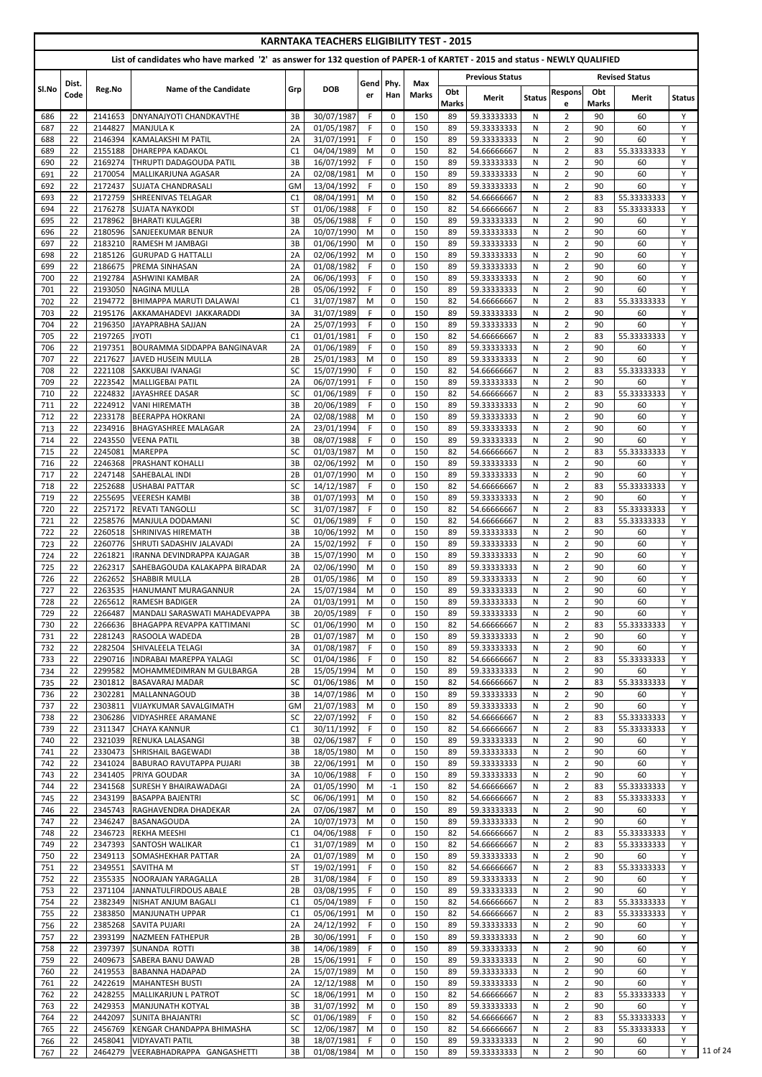|            |               |                    |                                                                                                                            |                      | <b>KARNTAKA TEACHERS ELIGIBILITY TEST - 2015</b> |            |                            |                     |                    |                            |               |                                  |                    |                            |               |
|------------|---------------|--------------------|----------------------------------------------------------------------------------------------------------------------------|----------------------|--------------------------------------------------|------------|----------------------------|---------------------|--------------------|----------------------------|---------------|----------------------------------|--------------------|----------------------------|---------------|
|            |               |                    | List of candidates who have marked '2' as answer for 132 question of PAPER-1 of KARTET - 2015 and status - NEWLY QUALIFIED |                      |                                                  |            |                            |                     |                    |                            |               |                                  |                    |                            |               |
|            |               |                    |                                                                                                                            |                      |                                                  |            |                            |                     |                    | <b>Previous Status</b>     |               |                                  |                    | <b>Revised Status</b>      |               |
| Sl.No      | Dist.<br>Code | Reg.No             | <b>Name of the Candidate</b>                                                                                               | Grp                  | <b>DOB</b>                                       | Gend<br>er | Phy.<br>Han                | Max<br><b>Marks</b> | Obt                | <b>Merit</b>               | <b>Status</b> | <b>Respons</b>                   | Obt                | Merit                      | <b>Status</b> |
| 686        | 22            | 2141653            | <b>DNYANAJYOTI CHANDKAVTHE</b>                                                                                             | 3B                   | 30/07/1987                                       | F.         | 0                          | 150                 | <b>Marks</b><br>89 | 59.33333333                | N             | e<br>2                           | <b>Marks</b><br>90 | 60                         | Y             |
| 687        | 22            | 2144827            | <b>MANJULA K</b>                                                                                                           | 2A                   | 01/05/1987                                       | F.         | $\mathbf 0$                | 150                 | 89                 | 59.33333333                | N             | $\overline{2}$                   | 90                 | 60                         | Y             |
| 688        | 22            | 2146394            | <b>KAMALAKSHI M PATIL</b>                                                                                                  | 2A                   | 31/07/1991                                       | F          | $\mathbf 0$                | 150                 | 89                 | 59.33333333                | N             | $\overline{2}$                   | 90                 | 60                         | Y             |
| 689        | 22            | 2155188            | <b>DHAREPPA KADAKOL</b>                                                                                                    | C1                   | 04/04/1989                                       | M          | 0                          | 150                 | 82                 | 54.66666667                | N             | $\overline{2}$                   | 83                 | 55.33333333                | Y             |
| 690<br>691 | 22<br>22      | 2169274<br>2170054 | THRUPTI DADAGOUDA PATIL<br>MALLIKARJUNA AGASAR                                                                             | 3B<br>2A             | 16/07/1992<br>02/08/1981                         | F<br>M     | 0<br>$\mathbf 0$           | 150<br>150          | 89<br>89           | 59.33333333<br>59.33333333 | N<br>N        | $\overline{2}$<br>$\overline{2}$ | 90<br>90           | 60<br>60                   | Y<br>Y        |
| 692        | 22            | 2172437            | <b>SUJATA CHANDRASALI</b>                                                                                                  | GM                   | 13/04/1992                                       | F.         | $\mathbf 0$                | 150                 | 89                 | 59.33333333                | N             | $\overline{2}$                   | 90                 | 60                         | Y             |
| 693        | 22            | 2172759            | SHREENIVAS TELAGAR                                                                                                         | C1                   | 08/04/1991                                       | M          | 0                          | 150                 | 82                 | 54.66666667                | N             | $\overline{2}$                   | 83                 | 55.33333333                | Y             |
| 694        | 22            | 2176278            | <b>SUJATA NAYKODI</b>                                                                                                      | <b>ST</b>            | 01/06/1988                                       | F.         | $\mathbf 0$                | 150                 | 82                 | 54.66666667                | N             | $\overline{2}$                   | 83                 | 55.33333333                | Y             |
| 695<br>696 | 22<br>22      | 2178962<br>2180596 | <b>BHARATI KULAGERI</b><br><b>SANJEEKUMAR BENUR</b>                                                                        | 3B<br>2A             | 05/06/1988<br>10/07/1990                         | F<br>M     | $\mathbf 0$<br>$\mathbf 0$ | 150<br>150          | 89<br>89           | 59.33333333<br>59.33333333 | N<br>N        | $\overline{2}$<br>$\overline{2}$ | 90<br>90           | 60<br>60                   | Y<br>Y        |
| 697        | 22            | 2183210            | RAMESH M JAMBAGI                                                                                                           | 3B                   | 01/06/1990                                       | M          | $\pmb{0}$                  | 150                 | 89                 | 59.33333333                | N             | $\overline{2}$                   | 90                 | 60                         | Y             |
| 698        | 22            | 2185126            | <b>GURUPAD G HATTALLI</b>                                                                                                  | 2A                   | 02/06/1992                                       | M          | $\mathbf 0$                | 150                 | 89                 | 59.33333333                | N             | $\overline{2}$                   | 90                 | 60                         | Y             |
| 699        | 22            | 2186675            | <b>PREMA SINHASAN</b>                                                                                                      | 2A                   | 01/08/1982                                       | F          | $\mathbf 0$                | 150                 | 89                 | 59.33333333                | N             | $\overline{2}$                   | 90                 | 60                         | Y             |
| 700<br>701 | 22<br>22      | 2192784<br>2193050 | <b>ASHWINI KAMBAR</b><br><b>NAGINA MULLA</b>                                                                               | 2A<br>2B             | 06/06/1993<br>05/06/1992                         | F.<br>F    | $\mathbf 0$<br>$\mathbf 0$ | 150<br>150          | 89<br>89           | 59.33333333<br>59.33333333 | N<br>N        | $\overline{2}$<br>$\overline{2}$ | 90<br>90           | 60<br>60                   | Y<br>Y        |
| 702        | 22            | 2194772            | <b>BHIMAPPA MARUTI DALAWAI</b>                                                                                             | C1                   | 31/07/1987                                       | M          | 0                          | 150                 | 82                 | 54.66666667                | N             | $\overline{2}$                   | 83                 | 55.33333333                | Y             |
| 703        | 22            | 2195176            | AKKAMAHADEVI JAKKARADDI                                                                                                    | 3A                   | 31/07/1989                                       | F.         | $\mathbf 0$                | 150                 | 89                 | 59.33333333                | N             | $\overline{2}$                   | 90                 | 60                         | Y             |
| 704        | 22            | 2196350            | JAYAPRABHA SAJJAN                                                                                                          | 2A                   | 25/07/1993                                       | F          | 0                          | 150                 | 89                 | 59.33333333                | N             | $\overline{2}$                   | 90                 | 60                         | Y             |
| 705        | 22            | 2197265<br>2197351 | <b>JYOTI</b>                                                                                                               | C1                   | 01/01/1981                                       | F<br>F     | 0                          | 150                 | 82<br>89           | 54.66666667                | N             | $\overline{2}$                   | 83<br>90           | 55.33333333                | Y<br>Y        |
| 706<br>707 | 22<br>22      | 2217627            | <b>BOURAMMA SIDDAPPA BANGINAVAR</b><br>JAVED HUSEIN MULLA                                                                  | 2A<br>2B             | 01/06/1989<br>25/01/1983                         | M          | $\mathbf 0$<br>$\mathbf 0$ | 150<br>150          | 89                 | 59.33333333<br>59.33333333 | N<br>N        | $\overline{2}$<br>$\overline{2}$ | 90                 | 60<br>60                   | Y             |
| 708        | 22            | 2221108            | SAKKUBAI IVANAGI                                                                                                           | SC                   | 15/07/1990                                       | F.         | 0                          | 150                 | 82                 | 54.66666667                | N             | $\overline{2}$                   | 83                 | 55.33333333                | Y             |
| 709        | 22            | 2223542            | MALLIGEBAI PATIL                                                                                                           | 2A                   | 06/07/1991                                       | F          | 0                          | 150                 | 89                 | 59.33333333                | N             | $\overline{2}$                   | 90                 | 60                         | Y             |
| 710        | 22            | 2224832            | JAYASHREE DASAR                                                                                                            | <b>SC</b>            | 01/06/1989                                       | F          | $\mathbf 0$                | 150                 | 82                 | 54.66666667                | N             | $\overline{2}$                   | 83                 | 55.33333333                | Y             |
| 711<br>712 | 22<br>22      | 2224912<br>2233178 | <b>VANI HIREMATH</b><br><b>BEERAPPA HOKRANI</b>                                                                            | 3B<br>2A             | 20/06/1989<br>02/08/1988                         | F<br>M     | $\mathbf 0$<br>0           | 150<br>150          | 89<br>89           | 59.33333333<br>59.33333333 | N<br>N        | $\overline{2}$<br>$\overline{2}$ | 90<br>90           | 60<br>60                   | Y<br>Y        |
| 713        | 22            | 2234916            | <b>BHAGYASHREE MALAGAR</b>                                                                                                 | 2A                   | 23/01/1994                                       | F.         | 0                          | 150                 | 89                 | 59.33333333                | N             | $\overline{2}$                   | 90                 | 60                         | Y             |
| 714        | 22            | 2243550            | VEENA PATIL                                                                                                                | 3B                   | 08/07/1988                                       | F.         | 0                          | 150                 | 89                 | 59.33333333                | N             | $\overline{2}$                   | 90                 | 60                         | Y             |
| 715        | 22            | 2245081            | <b>MAREPPA</b>                                                                                                             | SC                   | 01/03/1987                                       | M          | $\Omega$                   | 150                 | 82                 | 54.66666667                | N             | $\overline{2}$                   | 83                 | 55.33333333                | Y             |
| 716<br>717 | 22<br>22      | 2246368<br>2247148 | <b>PRASHANT KOHALLI</b><br><b>SAHEBALAL INDI</b>                                                                           | 3B<br>2B             | 02/06/1992<br>01/07/1990                         | M<br>M     | $\mathbf 0$<br>0           | 150<br>150          | 89<br>89           | 59.33333333<br>59.33333333 | N<br>N        | $\overline{2}$<br>$\overline{2}$ | 90<br>90           | 60<br>60                   | Y<br>Y        |
| 718        | 22            | 2252688            | USHABAI PATTAR                                                                                                             | SC                   | 14/12/1987                                       | F.         | 0                          | 150                 | 82                 | 54.66666667                | N             | $\overline{2}$                   | 83                 | 55.33333333                | Y             |
| 719        | 22            | 2255695            | <b>VEERESH KAMBI</b>                                                                                                       | 3B                   | 01/07/1993                                       | M          | $\mathbf 0$                | 150                 | 89                 | 59.33333333                | N             | $\overline{2}$                   | 90                 | 60                         | Y             |
| 720        | 22            | 2257172            | <b>REVATI TANGOLLI</b>                                                                                                     | SC                   | 31/07/1987                                       | F          | $\mathbf 0$                | 150                 | 82                 | 54.66666667                | N             | $\overline{2}$                   | 83                 | 55.33333333                | Y             |
| 721        | 22            | 2258576            | MANJULA DODAMANI                                                                                                           | SC                   | 01/06/1989                                       | F.         | 0                          | 150                 | 82                 | 54.66666667                | N             | $\overline{2}$                   | 83                 | 55.33333333                | Y             |
| 722<br>723 | 22<br>22      | 2260518<br>2260776 | <b>SHRINIVAS HIREMATH</b><br>ISHRUTI SADASHIV JALAVADI                                                                     | 3B<br>2A             | 10/06/1992<br>15/02/1992                         | M<br>F.    | 0<br>$\mathbf 0$           | 150<br>150          | 89<br>89           | 59.33333333<br>59.33333333 | N<br>N        | $\overline{2}$<br>$\overline{2}$ | 90<br>90           | 60<br>60                   | Y<br>Y        |
| 724        | 22            | 2261821            | IRANNA DEVINDRAPPA KAJAGAR                                                                                                 | 3B                   | 15/07/1990                                       | M          | 0                          | 150                 | 89                 | 59.33333333                | N             | $\overline{2}$                   | 90                 | 60                         | Y             |
| 725        | 22            | 2262317            | ISAHEBAGOUDA KALAKAPPA BIRADAR                                                                                             | 2A                   | 02/06/1990                                       | M          | 0                          | 150                 | 89                 | 59.33333333                | N             | $\overline{2}$                   | 90                 | 60                         | Y             |
| 726        | 22            | 2262652            | <b>SHABBIR MULLA</b>                                                                                                       | 2B                   | 01/05/1986                                       | M          | 0                          | 150                 | 89                 | 59.33333333                | N             | $\overline{2}$                   | 90                 | 60                         | Y             |
| 727        | 22            | 2263535            | <b>HANUMANT MURAGANNUR</b>                                                                                                 | 2A                   | 15/07/1984                                       | M          | $\mathbf 0$                | 150                 | 89                 | 59.33333333                | N             | $\overline{2}$                   | 90                 | 60                         | Y<br>Y        |
| 728<br>729 | 22<br>22      | 2265612<br>2266487 | <b>RAMESH BADIGER</b><br>MANDALI SARASWATI MAHADEVAPPA                                                                     | 2A<br>3B             | 01/03/1991<br>20/05/1989                         | M<br>F.    | 0<br>0                     | 150<br>150          | 89<br>89           | 59.33333333<br>59.33333333 | N<br>N        | $\overline{2}$<br>$\overline{2}$ | 90<br>90           | 60<br>60                   | Y             |
| 730        | 22            | 2266636            | BHAGAPPA REVAPPA KATTIMANI                                                                                                 | SC                   | 01/06/1990                                       | M          | $\mathbf 0$                | 150                 | 82                 | 54.66666667                | N             | $\overline{2}$                   | 83                 | 55.33333333                | Y             |
| 731        | 22            | 2281243            | <b>RASOOLA WADEDA</b>                                                                                                      | 2B                   | 01/07/1987                                       | M          | $\mathbf 0$                | 150                 | 89                 | 59.33333333                | N             | $\overline{2}$                   | 90                 | 60                         | Y             |
| 732        | 22            | 2282504            | SHIVALEELA TELAGI                                                                                                          | 3A                   | 01/08/1987                                       | F          | 0                          | 150                 | 89                 | 59.33333333                | N             | $\overline{2}$                   | 90                 | 60                         | Y             |
| 733<br>734 | 22<br>22      | 2290716<br>2299582 | INDRABAI MAREPPA YALAGI<br>MOHAMMEDIMRAN M GULBARGA                                                                        | SC<br>2B             | 01/04/1986<br>15/05/1994                         | F.<br>M    | 0<br>$\mathbf 0$           | 150<br>150          | 82<br>89           | 54.66666667<br>59.33333333 | N<br>N        | $\overline{2}$<br>$\overline{2}$ | 83<br>90           | 55.33333333<br>60          | Y<br>Y        |
| 735        | 22            | 2301812            | <b>BASAVARAJ MADAR</b>                                                                                                     | SC                   | 01/06/1986                                       | M          | $\mathbf 0$                | 150                 | 82                 | 54.66666667                | N             | $\overline{2}$                   | 83                 | 55.33333333                | Y             |
| 736        | 22            | 2302281            | <b>MALLANNAGOUD</b>                                                                                                        | 3B                   | 14/07/1986                                       | M          | 0                          | 150                 | 89                 | 59.33333333                | N             | $\overline{2}$                   | 90                 | 60                         | Y             |
| 737        | 22            | 2303811            | VIJAYKUMAR SAVALGIMATH                                                                                                     | <b>GM</b>            | 21/07/1983                                       | M          | 0                          | 150                 | 89                 | 59.33333333                | N             | $\overline{2}$                   | 90                 | 60                         | Y             |
| 738        | 22            | 2306286            | <b>VIDYASHREE ARAMANE</b>                                                                                                  | <b>SC</b>            | 22/07/1992                                       | F.         | $\mathbf 0$                | 150                 | 82                 | 54.66666667                | N             | $\overline{2}$                   | 83                 | 55.33333333                | Y             |
| 739<br>740 | 22<br>22      | 2311347<br>2321039 | <b>CHAYA KANNUR</b><br><b>RENUKA LALASANGI</b>                                                                             | C1<br>3B             | 30/11/1992<br>02/06/1987                         | F.<br>F    | $\mathbf 0$<br>0           | 150<br>150          | 82<br>89           | 54.66666667<br>59.33333333 | N<br>N        | $\overline{2}$<br>$\overline{2}$ | 83<br>90           | 55.33333333<br>60          | Y<br>Y        |
| 741        | 22            | 2330473            | ISHRISHAIL BAGEWADI                                                                                                        | 3B                   | 18/05/1980                                       | M          | 0                          | 150                 | 89                 | 59.33333333                | N             | $\overline{2}$                   | 90                 | 60                         | Y             |
| 742        | 22            | 2341024            | <b>BABURAO RAVUTAPPA PUJARI</b>                                                                                            | 3B                   | 22/06/1991                                       | M          | $\mathbf 0$                | 150                 | 89                 | 59.33333333                | N             | $\overline{2}$                   | 90                 | 60                         | Y             |
| 743        | 22            | 2341405            | <b>PRIYA GOUDAR</b>                                                                                                        | 3A                   | 10/06/1988                                       | F          | 0                          | 150                 | 89                 | 59.33333333                | N             | $\overline{2}$                   | 90                 | 60                         | Y             |
| 744<br>745 | 22<br>22      | 2341568<br>2343199 | <b>SURESH Y BHAIRAWADAGI</b><br><b>BASAPPA BAJENTRI</b>                                                                    | 2A<br>SC             | 01/05/1990<br>06/06/1991                         | M<br>M     | $-1$<br>$\mathbf 0$        | 150<br>150          | 82<br>82           | 54.66666667<br>54.66666667 | N<br>N        | $\overline{2}$<br>$\overline{2}$ | 83<br>83           | 55.33333333<br>55.33333333 | Y<br>Y        |
| 746        | 22            | 2345743            | <b>RAGHAVENDRA DHADEKAR</b>                                                                                                | 2A                   | 07/06/1987                                       | M          | 0                          | 150                 | 89                 | 59.33333333                | N             | $\overline{2}$                   | 90                 | 60                         | Y             |
| 747        | 22            | 2346247            | BASANAGOUDA                                                                                                                | 2A                   | 10/07/1973                                       | M          | 0                          | 150                 | 89                 | 59.33333333                | N             | $\overline{2}$                   | 90                 | 60                         | Y             |
| 748        | 22            | 2346723            | <b>REKHA MEESHI</b>                                                                                                        | C1                   | 04/06/1988                                       | F          | $\Omega$                   | 150                 | 82                 | 54.66666667                | N             | $\overline{2}$                   | 83                 | 55.33333333                | Y             |
| 749<br>750 | 22<br>22      | 2349113            | 2347393 SANTOSH WALIKAR<br><b>SOMASHEKHAR PATTAR</b>                                                                       | C <sub>1</sub><br>2A | 31/07/1989<br>01/07/1989                         | M<br>M     | 0<br>$\Omega$              | 150<br>150          | 82<br>89           | 54.66666667<br>59.33333333 | N<br>N        | 2<br>$\overline{2}$              | 83<br>90           | 55.33333333<br>60          | Y             |
| 751        | 22            | 2349551            | <b>SAVITHA M</b>                                                                                                           | ST                   | 19/02/1991                                       | F.         | 0                          | 150                 | 82                 | 54.66666667                | N             | $\overline{2}$                   | 83                 | 55.33333333                | Y             |
| 752        | 22            | 2355335            | NOORAJAN YARAGALLA                                                                                                         | 2B                   | 31/08/1984                                       | F.         | 0                          | 150                 | 89                 | 59.33333333                | N             | $\overline{2}$                   | 90                 | 60                         | Y             |
| 753        | 22            | 2371104            | JANNATULFIRDOUS ABALE                                                                                                      | 2B                   | 03/08/1995                                       | F.         | $\mathbf 0$                | 150                 | 89                 | 59.33333333                | N             | $\overline{2}$                   | 90                 | 60                         | Y             |
| 754        | 22            | 2382349            | <b>NISHAT ANJUM BAGALI</b>                                                                                                 | C1                   | 05/04/1989                                       | F.         | 0                          | 150                 | 82                 | 54.66666667                | N             | $\overline{2}$                   | 83                 | 55.33333333                | Y             |
| 755<br>756 | 22<br>22      | 2383850<br>2385268 | MANJUNATH UPPAR<br>ISAVITA PUJARI                                                                                          | C1<br>2A             | 05/06/1991<br>24/12/1992                         | M<br>F.    | 0<br>0                     | 150<br>150          | 82<br>89           | 54.66666667<br>59.33333333 | N<br>N        | $\overline{2}$<br>$\overline{2}$ | 83<br>90           | 55.33333333<br>60          | Y<br>Y        |
| 757        | 22            | 2393199            | NAZMEEN FATHEPUR                                                                                                           | 2B                   | 30/06/1991                                       | F.         | 0                          | 150                 | 89                 | 59.33333333                | N             | $\overline{2}$                   | 90                 | 60                         | Y             |
| 758        | 22            | 2397397            | <b>SUNANDA ROTTI</b>                                                                                                       | 3B                   | 14/06/1989                                       | F.         | 0                          | 150                 | 89                 | 59.33333333                | N             | $\overline{2}$                   | 90                 | 60                         | Υ             |
| 759        | 22            | 2409673            | <b>SABERA BANU DAWAD</b>                                                                                                   | 2B                   | 15/06/1991                                       | F.         | 0                          | 150                 | 89                 | 59.33333333                | N             | $\overline{2}$                   | 90                 | 60                         | Y             |
| 760        | 22<br>22      | 2419553<br>2422619 | BABANNA HADAPAD<br><b>MAHANTESH BUSTI</b>                                                                                  | 2A<br>2A             | 15/07/1989<br>12/12/1988                         | M          | 0<br>0                     | 150<br>150          | 89<br>89           | 59.33333333                | N             | $\overline{2}$<br>$\overline{2}$ | 90<br>90           | 60<br>60                   | Y<br>Y        |
| 761<br>762 | 22            | 2428255            | <b>MALLIKARJUN L PATROT</b>                                                                                                | SC                   | 18/06/1991                                       | M<br>M     | $\mathbf 0$                | 150                 | 82                 | 59.33333333<br>54.66666667 | N<br>N        | $\overline{2}$                   | 83                 | 55.33333333                | Y             |
| 763        | 22            | 2429353            | <b>MANJUNATH KOTYAL</b>                                                                                                    | 3B                   | 31/07/1992                                       | M          | 0                          | 150                 | 89                 | 59.33333333                | N             | $\overline{2}$                   | 90                 | 60                         | Y             |
| 764        | 22            | 2442097            | ISUNITA BHAJANTRI                                                                                                          | <b>SC</b>            | 01/06/1989                                       | F.         | 0                          | 150                 | 82                 | 54.66666667                | N             | $\overline{2}$                   | 83                 | 55.33333333                | Y             |
| 765        | 22            | 2456769            | <b>KENGAR CHANDAPPA BHIMASHA</b>                                                                                           | SC                   | 12/06/1987                                       | M          | 0                          | 150                 | 82                 | 54.66666667                | N             | $\overline{2}$                   | 83                 | 55.33333333                | Y             |
| 766<br>767 | 22<br>22      | 2458041<br>2464279 | <b>VIDYAVATI PATIL</b><br>VEERABHADRAPPA GANGASHETTI                                                                       | 3B<br>3B             | 18/07/1981<br>01/08/1984                         | F.<br>M    | 0<br>0                     | 150<br>150          | 89<br>89           | 59.33333333<br>59.33333333 | N<br>N        | $\overline{2}$<br>$\overline{2}$ | 90<br>90           | 60<br>60                   | Y<br>Y        |
|            |               |                    |                                                                                                                            |                      |                                                  |            |                            |                     |                    |                            |               |                                  |                    |                            |               |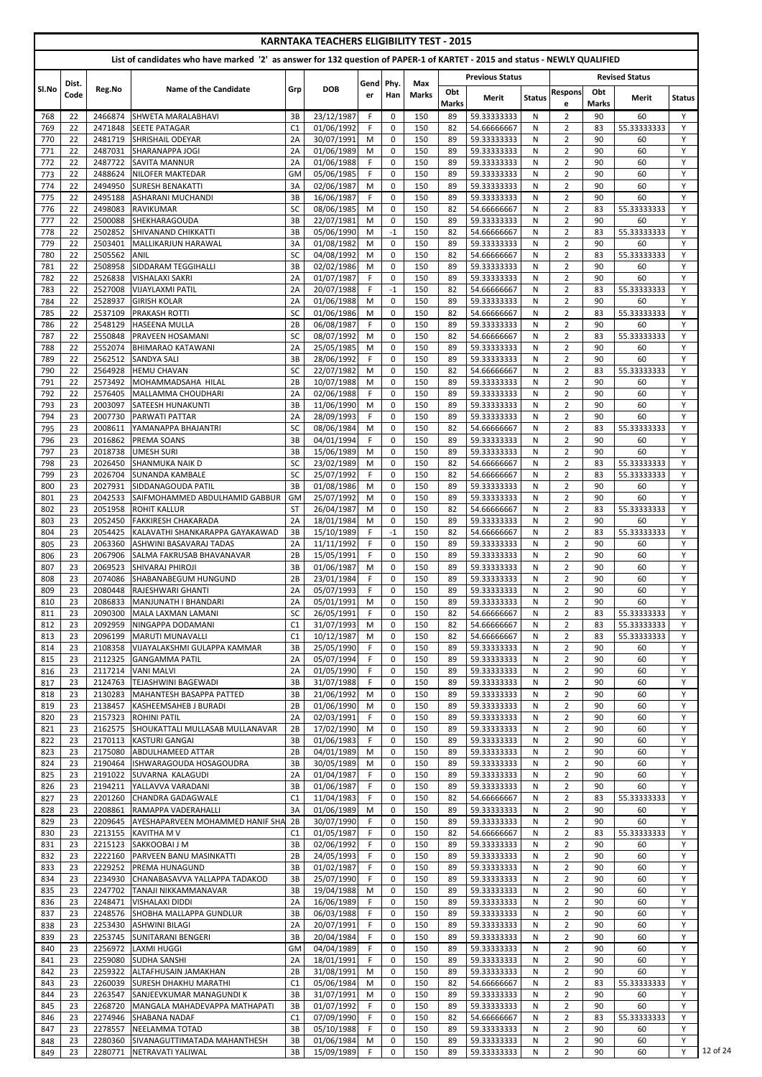|            |          |                    |                                                                                                                            |                 | <b>KARNTAKA TEACHERS ELIGIBILITY TEST - 2015</b> |           |                               |              |                     |                            |               |                                  |                     |                       |               |
|------------|----------|--------------------|----------------------------------------------------------------------------------------------------------------------------|-----------------|--------------------------------------------------|-----------|-------------------------------|--------------|---------------------|----------------------------|---------------|----------------------------------|---------------------|-----------------------|---------------|
|            |          |                    | List of candidates who have marked '2' as answer for 132 question of PAPER-1 of KARTET - 2015 and status - NEWLY QUALIFIED |                 |                                                  |           |                               |              |                     |                            |               |                                  |                     |                       |               |
|            | Dist.    |                    |                                                                                                                            |                 |                                                  | Gend Phy. |                               | Max          |                     | <b>Previous Status</b>     |               |                                  |                     | <b>Revised Status</b> |               |
| Sl.No      | Code     | Reg.No             | <b>Name of the Candidate</b>                                                                                               | Grp             | <b>DOB</b>                                       | er        | Han                           | <b>Marks</b> | Obt<br><b>Marks</b> | <b>Merit</b>               | <b>Status</b> | <b>Respons</b><br>e              | Obt<br><b>Marks</b> | Merit                 | <b>Status</b> |
| 768        | 22       | 2466874            | <b>SHWETA MARALABHAVI</b>                                                                                                  | 3B              | 23/12/1987                                       | F.        | $\mathbf 0$                   | 150          | 89                  | 59.33333333                | N             | $\overline{2}$                   | 90                  | 60                    | Y             |
| 769<br>770 | 22<br>22 | 2471848<br>2481719 | <b>SEETE PATAGAR</b><br><b>SHRISHAIL ODEYAR</b>                                                                            | C1<br>2A        | 01/06/1992<br>30/07/1991                         | F.<br>M   | $\mathbf 0$<br>$\mathbf 0$    | 150<br>150   | 82<br>89            | 54.66666667<br>59.33333333 | N<br>N        | $\overline{2}$<br>$\overline{2}$ | 83<br>90            | 55.33333333<br>60     | Y<br>Y        |
| 771        | 22       | 2487031            | <b>SHARANAPPA JOGI</b>                                                                                                     | 2A              | 01/06/1989                                       | M         | $\mathbf 0$                   | 150          | 89                  | 59.33333333                | N             | $\overline{2}$                   | 90                  | 60                    | Y             |
| 772        | 22       | 2487722            | <b>SAVITA MANNUR</b>                                                                                                       | 2A              | 01/06/1988                                       | F         | $\mathbf 0$                   | 150          | 89                  | 59.33333333                | N             | $\overline{2}$                   | 90                  | 60                    | Y             |
| 773<br>774 | 22<br>22 | 2488624<br>2494950 | <b>NILOFER MAKTEDAR</b><br><b>SURESH BENAKATTI</b>                                                                         | GM<br>3A        | 05/06/1985<br>02/06/1987                         | F<br>M    | $\mathbf 0$<br>$\mathbf 0$    | 150<br>150   | 89<br>89            | 59.33333333<br>59.33333333 | N<br>N        | $\overline{2}$<br>$\overline{2}$ | 90<br>90            | 60<br>60              | Y<br>Y        |
| 775        | 22       | 2495188            | <b>ASHARANI MUCHANDI</b>                                                                                                   | 3B              | 16/06/1987                                       | F         | 0                             | 150          | 89                  | 59.33333333                | N             | $\overline{2}$                   | 90                  | 60                    | Y             |
| 776        | 22       | 2498083            | <b>RAVIKUMAR</b>                                                                                                           | <b>SC</b>       | 08/06/1985                                       | M         | $\mathbf 0$                   | 150          | 82                  | 54.66666667                | N             | $\overline{2}$                   | 83                  | 55.33333333           | Y             |
| 777        | 22       | 2500088            | <b>SHEKHARAGOUDA</b>                                                                                                       | 3B              | 22/07/1981<br>05/06/1990                         | M<br>M    | $\mathbf 0$                   | 150          | 89<br>82            | 59.33333333                | N             | $\overline{2}$                   | 90<br>83            | 60<br>55.33333333     | Y<br>Y        |
| 778<br>779 | 22<br>22 | 2502852<br>2503401 | <b>SHIVANAND CHIKKATTI</b><br>MALLIKARJUN HARAWAL                                                                          | 3B<br>3A        | 01/08/1982                                       | M         | $-1$<br>$\mathbf 0$           | 150<br>150   | 89                  | 54.66666667<br>59.33333333 | N<br>N        | $\overline{2}$<br>$\overline{2}$ | 90                  | 60                    | Y             |
| 780        | 22       | 2505562            | <b>ANIL</b>                                                                                                                | <b>SC</b>       | 04/08/1992                                       | M         | $\mathbf 0$                   | 150          | 82                  | 54.66666667                | N             | $\overline{2}$                   | 83                  | 55.33333333           | Y             |
| 781        | 22<br>22 | 2508958<br>2526838 | SIDDARAM TEGGIHALLI<br><b>VISHALAXI SAKRI</b>                                                                              | 3B<br>2A        | 02/02/1986<br>01/07/1987                         | M<br>F.   | $\mathbf 0$<br>$\mathbf 0$    | 150<br>150   | 89<br>89            | 59.33333333                | N             | $\overline{2}$<br>$\overline{2}$ | 90<br>90            | 60<br>60              | Y<br>Y        |
| 782<br>783 | 22       | 2527008            | <b>VIJAYLAXMI PATIL</b>                                                                                                    | 2A              | 20/07/1988                                       | F         | $-1$                          | 150          | 82                  | 59.33333333<br>54.66666667 | N<br>N        | $\overline{2}$                   | 83                  | 55.33333333           | Y             |
| 784        | 22       | 2528937            | <b>GIRISH KOLAR</b>                                                                                                        | 2A              | 01/06/1988                                       | M         | 0                             | 150          | 89                  | 59.33333333                | N             | $\overline{2}$                   | 90                  | 60                    | Y             |
| 785        | 22       | 2537109            | <b>PRAKASH ROTTI</b>                                                                                                       | <b>SC</b>       | 01/06/1986                                       | M         | $\mathbf 0$                   | 150          | 82                  | 54.66666667                | N             | $\overline{2}$                   | 83                  | 55.33333333           | Y             |
| 786<br>787 | 22<br>22 | 2548129<br>2550848 | <b>HASEENA MULLA</b><br><b>PRAVEEN HOSAMANI</b>                                                                            | 2B<br>SC        | 06/08/1987<br>08/07/1992                         | F<br>M    | $\mathbf 0$<br>$\mathbf 0$    | 150<br>150   | 89<br>82            | 59.33333333<br>54.66666667 | N<br>N        | $\overline{2}$<br>$\overline{2}$ | 90<br>83            | 60<br>55.33333333     | Y<br>Y        |
| 788        | 22       | 2552074            | <b>BHIMARAO KATAWANI</b>                                                                                                   | 2A              | 25/05/1985                                       | M         | $\mathbf 0$                   | 150          | 89                  | 59.33333333                | N             | $\overline{2}$                   | 90                  | 60                    | Y             |
| 789        | 22       | 2562512            | <b>SANDYA SALI</b>                                                                                                         | 3B              | 28/06/1992                                       | F         | $\mathbf{0}$                  | 150          | 89                  | 59.33333333                | N             | $\overline{2}$                   | 90                  | 60                    | Y             |
| 790<br>791 | 22<br>22 | 2564928<br>2573492 | <b>HEMU CHAVAN</b><br>MOHAMMADSAHA HILAL                                                                                   | <b>SC</b><br>2B | 22/07/1982<br>10/07/1988                         | M<br>M    | $\mathbf 0$<br>$\mathbf 0$    | 150<br>150   | 82<br>89            | 54.66666667<br>59.33333333 | N<br>N        | $\overline{2}$<br>$\overline{2}$ | 83<br>90            | 55.33333333<br>60     | Y<br>Y        |
| 792        | 22       | 2576405            | MALLAMMA CHOUDHARI                                                                                                         | 2A              | 02/06/1988                                       | F.        | $\mathbf{0}$                  | 150          | 89                  | 59.33333333                | N             | $\overline{2}$                   | 90                  | 60                    | Y             |
| 793        | 23       | 2003097            | <b>SATEESH HUNAKUNTI</b>                                                                                                   | 3B              | 11/06/1990                                       | M         | $\mathbf 0$                   | 150          | 89                  | 59.33333333                | N             | $\overline{2}$                   | 90                  | 60                    | Y             |
| 794        | 23       | 2007730            | <b>PARWATI PATTAR</b>                                                                                                      | 2A              | 28/09/1993                                       | F.        | $\mathbf 0$                   | 150          | 89                  | 59.33333333                | N             | $\overline{2}$                   | 90                  | 60                    | Y             |
| 795<br>796 | 23<br>23 | 2008611            | YAMANAPPA BHAJANTRI<br>2016862 PREMA SOANS                                                                                 | SC<br>3В        | 08/06/1984<br>04/01/1994                         | M<br>F.   | 0<br>0                        | 150<br>150   | 82<br>89            | 54.66666667<br>59.33333333 | N<br>N        | $\overline{2}$<br>$\overline{2}$ | 83<br>90            | 55.33333333<br>60     | Y<br>Y        |
| 797        | 23       | 2018738            | <b>UMESH SURI</b>                                                                                                          | 3B              | 15/06/1989                                       | M         | $\Omega$                      | 150          | 89                  | 59.33333333                | N             | $\overline{2}$                   | 90                  | 60                    | Y             |
| 798        | 23       | 2026450            | <b>ISHANMUKA NAIK D</b>                                                                                                    | <b>SC</b>       | 23/02/1989                                       | M         | $\mathbf 0$                   | 150          | 82                  | 54.66666667                | N             | $\overline{2}$                   | 83                  | 55.33333333           | Y             |
| 799<br>800 | 23<br>23 | 2026704<br>2027931 | <b>ISUNANDA KAMBALE</b><br>ISIDDANAGOUDA PATIL                                                                             | <b>SC</b><br>3B | 25/07/1992<br>01/08/1986                         | F.<br>M   | $\mathbf 0$<br>$\mathbf{0}$   | 150<br>150   | 82<br>89            | 54.66666667<br>59.33333333 | N<br>N        | $\overline{2}$<br>$\overline{2}$ | 83<br>90            | 55.33333333<br>60     | Y<br>Y        |
| 801        | 23       | 2042533            | SAIFMOHAMMED ABDULHAMID GABBUR                                                                                             | <b>GM</b>       | 25/07/1992                                       | M         | $\mathbf 0$                   | 150          | 89                  | 59.33333333                | N             | $\overline{2}$                   | 90                  | 60                    | Y             |
| 802        | 23       | 2051958            | <b>ROHIT KALLUR</b>                                                                                                        | <b>ST</b>       | 26/04/1987                                       | M         | $\mathbf 0$                   | 150          | 82                  | 54.66666667                | N             | $\overline{2}$                   | 83                  | 55.33333333           | Y             |
| 803        | 23       | 2052450            | <b>FAKKIRESH CHAKARADA</b>                                                                                                 | 2A              | 18/01/1984                                       | M         | $\mathbf 0$                   | 150          | 89                  | 59.33333333                | N             | $\overline{2}$                   | 90                  | 60                    | Y             |
| 804<br>805 | 23<br>23 | 2054425            | IKALAVATHI SHANKARAPPA GAYAKAWAD<br>2063360 ASHWINI BASAVARAJ TADAS                                                        | 3B<br>2A        | 15/10/1989<br>11/11/1992                         | F.<br>F.  | $-1$<br>$\mathbf 0$           | 150<br>150   | 82<br>89            | 54.66666667<br>59.33333333 | N<br>N        | $\overline{2}$<br>$\overline{2}$ | 83<br>90            | 55.33333333<br>60     | Y<br>Y        |
| 806        | 23       | 2067906            | <b>SALMA FAKRUSAB BHAVANAVAR</b>                                                                                           | 2B              | 15/05/1991                                       | F.        | 0                             | 150          | 89                  | 59.33333333                | N             | $\overline{2}$                   | 90                  | 60                    | Y             |
| 807        | 23       | 2069523            | ISHIVARAJ PHIROJI                                                                                                          | 3B              | 01/06/1987                                       | M         | $\mathbf 0$                   | 150          | 89                  | 59.33333333                | N             | $\overline{2}$                   | 90                  | 60                    | Y             |
| 808        | 23<br>23 | 2074086<br>2080448 | ISHABANABEGUM HUNGUND<br><b>RAJESHWARI GHANTI</b>                                                                          | 2B<br>2A        | 23/01/1984<br>05/07/1993                         | F.<br>F.  | $\mathbf 0$<br>$\mathbf 0$    | 150<br>150   | 89<br>89            | 59.33333333                | N<br>N        | $\overline{2}$<br>$\overline{2}$ | 90<br>90            | 60<br>60              | Y<br>Y        |
| 809<br>810 | 23       | 2086833            | MANJUNATH I BHANDARI                                                                                                       | 2A              | 05/01/1991                                       | M         | $\mathbf 0$                   | 150          | 89                  | 59.33333333<br>59.33333333 | N             | $\overline{2}$                   | 90                  | 60                    | Y             |
| 811        | 23       | 2090300            | <b>IMALA LAXMAN LAMANI</b>                                                                                                 | <b>SC</b>       | 26/05/1991                                       | F.        | $\mathbf 0$                   | 150          | 82                  | 54.66666667                | N             | $\overline{2}$                   | 83                  | 55.33333333           | Y             |
| 812        | 23       | 2092959            | ININGAPPA DODAMANI                                                                                                         | C1              | 31/07/1993                                       | M         | $\overline{0}$                | 150          | 82                  | 54.66666667                | N             | $\overline{2}$                   | 83                  | 55.33333333           | Y             |
| 813<br>814 | 23<br>23 | 2096199<br>2108358 | IMARUTI MUNAVALLI<br>VIJAYALAKSHMI GULAPPA KAMMAR                                                                          | C1<br>3B        | 10/12/1987<br>25/05/1990                         | M<br>F.   | 0<br>0                        | 150<br>150   | 82<br>89            | 54.66666667<br>59.33333333 | N<br>N        | $\overline{2}$<br>$\overline{2}$ | 83<br>90            | 55.33333333<br>60     | Y<br>Y        |
| 815        | 23       | 2112325            | <b>GANGAMMA PATIL</b>                                                                                                      | 2A              | 05/07/1994                                       | F.        | $\mathbf 0$                   | 150          | 89                  | 59.33333333                | N             | $\overline{2}$                   | 90                  | 60                    | Y             |
| 816        | 23       | 2117214            | <b>VANI MALVI</b>                                                                                                          | 2A              | 01/05/1990                                       | F.        | $\mathbf 0$                   | 150          | 89                  | 59.33333333                | N             | $\overline{2}$                   | 90                  | 60                    | Y             |
| 817        | 23       | 2124763            | <b>TEJASHWINI BAGEWADI</b>                                                                                                 | 3B              | 31/07/1988                                       | F.        | 0                             | 150          | 89                  | 59.33333333                | N             | $\overline{2}$                   | 90                  | 60                    | Y             |
| 818<br>819 | 23<br>23 | 2130283<br>2138457 | MAHANTESH BASAPPA PATTED<br><b>IKASHEEMSAHEB J BURADI</b>                                                                  | 3B<br>2B        | 21/06/1992<br>01/06/1990                         | M<br>M    | $\mathbf 0$<br>$\mathbf 0$    | 150<br>150   | 89<br>89            | 59.33333333<br>59.33333333 | N<br>N        | $\overline{2}$<br>$\overline{2}$ | 90<br>90            | 60<br>60              | Y<br>Y        |
| 820        | 23       | 2157323            | <b>ROHINI PATIL</b>                                                                                                        | 2A              | 02/03/1991                                       | F.        | $\overline{0}$                | 150          | 89                  | 59.33333333                | N             | $\overline{2}$                   | 90                  | 60                    | Y             |
| 821        | 23       | 2162575            | <b>SHOUKATTALI MULLASAB MULLANAVAR</b>                                                                                     | 2B              | 17/02/1990                                       | M         | 0                             | 150          | 89                  | 59.33333333                | N             | $\overline{2}$                   | 90                  | 60                    | Y             |
| 822<br>823 | 23<br>23 | 2170113<br>2175080 | <b>IKASTURI GANGAI</b><br>ABDULHAMEED ATTAR                                                                                | 3B<br>2B        | 01/06/1983<br>04/01/1989                         | F.<br>M   | 0<br>$\mathbf 0$              | 150<br>150   | 89<br>89            | 59.33333333<br>59.33333333 | N<br>N        | $\overline{2}$<br>$\overline{2}$ | 90<br>90            | 60<br>60              | Y<br>Y        |
| 824        | 23       | 2190464            | lISHWARAGOUDA HOSAGOUDRA                                                                                                   | 3B              | 30/05/1989                                       | M         | $\mathbf 0$                   | 150          | 89                  | 59.33333333                | N             | $\overline{2}$                   | 90                  | 60                    | Y             |
| 825        | 23       | 2191022            | <b>SUVARNA KALAGUDI</b>                                                                                                    | 2A              | 01/04/1987                                       | F.        | $\mathbf 0$                   | 150          | 89                  | 59.33333333                | N             | $\overline{2}$                   | 90                  | 60                    | Y             |
| 826        | 23       | 2194211            | YALLAVVA VARADANI                                                                                                          | 3B              | 01/06/1987                                       | F         | $\mathbf 0$                   | 150          | 89                  | 59.33333333                | N             | $\overline{2}$                   | 90                  | 60                    | Y             |
| 827<br>828 | 23<br>23 | 2201260<br>2208861 | <b>ICHANDRA GADAGWALE</b><br>IRAMAPPA VADERAHALLI                                                                          | C1<br>3A        | 11/04/1983<br>01/06/1989                         | F.<br>M   | $\overline{0}$<br>$\mathbf 0$ | 150<br>150   | 82<br>89            | 54.66666667<br>59.33333333 | N<br>N        | $\overline{2}$<br>$\overline{2}$ | 83<br>90            | 55.33333333<br>60     | Y<br>Y        |
| 829        | 23       | 2209645            | <b>AYESHAPARVEEN MOHAMMED HANIF SHA</b>                                                                                    | 2B              | 30/07/1990                                       | F.        | 0                             | 150          | 89                  | 59.33333333                | N             | $\overline{2}$                   | 90                  | 60                    | Y             |
| 830        | 23       | 2213155            | KAVITHA M V                                                                                                                | C1              | 01/05/1987                                       | F         | $\Omega$                      | 150          | 82                  | 54.66666667                | N             | $\overline{2}$                   | 83                  | 55.33333333           | Y             |
| 831<br>832 | 23<br>23 | 2215123<br>2222160 | SAKKOOBAI J M<br><b>PARVEEN BANU MASINKATTI</b>                                                                            | 3B<br>2B        | 02/06/1992<br>24/05/1993                         | F.<br>F.  | 0<br>$\Omega$                 | 150<br>150   | 89<br>89            | 59.33333333<br>59.33333333 | N<br>N        | 2<br>$\overline{2}$              | 90<br>90            | 60<br>60              | Y             |
| 833        | 23       | 2229252            | <b>PREMA HUNAGUND</b>                                                                                                      | 3B              | 01/02/1987                                       | F         | $\mathbf 0$                   | 150          | 89                  | 59.33333333                | N             | $\overline{2}$                   | 90                  | 60                    | Y             |
| 834        | 23       | 2234930            | CHANABASAVVA YALLAPPA TADAKOD                                                                                              | 3B              | 25/07/1990                                       | F.        | $\mathbf 0$                   | 150          | 89                  | 59.33333333                | N             | $\overline{2}$                   | 90                  | 60                    | Y             |
| 835        | 23<br>23 | 2247702<br>2248471 | TANAJI NIKKAMMANAVAR<br><b>VISHALAXI DIDDI</b>                                                                             | 3B              | 19/04/1988<br>16/06/1989                         | M<br>F.   | $\overline{0}$<br>$\mathbf 0$ | 150<br>150   | 89<br>89            | 59.33333333<br>59.33333333 | N             | $\overline{2}$<br>$\overline{2}$ | 90<br>90            | 60<br>60              | Y<br>Y        |
| 836<br>837 | 23       | 2248576            | SHOBHA MALLAPPA GUNDLUR                                                                                                    | 2A<br>3B        | 06/03/1988                                       | F.        | 0                             | 150          | 89                  | 59.33333333                | N<br>N        | $\overline{2}$                   | 90                  | 60                    | Y             |
| 838        | 23       | 2253430            | <b>ASHWINI BILAGI</b>                                                                                                      | 2A              | 20/07/1991                                       | F.        | 0                             | 150          | 89                  | 59.33333333                | N             | $\overline{2}$                   | 90                  | 60                    | Y             |
| 839        | 23       | 2253745            | <b>SUNITARANI BENGERI</b>                                                                                                  | 3B              | 20/04/1984                                       | F.        | $\mathbf 0$                   | 150          | 89                  | 59.33333333                | N             | $\overline{2}$                   | 90                  | 60                    | Y             |
| 840<br>841 | 23<br>23 | 2256972<br>2259080 | LAXMI HUGGI<br><b>SUDHA SANSHI</b>                                                                                         | GM<br>2A        | 04/04/1989<br>18/01/1991                         | F.<br>F.  | 0<br>$\mathbf 0$              | 150<br>150   | 89<br>89            | 59.33333333<br>59.33333333 | N<br>N        | $\overline{2}$<br>$\overline{2}$ | 90<br>90            | 60<br>60              | Υ<br>Y        |
| 842        | 23       | 2259322            | ALTAFHUSAIN JAMAKHAN                                                                                                       | 2B              | 31/08/1991                                       | M         | 0                             | 150          | 89                  | 59.33333333                | N             | $\overline{2}$                   | 90                  | 60                    | Y             |
| 843        | 23       | 2260039            | <b>ISURESH DHAKHU MARATHI</b>                                                                                              | C1              | 05/06/1984                                       | M         | $\mathbf 0$                   | 150          | 82                  | 54.66666667                | N             | $\overline{2}$                   | 83                  | 55.33333333           | Y             |
| 844        | 23       | 2263547            | SANJEEVKUMAR MANAGUNDI K                                                                                                   | 3B              | 31/07/1991                                       | M         | 0                             | 150          | 89                  | 59.33333333                | N             | $\overline{2}$                   | 90                  | 60                    | Y             |
| 845<br>846 | 23<br>23 | 2268720<br>2274946 | MANGALA MAHADEVAPPA MATHAPATI<br>ISHABANA NADAF                                                                            | 3B<br>C1        | 01/07/1992<br>07/09/1990                         | F.<br>F.  | 0<br>$\mathbf 0$              | 150<br>150   | 89<br>82            | 59.33333333<br>54.66666667 | N<br>N        | $\overline{2}$<br>$\overline{2}$ | 90<br>83            | 60<br>55.33333333     | Y<br>Y        |
| 847        | 23       | 2278557            | <b>NEELAMMA TOTAD</b>                                                                                                      | 3B              | 05/10/1988                                       | F.        | $\mathbf 0$                   | 150          | 89                  | 59.33333333                | N             | $\overline{2}$                   | 90                  | 60                    | Y             |
| 848        | 23       | 2280360            | SIVANAGUTTIMATADA MAHANTHESH                                                                                               | 3B              | 01/06/1984                                       | M         | 0                             | 150          | 89                  | 59.33333333                | N             | $\overline{2}$                   | 90                  | 60                    | Y             |
| 849        | 23       | 2280771            | NETRAVATI YALIWAL                                                                                                          | 3B              | 15/09/1989                                       | F.        | 0                             | 150          | 89                  | 59.33333333                | N             | $\overline{2}$                   | 90                  | 60                    | Y             |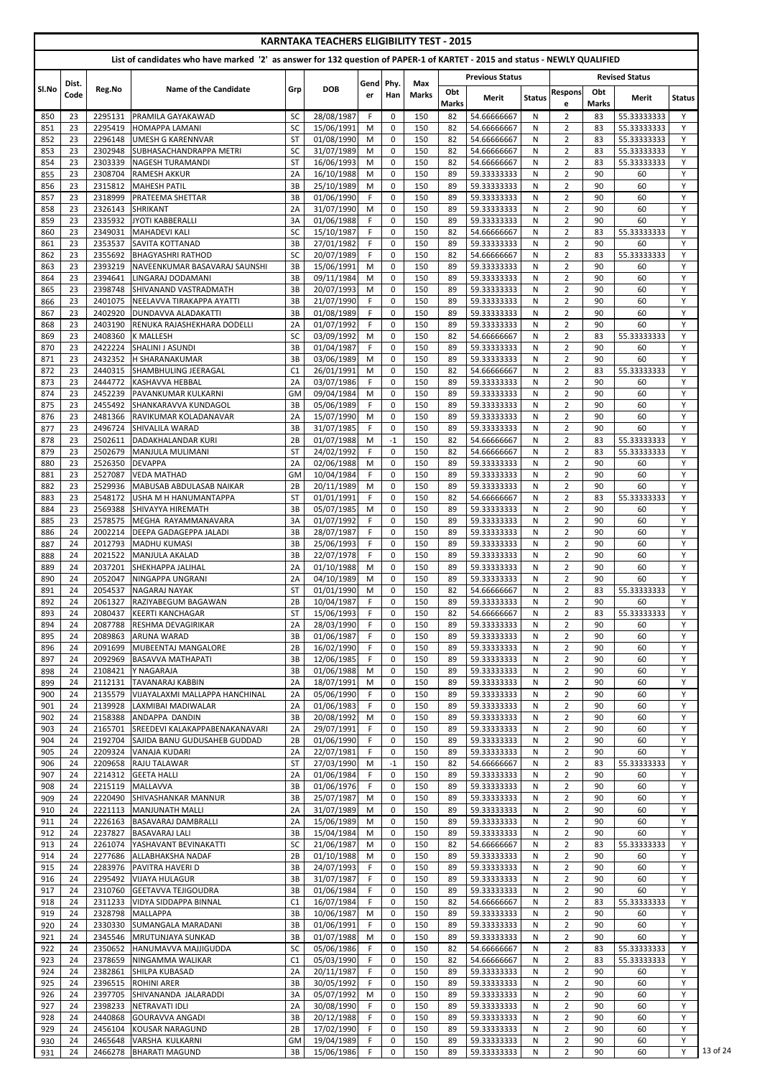|            |               |                    |                                                                                                                            |                 | <b>KARNTAKA TEACHERS ELIGIBILITY TEST - 2015</b> |                 |                            |                            |              |                            |               |                                  |              |                            |               |
|------------|---------------|--------------------|----------------------------------------------------------------------------------------------------------------------------|-----------------|--------------------------------------------------|-----------------|----------------------------|----------------------------|--------------|----------------------------|---------------|----------------------------------|--------------|----------------------------|---------------|
|            |               |                    | List of candidates who have marked '2' as answer for 132 question of PAPER-1 of KARTET - 2015 and status - NEWLY QUALIFIED |                 |                                                  |                 |                            |                            |              |                            |               |                                  |              | <b>Revised Status</b>      |               |
| SI.No      | Dist.<br>Code | Reg.No             | Name of the Candidate                                                                                                      | Grp             | <b>DOB</b>                                       | Gend Phy.<br>er | Han                        | <b>Max</b><br><b>Marks</b> | Obt          | <b>Previous Status</b>     |               | <b>Respons</b>                   | Obt          |                            |               |
|            |               |                    |                                                                                                                            |                 |                                                  |                 |                            |                            | <b>Marks</b> | Merit                      | <b>Status</b> | e                                | <b>Marks</b> | Merit                      | <b>Status</b> |
| 850<br>851 | 23<br>23      | 2295131<br>2295419 | PRAMILA GAYAKAWAD<br><b>HOMAPPA LAMANI</b>                                                                                 | <b>SC</b><br>SC | 28/08/1987<br>15/06/1991                         | F.<br>M         | $\mathbf 0$<br>$\mathbf 0$ | 150<br>150                 | 82<br>82     | 54.66666667<br>54.66666667 | N<br>N        | $\overline{2}$<br>$\overline{2}$ | 83<br>83     | 55.33333333<br>55.33333333 | Y<br>Υ        |
| 852        | 23            | 2296148            | <b>UMESH G KARENNVAR</b>                                                                                                   | <b>ST</b>       | 01/08/1990                                       | M               | $\mathbf 0$                | 150                        | 82           | 54.66666667                | N             | $\overline{2}$                   | 83           | 55.33333333                | Y             |
| 853        | 23            | 2302948            | SUBHASACHANDRAPPA METRI                                                                                                    | <b>SC</b>       | 31/07/1989                                       | M               | $\mathbf 0$                | 150                        | 82           | 54.66666667                | N             | $\overline{2}$                   | 83           | 55.33333333                | Y<br>Y        |
| 854<br>855 | 23<br>23      | 2303339<br>2308704 | <b>NAGESH TURAMANDI</b><br><b>RAMESH AKKUR</b>                                                                             | <b>ST</b><br>2A | 16/06/1993<br>16/10/1988                         | M<br>M          | $\mathbf 0$<br>$\mathbf 0$ | 150<br>150                 | 82<br>89     | 54.66666667<br>59.33333333 | N<br>N        | $\overline{2}$<br>$\overline{2}$ | 83<br>90     | 55.33333333<br>60          | Y             |
| 856        | 23            | 2315812            | <b>MAHESH PATIL</b>                                                                                                        | 3B              | 25/10/1989                                       | M               | 0                          | 150                        | 89           | 59.33333333                | N             | $\overline{2}$                   | 90           | 60                         | Y             |
| 857        | 23            | 2318999            | <b>PRATEEMA SHETTAR</b>                                                                                                    | 3B              | 01/06/1990                                       | F               | 0                          | 150                        | 89           | 59.33333333                | N             | $\overline{2}$                   | 90           | 60                         | Y             |
| 858<br>859 | 23<br>23      | 2326143<br>2335932 | <b>SHRIKANT</b><br>JYOTI KABBERALLI                                                                                        | 2A<br>3A        | 31/07/1990<br>01/06/1988                         | M<br>F.         | $\mathbf 0$<br>$\mathbf 0$ | 150<br>150                 | 89<br>89     | 59.33333333<br>59.33333333 | N<br>N        | $\overline{2}$<br>$\overline{2}$ | 90<br>90     | 60<br>60                   | Y<br>Y        |
| 860        | 23            | 2349031            | <b>MAHADEVI KALI</b>                                                                                                       | SC              | 15/10/1987                                       | F.              | 0                          | 150                        | 82           | 54.66666667                | N             | $\overline{2}$                   | 83           | 55.33333333                | Y             |
| 861<br>862 | 23<br>23      | 2353537<br>2355692 | <b>SAVITA KOTTANAD</b><br><b>BHAGYASHRI RATHOD</b>                                                                         | 3B<br>SC        | 27/01/1982<br>20/07/1989                         | F<br>F          | $\mathbf 0$<br>$\mathbf 0$ | 150<br>150                 | 89<br>82     | 59.33333333<br>54.66666667 | N<br>N        | $\overline{2}$<br>$\overline{2}$ | 90<br>83     | 60<br>55.33333333          | Y<br>Y        |
| 863        | 23            | 2393219            | NAVEENKUMAR BASAVARAJ SAUNSHI                                                                                              | 3B              | 15/06/1991                                       | M               | $\mathbf 0$                | 150                        | 89           | 59.33333333                | N             | $\overline{2}$                   | 90           | 60                         | Y             |
| 864        | 23            | 2394641            | LINGARAJ DODAMANI                                                                                                          | 3B              | 09/11/1984                                       | M               | $\mathbf 0$                | 150                        | 89           | 59.33333333                | N             | $\overline{2}$                   | 90           | 60                         | Y             |
| 865<br>866 | 23<br>23      | 2398748<br>2401075 | SHIVANAND VASTRADMATH<br>NEELAVVA TIRAKAPPA AYATTI                                                                         | 3B<br>3B        | 20/07/1993<br>21/07/1990                         | M<br>F          | $\mathbf 0$<br>$\mathbf 0$ | 150<br>150                 | 89<br>89     | 59.33333333<br>59.33333333 | N<br>N        | $\overline{2}$<br>$\overline{2}$ | 90<br>90     | 60<br>60                   | Y<br>Y        |
| 867        | 23            | 2402920            | DUNDAVVA ALADAKATTI                                                                                                        | 3B              | 01/08/1989                                       | F.              | 0                          | 150                        | 89           | 59.33333333                | N             | $\overline{2}$                   | 90           | 60                         | Y             |
| 868        | 23            | 2403190            | RENUKA RAJASHEKHARA DODELLI                                                                                                | 2A              | 01/07/1992                                       | F.              | $\mathbf 0$                | 150                        | 89           | 59.33333333                | N             | $\overline{2}$                   | 90           | 60                         | Y             |
| 869<br>870 | 23<br>23      | 2408360<br>2422224 | <b>K MALLESH</b><br>SHALINI J ASUNDI                                                                                       | <b>SC</b><br>3B | 03/09/1992<br>01/04/1987                         | M<br>F          | $\mathbf 0$<br>$\mathbf 0$ | 150<br>150                 | 82<br>89     | 54.66666667<br>59.33333333 | N<br>N        | $\overline{2}$<br>$\overline{2}$ | 83<br>90     | 55.33333333<br>60          | Y<br>Y        |
| 871        | 23            | 2432352            | <b>H SHARANAKUMAR</b>                                                                                                      | 3B              | 03/06/1989                                       | M               | $\mathbf 0$                | 150                        | 89           | 59.33333333                | N             | $\overline{2}$                   | 90           | 60                         | Y             |
| 872        | 23            | 2440315            | <b>SHAMBHULING JEERAGAL</b>                                                                                                | C <sub>1</sub>  | 26/01/1991                                       | M               | $\mathbf 0$                | 150                        | 82           | 54.66666667                | N             | $\overline{2}$                   | 83           | 55.33333333                | Y             |
| 873<br>874 | 23<br>23      | 2444772<br>2452239 | <b>KASHAVVA HEBBAL</b><br><b>PAVANKUMAR KULKARNI</b>                                                                       | 2A<br><b>GM</b> | 03/07/1986<br>09/04/1984                         | F<br>M          | $\mathbf 0$<br>$\mathbf 0$ | 150<br>150                 | 89<br>89     | 59.33333333<br>59.33333333 | N<br>N        | $\overline{2}$<br>$\overline{2}$ | 90<br>90     | 60<br>60                   | Y<br>Y        |
| 875        | 23            | 2455492            | SHANKARAVVA KUNDAGOL                                                                                                       | 3B              | 05/06/1989                                       | F               | $\mathbf 0$                | 150                        | 89           | 59.33333333                | N             | $\overline{2}$                   | 90           | 60                         | Y             |
| 876        | 23            | 2481366            | RAVIKUMAR KOLADANAVAR                                                                                                      | 2A              | 15/07/1990                                       | M               | $\mathbf 0$                | 150                        | 89           | 59.33333333                | N             | $\overline{2}$                   | 90           | 60                         | Y             |
| 877<br>878 | 23<br>23      | 2496724            | SHIVALILA WARAD<br>2502611 DADAKHALANDAR KURI                                                                              | 3B<br>2B        | 31/07/1985<br>01/07/1988                         | F.<br>M         | $\mathbf 0$<br>$-1$        | 150<br>150                 | 89<br>82     | 59.33333333<br>54.66666667 | N<br>N.       | $\overline{2}$<br>2              | 90<br>83     | 60<br>55.33333333          | Y<br>Υ        |
| 879        | 23            | 2502679            | <b>IMANJULA MULIMANI</b>                                                                                                   | <b>ST</b>       | 24/02/1992                                       | F.              | $\mathbf 0$                | 150                        | 82           | 54.66666667                | N             | $\overline{2}$                   | 83           | 55.33333333                | Y             |
| 880        | 23            | 2526350            | <b>DEVAPPA</b>                                                                                                             | 2A              | 02/06/1988                                       | M               | 0                          | 150                        | 89           | 59.33333333                | N             | $\overline{2}$                   | 90           | 60                         | Y             |
| 881<br>882 | 23<br>23      | 2527087<br>2529936 | <b>VEDA MATHAD</b><br>MABUSAB ABDULASAB NAIKAR                                                                             | <b>GM</b><br>2B | 10/04/1984<br>20/11/1989                         | F.<br>M         | 0<br>$\mathbf 0$           | 150<br>150                 | 89<br>89     | 59.33333333<br>59.33333333 | N.<br>N.      | $\overline{2}$<br>$\overline{2}$ | 90<br>90     | 60<br>60                   | Y<br>Y        |
| 883        | 23            | 2548172            | USHA M H HANUMANTAPPA                                                                                                      | <b>ST</b>       | 01/01/1991                                       | F.              | 0                          | 150                        | 82           | 54.66666667                | N             | $\overline{2}$                   | 83           | 55.33333333                | Y             |
| 884        | 23            | 2569388            | <b>SHIVAYYA HIREMATH</b>                                                                                                   | 3B              | 05/07/1985                                       | М               | 0                          | 150                        | 89           | 59.33333333                | N             | $\overline{2}$                   | 90           | 60                         | Y             |
| 885<br>886 | 23<br>24      | 2578575<br>2002214 | IMEGHA RAYAMMANAVARA<br><b>DEEPA GADAGEPPA JALADI</b>                                                                      | 3A<br>3B        | 01/07/1992<br>28/07/1987                         | F.<br>F.        | 0<br>$\mathbf 0$           | 150<br>150                 | 89<br>89     | 59.33333333<br>59.33333333 | N<br>N        | $\overline{2}$<br>$\overline{2}$ | 90<br>90     | 60<br>60                   | Y<br>Y        |
| 887        | 24            | 2012793            | MADHU KUMASI                                                                                                               | 3B              | 25/06/1993                                       | F.              | 0                          | 150                        | 89           | 59.33333333                | N             | $\overline{2}$                   | 90           | 60                         | Y             |
| 888        | 24            | 2021522            | MANJULA AKALAD                                                                                                             | 3B              | 22/07/1978                                       | F.              | 0                          | 150                        | 89           | 59.33333333                | N             | $\overline{2}$                   | 90           | 60                         | Y             |
| 889<br>890 | 24<br>24      | 2037201<br>2052047 | <b>SHEKHAPPA JALIHAL</b><br>NINGAPPA UNGRANI                                                                               | 2A<br>2A        | 01/10/1988<br>04/10/1989                         | M<br>M          | 0<br>$\mathbf 0$           | 150<br>150                 | 89<br>89     | 59.33333333<br>59.33333333 | N<br>N        | $\overline{2}$<br>$\overline{2}$ | 90<br>90     | 60<br>60                   | Y<br>Y        |
| 891        | 24            | 2054537            | <b>NAGARAJ NAYAK</b>                                                                                                       | <b>ST</b>       | 01/01/1990                                       | M               | 0                          | 150                        | 82           | 54.66666667                | N             | $\overline{2}$                   | 83           | 55.33333333                | Y             |
| 892        | 24            | 2061327            | RAZIYABEGUM BAGAWAN                                                                                                        | 2B              | 10/04/1987                                       | F.              | $\mathbf 0$                | 150                        | 89           | 59.33333333                | N             | $\overline{2}$                   | 90           | 60                         | Y             |
| 893<br>894 | 24<br>24      | 2080437<br>2087788 | <b>KEERTI KANCHAGAR</b><br>IRESHMA DEVAGIRIKAR                                                                             | <b>ST</b><br>2A | 15/06/1993<br>28/03/1990                         | F.<br>F.        | $\mathbf 0$<br>$\mathbf 0$ | 150<br>150                 | 82<br>89     | 54.66666667<br>59.33333333 | N<br>N        | $\overline{2}$<br>$\overline{2}$ | 83<br>90     | 55.33333333<br>60          | Y<br>Y        |
| 895        | 24            | 2089863            | <b>ARUNA WARAD</b>                                                                                                         | 3B              | 01/06/1987                                       | F               | $\mathbf 0$                | 150                        | 89           | 59.33333333                | N             | $\overline{2}$                   | 90           | 60                         | Y             |
| 896        | 24            | 2091699            | MUBEENTAJ MANGALORE                                                                                                        | 2B              | 16/02/1990                                       | F.              | 0                          | 150                        | 89           | 59.33333333                | N.            | $\overline{2}$                   | 90           | 60                         | Y             |
| 897<br>898 | 24<br>24      | 2092969<br>2108421 | <b>BASAVVA MATHAPATI</b><br>Y NAGARAJA                                                                                     | 3B<br>3B        | 12/06/1985<br>01/06/1988                         | F.<br>M         | 0<br>$\mathbf 0$           | 150<br>150                 | 89<br>89     | 59.33333333<br>59.33333333 | N<br>N        | $\overline{2}$<br>$\overline{2}$ | 90<br>90     | 60<br>60                   | Y<br>Y        |
| 899        | 24            | 2112131            | <b>TAVANARAJ KABBIN</b>                                                                                                    | 2A              | 18/07/1991                                       | M               | $\mathbf 0$                | 150                        | 89           | 59.33333333                | N             | $\overline{2}$                   | 90           | 60                         | Y             |
| 900        | 24            | 2135579            | VIJAYALAXMI MALLAPPA HANCHINAL                                                                                             | 2A              | 05/06/1990                                       | F.              | $\mathbf 0$                | 150                        | 89           | 59.33333333                | N             | $\overline{2}$                   | 90<br>90     | 60                         | Y<br>Y        |
| 901<br>902 | 24<br>24      | 2139928<br>2158388 | LAXMIBAI MADIWALAR<br><b>ANDAPPA DANDIN</b>                                                                                | 2A<br>3B        | 01/06/1983<br>20/08/1992                         | F.<br>M         | $\mathbf 0$<br>0           | 150<br>150                 | 89<br>89     | 59.33333333<br>59.33333333 | N<br>N        | $\overline{2}$<br>$\overline{2}$ | 90           | 60<br>60                   | Y             |
| 903        | 24            | 2165701            | <b>SREEDEVI KALAKAPPABENAKANAVARI</b>                                                                                      | 2A              | 29/07/1991                                       | F.              | $\mathbf 0$                | 150                        | 89           | 59.33333333                | N             | $\overline{2}$                   | 90           | 60                         | Y             |
| 904        | 24<br>24      | 2192704<br>2209324 | <b>SAJIDA BANU GUDUSAHEB GUDDAD</b><br>VANAJA KUDARI                                                                       | 2B<br>2A        | 01/06/1990                                       | F.<br>F.        | 0<br>0                     | 150<br>150                 | 89<br>89     | 59.33333333                | N             | $\overline{2}$<br>$\overline{2}$ | 90<br>90     | 60<br>60                   | Y<br>Y        |
| 905<br>906 | 24            | 2209658            | <b>RAJU TALAWAR</b>                                                                                                        | <b>ST</b>       | 22/07/1981<br>27/03/1990                         | M               | $-1$                       | 150                        | 82           | 59.33333333<br>54.66666667 | N<br>N        | $\overline{2}$                   | 83           | 55.33333333                | Y             |
| 907        | 24            | 2214312            | <b>GEETA HALLI</b>                                                                                                         | 2A              | 01/06/1984                                       | F.              | 0                          | 150                        | 89           | 59.33333333                | N             | $\overline{2}$                   | 90           | 60                         | Y             |
| 908<br>909 | 24<br>24      | 2215119<br>2220490 | <b>MALLAVVA</b><br><b>SHIVASHANKAR MANNUR</b>                                                                              | 3B<br>3B        | 01/06/1976<br>25/07/1987                         | F<br>M          | 0<br>$\mathbf 0$           | 150<br>150                 | 89<br>89     | 59.33333333<br>59.33333333 | N<br>N.       | $\overline{2}$<br>$\overline{2}$ | 90<br>90     | 60<br>60                   | Y<br>Y        |
| 910        | 24            | 2221113            | MANJUNATH MALLI                                                                                                            | 2A              | 31/07/1989                                       | M               | 0                          | 150                        | 89           | 59.33333333                | N             | $\overline{2}$                   | 90           | 60                         | Y             |
| 911        | 24            | 2226163            | <b>BASAVARAJ DAMBRALLI</b>                                                                                                 | 2A              | 15/06/1989                                       | M               | 0                          | 150                        | 89           | 59.33333333                | N             | $\overline{2}$                   | 90           | 60                         | Y             |
| 912<br>913 | 24<br>24      | 2237827            | <b>BASAVARAJ LALI</b><br>2261074   YASHAVANT BEVINAKATTI                                                                   | 3B<br>SC        | 15/04/1984<br>21/06/1987                         | M<br>M          | $\Omega$<br>0              | 150<br>150                 | 89<br>82     | 59.33333333<br>54.66666667 | N<br>N        | $\overline{2}$<br>2              | 90<br>83     | 60<br>55.33333333          | Y             |
| 914        | 24            | 2277686            | <b>ALLABHAKSHA NADAF</b>                                                                                                   | 2B              | 01/10/1988                                       | M               | 0                          | 150                        | 89           | 59.33333333                | N             | $\overline{2}$                   | 90           | 60                         | Y             |
| 915        | 24            | 2283976            | <b>PAVITRA HAVERI D</b>                                                                                                    | 3B              | 24/07/1993                                       | F.              | 0                          | 150                        | 89           | 59.33333333                | N             | $\overline{2}$                   | 90           | 60                         | Y             |
| 916<br>917 | 24<br>24      | 2295492<br>2310760 | <b>VIJAYA HULAGUR</b><br><b>GEETAVVA TEJIGOUDRA</b>                                                                        | 3B<br>3B        | 31/07/1987<br>01/06/1984                         | F.<br>F.        | 0<br>$\mathbf 0$           | 150<br>150                 | 89<br>89     | 59.33333333<br>59.33333333 | N<br>N        | $\overline{2}$<br>$\overline{2}$ | 90<br>90     | 60<br>60                   | Y<br>Y        |
| 918        | 24            | 2311233            | VIDYA SIDDAPPA BINNAL                                                                                                      | C1              | 16/07/1984                                       | F.              | 0                          | 150                        | 82           | 54.66666667                | N             | $\overline{2}$                   | 83           | 55.33333333                | Y             |
| 919        | 24            | 2328798            | <b>MALLAPPA</b>                                                                                                            | 3B              | 10/06/1987                                       | M               | 0                          | 150                        | 89           | 59.33333333                | N             | $\overline{2}$                   | 90           | 60                         | Y             |
| 920<br>921 | 24<br>24      | 2330330<br>2345546 | <b>SUMANGALA MARADANI</b><br><b>IMRUTUNJAYA SUNKAD</b>                                                                     | 3B<br>3B        | 01/06/1991<br>01/07/1988                         | F.<br>M         | 0<br>0                     | 150<br>150                 | 89<br>89     | 59.33333333<br>59.33333333 | N<br>N        | $\overline{2}$<br>$\overline{2}$ | 90<br>90     | 60<br>60                   | Y<br>Y        |
| 922        | 24            | 2350652            | HANUMAVVA MAJJIGUDDA                                                                                                       | SC              | 05/06/1986                                       | F.              | $\mathbf 0$                | 150                        | 82           | 54.66666667                | N             | $\overline{2}$                   | 83           | 55.33333333                | Y             |
| 923        | 24            | 2378659            | NINGAMMA WALIKAR                                                                                                           | C1              | 05/03/1990                                       | F.              | $\mathbf 0$                | 150                        | 82           | 54.66666667                | N             | $\overline{2}$                   | 83           | 55.33333333                | Y             |
| 924<br>925 | 24<br>24      | 2382861<br>2396515 | <b>SHILPA KUBASAD</b><br><b>ROHINI ARER</b>                                                                                | 2A<br>3B        | 20/11/1987<br>30/05/1992                         | F.<br>F.        | $\mathbf 0$<br>0           | 150<br>150                 | 89<br>89     | 59.33333333<br>59.33333333 | N<br>N        | $\overline{2}$<br>$\overline{2}$ | 90<br>90     | 60<br>60                   | Y<br>Y        |
| 926        | 24            | 2397705            | SHIVANANDA JALARADDI                                                                                                       | 3A              | 05/07/1992                                       | M               | 0                          | 150                        | 89           | 59.33333333                | N             | $\overline{2}$                   | 90           | 60                         | Y             |
| 927        | 24            | 2398233            | NETRAVATI IDLI                                                                                                             | 2A              | 30/08/1990                                       | F.              | 0                          | 150                        | 89           | 59.33333333                | N             | $\overline{2}$                   | 90           | 60                         | Y             |
| 928<br>929 | 24<br>24      | 2440868<br>2456104 | <b>GOURAVVA ANGADI</b><br>KOUSAR NARAGUND                                                                                  | 3B<br>2B        | 20/12/1988<br>17/02/1990                         | F.<br>F.        | 0<br>0                     | 150<br>150                 | 89<br>89     | 59.33333333<br>59.33333333 | N<br>N        | $\overline{2}$<br>$\overline{2}$ | 90<br>90     | 60<br>60                   | Y<br>Y        |
| 930        | 24            | 2465648            | VARSHA KULKARNI                                                                                                            | <b>GM</b>       | 19/04/1989                                       | F.              | $\mathbf 0$                | 150                        | 89           | 59.33333333                | N             | $\overline{2}$                   | 90           | 60                         | Y             |
| 931        | 24            | 2466278            | <b>BHARATI MAGUND</b>                                                                                                      | 3B              | 15/06/1986                                       | F.              | 0                          | 150                        | 89           | 59.33333333                | N             | $\overline{2}$                   | 90           | 60                         | Y             |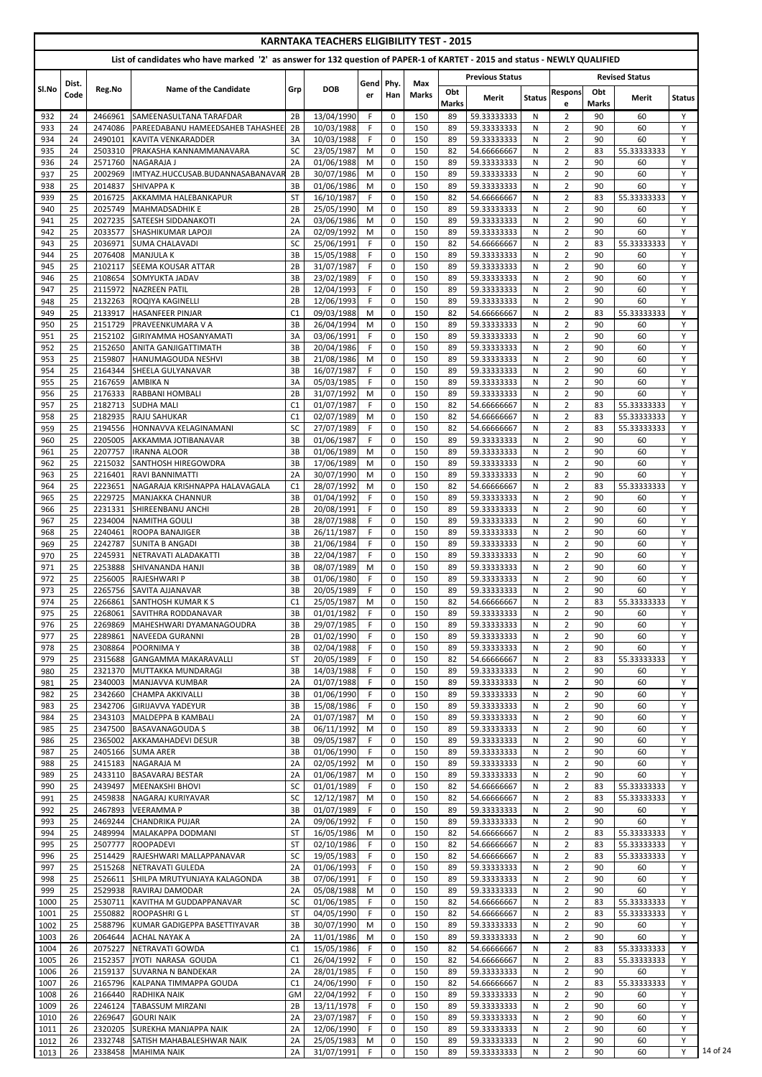| <b>KARNTAKA TEACHERS ELIGIBILITY TEST - 2015</b><br>List of candidates who have marked '2' as answer for 132 question of PAPER-1 of KARTET - 2015 and status - NEWLY QUALIFIED |               |                    |                                                                    |                 |                          |             |                            |                     |          |                            |               |                                  |          |                            |               |
|--------------------------------------------------------------------------------------------------------------------------------------------------------------------------------|---------------|--------------------|--------------------------------------------------------------------|-----------------|--------------------------|-------------|----------------------------|---------------------|----------|----------------------------|---------------|----------------------------------|----------|----------------------------|---------------|
|                                                                                                                                                                                |               |                    |                                                                    |                 |                          |             |                            |                     |          | <b>Previous Status</b>     |               |                                  |          | <b>Revised Status</b>      |               |
| Sl.No                                                                                                                                                                          | Dist.<br>Code | Reg.No             | Name of the Candidate                                              | Grp             | <b>DOB</b>               | Gendl<br>er | Phy<br>Han                 | Max<br><b>Marks</b> | Obt      | Merit                      | <b>Status</b> | <b>Respons</b>                   | Obt      | Merit                      | <b>Status</b> |
|                                                                                                                                                                                |               |                    |                                                                    |                 |                          |             |                            |                     | Marks    |                            |               | e                                | Marks    |                            |               |
| 932<br>933                                                                                                                                                                     | 24<br>24      | 2466961<br>2474086 | <b>SAMEENASULTANA TARAFDAR</b><br>PAREEDABANU HAMEEDSAHEB TAHASHEE | 2B<br>2B        | 13/04/1990<br>10/03/1988 | F.<br>F.    | $\mathbf 0$<br>$\mathbf 0$ | 150<br>150          | 89<br>89 | 59.33333333<br>59.33333333 | N<br>N        | $\overline{2}$<br>$\overline{2}$ | 90<br>90 | 60<br>60                   | Y<br>Y        |
| 934                                                                                                                                                                            | 24            | 2490101            | <b>KAVITA VENKARADDER</b>                                          | 3A              | 10/03/1988               | F           | 0                          | 150                 | 89       | 59.33333333                | N             | $\overline{2}$                   | 90       | 60                         | Y             |
| 935                                                                                                                                                                            | 24            | 2503310            | PRAKASHA KANNAMMANAVARA                                            | SC              | 23/05/1987               | M           | 0                          | 150                 | 82       | 54.66666667                | N             | $\overline{2}$                   | 83       | 55.33333333                | Y             |
| 936                                                                                                                                                                            | 24            | 2571760            | NAGARAJA J                                                         | 2A              | 01/06/1988               | M           | $\mathbf 0$                | 150                 | 89       | 59.33333333                | N             | $\overline{2}$                   | 90       | 60                         | Y<br>Y        |
| 937<br>938                                                                                                                                                                     | 25<br>25      | 2002969<br>2014837 | IMTYAZ.HUCCUSAB.BUDANNASABANAVAR<br><b>SHIVAPPA K</b>              | 2B<br>3B        | 30/07/1986<br>01/06/1986 | M<br>M      | $\mathbf 0$<br>$\mathbf 0$ | 150<br>150          | 89<br>89 | 59.33333333<br>59.33333333 | N<br>N        | $\overline{2}$<br>$\overline{2}$ | 90<br>90 | 60<br>60                   | Y             |
| 939                                                                                                                                                                            | 25            | 2016725            | AKKAMMA HALEBANKAPUR                                               | <b>ST</b>       | 16/10/1987               | F.          | $\mathbf 0$                | 150                 | 82       | 54.66666667                | N             | $\overline{2}$                   | 83       | 55.33333333                | Y             |
| 940                                                                                                                                                                            | 25            | 2025749            | <b>MAHMADSADHIK E</b>                                              | 2B              | 25/05/1990               | M           | $\mathbf 0$                | 150                 | 89       | 59.33333333                | N             | $\overline{2}$                   | 90       | 60                         | Y             |
| 941                                                                                                                                                                            | 25            | 2027235            | <b>SATEESH SIDDANAKOTI</b>                                         | 2A              | 03/06/1986               | M           | $\mathbf 0$                | 150                 | 89       | 59.33333333                | N             | $\overline{2}$                   | 90       | 60                         | Y             |
| 942<br>943                                                                                                                                                                     | 25<br>25      | 2033577<br>2036971 | <b>SHASHIKUMAR LAPOJI</b><br><b>SUMA CHALAVADI</b>                 | 2A<br><b>SC</b> | 02/09/1992<br>25/06/1991 | M<br>F      | $\pmb{0}$<br>$\mathbf 0$   | 150<br>150          | 89<br>82 | 59.33333333<br>54.66666667 | N<br>N        | $\overline{2}$<br>$\overline{2}$ | 90<br>83 | 60<br>55.33333333          | Y<br>Y        |
| 944                                                                                                                                                                            | 25            | 2076408            | <b>MANJULA K</b>                                                   | 3B              | 15/05/1988               | F           | $\mathbf 0$                | 150                 | 89       | 59.33333333                | N             | $\overline{2}$                   | 90       | 60                         | Y             |
| 945                                                                                                                                                                            | 25            | 2102117            | <b>SEEMA KOUSAR ATTAR</b>                                          | 2B              | 31/07/1987               | F.          | $\mathbf 0$                | 150                 | 89       | 59.33333333                | N             | $\overline{2}$                   | 90       | 60                         | Y             |
| 946<br>947                                                                                                                                                                     | 25<br>25      | 2108654<br>2115972 | SOMYUKTA JADAV<br><b>NAZREEN PATIL</b>                             | 3B<br>2B        | 23/02/1989<br>12/04/1993 | F.<br>F.    | 0<br>$\mathbf 0$           | 150<br>150          | 89<br>89 | 59.33333333<br>59.33333333 | N<br>N        | $\overline{2}$<br>$\overline{2}$ | 90<br>90 | 60<br>60                   | Y<br>Y        |
| 948                                                                                                                                                                            | 25            | 2132263            | <b>ROQIYA KAGINELLI</b>                                            | 2B              | 12/06/1993               | F.          | $\mathbf 0$                | 150                 | 89       | 59.33333333                | N             | $\overline{2}$                   | 90       | 60                         | Y             |
| 949                                                                                                                                                                            | 25            | 2133917            | <b>HASANFEER PINJAR</b>                                            | C1              | 09/03/1988               | M           | $\mathbf 0$                | 150                 | 82       | 54.66666667                | N             | $\overline{2}$                   | 83       | 55.33333333                | Y             |
| 950                                                                                                                                                                            | 25            | 2151729            | PRAVEENKUMARA V A                                                  | 3B              | 26/04/1994               | M           | 0                          | 150                 | 89       | 59.33333333                | N             | $\overline{2}$                   | 90       | 60                         | Y             |
| 951<br>952                                                                                                                                                                     | 25<br>25      | 2152102<br>2152650 | İGIRIYAMMA HOSANYAMATI<br><b>ANITA GANJIGATTIMATH</b>              | 3A<br>3B        | 03/06/1991<br>20/04/1986 | F.<br>F     | $\mathbf 0$<br>$\mathbf 0$ | 150<br>150          | 89<br>89 | 59.33333333<br>59.33333333 | N<br>N        | $\overline{2}$<br>$\overline{2}$ | 90<br>90 | 60<br>60                   | Y<br>Y        |
| 953                                                                                                                                                                            | 25            | 2159807            | <b>HANUMAGOUDA NESHVI</b>                                          | 3B              | 21/08/1986               | M           | 0                          | 150                 | 89       | 59.33333333                | N             | $\overline{2}$                   | 90       | 60                         | Y             |
| 954                                                                                                                                                                            | 25            | 2164344            | SHEELA GULYANAVAR                                                  | 3B              | 16/07/1987               | F.          | 0                          | 150                 | 89       | 59.33333333                | N             | $\overline{2}$                   | 90       | 60                         | Y             |
| 955                                                                                                                                                                            | 25            | 2167659            | <b>AMBIKAN</b>                                                     | 3A              | 05/03/1985               | F           | $\mathbf 0$                | 150                 | 89       | 59.33333333                | N             | $\overline{2}$                   | 90       | 60                         | Y             |
| 956<br>957                                                                                                                                                                     | 25<br>25      | 2176333<br>2182713 | <b>RABBANI HOMBALI</b><br><b>SUDHA MALI</b>                        | 2B<br>C1        | 31/07/1992<br>01/07/1987 | M<br>F      | $\mathbf 0$<br>0           | 150<br>150          | 89<br>82 | 59.33333333<br>54.66666667 | N<br>N        | $\overline{2}$<br>$\overline{2}$ | 90<br>83 | 60<br>55.33333333          | Y<br>Y        |
| 958                                                                                                                                                                            | 25            | 2182935            | <b>RAJU SAHUKAR</b>                                                | C1              | 02/07/1989               | M           | 0                          | 150                 | 82       | 54.66666667                | N             | $\overline{2}$                   | 83       | 55.33333333                | Y             |
| 959                                                                                                                                                                            | 25            | 2194556            | <b>HONNAVVA KELAGINAMANI</b>                                       | SC              | 27/07/1989               | F.          | $\pmb{0}$                  | 150                 | 82       | 54.66666667                | N             | $\overline{2}$                   | 83       | 55.33333333                | Y             |
| 960                                                                                                                                                                            | 25            | 2205005            | AKKAMMA JOTIBANAVAR                                                | 3B              | 01/06/1987               | F.          | $\mathbf 0$                | 150                 | 89       | 59.33333333                | N             | 2                                | 90       | 60                         | Y             |
| 961<br>962                                                                                                                                                                     | 25<br>25      | 2207757<br>2215032 | <b>IIRANNA ALOOR</b><br><b>SANTHOSH HIREGOWDRA</b>                 | 3B<br>3B        | 01/06/1989<br>17/06/1989 | M<br>M      | $\mathbf 0$<br>0           | 150<br>150          | 89<br>89 | 59.33333333<br>59.33333333 | N<br>N        | $\overline{2}$<br>$\overline{2}$ | 90<br>90 | 60<br>60                   | Y<br>Y        |
| 963                                                                                                                                                                            | 25            | 2216401            | RAVI BANNIMATTI                                                    | 2A              | 30/07/1990               | M           | $\mathbf 0$                | 150                 | 89       | 59.33333333                | N             | $\overline{2}$                   | 90       | 60                         | Y             |
| 964                                                                                                                                                                            | 25            | 2223651            | NAGARAJA KRISHNAPPA HALAVAGALA                                     | C1              | 28/07/1992               | M           | $\mathbf 0$                | 150                 | 82       | 54.66666667                | N             | $\overline{2}$                   | 83       | 55.33333333                | Y             |
| 965                                                                                                                                                                            | 25            | 2229725            | MANJAKKA CHANNUR                                                   | 3B              | 01/04/1992               | F.          | 0                          | 150                 | 89       | 59.33333333                | N             | $\overline{2}$                   | 90       | 60                         | Y             |
| 966<br>967                                                                                                                                                                     | 25<br>25      | 2231331<br>2234004 | <b>SHIREENBANU ANCHI</b><br>INAMITHA GOULI                         | 2B<br>3B        | 20/08/1991<br>28/07/1988 | F<br>F.     | $\mathbf 0$<br>0           | 150<br>150          | 89<br>89 | 59.33333333<br>59.33333333 | N<br>N        | $\overline{2}$<br>$\overline{2}$ | 90<br>90 | 60<br>60                   | Y<br>Y        |
| 968                                                                                                                                                                            | 25            | 2240461            | <b>ROOPA BANAJIGER</b>                                             | 3B              | 26/11/1987               | F.          | 0                          | 150                 | 89       | 59.33333333                | N             | $\overline{2}$                   | 90       | 60                         | Y             |
| 969                                                                                                                                                                            | 25            | 2242787            | <b>SUNITA B ANGADI</b>                                             | 3B              | 21/06/1984               | F.          | 0                          | 150                 | 89       | 59.33333333                | N             | $\overline{2}$                   | 90       | 60                         | Y             |
| 970                                                                                                                                                                            | 25            | 2245931            | INETRAVATI ALADAKATTI                                              | 3B              | 22/04/1987               | F.          | 0                          | 150                 | 89       | 59.33333333                | N             | $\overline{2}$                   | 90       | 60                         | Y             |
| 971<br>972                                                                                                                                                                     | 25<br>25      | 2253888<br>2256005 | SHIVANANDA HANJI<br><b>RAJESHWARI P</b>                            | 3B<br>3B        | 08/07/1989<br>01/06/1980 | M<br>F.     | 0<br>$\mathbf 0$           | 150<br>150          | 89<br>89 | 59.33333333<br>59.33333333 | N<br>N        | $\overline{2}$<br>$\overline{2}$ | 90<br>90 | 60<br>60                   | Y<br>Y        |
| 973                                                                                                                                                                            | 25            | 2265756            | <b>SAVITA AJJANAVAR</b>                                            | 3B              | 20/05/1989               | F           | 0                          | 150                 | 89       | 59.33333333                | N             | $\overline{2}$                   | 90       | 60                         | Y             |
| 974                                                                                                                                                                            | 25            | 2266861            | <b>SANTHOSH KUMAR K S</b>                                          | C1              | 25/05/1987               | M           | 0                          | 150                 | 82       | 54.66666667                | N             | $\overline{2}$                   | 83       | 55.33333333                | Y             |
| 975                                                                                                                                                                            | 25            | 2268061            | ISAVITHRA RODDANAVAR                                               | 3B              | 01/01/1982               | F.          | $\mathbf 0$                | 150                 | 89       | 59.33333333                | N             | $\overline{2}$                   | 90       | 60                         | Y             |
| 976<br>977                                                                                                                                                                     | 25<br>25      | 2269869<br>2289861 | MAHESHWARI DYAMANAGOUDRA<br><b>NAVEEDA GURANNI</b>                 | 3B<br>2B        | 29/07/1985<br>01/02/1990 | F.<br>F     | 0<br>0                     | 150<br>150          | 89<br>89 | 59.33333333<br>59.33333333 | N<br>N        | $\overline{2}$<br>$\overline{2}$ | 90<br>90 | 60<br>60                   | Y<br>Y        |
| 978                                                                                                                                                                            | 25            | 2308864            | <b>POORNIMAY</b>                                                   | 3B              | 02/04/1988               | F.          | 0                          | 150                 | 89       | 59.33333333                | N             | $\overline{2}$                   | 90       | 60                         | Y             |
| 979                                                                                                                                                                            | 25            | 2315688            | <b>GANGAMMA MAKARAVALLI</b>                                        | <b>ST</b>       | 20/05/1989               | F.          | 0                          | 150                 | 82       | 54.66666667                | N             | $\overline{2}$                   | 83       | 55.33333333                | Y             |
| 980                                                                                                                                                                            | 25<br>25      | 2321370<br>2340003 | MUTTAKKA MUNDARAGI                                                 | 3B<br>2A        | 14/03/1988<br>01/07/1988 | F.<br>F.    | 0<br>0                     | 150<br>150          | 89<br>89 | 59.33333333<br>59.33333333 | N             | $\overline{2}$<br>$\overline{2}$ | 90<br>90 | 60<br>60                   | Y<br>Y        |
| 981<br>982                                                                                                                                                                     | 25            | 2342660            | MANJAVVA KUMBAR<br><b>CHAMPA AKKIVALLI</b>                         | 3B              | 01/06/1990               | F.          | 0                          | 150                 | 89       | 59.33333333                | N<br>N        | $\overline{2}$                   | 90       | 60                         | Y             |
| 983                                                                                                                                                                            | 25            | 2342706            | <b>GIRIJAVVA YADEYUR</b>                                           | 3B              | 15/08/1986               | F.          | 0                          | 150                 | 89       | 59.33333333                | N             | $\overline{2}$                   | 90       | 60                         | Y             |
| 984                                                                                                                                                                            | 25            | 2343103            | MALDEPPA B KAMBALI                                                 | 2A              | 01/07/1987               | M           | $\mathbf 0$                | 150                 | 89       | 59.33333333                | N             | 2                                | 90       | 60                         | Y             |
| 985                                                                                                                                                                            | 25<br>25      | 2347500<br>2365002 | <b>BASAVANAGOUDA S</b>                                             | 3B<br>3B        | 06/11/1992               | M<br>F.     | 0<br>0                     | 150<br>150          | 89<br>89 | 59.33333333                | N             | $\overline{2}$                   | 90<br>90 | 60<br>60                   | Y<br>Y        |
| 986<br>987                                                                                                                                                                     | 25            | 2405166            | AKKAMAHADEVI DESUR<br><b>SUMA ARER</b>                             | 3B              | 09/05/1987<br>01/06/1990 | F.          | 0                          | 150                 | 89       | 59.33333333<br>59.33333333 | N<br>N        | $\overline{2}$<br>$\overline{2}$ | 90       | 60                         | Y             |
| 988                                                                                                                                                                            | 25            | 2415183            | <b>NAGARAJA M</b>                                                  | 2A              | 02/05/1992               | M           | 0                          | 150                 | 89       | 59.33333333                | N             | $\overline{2}$                   | 90       | 60                         | Y             |
| 989                                                                                                                                                                            | 25            | 2433110            | <b>BASAVARAJ BESTAR</b>                                            | 2A              | 01/06/1987               | M           | 0                          | 150                 | 89       | 59.33333333                | N             | 2                                | 90       | 60                         | Y             |
| 990<br>991                                                                                                                                                                     | 25<br>25      | 2439497<br>2459838 | <b>MEENAKSHI BHOVI</b><br>NAGARAJ KURIYAVAR                        | SC<br>SC        | 01/01/1989<br>12/12/1987 | F.<br>M     | $\mathbf 0$<br>$\mathbf 0$ | 150<br>150          | 82<br>82 | 54.66666667<br>54.66666667 | N<br>N        | $\overline{2}$<br>$\overline{2}$ | 83<br>83 | 55.33333333<br>55.33333333 | Y<br>Y        |
| 992                                                                                                                                                                            | 25            | 2467893            | <b>VEERAMMAP</b>                                                   | 3B              | 01/07/1989               | F           | 0                          | 150                 | 89       | 59.33333333                | N             | $\overline{2}$                   | 90       | 60                         | Y             |
| 993                                                                                                                                                                            | 25            | 2469244            | CHANDRIKA PUJAR                                                    | 2A              | 09/06/1992               | F.          | 0                          | 150                 | 89       | 59.33333333                | N             | $\overline{2}$                   | 90       | 60                         | Y             |
| 994                                                                                                                                                                            | 25            | 2489994            | IMALAKAPPA DODMANI                                                 | <b>ST</b>       | 16/05/1986               | M           | $\Omega$                   | 150                 | 82       | 54.66666667                | N             | $\overline{2}$                   | 83       | 55.33333333                | Y             |
| 995<br>996                                                                                                                                                                     | 25<br>25      | 2514429            | 2507777 ROOPADEVI<br>RAJESHWARI MALLAPPANAVAR                      | ST<br><b>SC</b> | 02/10/1986<br>19/05/1983 | F.<br>F.    | $\mathbf 0$<br>0           | 150<br>150          | 82<br>82 | 54.66666667<br>54.66666667 | N.<br>N       | $\overline{2}$<br>$\overline{2}$ | 83<br>83 | 55.33333333<br>55.33333333 | Y             |
| 997                                                                                                                                                                            | 25            |                    | 2515268 NETRAVATI GULEDA                                           | 2A              | 01/06/1993               | F.          | 0                          | 150                 | 89       | 59.33333333                | N             | $\overline{2}$                   | 90       | 60                         | Y             |
| 998                                                                                                                                                                            | 25            | 2526611            | <b>SHILPA MRUTYUNJAYA KALAGONDA</b>                                | 3B              | 07/06/1991               | F.          | $\mathbf 0$                | 150                 | 89       | 59.33333333                | N             | $\overline{2}$                   | 90       | 60                         | Y             |
| 999                                                                                                                                                                            | 25<br>25      | 2529938<br>2530711 | RAVIRAJ DAMODAR<br>KAVITHA M GUDDAPPANAVAR                         | 2A<br>SC        | 05/08/1988<br>01/06/1985 | M<br>F.     | $\mathbf 0$<br>0           | 150<br>150          | 89<br>82 | 59.33333333                | N<br>N        | $\overline{2}$<br>$\overline{2}$ | 90<br>83 | 60                         | Y<br>Y        |
| 1000<br>1001                                                                                                                                                                   | 25            | 2550882            | IROOPASHRI G L                                                     | <b>ST</b>       | 04/05/1990               | F.          | 0                          | 150                 | 82       | 54.66666667<br>54.66666667 | N             | $\overline{2}$                   | 83       | 55.33333333<br>55.33333333 | Y             |
| 1002                                                                                                                                                                           | 25            | 2588796            | KUMAR GADIGEPPA BASETTIYAVAR                                       | 3B              | 30/07/1990               | M           | 0                          | 150                 | 89       | 59.33333333                | N             | $\overline{2}$                   | 90       | 60                         | Y             |
| 1003                                                                                                                                                                           | 26            | 2064644            | <b>ACHAL NAYAK A</b>                                               | 2A              | 11/01/1986               | M           | 0                          | 150                 | 89       | 59.33333333                | N             | $\overline{2}$                   | 90       | 60                         | Y             |
| 1004                                                                                                                                                                           | 26            | 2075227            | NETRAVATI GOWDA<br><b>JYOTI NARASA GOUDA</b>                       | C1              | 15/05/1986               | F.<br>F.    | 0                          | 150                 | 82       | 54.66666667                | N             | $\overline{2}$                   | 83       | 55.33333333                | Y<br>Y        |
| 1005<br>1006                                                                                                                                                                   | 26<br>26      | 2152357<br>2159137 | <b>SUVARNA N BANDEKAR</b>                                          | C1<br>2A        | 26/04/1992<br>28/01/1985 | F.          | 0<br>0                     | 150<br>150          | 82<br>89 | 54.66666667<br>59.33333333 | N<br>N        | $\overline{2}$<br>$\overline{2}$ | 83<br>90 | 55.33333333<br>60          | Y             |
| 1007                                                                                                                                                                           | 26            | 2165796            | KALPANA TIMMAPPA GOUDA                                             | C1              | 24/06/1990               | F.          | 0                          | 150                 | 82       | 54.66666667                | N             | $\overline{2}$                   | 83       | 55.33333333                | Y             |
| 1008                                                                                                                                                                           | 26            | 2166440            | RADHIKA NAIK                                                       | GM              | 22/04/1992               | F.          | 0                          | 150                 | 89       | 59.33333333                | N             | $\overline{2}$                   | 90       | 60                         | Y             |
| 1009                                                                                                                                                                           | 26            | 2246124            | <b>TABASSUM MIRZANI</b>                                            | 2B              | 13/11/1978               | F.          | 0                          | 150                 | 89       | 59.33333333                | N             | $\overline{2}$                   | 90       | 60                         | Y             |
| 1010<br>1011                                                                                                                                                                   | 26<br>26      | 2269647<br>2320205 | <b>GOURI NAIK</b><br><b>SUREKHA MANJAPPA NAIK</b>                  | 2A<br>2A        | 23/07/1987<br>12/06/1990 | F.<br>F.    | 0<br>0                     | 150<br>150          | 89<br>89 | 59.33333333<br>59.33333333 | N<br>N        | $\overline{2}$<br>$\overline{2}$ | 90<br>90 | 60<br>60                   | Y<br>Y        |
| 1012                                                                                                                                                                           | 26            | 2332748            | SATISH MAHABALESHWAR NAIK                                          | 2A              | 25/05/1983               | M           | 0                          | 150                 | 89       | 59.33333333                | N             | $\overline{2}$                   | 90       | 60                         | Y             |
| 1013                                                                                                                                                                           | 26            | 2338458            | <b>MAHIMA NAIK</b>                                                 | 2A              | 31/07/1991               | F.          | 0                          | 150                 | 89       | 59.33333333                | N             | $\overline{2}$                   | 90       | 60                         | Y             |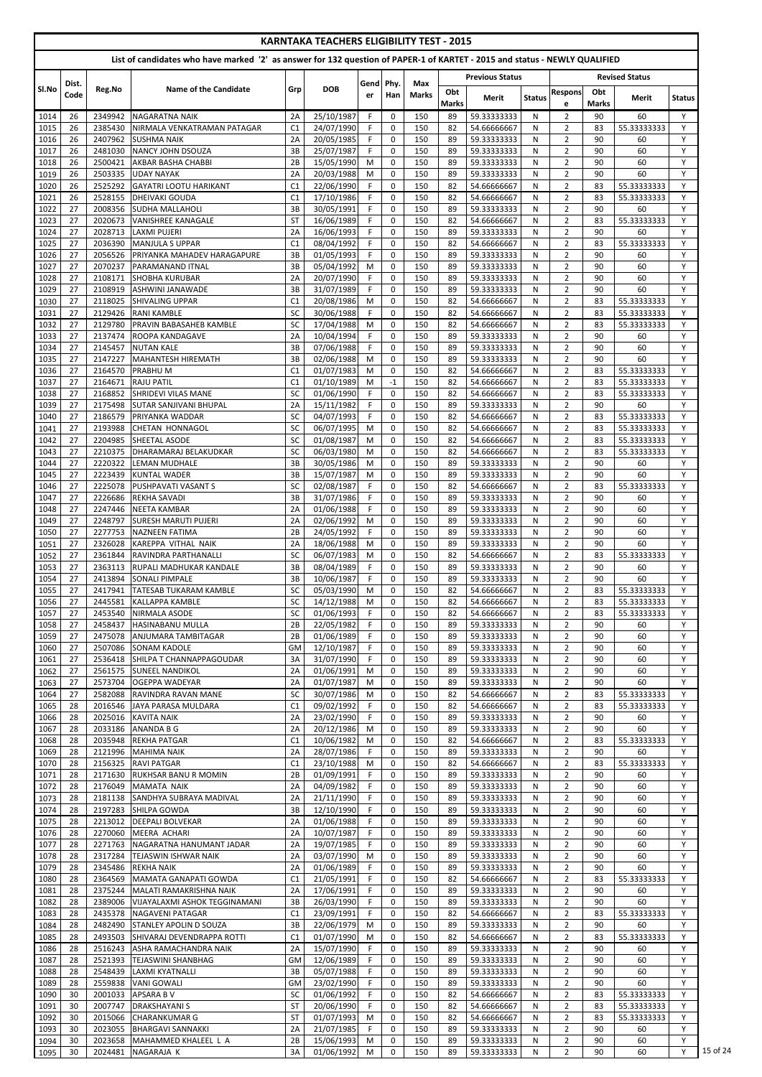|              |               |                    |                                                             |                      | <b>KARNTAKA TEACHERS ELIGIBILITY TEST - 2015</b> |                                                                                                                            |                            |              |                    |                            |               |                                  |                    |                       |               |
|--------------|---------------|--------------------|-------------------------------------------------------------|----------------------|--------------------------------------------------|----------------------------------------------------------------------------------------------------------------------------|----------------------------|--------------|--------------------|----------------------------|---------------|----------------------------------|--------------------|-----------------------|---------------|
|              |               |                    |                                                             |                      |                                                  | List of candidates who have marked '2' as answer for 132 question of PAPER-1 of KARTET - 2015 and status - NEWLY QUALIFIED |                            |              |                    |                            |               |                                  |                    |                       |               |
|              |               |                    |                                                             |                      |                                                  |                                                                                                                            |                            | Max          |                    | <b>Previous Status</b>     |               |                                  |                    | <b>Revised Status</b> |               |
| Sl.No        | Dist.<br>Code | Reg.No             | <b>Name of the Candidate</b>                                | Grp                  | <b>DOB</b>                                       | Gend Phy.<br>er                                                                                                            | Han                        | <b>Marks</b> | Obt                | Merit                      | <b>Status</b> | <b>Respons</b>                   | Obt                | Merit                 | <b>Status</b> |
| 1014         | 26            | 2349942            | <b>NAGARATNA NAIK</b>                                       | 2A                   | 25/10/1987                                       | F                                                                                                                          | $\mathbf 0$                | 150          | <b>Marks</b><br>89 | 59.33333333                | N             | e<br>$\overline{2}$              | <b>Marks</b><br>90 | 60                    | Y             |
| 1015         | 26            | 2385430            | NIRMALA VENKATRAMAN PATAGAR                                 | C <sub>1</sub>       | 24/07/1990                                       | F.                                                                                                                         | $\mathbf 0$                | 150          | 82                 | 54.66666667                | N             | $\overline{2}$                   | 83                 | 55.33333333           | Y             |
| 1016         | 26            | 2407962            | <b>SUSHMA NAIK</b>                                          | 2A                   | 20/05/1985                                       | F                                                                                                                          | $\mathbf 0$                | 150          | 89                 | 59.33333333                | N             | $\overline{2}$                   | 90                 | 60                    | Y             |
| 1017<br>1018 | 26<br>26      | 2481030<br>2500421 | NANCY JOHN DSOUZA<br>AKBAR BASHA CHABBI                     | 3B<br>2B             | 25/07/1987<br>15/05/1990                         | F.<br>M                                                                                                                    | $\mathbf 0$<br>0           | 150<br>150   | 89<br>89           | 59.33333333<br>59.33333333 | N<br>N        | $\overline{2}$<br>$\overline{2}$ | 90<br>90           | 60<br>60              | Y<br>Y        |
| 1019         | 26            | 2503335            | <b>UDAY NAYAK</b>                                           | 2A                   | 20/03/1988                                       | M                                                                                                                          | $\mathbf 0$                | 150          | 89                 | 59.33333333                | N             | $\overline{2}$                   | 90                 | 60                    | Y             |
| 1020         | 26            | 2525292            | <b>GAYATRI LOOTU HARIKANT</b>                               | C <sub>1</sub>       | 22/06/1990                                       | F                                                                                                                          | $\mathbf 0$                | 150          | 82                 | 54.66666667                | N             | $\overline{2}$                   | 83                 | 55.33333333           | Y             |
| 1021         | 26            | 2528155            | <b>DHEIVAKI GOUDA</b>                                       | C <sub>1</sub>       | 17/10/1986                                       | F.                                                                                                                         | $\mathbf 0$                | 150          | 82                 | 54.66666667                | N             | $\overline{2}$                   | 83                 | 55.33333333           | Y             |
| 1022         | 27            | 2008356            | <b>SUDHA MALLAHOLI</b>                                      | 3B                   | 30/05/1991                                       | F<br>F                                                                                                                     | 0                          | 150          | 89                 | 59.33333333                | N             | $\overline{2}$                   | 90                 | 60                    | Y<br>Y        |
| 1023<br>1024 | 27<br>27      | 2020673<br>2028713 | <b>VANISHREE KANAGALE</b><br><b>LAXMI PUJERI</b>            | <b>ST</b><br>2A      | 16/06/1989<br>16/06/1993                         | F                                                                                                                          | 0<br>$\mathbf 0$           | 150<br>150   | 82<br>89           | 54.66666667<br>59.33333333 | N<br>N.       | $\overline{2}$<br>$\overline{2}$ | 83<br>90           | 55.33333333<br>60     | Y             |
| 1025         | 27            | 2036390            | <b>MANJULA S UPPAR</b>                                      | C <sub>1</sub>       | 08/04/1992                                       | F.                                                                                                                         | 0                          | 150          | 82                 | 54.66666667                | N             | $\overline{2}$                   | 83                 | 55.33333333           | Y             |
| 1026         | 27            | 2056526            | PRIYANKA MAHADEV HARAGAPURE                                 | 3B                   | 01/05/1993                                       | F.                                                                                                                         | 0                          | 150          | 89                 | 59.33333333                | N             | $\overline{2}$                   | 90                 | 60                    | Y             |
| 1027         | 27<br>27      | 2070237<br>2108171 | <b>PARAMANAND ITNAL</b><br><b>SHOBHA KURUBAR</b>            | 3B<br>2A             | 05/04/1992<br>20/07/1990                         | M<br>F                                                                                                                     | 0<br>$\mathbf 0$           | 150<br>150   | 89<br>89           | 59.33333333<br>59.33333333 | N<br>N        | $\overline{2}$<br>$\overline{2}$ | 90<br>90           | 60<br>60              | Y<br>Y        |
| 1028<br>1029 | 27            | 2108919            | <b>ASHWINI JANAWADE</b>                                     | 3B                   | 31/07/1989                                       | F.                                                                                                                         | $\mathbf 0$                | 150          | 89                 | 59.33333333                | N             | $\overline{2}$                   | 90                 | 60                    | Y             |
| 1030         | 27            | 2118025            | <b>SHIVALING UPPAR</b>                                      | C <sub>1</sub>       | 20/08/1986                                       | M                                                                                                                          | 0                          | 150          | 82                 | 54.66666667                | N             | $\overline{2}$                   | 83                 | 55.33333333           | Y             |
| 1031         | 27            | 2129426            | <b>RANI KAMBLE</b>                                          | <b>SC</b>            | 30/06/1988                                       | F                                                                                                                          | $\mathbf 0$                | 150          | 82                 | 54.66666667                | N             | $\overline{2}$                   | 83                 | 55.33333333           | Y             |
| 1032         | 27            | 2129780            | PRAVIN BABASAHEB KAMBLE                                     | SC                   | 17/04/1988                                       | M                                                                                                                          | $\mathbf 0$                | 150          | 82                 | 54.66666667                | N             | $\overline{2}$                   | 83                 | 55.33333333           | Y             |
| 1033<br>1034 | 27<br>27      | 2137474<br>2145457 | <b>ROOPA KANDAGAVE</b><br><b>NUTAN KALE</b>                 | 2A<br>3B             | 10/04/1994<br>07/06/1988                         | F.<br>F                                                                                                                    | $\mathbf 0$<br>$\mathbf 0$ | 150<br>150   | 89<br>89           | 59.33333333<br>59.33333333 | N<br>N        | $\overline{2}$<br>$\overline{2}$ | 90<br>90           | 60<br>60              | Y<br>Y        |
| 1035         | 27            | 2147227            | <b>MAHANTESH HIREMATH</b>                                   | 3B                   | 02/06/1988                                       | M                                                                                                                          | $\mathbf 0$                | 150          | 89                 | 59.33333333                | N             | $\overline{2}$                   | 90                 | 60                    | Y             |
| 1036         | 27            | 2164570            | <b>PRABHUM</b>                                              | C <sub>1</sub>       | 01/07/1983                                       | M                                                                                                                          | $\mathbf 0$                | 150          | 82                 | 54.66666667                | N             | $\overline{2}$                   | 83                 | 55.33333333           | Y             |
| 1037         | 27            | 2164671            | <b>RAJU PATIL</b>                                           | C1                   | 01/10/1989                                       | M                                                                                                                          | $-1$                       | 150          | 82                 | 54.66666667                | N             | $\overline{2}$                   | 83                 | 55.33333333           | Y             |
| 1038<br>1039 | 27<br>27      | 2168852<br>2175498 | <b>SHRIDEVI VILAS MANE</b><br><b>SUTAR SANJIVANI BHUPAL</b> | <b>SC</b><br>2A      | 01/06/1990<br>15/11/1982                         | F<br>F                                                                                                                     | 0<br>0                     | 150<br>150   | 82<br>89           | 54.66666667<br>59.33333333 | N<br>N        | $\overline{2}$<br>$\overline{2}$ | 83<br>90           | 55.33333333<br>60     | Y<br>Y        |
| 1040         | 27            | 2186579            | <b>PRIYANKA WADDAR</b>                                      | <b>SC</b>            | 04/07/1993                                       | F.                                                                                                                         | $\mathbf 0$                | 150          | 82                 | 54.66666667                | N             | $\overline{2}$                   | 83                 | 55.33333333           | Y             |
| 1041         | 27            | 2193988            | <b>CHETAN HONNAGOL</b>                                      | SC                   | 06/07/1995                                       | M                                                                                                                          | $\mathbf 0$                | 150          | 82                 | 54.66666667                | N             | $\overline{2}$                   | 83                 | 55.33333333           | Y             |
| 1042         | 27            |                    | 2204985 SHEETAL ASODE                                       | SC.                  | 01/08/1987                                       | M                                                                                                                          | $\mathbf{0}$               | 150          | 82                 | 54.66666667                | N.            | $\overline{2}$                   | 83                 | 55.33333333           | Y             |
| 1043         | 27            | 2210375            | DHARAMARAJ BELAKUDKAR                                       | <b>SC</b>            | 06/03/1980                                       | M                                                                                                                          | $\Omega$                   | 150          | 82                 | 54.66666667                | N.            | $\overline{2}$<br>$\overline{2}$ | 83<br>90           | 55.33333333           | Y<br>Y        |
| 1044<br>1045 | 27<br>27      | 2220322<br>2223439 | LEMAN MUDHALE<br><b>KUNTAL WADER</b>                        | 3B<br>3B             | 30/05/1986<br>15/07/1987                         | M<br>M                                                                                                                     | 0<br>0                     | 150<br>150   | 89<br>89           | 59.33333333<br>59.33333333 | N<br>N        | $\overline{2}$                   | 90                 | 60<br>60              | Y             |
| 1046         | 27            | 2225078            | <b>PUSHPAVATI VASANT S</b>                                  | <b>SC</b>            | 02/08/1987                                       | F.                                                                                                                         | 0                          | 150          | 82                 | 54.66666667                | N             | $\overline{2}$                   | 83                 | 55.33333333           | Y             |
| 1047         | 27            | 2226686            | <b>REKHA SAVADI</b>                                         | 3B                   | 31/07/1986                                       | F.                                                                                                                         | $\mathbf 0$                | 150          | 89                 | 59.33333333                | N.            | $\overline{2}$                   | 90                 | 60                    | Y             |
| 1048         | 27            | 2247446            | <b>NEETA KAMBAR</b>                                         | 2A                   | 01/06/1988                                       | F.                                                                                                                         | $\mathbf 0$                | 150          | 89                 | 59.33333333                | N             | $\overline{2}$                   | 90                 | 60                    | Y             |
| 1049<br>1050 | 27<br>27      | 2248797<br>2277753 | <b>ISURESH MARUTI PUJERI</b><br><b>NAZNEEN FATIMA</b>       | 2A<br>2B             | 02/06/1992<br>24/05/1992                         | М<br>F.                                                                                                                    | $\mathbf 0$<br>$\mathbf 0$ | 150<br>150   | 89<br>89           | 59.33333333<br>59.33333333 | N<br>N        | $\overline{2}$<br>$\overline{2}$ | 90<br>90           | 60<br>60              | Y<br>Y        |
| 1051         | 27            | 2326028            | KAREPPA VITHAL NAIK                                         | 2A                   | 18/06/1988                                       | M                                                                                                                          | $\mathbf 0$                | 150          | 89                 | 59.33333333                | N.            | $\overline{2}$                   | 90                 | 60                    | Y             |
| 1052         | 27            | 2361844            | RAVINDRA PARTHANALLI                                        | <b>SC</b>            | 06/07/1983                                       | M                                                                                                                          | 0                          | 150          | 82                 | 54.66666667                | N             | $\overline{2}$                   | 83                 | 55.33333333           | Y             |
| 1053         | 27            | 2363113            | RUPALI MADHUKAR KANDALE                                     | 3B                   | 08/04/1989                                       | F.                                                                                                                         | 0                          | 150          | 89                 | 59.33333333                | N             | $\overline{2}$                   | 90                 | 60                    | Y             |
| 1054<br>1055 | 27<br>27      | 2413894<br>2417941 | <b>SONALI PIMPALE</b><br>TATESAB TUKARAM KAMBLE             | 3B<br><b>SC</b>      | 10/06/1987<br>05/03/1990                         | F.<br>M                                                                                                                    | 0<br>$\mathbf 0$           | 150<br>150   | 89<br>82           | 59.33333333<br>54.66666667 | N<br>N        | $\overline{2}$<br>$\overline{2}$ | 90<br>83           | 60<br>55.33333333     | Y<br>Y        |
| 1056         | 27            | 2445581            | <b>KALLAPPA KAMBLE</b>                                      | <b>SC</b>            | 14/12/1988                                       | M                                                                                                                          | 0                          | 150          | 82                 | 54.66666667                | N             | $\overline{2}$                   | 83                 | 55.33333333           | Y             |
| 1057         | 27            | 2453540            | NIRMALA ASODE                                               | <b>SC</b>            | 01/06/1993                                       | F.                                                                                                                         | $\mathbf 0$                | 150          | 82                 | 54.66666667                | N             | $\overline{2}$                   | 83                 | 55.33333333           | Υ             |
| 1058         | 27            | 2458437            | <b>HASINABANU MULLA</b>                                     | 2B                   | 22/05/1982                                       | F.                                                                                                                         | $\mathbf 0$                | 150          | 89                 | 59.33333333                | N             | $\overline{2}$                   | 90                 | 60                    | Y             |
| 1059         | 27<br>27      | 2475078            | <b>JANJUMARA TAMBITAGAR</b>                                 | 2B<br>GM             | 01/06/1989                                       | F.<br>F                                                                                                                    | $\mathbf 0$                | 150<br>150   | 89                 | 59.33333333                | N             | $\overline{2}$                   | 90<br>90           | 60<br>60              | Y<br>Y        |
| 1060<br>1061 | 27            | 2507086<br>2536418 | <b>SONAM KADOLE</b><br>SHILPA T CHANNAPPAGOUDAR             | 3A                   | 12/10/1987<br>31/07/1990                         | F.                                                                                                                         | 0<br>0                     | 150          | 89<br>89           | 59.33333333<br>59.33333333 | N<br>N.       | $\overline{2}$<br>$\overline{2}$ | 90                 | 60                    | Y             |
| 1062         | 27            | 2561575            | <b>ISUNEEL NANDIKOL</b>                                     | 2A                   | 01/06/1991                                       | M                                                                                                                          | 0                          | 150          | 89                 | 59.33333333                | N             | $\overline{2}$                   | 90                 | 60                    | Y             |
| 1063         | 27            | 2573704            | <b>OGEPPA WADEYAR</b>                                       | 2A                   | 01/07/1987                                       | M                                                                                                                          | $\mathbf 0$                | 150          | 89                 | 59.33333333                | N             | $\overline{2}$                   | 90                 | 60                    | Y             |
| 1064         | 27            | 2582088            | RAVINDRA RAVAN MANE                                         | <b>SC</b>            | 30/07/1986                                       | M                                                                                                                          | $\mathbf 0$                | 150          | 82                 | 54.66666667                | N             | $\overline{2}$                   | 83                 | 55.33333333           | Y             |
| 1065<br>1066 | 28<br>28      | 2016546<br>2025016 | JAYA PARASA MULDARA<br>KAVITA NAIK                          | C <sub>1</sub><br>2A | 09/02/1992<br>23/02/1990                         | F.<br>F.                                                                                                                   | $\mathbf 0$<br>$\mathbf 0$ | 150<br>150   | 82<br>89           | 54.66666667<br>59.33333333 | N<br>N        | $\overline{2}$<br>$\overline{2}$ | 83<br>90           | 55.33333333<br>60     | Y<br>Y        |
| 1067         | 28            | 2033186            | <b>ANANDA B G</b>                                           | 2A                   | 20/12/1986                                       | M                                                                                                                          | $\mathbf 0$                | 150          | 89                 | 59.33333333                | N             | $\overline{2}$                   | 90                 | 60                    | Y             |
| 1068         | 28            | 2035948            | <b>REKHA PATGAR</b>                                         | C <sub>1</sub>       | 10/06/1982                                       | M                                                                                                                          | 0                          | 150          | 82                 | 54.66666667                | N             | $\overline{2}$                   | 83                 | 55.33333333           | Y             |
| 1069         | 28            | 2121996            | <b>MAHIMA NAIK</b>                                          | 2A                   | 28/07/1986                                       | F.                                                                                                                         | 0                          | 150          | 89                 | 59.33333333                | N             | $\overline{2}$                   | 90                 | 60                    | Y             |
| 1070<br>1071 | 28<br>28      | 2156325<br>2171630 | <b>RAVI PATGAR</b><br><b>RUKHSAR BANU R MOMIN</b>           | C <sub>1</sub><br>2B | 23/10/1988<br>01/09/1991                         | M<br>F.                                                                                                                    | $\mathbf 0$<br>0           | 150<br>150   | 82<br>89           | 54.66666667<br>59.33333333 | N<br>N        | $\overline{2}$<br>$\overline{2}$ | 83<br>90           | 55.33333333<br>60     | Y<br>Y        |
| 1072         | 28            | 2176049            | <b>MAMATA NAIK</b>                                          | 2A                   | 04/09/1982                                       | F.                                                                                                                         | 0                          | 150          | 89                 | 59.33333333                | N             | $\overline{2}$                   | 90                 | 60                    | Y             |
| 1073         | 28            | 2181138            | <b>SANDHYA SUBRAYA MADIVAL</b>                              | 2A                   | 21/11/1990                                       | F.                                                                                                                         | $\mathbf 0$                | 150          | 89                 | 59.33333333                | N             | $\overline{2}$                   | 90                 | 60                    | Y             |
| 1074         | 28            | 2197283            | <b>SHILPA GOWDA</b>                                         | 3B                   | 12/10/1990                                       | F.                                                                                                                         | $\mathbf 0$                | 150          | 89                 | 59.33333333                | N             | $\overline{2}$                   | 90                 | 60                    | Y             |
| 1075         | 28            | 2213012            | <b>DEEPALI BOLVEKAR</b>                                     | 2A                   | 01/06/1988                                       | F.                                                                                                                         | 0                          | 150          | 89                 | 59.33333333                | N             | $\overline{2}$                   | 90                 | 60                    | Y             |
| 1076<br>1077 | 28<br>28      | 2270060            | MEERA ACHARI<br>2271763 NAGARATNA HANUMANT JADAR            | 2A<br>ZA             | 10/07/1987<br>19/07/1985                         | F.<br>F.                                                                                                                   | 0<br>0                     | 150<br>150   | 89<br>89           | 59.33333333<br>59.33333333 | N<br>N        | $\overline{2}$<br>$\overline{2}$ | 90<br>90           | 60<br>60              | Y<br>Υ        |
| 1078         | 28            | 2317284            | TEJASWIN ISHWAR NAIK                                        | 2A                   | 03/07/1990                                       | M                                                                                                                          | $\Omega$                   | 150          | 89                 | 59.33333333                | N.            | $\overline{2}$                   | 90                 | 60                    | Y             |
| 1079         | 28            | 2345486            | <b>REKHA NAIK</b>                                           | 2A                   | 01/06/1989                                       | F.                                                                                                                         | 0                          | 150          | 89                 | 59.33333333                | N             | $\overline{2}$                   | 90                 | 60                    | Y             |
| 1080         | 28            | 2364569            | MAMATA GANAPATI GOWDA                                       | C1                   | 21/05/1991                                       | F.                                                                                                                         | 0                          | 150          | 82                 | 54.66666667                | N             | $\overline{2}$                   | 83                 | 55.33333333           | Y             |
| 1081         | 28<br>28      | 2375244<br>2389006 | MALATI RAMAKRISHNA NAIK<br>VIJAYALAXMI ASHOK TEGGINAMANI    | 2A<br>3B             | 17/06/1991<br>26/03/1990                         | F.<br>F.                                                                                                                   | 0<br>0                     | 150<br>150   | 89<br>89           | 59.33333333<br>59.33333333 | N<br>N        | $\overline{2}$<br>$\overline{2}$ | 90<br>90           | 60<br>60              | Y<br>Y        |
| 1082<br>1083 | 28            | 2435378            | <b>NAGAVENI PATAGAR</b>                                     | C1                   | 23/09/1991                                       | F.                                                                                                                         | 0                          | 150          | 82                 | 54.66666667                | N             | $\overline{2}$                   | 83                 | 55.33333333           | Y             |
| 1084         | 28            | 2482490            | <b>STANLEY APOLIN D SOUZA</b>                               | 3B                   | 22/06/1979                                       | M                                                                                                                          | 0                          | 150          | 89                 | 59.33333333                | N             | $\overline{2}$                   | 90                 | 60                    | Y             |
| 1085         | 28            | 2493503            | SHIVARAJ DEVENDRAPPA ROTTI                                  | C <sub>1</sub>       | 01/07/1990                                       | M                                                                                                                          | 0                          | 150          | 82                 | 54.66666667                | N             | $\overline{2}$                   | 83                 | 55.33333333           | Y             |
| 1086         | 28            | 2516243            | <b>ASHA RAMACHANDRA NAIK</b>                                | 2A                   | 15/07/1990                                       | F.                                                                                                                         | 0                          | 150          | 89                 | 59.33333333                | N             | $\overline{2}$                   | 90                 | 60                    | Y             |
| 1087<br>1088 | 28<br>28      | 2521393<br>2548439 | <b>TEJASWINI SHANBHAG</b><br>LAXMI KYATNALLI                | GM<br>3B             | 12/06/1989<br>05/07/1988                         | F.<br>F.                                                                                                                   | $\mathbf 0$<br>0           | 150<br>150   | 89<br>89           | 59.33333333<br>59.33333333 | N<br>N        | $\overline{2}$<br>$\overline{2}$ | 90<br>90           | 60<br>60              | Y<br>Y        |
| 1089         | 28            | 2559838            | VANI GOWALI                                                 | <b>GM</b>            | 23/02/1990                                       | F.                                                                                                                         | $\mathbf 0$                | 150          | 89                 | 59.33333333                | N             | $\overline{2}$                   | 90                 | 60                    | Y             |
| 1090         | 30            | 2001033            | <b>APSARA BV</b>                                            | <b>SC</b>            | 01/06/1992                                       | F.                                                                                                                         | 0                          | 150          | 82                 | 54.66666667                | N             | $\overline{2}$                   | 83                 | 55.33333333           | Y             |
| 1091         | 30            | 2007747            | <b>DRAKSHAYANI S</b>                                        | <b>ST</b>            | 20/06/1990                                       | F.                                                                                                                         | 0                          | 150          | 82                 | 54.66666667                | N             | $\overline{2}$                   | 83                 | 55.33333333           | Y             |
| 1092         | 30            | 2015066            | ICHARANKUMAR G                                              | ST                   | 01/07/1993                                       | M                                                                                                                          | 0                          | 150          | 82                 | 54.66666667                | N             | $\overline{2}$                   | 83                 | 55.33333333           | Y             |
| 1093<br>1094 | 30<br>30      | 2023055<br>2023658 | <b>BHARGAVI SANNAKKI</b><br>MAHAMMED KHALEEL L A            | 2A<br>2B             | 21/07/1985<br>15/06/1993                         | F.<br>M                                                                                                                    | 0<br>0                     | 150<br>150   | 89<br>89           | 59.33333333<br>59.33333333 | N<br>N        | $\overline{2}$<br>$\overline{2}$ | 90<br>90           | 60<br>60              | Y<br>Y        |
| 1095         | 30            | 2024481            | NAGARAJA K                                                  | 3A                   | 01/06/1992                                       | M                                                                                                                          | 0                          | 150          | 89                 | 59.33333333                | N             | $\overline{2}$                   | 90                 | 60                    | Y             |
|              |               |                    |                                                             |                      |                                                  |                                                                                                                            |                            |              |                    |                            |               |                                  |                    |                       |               |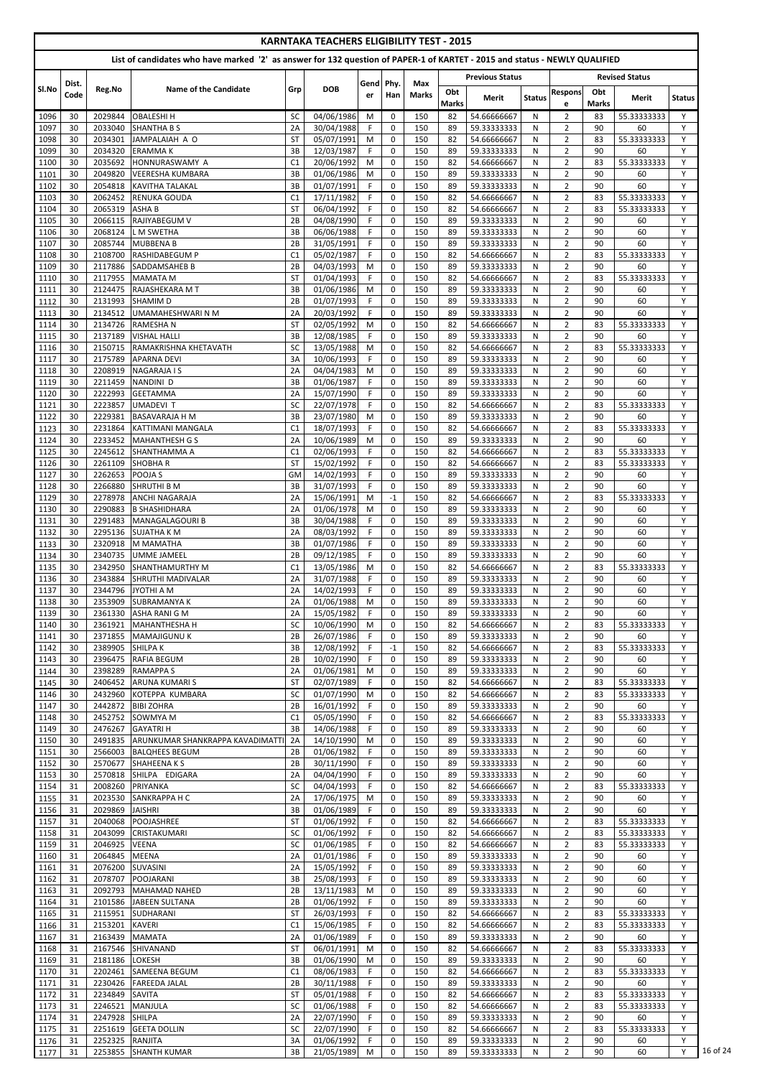|              |               |                    |                                                                                                                            |                      | <b>KARNTAKA TEACHERS ELIGIBILITY TEST - 2015</b> |                 |                            |                     |                    |                            |               |                                  |                    |                       |               |
|--------------|---------------|--------------------|----------------------------------------------------------------------------------------------------------------------------|----------------------|--------------------------------------------------|-----------------|----------------------------|---------------------|--------------------|----------------------------|---------------|----------------------------------|--------------------|-----------------------|---------------|
|              |               |                    | List of candidates who have marked '2' as answer for 132 question of PAPER-1 of KARTET - 2015 and status - NEWLY QUALIFIED |                      |                                                  |                 |                            |                     |                    |                            |               |                                  |                    |                       |               |
|              |               |                    |                                                                                                                            |                      |                                                  |                 |                            |                     |                    | <b>Previous Status</b>     |               |                                  |                    | <b>Revised Status</b> |               |
| SI.No        | Dist.<br>Code | Reg.No             | <b>Name of the Candidate</b>                                                                                               | Grp                  | <b>DOB</b>                                       | Gend Phy.<br>er | Han                        | Max<br><b>Marks</b> | Obt                | Merit                      | <b>Status</b> | <b>Respons</b>                   | Obt                | Merit                 | <b>Status</b> |
|              | 30            | 2029844            | <b>OBALESHI H</b>                                                                                                          | SC                   | 04/06/1986                                       | M               | $\mathbf 0$                | 150                 | <b>Marks</b><br>82 | 54.66666667                | N             | e<br>$\overline{2}$              | <b>Marks</b><br>83 | 55.33333333           | Y             |
| 1096<br>1097 | 30            | 2033040            | <b>SHANTHA B S</b>                                                                                                         | 2A                   | 30/04/1988                                       | F.              | $\mathbf 0$                | 150                 | 89                 | 59.33333333                | N             | $\overline{2}$                   | 90                 | 60                    | Y             |
| 1098         | 30            | 2034301            | JAMPALAIAH A O                                                                                                             | <b>ST</b>            | 05/07/1991                                       | M               | $\mathbf 0$                | 150                 | 82                 | 54.66666667                | N             | $\overline{2}$                   | 83                 | 55.33333333           | Y             |
| 1099         | 30            | 2034320<br>2035692 | <b>ERAMMAK</b><br>HONNURASWAMY A                                                                                           | 3B                   | 12/03/1987<br>20/06/1992                         | F<br>M          | $\mathbf 0$                | 150<br>150          | 89                 | 59.33333333                | N             | $\overline{2}$                   | 90<br>83           | 60<br>55.33333333     | Y<br>Y        |
| 1100<br>1101 | 30<br>30      | 2049820            | <b>VEERESHA KUMBARA</b>                                                                                                    | C <sub>1</sub><br>3B | 01/06/1986                                       | M               | 0<br>$\mathbf 0$           | 150                 | 82<br>89           | 54.66666667<br>59.33333333 | N<br>N        | $\overline{2}$<br>$\overline{2}$ | 90                 | 60                    | Y             |
| 1102         | 30            | 2054818            | <b>KAVITHA TALAKAL</b>                                                                                                     | 3B                   | 01/07/1991                                       | F               | $\mathbf 0$                | 150                 | 89                 | 59.33333333                | N             | $\overline{2}$                   | 90                 | 60                    | Y             |
| 1103         | 30            | 2062452            | <b>RENUKA GOUDA</b>                                                                                                        | C <sub>1</sub>       | 17/11/1982                                       | F.              | $\mathbf 0$                | 150                 | 82                 | 54.66666667                | N             | $\overline{2}$                   | 83                 | 55.33333333           | Y             |
| 1104<br>1105 | 30<br>30      | 2065319<br>2066115 | <b>ASHAB</b><br>RAJIYABEGUM V                                                                                              | <b>ST</b><br>2B      | 06/04/1992<br>04/08/1990                         | F<br>F          | 0<br>0                     | 150<br>150          | 82<br>89           | 54.66666667<br>59.33333333 | N<br>N        | $\overline{2}$<br>$\overline{2}$ | 83<br>90           | 55.33333333<br>60     | Y<br>Y        |
| 1106         | 30            | 2068124            | <b>LM SWETHA</b>                                                                                                           | 3B                   | 06/06/1988                                       | F.              | $\mathbf 0$                | 150                 | 89                 | 59.33333333                | N.            | $\overline{2}$                   | 90                 | 60                    | Y             |
| 1107         | 30            | 2085744            | <b>MUBBENA B</b>                                                                                                           | 2B                   | 31/05/1991                                       | F.              | 0                          | 150                 | 89                 | 59.33333333                | N             | $\overline{2}$                   | 90                 | 60                    | Y             |
| 1108<br>1109 | 30<br>30      | 2108700<br>2117886 | <b>RASHIDABEGUM P</b><br><b>SADDAMSAHEB B</b>                                                                              | C <sub>1</sub><br>2B | 05/02/1987<br>04/03/1993                         | F.<br>M         | $\mathbf 0$<br>0           | 150<br>150          | 82<br>89           | 54.66666667<br>59.33333333 | N<br>N        | $\overline{2}$<br>$\overline{2}$ | 83<br>90           | 55.33333333<br>60     | Y<br>Y        |
| 1110         | 30            | 2117955            | <b>MAMATA M</b>                                                                                                            | <b>ST</b>            | 01/04/1993                                       | F               | $\mathbf 0$                | 150                 | 82                 | 54.66666667                | N             | $\overline{2}$                   | 83                 | 55.33333333           | Y             |
| 1111         | 30            | 2124475            | RAJASHEKARA MT                                                                                                             | 3B                   | 01/06/1986                                       | M               | 0                          | 150                 | 89                 | 59.33333333                | N             | $\overline{2}$                   | 90                 | 60                    | Y             |
| 1112         | 30            | 2131993            | <b>SHAMIMD</b>                                                                                                             | 2B                   | 01/07/1993                                       | F               | 0                          | 150                 | 89                 | 59.33333333                | N             | $\overline{2}$                   | 90                 | 60                    | Y             |
| 1113<br>1114 | 30<br>30      | 2134512<br>2134726 | UMAMAHESHWARI N M<br><b>RAMESHAN</b>                                                                                       | 2A<br><b>ST</b>      | 20/03/1992<br>02/05/1992                         | F<br>M          | 0<br>$\mathbf 0$           | 150<br>150          | 89<br>82           | 59.33333333<br>54.66666667 | N<br>N        | $\overline{2}$<br>$\overline{2}$ | 90<br>83           | 60<br>55.33333333     | Y<br>Y        |
| 1115         | 30            | 2137189            | <b>VISHAL HALLI</b>                                                                                                        | 3B                   | 12/08/1985                                       | F               | $\mathbf 0$                | 150                 | 89                 | 59.33333333                | N             | $\overline{2}$                   | 90                 | 60                    | Y             |
| 1116         | 30            | 2150715            | RAMAKRISHNA KHETAVATH                                                                                                      | <b>SC</b>            | 13/05/1988                                       | M               | $\mathbf 0$                | 150                 | 82                 | 54.66666667                | N             | $\overline{2}$                   | 83                 | 55.33333333           | Y             |
| 1117<br>1118 | 30<br>30      | 2175789<br>2208919 | <b>APARNA DEVI</b><br><b>NAGARAJA I S</b>                                                                                  | 3A<br>2A             | 10/06/1993<br>04/04/1983                         | F<br>M          | $\mathbf 0$<br>$\mathbf 0$ | 150<br>150          | 89<br>89           | 59.33333333<br>59.33333333 | N<br>N        | $\overline{2}$<br>$\overline{2}$ | 90<br>90           | 60<br>60              | Y<br>Y        |
| 1119         | 30            | 2211459            | NANDINI D                                                                                                                  | 3B                   | 01/06/1987                                       | F               | $\mathbf 0$                | 150                 | 89                 | 59.33333333                | N             | $\overline{2}$                   | 90                 | 60                    | Y             |
| 1120         | 30            | 2222993            | <b>GEETAMMA</b>                                                                                                            | 2A                   | 15/07/1990                                       | F               | $\mathbf 0$                | 150                 | 89                 | 59.33333333                | N             | $\overline{2}$                   | 90                 | 60                    | Y             |
| 1121         | 30            | 2223857            | <b>UMADEVI T</b>                                                                                                           | <b>SC</b>            | 22/07/1978                                       | F               | 0                          | 150                 | 82                 | 54.66666667                | N             | $\overline{2}$                   | 83                 | 55.33333333           | Y             |
| 1122<br>1123 | 30<br>30      | 2229381<br>2231864 | <b>BASAVARAJA H M</b><br>KATTIMANI MANGALA                                                                                 | 3B<br>C1             | 23/07/1980<br>18/07/1993                         | M<br>F.         | $\mathbf 0$<br>0           | 150<br>150          | 89<br>82           | 59.33333333<br>54.66666667 | N<br>N        | $\overline{2}$<br>$\overline{2}$ | 90<br>83           | 60<br>55.33333333     | Y<br>Y        |
| 1124         | 30            |                    | 2233452 MAHANTHESH G S                                                                                                     | 2A                   | 10/06/1989                                       | M               | $\mathbf{0}$               | 150                 | 89                 | 59.33333333                | N.            | $\overline{2}$                   | 90                 | 60                    | Y             |
| 1125         | 30            | 2245612            | <b>SHANTHAMMA A</b>                                                                                                        | C <sub>1</sub>       | 02/06/1993                                       | F.              | $\Omega$                   | 150                 | 82                 | 54.66666667                | N             | $\overline{2}$                   | 83                 | 55.33333333           | Y             |
| 1126         | 30            | 2261109            | <b>SHOBHAR</b>                                                                                                             | <b>ST</b>            | 15/02/1992                                       | F.              | 0                          | 150                 | 82                 | 54.66666667                | N             | $\overline{2}$                   | 83                 | 55.33333333           | Y             |
| 1127<br>1128 | 30<br>30      | 2262653<br>2266880 | POOJA S<br><b>SHRUTHI B M</b>                                                                                              | GM<br>3B             | 14/02/1993<br>31/07/1993                         | F.<br>F.        | 0<br>0                     | 150<br>150          | 89<br>89           | 59.33333333<br>59.33333333 | N<br>N        | $\overline{2}$<br>$\overline{2}$ | 90<br>90           | 60<br>60              | Y<br>Y        |
| 1129         | 30            | 2278978            | <b>ANCHI NAGARAJA</b>                                                                                                      | 2A                   | 15/06/1991                                       | M               | $-1$                       | 150                 | 82                 | 54.66666667                | N             | $\overline{2}$                   | 83                 | 55.33333333           | Y             |
| 1130         | 30            | 2290883            | <b>B SHASHIDHARA</b>                                                                                                       | 2A                   | 01/06/1978                                       | M               | 0                          | 150                 | 89                 | 59.33333333                | N             | $\overline{2}$                   | 90                 | 60                    | Y             |
| 1131         | 30            | 2291483            | <b>MANAGALAGOURIB</b>                                                                                                      | 3B                   | 30/04/1988                                       | F.              | 0                          | 150                 | 89                 | 59.33333333                | N             | $\overline{2}$                   | 90                 | 60                    | Y             |
| 1132<br>1133 | 30<br>30      | 2295136<br>2320918 | <b>SUJATHA K M</b><br>M MAMATHA                                                                                            | 2A<br>3B             | 08/03/1992<br>01/07/1986                         | F<br>F.         | $\mathbf 0$<br>$\mathbf 0$ | 150<br>150          | 89<br>89           | 59.33333333<br>59.33333333 | N<br>N.       | $\overline{2}$<br>$\overline{2}$ | 90<br>90           | 60<br>60              | Y<br>Y        |
| 1134         | 30            | 2340735            | <b>UMME JAMEEL</b>                                                                                                         | 2B                   | 09/12/1985                                       | F.              | $\mathbf 0$                | 150                 | 89                 | 59.33333333                | N             | $\overline{2}$                   | 90                 | 60                    | Y             |
| 1135         | 30            | 2342950            | <b>SHANTHAMURTHY M</b>                                                                                                     | C <sub>1</sub>       | 13/05/1986                                       | M               | 0                          | 150                 | 82                 | 54.66666667                | N             | $\overline{2}$                   | 83                 | 55.33333333           | Y             |
| 1136         | 30            | 2343884            | <b>SHRUTHI MADIVALAR</b>                                                                                                   | 2A                   | 31/07/1988                                       | F.              | 0                          | 150                 | 89                 | 59.33333333                | N             | $\overline{2}$                   | 90                 | 60                    | Y             |
| 1137<br>1138 | 30<br>30      | 2344796<br>2353909 | JYOTHI A M<br><b>SUBRAMANYA K</b>                                                                                          | 2A<br>2A             | 14/02/1993<br>01/06/1988                         | F.<br>M         | $\mathbf 0$<br>0           | 150<br>150          | 89<br>89           | 59.33333333<br>59.33333333 | N<br>N        | $\overline{2}$<br>$\overline{2}$ | 90<br>90           | 60<br>60              | Y<br>Y        |
| 1139         | 30            | 2361330            | ASHA RANI G M                                                                                                              | 2A                   | 15/05/1982                                       | F.              | $\mathbf 0$                | 150                 | 89                 | 59.33333333                | N             | $\overline{2}$                   | 90                 | 60                    | Y             |
| 1140         | 30            | 2361921            | MAHANTHESHA H                                                                                                              | <b>SC</b>            | 10/06/1990                                       | M               | $\mathbf 0$                | 150                 | 82                 | 54.66666667                | N             | $\overline{2}$                   | 83                 | 55.33333333           | Y             |
| 1141         | 30            | 2371855            | <b>MAMAJIGUNU K</b>                                                                                                        | 2B                   | 26/07/1986                                       | F.              | $\mathbf 0$                | 150                 | 89                 | 59.33333333                | N             | $\overline{2}$                   | 90                 | 60                    | Y             |
| 1142<br>1143 | 30<br>30      | 2389905<br>2396475 | <b>SHILPAK</b><br><b>RAFIA BEGUM</b>                                                                                       | 3B<br>2B             | 12/08/1992<br>10/02/1990                         | F<br>F.         | $-1$<br>0                  | 150<br>150          | 82<br>89           | 54.66666667<br>59.33333333 | N<br>N        | $\overline{2}$<br>$\overline{2}$ | 83<br>90           | 55.33333333<br>60     | Y<br>Y        |
| 1144         | 30            | 2398289            | <b>RAMAPPA S</b>                                                                                                           | 2A                   | 01/06/1981                                       | M               | $\mathbf 0$                | 150                 | 89                 | 59.33333333                | N             | $\overline{2}$                   | 90                 | 60                    | Y             |
| 1145         | 30            | 2406452            | <b>ARUNA KUMARI S</b>                                                                                                      | <b>ST</b>            | 02/07/1989                                       | F.              | $\mathbf 0$                | 150                 | 82                 | 54.66666667                | N             | $\overline{2}$                   | 83                 | 55.33333333           | Y             |
| 1146         | 30            | 2432960            | KOTEPPA KUMBARA                                                                                                            | <b>SC</b>            | 01/07/1990                                       | M               | 0                          | 150                 | 82                 | 54.66666667                | N             | $\overline{2}$                   | 83                 | 55.33333333           | Y<br>Y        |
| 1147<br>1148 | 30<br>30      | 2442872<br>2452752 | <b>BIBI ZOHRA</b><br>SOWMYA M                                                                                              | 2B<br>C <sub>1</sub> | 16/01/1992<br>05/05/1990                         | F.<br>F.        | $\mathbf 0$<br>$\mathbf 0$ | 150<br>150          | 89<br>82           | 59.33333333<br>54.66666667 | N<br>N        | $\overline{2}$<br>$\overline{2}$ | 90<br>83           | 60<br>55.33333333     | Y             |
| 1149         | 30            | 2476267            | <b>GAYATRIH</b>                                                                                                            | 3B                   | 14/06/1988                                       | F.              | $\mathbf 0$                | 150                 | 89                 | 59.33333333                | N             | $\overline{2}$                   | 90                 | 60                    | Y             |
| 1150         | 30            | 2491835            | <b>JARUNKUMAR SHANKRAPPA KAVADIMATTI</b>                                                                                   | 2A                   | 14/10/1990                                       | M               | 0                          | 150                 | 89                 | 59.33333333                | N             | $\overline{2}$                   | 90                 | 60                    | Y             |
| 1151<br>1152 | 30<br>30      | 2566003<br>2570677 | <b>BALQHEES BEGUM</b><br><b>SHAHEENAKS</b>                                                                                 | 2B<br>2B             | 01/06/1982<br>30/11/1990                         | F.<br>F.        | 0<br>$\mathbf 0$           | 150<br>150          | 89<br>89           | 59.33333333<br>59.33333333 | N             | $\overline{2}$<br>$\overline{2}$ | 90<br>90           | 60<br>60              | Y<br>Y        |
| 1153         | 30            | 2570818            | SHILPA EDIGARA                                                                                                             | 2A                   | 04/04/1990                                       | F.              | 0                          | 150                 | 89                 | 59.33333333                | N<br>N        | $\overline{2}$                   | 90                 | 60                    | Y             |
| 1154         | 31            | 2008260            | PRIYANKA                                                                                                                   | <b>SC</b>            | 04/04/1993                                       | F.              | 0                          | 150                 | 82                 | 54.66666667                | N             | $\overline{2}$                   | 83                 | 55.33333333           | Y             |
| 1155         | 31            | 2023530            | SANKRAPPA H C                                                                                                              | 2A                   | 17/06/1975                                       | M               | $\mathbf 0$                | 150                 | 89                 | 59.33333333                | N             | $\overline{2}$                   | 90                 | 60                    | Y             |
| 1156<br>1157 | 31<br>31      | 2029869<br>2040068 | <b>JAISHRI</b><br>POOJASHREE                                                                                               | 3B<br><b>ST</b>      | 01/06/1989<br>01/06/1992                         | F.<br>F.        | $\mathbf 0$<br>0           | 150<br>150          | 89<br>82           | 59.33333333<br>54.66666667 | N<br>N        | $\overline{2}$<br>$\overline{2}$ | 90<br>83           | 60<br>55.33333333     | Y<br>Y        |
| 1158         | 31            | 2043099            | <b>CRISTAKUMARI</b>                                                                                                        | <b>SC</b>            | 01/06/1992                                       | F               | 0                          | 150                 | 82                 | 54.66666667                | N             | $\overline{2}$                   | 83                 | 55.33333333           | Y             |
| 1159         | 31            | 2046925 VEENA      |                                                                                                                            | SC.                  | 01/06/1985                                       | t.              | 0                          | 150                 | 82                 | 54.66666667                | N             | $\overline{2}$                   | 83                 | 55.33333333           | Υ             |
| 1160         | 31            | 2064845            | <b>MEENA</b>                                                                                                               | 2A                   | 01/01/1986                                       | F.              | 0                          | 150                 | 89                 | 59.33333333                | N.            | $\overline{2}$                   | 90                 | 60                    | Y             |
| 1161<br>1162 | 31<br>31      | 2076200<br>2078707 | SUVASINI<br>POOJARANI                                                                                                      | 2A<br>3B             | 15/05/1992<br>25/08/1993                         | F.<br>F.        | 0<br>0                     | 150<br>150          | 89<br>89           | 59.33333333<br>59.33333333 | N<br>N        | $\overline{2}$<br>$\overline{2}$ | 90<br>90           | 60<br>60              | Y<br>Y        |
| 1163         | 31            | 2092793            | MAHAMAD NAHED                                                                                                              | 2B                   | 13/11/1983                                       | M               | 0                          | 150                 | 89                 | 59.33333333                | N             | $\overline{2}$                   | 90                 | 60                    | Y             |
| 1164         | 31            | 2101586            | JABEEN SULTANA                                                                                                             | 2B                   | 01/06/1992                                       | F.              | $\mathbf 0$                | 150                 | 89                 | 59.33333333                | N             | $\overline{2}$                   | 90                 | 60                    | Y             |
| 1165         | 31            | 2115951            | <b>SUDHARANI</b>                                                                                                           | <b>ST</b>            | 26/03/1993                                       | F.              | 0                          | 150                 | 82                 | 54.66666667                | N             | $\overline{2}$                   | 83                 | 55.33333333           | Y             |
| 1166<br>1167 | 31<br>31      | 2153201<br>2163439 | <b>KAVERI</b><br><b>MAMATA</b>                                                                                             | C <sub>1</sub><br>2A | 15/06/1985<br>01/06/1989                         | F.<br>F.        | 0<br>0                     | 150<br>150          | 82<br>89           | 54.66666667<br>59.33333333 | N<br>N        | $\overline{2}$<br>$\overline{2}$ | 83<br>90           | 55.33333333<br>60     | Y<br>Y        |
| 1168         | 31            | 2167546            | SHIVANAND                                                                                                                  | <b>ST</b>            | 06/01/1991                                       | M               | 0                          | 150                 | 82                 | 54.66666667                | N             | $\overline{2}$                   | 83                 | 55.33333333           | Y             |
| 1169         | 31            | 2181186            | <b>LOKESH</b>                                                                                                              | 3B                   | 01/06/1990                                       | M               | $\mathbf 0$                | 150                 | 89                 | 59.33333333                | N             | $\overline{2}$                   | 90                 | 60                    | Y             |
| 1170         | 31            | 2202461            | <b>SAMEENA BEGUM</b>                                                                                                       | C1                   | 08/06/1983                                       | F.              | $\mathbf 0$                | 150                 | 82                 | 54.66666667                | N             | $\overline{2}$                   | 83                 | 55.33333333           | Y             |
| 1171<br>1172 | 31<br>31      | 2230426<br>2234849 | <b>FAREEDA JALAL</b><br><b>SAVITA</b>                                                                                      | 2B<br><b>ST</b>      | 30/11/1988<br>05/01/1988                         | F.<br>F.        | $\mathbf 0$<br>0           | 150<br>150          | 89<br>82           | 59.33333333<br>54.66666667 | N<br>N        | $\overline{2}$<br>$\overline{2}$ | 90<br>83           | 60<br>55.33333333     | Y<br>Y        |
| 1173         | 31            | 2246521            | <b>MANJULA</b>                                                                                                             | SC                   | 01/06/1988                                       | F.              | 0                          | 150                 | 82                 | 54.66666667                | N             | $\overline{2}$                   | 83                 | 55.33333333           | Y             |
| 1174         | 31            | 2247928            | <b>SHILPA</b>                                                                                                              | 2A                   | 22/07/1990                                       | F.              | 0                          | 150                 | 89                 | 59.33333333                | N             | $\overline{2}$                   | 90                 | 60                    | Y             |
| 1175         | 31<br>31      | 2251619<br>2252325 | <b>GEETA DOLLIN</b><br>RANJITA                                                                                             | <b>SC</b><br>3A      | 22/07/1990<br>01/06/1992                         | F.<br>F.        | 0<br>0                     | 150                 | 82<br>89           | 54.66666667<br>59.33333333 | N             | $\overline{2}$                   | 83<br>90           | 55.33333333           | Y<br>Y        |
| 1176<br>1177 | 31            | 2253855            | <b>SHANTH KUMAR</b>                                                                                                        | 3B                   | 21/05/1989                                       | M               | 0                          | 150<br>150          | 89                 | 59.33333333                | N<br>N        | $\overline{2}$<br>$\overline{2}$ | 90                 | 60<br>60              | Y             |
|              |               |                    |                                                                                                                            |                      |                                                  |                 |                            |                     |                    |                            |               |                                  |                    |                       |               |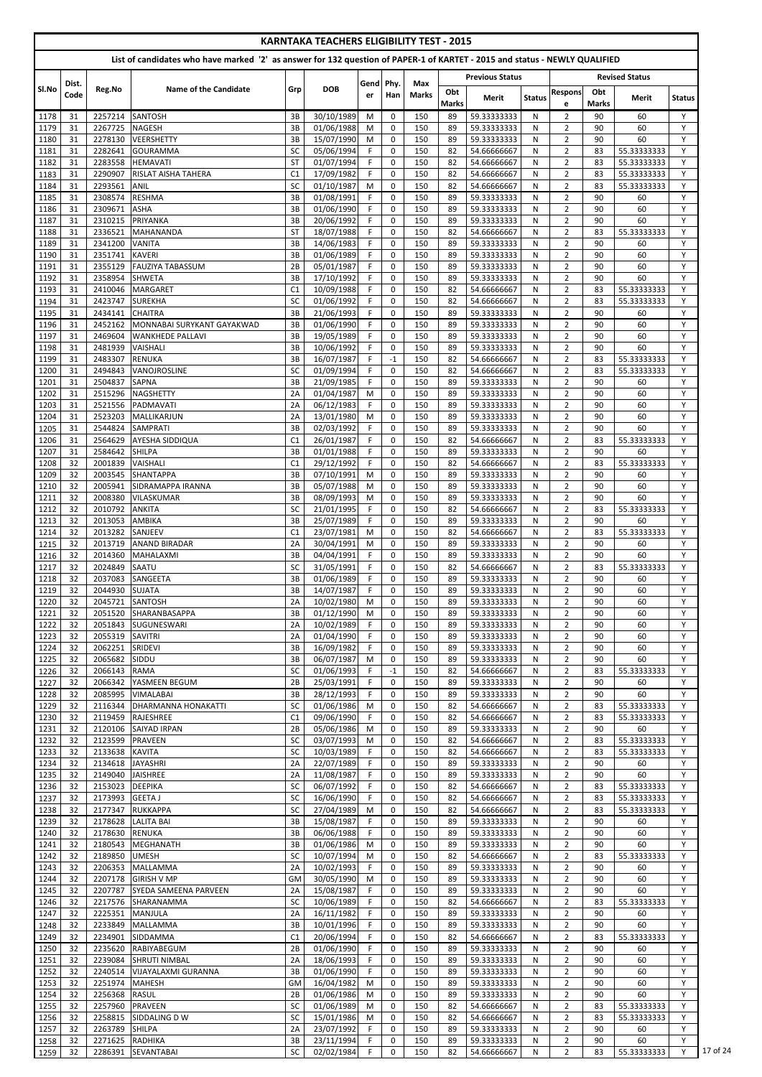|              |          |                    |                                                                                                                            |                      |                          |                | <b>KARNTAKA TEACHERS ELIGIBILITY TEST - 2015</b> |              |                     |                            |               |                                  |              |                            |               |  |
|--------------|----------|--------------------|----------------------------------------------------------------------------------------------------------------------------|----------------------|--------------------------|----------------|--------------------------------------------------|--------------|---------------------|----------------------------|---------------|----------------------------------|--------------|----------------------------|---------------|--|
|              |          |                    | List of candidates who have marked '2' as answer for 132 question of PAPER-1 of KARTET - 2015 and status - NEWLY QUALIFIED |                      |                          |                |                                                  |              |                     |                            |               |                                  |              |                            |               |  |
|              | Dist.    |                    |                                                                                                                            |                      |                          | Gend Phy.      |                                                  | Max          |                     | <b>Previous Status</b>     |               |                                  |              | <b>Revised Status</b>      |               |  |
| Sl.No        | Code     | Reg.No             | Name of the Candidate                                                                                                      | Grp                  | <b>DOB</b>               | er             | Han                                              | <b>Marks</b> | Obt<br><b>Marks</b> | <b>Merit</b>               | <b>Status</b> | <b>Respons</b><br>e              | Obt<br>Marks | Merit                      | <b>Status</b> |  |
| 1178         | 31       | 2257214            | <b>SANTOSH</b>                                                                                                             | 3B                   | 30/10/1989               | M              | $\mathbf 0$                                      | 150          | 89                  | 59.33333333                | N             | $\overline{2}$                   | 90           | 60                         | Y             |  |
| 1179         | 31       | 2267725            | <b>NAGESH</b>                                                                                                              | 3B                   | 01/06/1988               | M              | 0                                                | 150          | 89                  | 59.33333333                | N             | $\overline{2}$                   | 90           | 60                         | Y             |  |
| 1180         | 31       | 2278130            | <b>VEERSHETTY</b>                                                                                                          | 3B                   | 15/07/1990               | M              | 0                                                | 150          | 89                  | 59.33333333                | N             | $\overline{2}$                   | 90           | 60                         | Y             |  |
| 1181         | 31       | 2282641            | <b>GOURAMMA</b>                                                                                                            | SC                   | 05/06/1994               | F.             | $\mathbf 0$                                      | 150          | 82                  | 54.66666667                | N             | $\overline{2}$                   | 83           | 55.33333333                | Y             |  |
| 1182         | 31       | 2283558<br>2290907 | <b>HEMAVATI</b>                                                                                                            | <b>ST</b>            | 01/07/1994               | F.<br>F.       | $\mathbf 0$                                      | 150          | 82                  | 54.66666667                | N             | $\overline{2}$                   | 83           | 55.33333333                | Y<br>Y        |  |
| 1183<br>1184 | 31<br>31 | 2293561            | <b>RISLAT AISHA TAHERA</b><br><b>ANIL</b>                                                                                  | C <sub>1</sub><br>SC | 17/09/1982<br>01/10/1987 | M              | $\mathbf 0$<br>$\mathbf 0$                       | 150<br>150   | 82<br>82            | 54.66666667<br>54.66666667 | N<br>N        | $\overline{2}$<br>$\overline{2}$ | 83<br>83     | 55.33333333<br>55.33333333 | Y             |  |
| 1185         | 31       | 2308574            | <b>RESHMA</b>                                                                                                              | 3B                   | 01/08/1991               | F              | 0                                                | 150          | 89                  | 59.33333333                | N             | $\overline{2}$                   | 90           | 60                         | Y             |  |
| 1186         | 31       | 2309671            | <b>ASHA</b>                                                                                                                | 3B                   | 01/06/1990               | F              | $\mathbf 0$                                      | 150          | 89                  | 59.33333333                | N             | $\overline{2}$                   | 90           | 60                         | Y             |  |
| 1187         | 31       | 2310215            | PRIYANKA                                                                                                                   | 3B                   | 20/06/1992               | F              | $\mathbf 0$                                      | 150          | 89                  | 59.33333333                | N             | $\overline{2}$                   | 90           | 60                         | Y             |  |
| 1188         | 31       | 2336521            | <b>MAHANANDA</b>                                                                                                           | <b>ST</b>            | 18/07/1988               | F              | 0                                                | 150          | 82                  | 54.66666667                | N             | $\overline{2}$                   | 83           | 55.33333333                | Y             |  |
| 1189         | 31       | 2341200            | <b>VANITA</b>                                                                                                              | 3B                   | 14/06/1983               | F.             | $\mathbf 0$                                      | 150          | 89                  | 59.33333333                | N             | $\overline{2}$                   | 90           | 60                         | Y             |  |
| 1190         | 31       | 2351741            | <b>KAVERI</b>                                                                                                              | 3B                   | 01/06/1989               | F.             | $\mathbf 0$                                      | 150          | 89                  | 59.33333333                | N             | $\overline{2}$                   | 90           | 60                         | Y             |  |
| 1191<br>1192 | 31<br>31 | 2355129<br>2358954 | <b>FAUZIYA TABASSUM</b><br><b>SHWETA</b>                                                                                   | 2B<br>3B             | 05/01/1987<br>17/10/1992 | F.<br>F        | 0<br>$\mathbf 0$                                 | 150<br>150   | 89<br>89            | 59.33333333<br>59.33333333 | N<br>N        | $\overline{2}$<br>$\overline{2}$ | 90<br>90     | 60<br>60                   | Y<br>Y        |  |
| 1193         | 31       | 2410046            | <b>MARGARET</b>                                                                                                            | C <sub>1</sub>       | 10/09/1988               | F.             | 0                                                | 150          | 82                  | 54.66666667                | N             | $\overline{2}$                   | 83           | 55.33333333                | Y             |  |
| 1194         | 31       | 2423747            | <b>SUREKHA</b>                                                                                                             | <b>SC</b>            | 01/06/1992               | F              | 0                                                | 150          | 82                  | 54.66666667                | N             | $\overline{2}$                   | 83           | 55.33333333                | Y             |  |
| 1195         | 31       | 2434141            | <b>CHAITRA</b>                                                                                                             | 3B                   | 21/06/1993               | F              | 0                                                | 150          | 89                  | 59.33333333                | N             | $\overline{2}$                   | 90           | 60                         | Y             |  |
| 1196         | 31       | 2452162            | MONNABAI SURYKANT GAYAKWAD                                                                                                 | 3B                   | 01/06/1990               | F.             | $\mathbf 0$                                      | 150          | 89                  | 59.33333333                | N             | $\overline{2}$                   | 90           | 60                         | Y             |  |
| 1197         | 31       | 2469604            | <b>WANKHEDE PALLAVI</b>                                                                                                    | 3B                   | 19/05/1989               | F.             | $\mathbf 0$                                      | 150          | 89                  | 59.33333333                | N             | $\overline{2}$                   | 90           | 60                         | Y             |  |
| 1198         | 31       | 2481939            | <b>VAISHALI</b>                                                                                                            | 3B                   | 10/06/1992               | F.             | 0                                                | 150          | 89                  | 59.33333333                | N             | $\overline{2}$                   | 90           | 60                         | Y             |  |
| 1199         | 31       | 2483307            | <b>RENUKA</b>                                                                                                              | 3B                   | 16/07/1987               | F              | $-1$                                             | 150          | 82                  | 54.66666667                | N             | $\overline{2}$                   | 83           | 55.33333333                | Y             |  |
| 1200         | 31       | 2494843            | VANOJROSLINE                                                                                                               | SC                   | 01/09/1994               | F              | $\mathbf 0$                                      | 150          | 82                  | 54.66666667                | N             | $\overline{2}$                   | 83           | 55.33333333                | Y             |  |
| 1201         | 31       | 2504837            | <b>SAPNA</b>                                                                                                               | 3B                   | 21/09/1985               | F              | 0                                                | 150          | 89                  | 59.33333333                | N             | $\overline{2}$                   | 90           | 60                         | Y             |  |
| 1202         | 31       | 2515296            | <b>NAGSHETTY</b>                                                                                                           | 2A                   | 01/04/1987               | M              | 0                                                | 150          | 89                  | 59.33333333                | N             | $\overline{2}$                   | 90           | 60                         | Y             |  |
| 1203         | 31<br>31 | 2521556<br>2523203 | PADMAVATI<br>MALLIKARJUN                                                                                                   | 2A<br>2A             | 06/12/1983<br>13/01/1980 | F.<br>M        | 0<br>0                                           | 150<br>150   | 89<br>89            | 59.33333333<br>59.33333333 | N<br>N        | $\overline{2}$<br>$\overline{2}$ | 90<br>90     | 60<br>60                   | Y<br>Y        |  |
| 1204<br>1205 | 31       | 2544824            | <b>SAMPRATI</b>                                                                                                            | 3B                   | 02/03/1992               | F.             | 0                                                | 150          | 89                  | 59.33333333                | N             | $\overline{2}$                   | 90           | 60                         | Y             |  |
| 1206         | 31       |                    | 2564629 AYESHA SIDDIQUA                                                                                                    | C1                   | 26/01/1987               | F.             | $\mathbf{0}$                                     | 150          | 82                  | 54.66666667                | N.            | 2                                | 83           | 55.33333333                | Y             |  |
| 1207         | 31       | 2584642            | <b>SHILPA</b>                                                                                                              | 3B                   | 01/01/1988               | F              | $\Omega$                                         | 150          | 89                  | 59.33333333                | N             | $\overline{2}$                   | 90           | 60                         | Y             |  |
| 1208         | 32       | 2001839            | VAISHALI                                                                                                                   | C1                   | 29/12/1992               | F              | $\mathbf 0$                                      | 150          | 82                  | 54.66666667                | N             | $\overline{2}$                   | 83           | 55.33333333                | Y             |  |
| 1209         | 32       | 2003545            | <b>SHANTAPPA</b>                                                                                                           | 3B                   | 07/10/1991               | M              | $\mathbf 0$                                      | 150          | 89                  | 59.33333333                | N             | $\overline{2}$                   | 90           | 60                         | Y             |  |
| 1210         | 32       | 2005941            | SIDRAMAPPA IRANNA                                                                                                          | 3B                   | 05/07/1988               | M              | 0                                                | 150          | 89                  | 59.33333333                | N             | $\overline{2}$                   | 90           | 60                         | Y             |  |
| 1211         | 32       | 2008380            | <b>VILASKUMAR</b>                                                                                                          | 3B                   | 08/09/1993               | M              | $\mathbf 0$                                      | 150          | 89                  | 59.33333333                | N             | $\overline{2}$                   | 90           | 60                         | Y             |  |
| 1212         | 32       | 2010792            | <b>ANKITA</b>                                                                                                              | <b>SC</b>            | 21/01/1995               | F.             | $\mathbf 0$                                      | 150          | 82                  | 54.66666667                | N             | $\overline{2}$                   | 83           | 55.33333333                | Y             |  |
| 1213         | 32       | 2013053            | <b>AMBIKA</b>                                                                                                              | 3B                   | 25/07/1989               | F              | $\mathbf 0$                                      | 150          | 89                  | 59.33333333                | N             | $\overline{2}$                   | 90           | 60                         | Y             |  |
| 1214         | 32       | 2013282            | SANJEEV                                                                                                                    | C <sub>1</sub>       | 23/07/1981               | M              | $\mathbf 0$<br>$\mathbf 0$                       | 150          | 82<br>89            | 54.66666667<br>59.33333333 | N             | $\overline{2}$<br>$\overline{2}$ | 83<br>90     | 55.33333333                | Y<br>Y        |  |
| 1215<br>1216 | 32<br>32 | 2013719<br>2014360 | <b>ANAND BIRADAR</b><br>MAHALAXMI                                                                                          | 2A<br>3B             | 30/04/1991<br>04/04/1991 | M<br>F.        | $\mathbf 0$                                      | 150<br>150   | 89                  | 59.33333333                | N<br>N        | $\overline{2}$                   | 90           | 60<br>60                   | Y             |  |
| 1217         | 32       | 2024849            | <b>SAATU</b>                                                                                                               | <b>SC</b>            | 31/05/1991               | F.             | $\mathbf 0$                                      | 150          | 82                  | 54.66666667                | N             | $\overline{2}$                   | 83           | 55.33333333                | Y             |  |
| 1218         | 32       | 2037083            | <b>SANGEETA</b>                                                                                                            | 3B                   | 01/06/1989               | F              | $\mathbf 0$                                      | 150          | 89                  | 59.33333333                | N             | $\overline{2}$                   | 90           | 60                         | Y             |  |
| 1219         | 32       | 2044930            | <b>SUJATA</b>                                                                                                              | 3B                   | 14/07/1987               | F.             | $\mathbf 0$                                      | 150          | 89                  | 59.33333333                | N             | $\overline{2}$                   | 90           | 60                         | Y             |  |
| 1220         | 32       | 2045721            | <b>SANTOSH</b>                                                                                                             | 2A                   | 10/02/1980               | M              | $\mathbf 0$                                      | 150          | 89                  | 59.33333333                | N             | $\overline{2}$                   | 90           | 60                         | Y             |  |
| 1221         | 32       | 2051520            | SHARANBASAPPA                                                                                                              | 3B                   | 01/12/1990               | M              | $\mathbf 0$                                      | 150          | 89                  | 59.33333333                | N             | $\overline{2}$                   | 90           | 60                         | Y             |  |
| 1222         | 32       | 2051843            | SUGUNESWARI                                                                                                                | 2A                   | 10/02/1989               | F              | $\mathbf 0$                                      | 150          | 89                  | 59.33333333                | N             | $\overline{2}$                   | 90           | 60                         | Y             |  |
| 1223         | 32       | 2055319            | <b>SAVITRI</b>                                                                                                             | 2A                   | 01/04/1990               | F.             | $\mathbf 0$                                      | 150          | 89                  | 59.33333333                | N             | $\overline{2}$                   | 90           | 60                         | Y             |  |
| 1224         | 32       | 2062251            | <b>SRIDEVI</b>                                                                                                             | 3B                   | 16/09/1982               | F.             | $\mathbf 0$                                      | 150          | 89                  | 59.33333333                | N             | $\overline{2}$                   | 90           | 60                         | Y             |  |
| 1225         | 32       | 2065682            | SIDDU                                                                                                                      | 3B                   | 06/07/1987               | M<br>F.        | 0                                                | 150          | 89                  | 59.33333333                | N             | $\overline{2}$                   | 90           | 60                         | Y<br>Y        |  |
| 1226<br>1227 | 32<br>32 | 2066143<br>2066342 | <b>RAMA</b><br>YASMEEN BEGUM                                                                                               | <b>SC</b><br>2B      | 01/06/1993<br>25/03/1991 | F.             | $-1$<br>$\mathbf 0$                              | 150<br>150   | 82<br>89            | 54.66666667<br>59.33333333 | N<br>N        | $\overline{2}$<br>$\overline{2}$ | 83<br>90     | 55.33333333<br>60          | Y             |  |
| 1228         | 32       | 2085995            | <b>VIMALABAI</b>                                                                                                           | 3B                   | 28/12/1993               | F.             | $\mathbf 0$                                      | 150          | 89                  | 59.33333333                | N             | $\overline{2}$                   | 90           | 60                         | Y             |  |
| 1229         | 32       | 2116344            | <b>DHARMANNA HONAKATTI</b>                                                                                                 | <b>SC</b>            | 01/06/1986               | M              | $\mathbf 0$                                      | 150          | 82                  | 54.66666667                | N             | $\overline{2}$                   | 83           | 55.33333333                | Y             |  |
| 1230         | 32       | 2119459            | RAJESHREE                                                                                                                  | C <sub>1</sub>       | 09/06/1990               | F              | $\mathbf 0$                                      | 150          | 82                  | 54.66666667                | N             | $\overline{2}$                   | 83           | 55.33333333                | Y             |  |
| 1231         | 32       | 2120106            | <b>SAIYAD IRPAN</b>                                                                                                        | 2B                   | 05/06/1986               | M              | $\mathbf 0$                                      | 150          | 89                  | 59.33333333                | N             | $\overline{2}$                   | 90           | 60                         | Y             |  |
| 1232         | 32       | 2123599            | <b>PRAVEEN</b>                                                                                                             | <b>SC</b>            | 03/07/1993               | M              | $\mathbf 0$                                      | 150          | 82                  | 54.66666667                | N             | $\overline{2}$                   | 83           | 55.33333333                | Y             |  |
| 1233         | 32       | 2133638            | <b>KAVITA</b>                                                                                                              | <b>SC</b>            | 10/03/1989               | F.             | 0                                                | 150          | 82                  | 54.66666667                | N             | $\overline{2}$                   | 83           | 55.33333333                | Y             |  |
| 1234         | 32       | 2134618            | <b>JAYASHRI</b>                                                                                                            | 2A                   | 22/07/1989               | F.             | $\mathbf 0$                                      | 150          | 89                  | 59.33333333                | N             | $\overline{2}$                   | 90           | 60                         | Y             |  |
| 1235<br>1236 | 32<br>32 | 2149040<br>2153023 | <b>JAISHREE</b><br><b>DEEPIKA</b>                                                                                          | 2A<br><b>SC</b>      | 11/08/1987<br>06/07/1992 | F.<br>F        | $\mathbf 0$<br>$\mathbf 0$                       | 150<br>150   | 89<br>82            | 59.33333333<br>54.66666667 | N<br>N        | $\overline{2}$<br>$\overline{2}$ | 90<br>83     | 60<br>55.33333333          | Y<br>Y        |  |
| 1237         | 32       | 2173993            | <b>GEETA J</b>                                                                                                             | <b>SC</b>            | 16/06/1990               | F              | $\mathbf 0$                                      | 150          | 82                  | 54.66666667                | N             | $\overline{2}$                   | 83           | 55.33333333                | Y             |  |
| 1238         | 32       | 2177347            | <b>RUKKAPPA</b>                                                                                                            | <b>SC</b>            | 27/04/1989               | M              | $\mathbf 0$                                      | 150          | 82                  | 54.66666667                | N             | $\overline{2}$                   | 83           | 55.33333333                | Y             |  |
| 1239         | 32       | 2178628            | <b>LALITA BAI</b>                                                                                                          | 3B                   | 15/08/1987               | F.             | $\mathbf 0$                                      | 150          | 89                  | 59.33333333                | N             | $\overline{2}$                   | 90           | 60                         | Y             |  |
| 1240         | 32       | 2178630            | <b>RENUKA</b>                                                                                                              | 3B                   | 06/06/1988               | F              | $\mathbf 0$                                      | 150          | 89                  | 59.33333333                | N.            | $\overline{2}$                   | 90           | 60                         | Y             |  |
| 1241         | 32       |                    | 2180543 MEGHANATH                                                                                                          | $3B$                 | 01/06/1986               | $\overline{M}$ | $\pmb{0}$                                        | 150          | 89                  | 59.33333333                | $\mathsf{N}$  | $\overline{2}$                   | 90           | 60                         | Y             |  |
| 1242         | 32       | 2189850            | <b>UMESH</b>                                                                                                               | <b>SC</b>            | 10/07/1994               | M              | 0                                                | 150          | 82                  | 54.66666667                | N             | $\overline{2}$                   | 83           | 55.33333333                | Y             |  |
| 1243         | 32       | 2206353            | MALLAMMA                                                                                                                   | 2A                   | 10/02/1993               | F.             | 0                                                | 150          | 89                  | 59.33333333                | N             | $\overline{2}$                   | 90           | 60                         | Υ             |  |
| 1244         | 32       | 2207178            | <b>GIRISH V MP</b>                                                                                                         | GM                   | 30/05/1990               | M              | $\mathbf 0$                                      | 150          | 89                  | 59.33333333                | N             | $\overline{2}$                   | 90           | 60                         | Y             |  |
| 1245         | 32       | 2207787            | SYEDA SAMEENA PARVEEN                                                                                                      | 2A                   | 15/08/1987               | F.             | 0                                                | 150          | 89                  | 59.33333333                | N             | $\overline{2}$                   | 90           | 60                         | Y             |  |
| 1246<br>1247 | 32<br>32 | 2217576<br>2225351 | SHARANAMMA<br><b>MANJULA</b>                                                                                               | <b>SC</b><br>2A      | 10/06/1989<br>16/11/1982 | F.<br>F.       | $\mathbf 0$<br>0                                 | 150<br>150   | 82<br>89            | 54.66666667<br>59.33333333 | N<br>N        | $\overline{2}$<br>$\overline{2}$ | 83<br>90     | 55.33333333<br>60          | Y<br>Y        |  |
| 1248         | 32       | 2233849            | MALLAMMA                                                                                                                   | 3B                   | 10/01/1996               | F.             | 0                                                | 150          | 89                  | 59.33333333                | N             | $\overline{2}$                   | 90           | 60                         | Y             |  |
| 1249         | 32       | 2234901            | <b>SIDDAMMA</b>                                                                                                            | C <sub>1</sub>       | 20/06/1994               | F.             | 0                                                | 150          | 82                  | 54.66666667                | N             | $\overline{2}$                   | 83           | 55.33333333                | Y             |  |
| 1250         | 32       | 2235620            | RABIYABEGUM                                                                                                                | 2B                   | 01/06/1990               | F.             | 0                                                | 150          | 89                  | 59.33333333                | N             | $\overline{2}$                   | 90           | 60                         | Y             |  |
| 1251         | 32       | 2239084            | <b>SHRUTI NIMBAL</b>                                                                                                       | 2A                   | 18/06/1993               | F.             | 0                                                | 150          | 89                  | 59.33333333                | N             | $\overline{2}$                   | 90           | 60                         | Y             |  |
| 1252         | 32       | 2240514            | VIJAYALAXMI GURANNA                                                                                                        | 3B                   | 01/06/1990               | F.             | 0                                                | 150          | 89                  | 59.33333333                | N             | $\overline{2}$                   | 90           | 60                         | Y             |  |
| 1253         | 32       | 2251974            | <b>MAHESH</b>                                                                                                              | GM                   | 16/04/1982               | M              | 0                                                | 150          | 89                  | 59.33333333                | N             | $\overline{2}$                   | 90           | 60                         | Y             |  |
| 1254         | 32       | 2256368            | <b>RASUL</b>                                                                                                               | 2B                   | 01/06/1986               | M              | $\mathbf 0$                                      | 150          | 89                  | 59.33333333                | N             | $\overline{2}$                   | 90           | 60                         | Y             |  |
| 1255         | 32       | 2257960            | PRAVEEN                                                                                                                    | <b>SC</b>            | 01/06/1989               | M              | 0                                                | 150          | 82                  | 54.66666667                | N             | $\overline{2}$                   | 83           | 55.33333333                | Y             |  |
| 1256         | 32       | 2258815            | SIDDALING D W                                                                                                              | <b>SC</b>            | 15/01/1986               | M              | 0                                                | 150          | 82                  | 54.66666667                | N             | $\overline{2}$                   | 83           | 55.33333333                | Y             |  |
| 1257         | 32       | 2263789            | <b>SHILPA</b>                                                                                                              | 2A                   | 23/07/1992               | F.             | 0                                                | 150          | 89                  | 59.33333333                | N             | $\overline{2}$                   | 90           | 60                         | Y             |  |
| 1258<br>1259 | 32       | 2271625            | <b>RADHIKA</b>                                                                                                             | 3B<br>SC             | 23/11/1994               | F.<br>F.       | 0                                                | 150          | 89                  | 59.33333333                | N             | $\overline{2}$                   | 90           | 60                         | Y<br>Y        |  |
|              | 32       | 2286391            | SEVANTABAI                                                                                                                 |                      | 02/02/1984               |                | 0                                                | 150          | 82                  | 54.66666667                | N             | $\overline{2}$                   | 83           | 55.33333333                |               |  |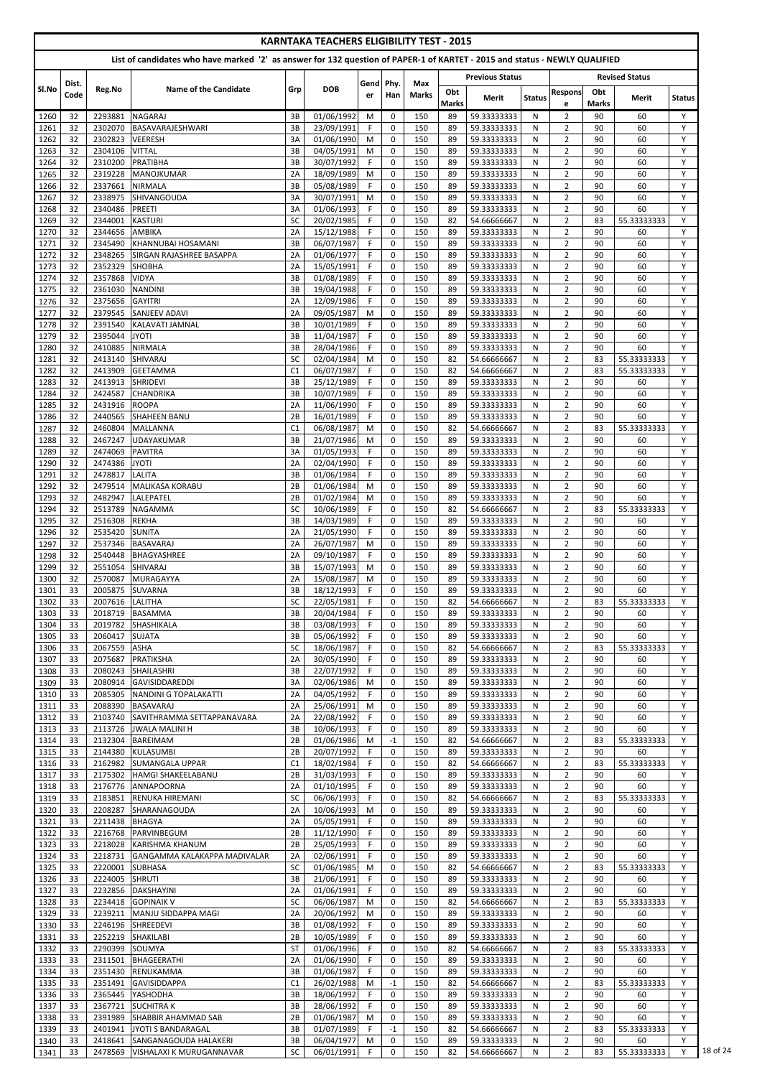|              |          |                    |                                                                                                                            |                 | <b>KARNTAKA TEACHERS ELIGIBILITY TEST - 2015</b> |                |                            |              |                    |                            |               |                                  |                    |                       |               |
|--------------|----------|--------------------|----------------------------------------------------------------------------------------------------------------------------|-----------------|--------------------------------------------------|----------------|----------------------------|--------------|--------------------|----------------------------|---------------|----------------------------------|--------------------|-----------------------|---------------|
|              |          |                    | List of candidates who have marked '2' as answer for 132 question of PAPER-1 of KARTET - 2015 and status - NEWLY QUALIFIED |                 |                                                  |                |                            |              |                    |                            |               |                                  |                    |                       |               |
|              | Dist.    |                    |                                                                                                                            |                 |                                                  | Gend Phy.      |                            | Max          |                    | <b>Previous Status</b>     |               |                                  |                    | <b>Revised Status</b> |               |
| Sl.No        | Code     | Reg.No             | Name of the Candidate                                                                                                      | Grp             | <b>DOB</b>                                       | er             | Han                        | <b>Marks</b> | Obt                | <b>Merit</b>               | <b>Status</b> | <b>Respons</b>                   | Obt                | Merit                 | <b>Status</b> |
| 1260         | 32       | 2293881            | <b>NAGARAJ</b>                                                                                                             | 3B              | 01/06/1992                                       | M              | $\mathbf 0$                | 150          | <b>Marks</b><br>89 | 59.33333333                | N             | e<br>$\overline{2}$              | <b>Marks</b><br>90 | 60                    | Y             |
| 1261         | 32       | 2302070            | BASAVARAJESHWARI                                                                                                           | 3B              | 23/09/1991                                       | F.             | $\mathbf 0$                | 150          | 89                 | 59.33333333                | N             | $\overline{2}$                   | 90                 | 60                    | Y             |
| 1262         | 32       | 2302823            | <b>VEERESH</b>                                                                                                             | 3A              | 01/06/1990                                       | M              | $\mathbf 0$                | 150          | 89                 | 59.33333333                | N             | $\overline{2}$                   | 90                 | 60                    | Y             |
| 1263<br>1264 | 32<br>32 | 2304106<br>2310200 | <b>VITTAL</b><br>PRATIBHA                                                                                                  | 3B<br>3B        | 04/05/1991<br>30/07/1992                         | M<br>F         | $\pmb{0}$<br>$\mathbf 0$   | 150<br>150   | 89<br>89           | 59.33333333<br>59.33333333 | N<br>N        | $\overline{2}$<br>$\overline{2}$ | 90<br>90           | 60<br>60              | Y<br>Y        |
| 1265         | 32       | 2319228            | MANOJKUMAR                                                                                                                 | 2A              | 18/09/1989                                       | M              | 0                          | 150          | 89                 | 59.33333333                | N             | $\overline{2}$                   | 90                 | 60                    | Y             |
| 1266         | 32       | 2337661            | <b>NIRMALA</b>                                                                                                             | 3B              | 05/08/1989                                       | F              | $\mathbf 0$                | 150          | 89                 | 59.33333333                | N             | $\overline{2}$                   | 90                 | 60                    | Y             |
| 1267<br>1268 | 32<br>32 | 2338975<br>2340486 | <b>SHIVANGOUDA</b><br>PREETI                                                                                               | 3A<br>3A        | 30/07/1991<br>01/06/1993                         | M<br>F.        | $\mathbf 0$<br>$\mathbf 0$ | 150<br>150   | 89<br>89           | 59.33333333<br>59.33333333 | N<br>N        | $\overline{2}$<br>$\overline{2}$ | 90<br>90           | 60<br>60              | Y<br>Y        |
| 1269         | 32       | 2344001            | <b>KASTURI</b>                                                                                                             | <b>SC</b>       | 20/02/1985                                       | F              | $\mathbf 0$                | 150          | 82                 | 54.66666667                | N             | $\overline{2}$                   | 83                 | 55.33333333           | Y             |
| 1270         | 32       | 2344656            | <b>AMBIKA</b>                                                                                                              | 2A              | 15/12/1988                                       | F              | $\mathbf 0$                | 150          | 89                 | 59.33333333                | N             | $\overline{2}$                   | 90                 | 60                    | Y             |
| 1271<br>1272 | 32<br>32 | 2345490<br>2348265 | KHANNUBAI HOSAMANI<br>SIRGAN RAJASHREE BASAPPA                                                                             | 3B<br>2A        | 06/07/1987<br>01/06/1977                         | F<br>F         | 0<br>$\mathbf 0$           | 150<br>150   | 89<br>89           | 59.33333333<br>59.33333333 | N<br>N        | $\overline{2}$<br>$\overline{2}$ | 90<br>90           | 60<br>60              | Y<br>Y        |
| 1273         | 32       | 2352329            | <b>SHOBHA</b>                                                                                                              | 2A              | 15/05/1991                                       | F              | 0                          | 150          | 89                 | 59.33333333                | N             | $\overline{2}$                   | 90                 | 60                    | Y             |
| 1274         | 32       | 2357868            | <b>VIDYA</b>                                                                                                               | 3B              | 01/08/1989                                       | F              | $\mathbf 0$                | 150          | 89                 | 59.33333333                | N             | $\overline{2}$                   | 90                 | 60                    | Y             |
| 1275         | 32<br>32 | 2361030<br>2375656 | <b>NANDINI</b><br><b>GAYITRI</b>                                                                                           | 3B<br>2A        | 19/04/1988                                       | F<br>F         | 0<br>0                     | 150<br>150   | 89<br>89           | 59.33333333                | N<br>N        | $\overline{2}$<br>$\overline{2}$ | 90<br>90           | 60<br>60              | Y<br>Y        |
| 1276<br>1277 | 32       | 2379545            | <b>SANJEEV ADAVI</b>                                                                                                       | 2A              | 12/09/1986<br>09/05/1987                         | M              | $\mathbf 0$                | 150          | 89                 | 59.33333333<br>59.33333333 | N             | $\overline{2}$                   | 90                 | 60                    | Y             |
| 1278         | 32       | 2391540            | KALAVATI JAMNAL                                                                                                            | 3B              | 10/01/1989                                       | F.             | $\mathbf 0$                | 150          | 89                 | 59.33333333                | N             | $\overline{2}$                   | 90                 | 60                    | Y             |
| 1279         | 32       | 2395044            | <b>JYOTI</b>                                                                                                               | 3B              | 11/04/1987                                       | F              | $\mathbf 0$                | 150          | 89                 | 59.33333333                | N             | $\overline{2}$                   | 90                 | 60                    | Y             |
| 1280<br>1281 | 32<br>32 | 2410885<br>2413140 | <b>NIRMALA</b><br><b>SHIVARAJ</b>                                                                                          | 3B<br>SC        | 28/04/1986<br>02/04/1984                         | F<br>M         | $\mathbf 0$<br>$\mathbf 0$ | 150<br>150   | 89<br>82           | 59.33333333<br>54.66666667 | N<br>N        | $\overline{2}$<br>$\overline{2}$ | 90<br>83           | 60<br>55.33333333     | Y<br>Y        |
| 1282         | 32       | 2413909            | <b>GEETAMMA</b>                                                                                                            | C1              | 06/07/1987                                       | F.             | $\mathbf 0$                | 150          | 82                 | 54.66666667                | N             | $\overline{2}$                   | 83                 | 55.33333333           | Y             |
| 1283         | 32       | 2413913            | <b>SHRIDEVI</b>                                                                                                            | 3B              | 25/12/1989                                       | F              | 0                          | 150          | 89                 | 59.33333333                | N             | $\overline{2}$                   | 90                 | 60                    | Y             |
| 1284<br>1285 | 32<br>32 | 2424587<br>2431916 | <b>CHANDRIKA</b><br><b>ROOPA</b>                                                                                           | 3B<br>2A        | 10/07/1989<br>11/06/1990                         | F<br>F.        | $\mathbf 0$<br>0           | 150<br>150   | 89<br>89           | 59.33333333<br>59.33333333 | N<br>N        | $\overline{2}$<br>$\overline{2}$ | 90<br>90           | 60<br>60              | Y<br>Y        |
| 1286         | 32       | 2440565            | <b>SHAHEEN BANU</b>                                                                                                        | 2B              | 16/01/1989                                       | F.             | $\mathbf 0$                | 150          | 89                 | 59.33333333                | N             | $\overline{2}$                   | 90                 | 60                    | Y             |
| 1287         | 32       | 2460804            | <b>MALLANNA</b>                                                                                                            | C1              | 06/08/1987                                       | M              | 0                          | 150          | 82                 | 54.66666667                | N             | $\overline{2}$                   | 83                 | 55.33333333           | Y             |
| 1288<br>1289 | 32<br>32 | 2474069            | 2467247   UDAYAKUMAR<br><b>PAVITRA</b>                                                                                     | 3B<br>3A        | 21/07/1986 M<br>01/05/1993                       | F              | 0<br>$\Omega$              | 150<br>150   | 89<br>89           | 59.33333333<br>59.33333333 | N<br>N        | $\overline{2}$<br>$\overline{2}$ | 90<br>90           | 60<br>60              | Y<br>Y        |
| 1290         | 32       | 2474386            | <b>JYOTI</b>                                                                                                               | 2A              | 02/04/1990                                       | F.             | 0                          | 150          | 89                 | 59.33333333                | N             | $\overline{2}$                   | 90                 | 60                    | Y             |
| 1291         | 32       | 2478817            | <b>LALITA</b>                                                                                                              | 3B              | 01/06/1984                                       | F.             | $\mathbf 0$                | 150          | 89                 | 59.33333333                | N             | $\overline{2}$                   | 90                 | 60                    | Y             |
| 1292         | 32       | 2479514            | MALIKASA KORABU<br><b>LALEPATEL</b>                                                                                        | 2B              | 01/06/1984                                       | M              | $\mathbf 0$<br>$\mathbf 0$ | 150          | 89                 | 59.33333333<br>59.33333333 | N             | $\overline{2}$                   | 90<br>90           | 60<br>60              | Y<br>Y        |
| 1293<br>1294 | 32<br>32 | 2482947<br>2513789 | <b>NAGAMMA</b>                                                                                                             | 2B<br><b>SC</b> | 01/02/1984<br>10/06/1989                         | M<br>F.        | 0                          | 150<br>150   | 89<br>82           | 54.66666667                | N<br>N        | $\overline{2}$<br>$\overline{2}$ | 83                 | 55.33333333           | Y             |
| 1295         | 32       | 2516308            | <b>REKHA</b>                                                                                                               | 3B              | 14/03/1989                                       | F              | $\mathbf 0$                | 150          | 89                 | 59.33333333                | N             | $\overline{2}$                   | 90                 | 60                    | Y             |
| 1296         | 32       | 2535420            | <b>SUNITA</b>                                                                                                              | 2A              | 21/05/1990                                       | F              | $\mathbf 0$                | 150          | 89                 | 59.33333333                | N             | $\overline{2}$                   | 90                 | 60                    | Y             |
| 1297<br>1298 | 32<br>32 | 2537346<br>2540448 | BASAVARAJ<br>BHAGYASHREE                                                                                                   | 2A<br>2A        | 26/07/1987<br>09/10/1987                         | M<br>F.        | $\overline{0}$<br>0        | 150<br>150   | 89<br>89           | 59.33333333<br>59.33333333 | N<br>N        | $\overline{2}$<br>$\overline{2}$ | 90<br>90           | 60<br>60              | Y<br>Y        |
| 1299         | 32       | 2551054            | <b>SHIVARAJ</b>                                                                                                            | 3B              | 15/07/1993                                       | M              | 0                          | 150          | 89                 | 59.33333333                | N             | $\overline{2}$                   | 90                 | 60                    | Y             |
| 1300         | 32       | 2570087            | MURAGAYYA                                                                                                                  | 2A              | 15/08/1987                                       | M              | $\mathbf 0$                | 150          | 89                 | 59.33333333                | N             | $\overline{2}$                   | 90                 | 60                    | Y             |
| 1301<br>1302 | 33<br>33 | 2005875<br>2007616 | <b>SUVARNA</b><br><b>LALITHA</b>                                                                                           | 3B<br><b>SC</b> | 18/12/1993<br>22/05/1981                         | F.<br>F        | $\mathbf 0$<br>$\mathbf 0$ | 150<br>150   | 89<br>82           | 59.33333333<br>54.66666667 | N<br>N        | $\overline{2}$<br>$\overline{2}$ | 90<br>83           | 60<br>55.33333333     | Y<br>Y        |
| 1303         | 33       | 2018719            | BASAMMA                                                                                                                    | 3B              | 20/04/1984                                       | F              | $\mathbf 0$                | 150          | 89                 | 59.33333333                | N             | $\overline{2}$                   | 90                 | 60                    | Y             |
| 1304         | 33       | 2019782            | <b>SHASHIKALA</b>                                                                                                          | 3B              | 03/08/1993                                       | F              | $\overline{0}$             | 150          | 89                 | 59.33333333                | N             | $\overline{2}$                   | 90                 | 60                    | Y             |
| 1305<br>1306 | 33<br>33 | 2060417<br>2067559 | <b>SUJATA</b><br><b>ASHA</b>                                                                                               | 3B<br>SC        | 05/06/1992<br>18/06/1987                         | F.<br>F        | $\overline{0}$<br>0        | 150<br>150   | 89<br>82           | 59.33333333<br>54.66666667 | N<br>N        | $\overline{2}$<br>$\overline{2}$ | 90<br>83           | 60<br>55.33333333     | Y<br>Y        |
| 1307         | 33       | 2075687            | PRATIKSHA                                                                                                                  | 2A              | 30/05/1990                                       | F.             | $\mathbf 0$                | 150          | 89                 | 59.33333333                | N             | $\overline{2}$                   | 90                 | 60                    | Y             |
| 1308         | 33       | 2080243            | <b>SHAILASHRI</b>                                                                                                          | 3B              | 22/07/1992                                       | F.             | $\mathbf 0$                | 150          | 89                 | 59.33333333                | N             | $\overline{2}$                   | 90                 | 60                    | Y             |
| 1309         | 33       | 2080914            | GAVISIDDAREDDI                                                                                                             | 3A              | 02/06/1986                                       | M              | $\mathbf 0$                | 150          | 89                 | 59.33333333                | N             | $\overline{2}$                   | 90                 | 60                    | Y             |
| 1310<br>1311 | 33<br>33 | 2085305<br>2088390 | NANDINI G TOPALAKATTI<br>BASAVARAJ                                                                                         | 2A<br>2A        | 04/05/1992<br>25/06/1991                         | F.<br>M        | $\mathbf 0$<br>$\mathbf 0$ | 150<br>150   | 89<br>89           | 59.33333333<br>59.33333333 | N<br>N        | $\overline{2}$<br>$\overline{2}$ | 90<br>90           | 60<br>60              | Y<br>Y        |
| 1312         | 33       | 2103740            | SAVITHRAMMA SETTAPPANAVARA                                                                                                 | 2A              | 22/08/1992                                       | F.             | $\mathbf 0$                | 150          | 89                 | 59.33333333                | N             | $\overline{2}$                   | 90                 | 60                    | Y             |
| 1313         | 33       | 2113726            | <b>JWALA MALINI H</b>                                                                                                      | 3B              | 10/06/1993                                       | F.             | $\overline{0}$             | 150          | 89                 | 59.33333333                | N             | $\overline{2}$                   | 90                 | 60                    | Y             |
| 1314<br>1315 | 33<br>33 | 2132304<br>2144380 | <b>BAREIMAM</b><br>KULASUMBI                                                                                               | 2B<br>2B        | 01/06/1986<br>20/07/1992                         | M<br>F.        | $-1$<br>$\mathbf 0$        | 150<br>150   | 82<br>89           | 54.66666667<br>59.33333333 | N<br>N        | $\overline{2}$<br>$\overline{2}$ | 83<br>90           | 55.33333333<br>60     | Y<br>Y        |
| 1316         | 33       | 2162982            | <b>SUMANGALA UPPAR</b>                                                                                                     | C1              | 18/02/1984                                       | F.             | $\mathbf{0}$               | 150          | 82                 | 54.66666667                | N             | $\overline{2}$                   | 83                 | 55.33333333           | Y             |
| 1317         | 33       | 2175302            | <b>HAMGI SHAKEELABANU</b>                                                                                                  | 2B              | 31/03/1993                                       | F.             | 0                          | 150          | 89                 | 59.33333333                | N             | $\overline{2}$                   | 90                 | 60                    | Y             |
| 1318<br>1319 | 33<br>33 | 2176776<br>2183851 | ANNAPOORNA<br><b>RENUKA HIREMANI</b>                                                                                       | 2A<br><b>SC</b> | 01/10/1995<br>06/06/1993                         | F.<br>F.       | $\mathbf 0$<br>0           | 150<br>150   | 89<br>82           | 59.33333333<br>54.66666667 | N<br>N        | $\overline{2}$<br>$\overline{2}$ | 90<br>83           | 60<br>55.33333333     | Y<br>Y        |
| 1320         | 33       | 2208287            | <b>SHARANAGOUDA</b>                                                                                                        | 2A              | 10/06/1993                                       | M              | $\mathbf{0}$               | 150          | 89                 | 59.33333333                | N             | $\overline{2}$                   | 90                 | 60                    | Y             |
| 1321         | 33       | 2211438            | <b>BHAGYA</b>                                                                                                              | 2A              | 05/05/1991                                       | F.             | 0                          | 150          | 89                 | 59.33333333                | N             | $\overline{2}$                   | 90                 | 60                    | Y             |
| 1322         | 33       | 2216768            | PARVINBEGUM<br>2218028 KARISHMA KHANUM                                                                                     | 2B              | 11/12/1990<br>25/05/1993                         | F.             | 0                          | 150          | 89<br>89           | 59.33333333<br>59.33333333 | N             | $\overline{2}$                   | 90                 | 60                    | Y             |
| 1323<br>1324 | 33<br>33 | 2218731            | GANGAMMA KALAKAPPA MADIVALAR                                                                                               | 2B<br>2A        | 02/06/1991                                       | <b>F</b><br>F. | 0<br>$\mathbf 0$           | 150<br>150   | 89                 | 59.33333333                | N.<br>N       | $\overline{2}$<br>$\overline{2}$ | 90<br>90           | 60<br>60              | Υ<br>Y        |
| 1325         | 33       | 2220001            | <b>SUBHASA</b>                                                                                                             | SC              | 01/06/1985                                       | M              | 0                          | 150          | 82                 | 54.66666667                | N             | $\overline{2}$                   | 83                 | 55.33333333           | Y             |
| 1326         | 33       | 2224005            | SHRUTI                                                                                                                     | 3B              | 21/06/1991                                       | F.             | 0                          | 150          | 89                 | 59.33333333                | N             | $\overline{2}$                   | 90                 | 60                    | Y             |
| 1327<br>1328 | 33<br>33 | 2232856<br>2234418 | <b>DAKSHAYINI</b><br><b>GOPINAIK V</b>                                                                                     | 2A<br><b>SC</b> | 01/06/1991<br>06/06/1987                         | F.<br>M        | 0<br>$\mathbf 0$           | 150<br>150   | 89<br>82           | 59.33333333<br>54.66666667 | N<br>N        | $\overline{2}$<br>$\overline{2}$ | 90<br>83           | 60<br>55.33333333     | Y<br>Y        |
| 1329         | 33       | 2239211            | MANJU SIDDAPPA MAGI                                                                                                        | 2A              | 20/06/1992                                       | M              | 0                          | 150          | 89                 | 59.33333333                | N             | $\overline{2}$                   | 90                 | 60                    | Y             |
| 1330         | 33       |                    | 2246196 SHREEDEVI                                                                                                          | 3B              | 01/08/1992                                       | F.             | 0                          | 150          | 89                 | 59.33333333                | N             | $\overline{2}$                   | 90                 | 60                    | Y             |
| 1331         | 33       | 2252219            | SHAKILABI                                                                                                                  | 2B              | 10/05/1989                                       | F.             | $\mathbf{0}$               | 150          | 89                 | 59.33333333                | N             | $\overline{2}$                   | 90                 | 60                    | Y             |
| 1332<br>1333 | 33<br>33 | 2290399<br>2311501 | SOUMYA<br>BHAGEERATHI                                                                                                      | <b>ST</b><br>2A | 01/06/1996<br>01/06/1990                         | F.<br>F.       | 0<br>$\mathbf 0$           | 150<br>150   | 82<br>89           | 54.66666667<br>59.33333333 | N<br>N        | $\overline{2}$<br>$\overline{2}$ | 83<br>90           | 55.33333333<br>60     | Y<br>Y        |
| 1334         | 33       | 2351430            | RENUKAMMA                                                                                                                  | 3B              | 01/06/1987                                       | F.             | $\mathbf 0$                | 150          | 89                 | 59.33333333                | N             | $\overline{2}$                   | 90                 | 60                    | Y             |
| 1335         | 33       | 2351491            | <b>GAVISIDDAPPA</b>                                                                                                        | C1              | 26/02/1988                                       | M              | $-1$                       | 150          | 82                 | 54.66666667                | N             | $\overline{2}$                   | 83                 | 55.33333333           | Y             |
| 1336<br>1337 | 33<br>33 | 2365445<br>2367721 | YASHODHA<br><b>SUCHITRAK</b>                                                                                               | 3B<br>3B        | 18/06/1992<br>28/06/1992                         | F.<br>F.       | 0<br>0                     | 150<br>150   | 89<br>89           | 59.33333333<br>59.33333333 | N<br>N        | $\overline{2}$<br>$\overline{2}$ | 90<br>90           | 60<br>60              | Y<br>Y        |
| 1338         | 33       | 2391989            | ISHABBIR AHAMMAD SAB                                                                                                       | 2B              | 01/06/1987                                       | M              | $\mathbf 0$                | 150          | 89                 | 59.33333333                | N             | $\overline{2}$                   | 90                 | 60                    | Y             |
| 1339         | 33       | 2401941            | JYOTI S BANDARAGAL                                                                                                         | 3B              | 01/07/1989                                       | F.             | $-1$                       | 150          | 82                 | 54.66666667                | N             | $\overline{2}$                   | 83                 | 55.33333333           | Y             |
| 1340         | 33       | 2418641            | SANGANAGOUDA HALAKERI                                                                                                      | 3B              | 06/04/1977                                       | M<br>F         | 0                          | 150          | 89                 | 59.33333333                | N             | $\overline{2}$                   | 90                 | 60                    | Y<br>Y        |
| 1341         | 33       | 2478569            | VISHALAXI K MURUGANNAVAR                                                                                                   | SC              | 06/01/1991                                       |                | 0                          | 150          | 82                 | 54.66666667                | N             | $\overline{2}$                   | 83                 | 55.33333333           |               |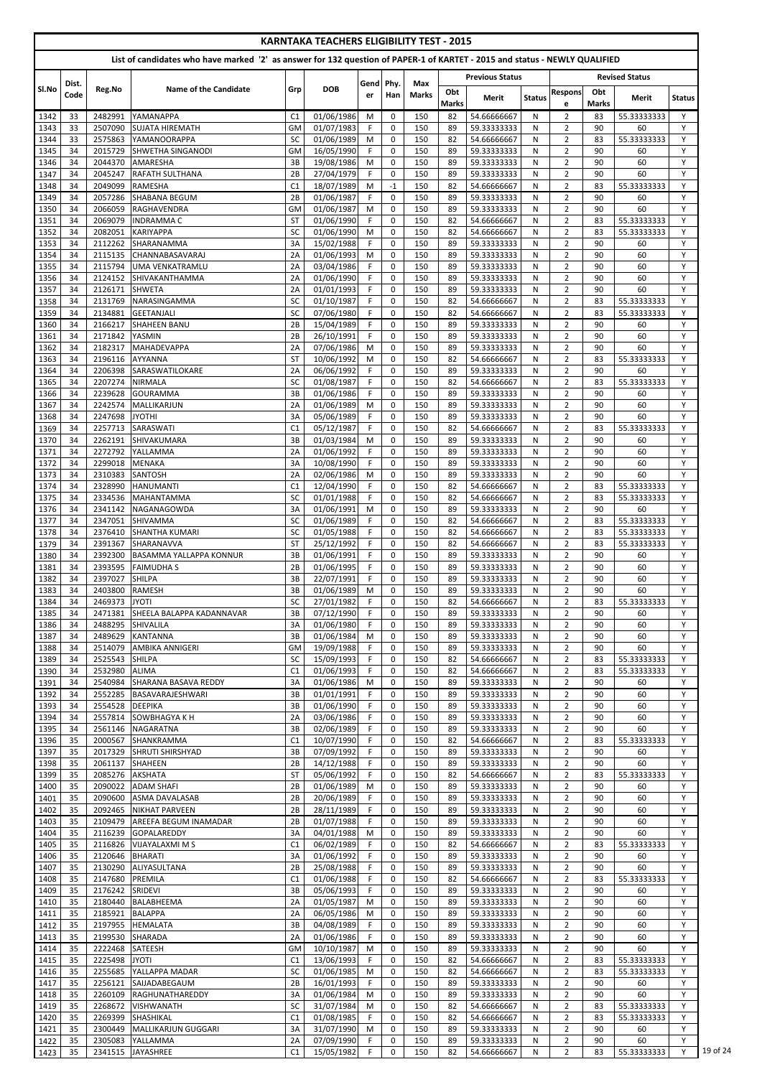|              | <b>KARNTAKA TEACHERS ELIGIBILITY TEST - 2015</b> |                            |                                                                                                                            |                 |                          |                 |                            |                     |              |                            |               |                                  |              |                            |               |
|--------------|--------------------------------------------------|----------------------------|----------------------------------------------------------------------------------------------------------------------------|-----------------|--------------------------|-----------------|----------------------------|---------------------|--------------|----------------------------|---------------|----------------------------------|--------------|----------------------------|---------------|
|              |                                                  |                            | List of candidates who have marked '2' as answer for 132 question of PAPER-1 of KARTET - 2015 and status - NEWLY QUALIFIED |                 |                          |                 |                            |                     |              |                            |               |                                  |              |                            |               |
|              |                                                  |                            |                                                                                                                            |                 |                          |                 |                            |                     |              | <b>Previous Status</b>     |               |                                  |              | <b>Revised Status</b>      |               |
| Sl.No        | Dist.<br>Code                                    | Reg.No                     | <b>Name of the Candidate</b>                                                                                               | Grp             | <b>DOB</b>               | Gend Phy.<br>er | Han                        | Max<br><b>Marks</b> | Obt          | <b>Merit</b>               | <b>Status</b> | <b>Respons</b>                   | Obt          | Merit                      | <b>Status</b> |
|              |                                                  |                            |                                                                                                                            |                 |                          |                 |                            |                     | <b>Marks</b> |                            |               | e                                | <b>Marks</b> |                            |               |
| 1342<br>1343 | 33<br>33                                         | 2482991<br>2507090         | YAMANAPPA<br><b>SUJATA HIREMATH</b>                                                                                        | C1<br>GM        | 01/06/1986<br>01/07/1983 | M<br>F.         | $\mathbf 0$<br>$\mathbf 0$ | 150<br>150          | 82<br>89     | 54.66666667<br>59.33333333 | N<br>N        | $\overline{2}$<br>$\overline{2}$ | 83<br>90     | 55.33333333<br>60          | Y<br>Y        |
| 1344         | 33                                               | 2575863                    | YAMANOORAPPA                                                                                                               | SC              | 01/06/1989               | M               | $\mathbf 0$                | 150                 | 82           | 54.66666667                | N             | $\overline{2}$                   | 83           | 55.33333333                | Υ             |
| 1345         | 34                                               | 2015729                    | <b>SHWETHA SINGANODI</b>                                                                                                   | GM              | 16/05/1990               | F               | $\pmb{0}$                  | 150                 | 89           | 59.33333333                | N             | $\overline{2}$                   | 90           | 60                         | Y             |
| 1346         | 34                                               | 2044370                    | AMARESHA                                                                                                                   | 3B              | 19/08/1986               | M               | $\mathbf 0$                | 150                 | 89           | 59.33333333                | N             | $\overline{2}$                   | 90           | 60                         | Y             |
| 1347<br>1348 | 34<br>34                                         | 2045247<br>2049099         | <b>RAFATH SULTHANA</b><br><b>RAMESHA</b>                                                                                   | 2B<br>C1        | 27/04/1979<br>18/07/1989 | F<br>M          | $\mathbf 0$<br>$-1$        | 150<br>150          | 89<br>82     | 59.33333333<br>54.66666667 | N<br>N        | $\overline{2}$<br>$\overline{2}$ | 90<br>83     | 60<br>55.33333333          | Y<br>Y        |
| 1349         | 34                                               | 2057286                    | <b>SHABANA BEGUM</b>                                                                                                       | 2B              | 01/06/1987               | F               | $\mathbf 0$                | 150                 | 89           | 59.33333333                | N             | $\overline{2}$                   | 90           | 60                         | Y             |
| 1350         | 34                                               | 2066059                    | RAGHAVENDRA                                                                                                                | <b>GM</b>       | 01/06/1987               | M               | $\mathbf 0$                | 150                 | 89           | 59.33333333                | N             | $\overline{2}$                   | 90           | 60                         | Y             |
| 1351         | 34                                               | 2069079                    | <b>INDRAMMAC</b>                                                                                                           | <b>ST</b>       | 01/06/1990               | F.              | $\mathbf 0$                | 150                 | 82           | 54.66666667                | N             | $\overline{2}$                   | 83           | 55.33333333                | Y             |
| 1352         | 34                                               | 2082051                    | <b>KARIYAPPA</b>                                                                                                           | SC              | 01/06/1990               | M               | $\mathbf 0$                | 150                 | 82           | 54.66666667                | N             | $\overline{2}$                   | 83           | 55.33333333                | Y<br>Y        |
| 1353<br>1354 | 34<br>34                                         | 2112262<br>2115135         | SHARANAMMA<br><b>CHANNABASAVARAJ</b>                                                                                       | 3A<br>2A        | 15/02/1988<br>01/06/1993 | F<br>M          | $\pmb{0}$<br>$\mathbf 0$   | 150<br>150          | 89<br>89     | 59.33333333<br>59.33333333 | N<br>N        | $\overline{2}$<br>$\overline{2}$ | 90<br>90     | 60<br>60                   | Y             |
| 1355         | 34                                               | 2115794                    | UMA VENKATRAMLU                                                                                                            | 2A              | 03/04/1986               | F               | $\mathbf 0$                | 150                 | 89           | 59.33333333                | N             | $\overline{2}$                   | 90           | 60                         | Y             |
| 1356         | 34                                               | 2124152                    | SHIVAKANTHAMMA                                                                                                             | 2A              | 01/06/1990               | F               | $\mathbf 0$                | 150                 | 89           | 59.33333333                | N             | $\overline{2}$                   | 90           | 60                         | Y             |
| 1357         | 34                                               | 2126171                    | <b>SHWETA</b>                                                                                                              | 2A              | 01/01/1993               | F               | 0                          | 150                 | 89           | 59.33333333                | N             | $\overline{2}$                   | 90           | 60                         | Y             |
| 1358<br>1359 | 34<br>34                                         | 2131769<br>2134881         | <b>NARASINGAMMA</b><br><b>GEETANJALI</b>                                                                                   | SC<br>SC        | 01/10/1987<br>07/06/1980 | F<br>F          | 0<br>$\mathbf 0$           | 150<br>150          | 82<br>82     | 54.66666667<br>54.66666667 | N<br>N        | $\overline{2}$<br>$\overline{2}$ | 83<br>83     | 55.33333333<br>55.33333333 | Y<br>Y        |
| 1360         | 34                                               | 2166217                    | <b>SHAHEEN BANU</b>                                                                                                        | 2B              | 15/04/1989               | F.              | $\mathbf 0$                | 150                 | 89           | 59.33333333                | N             | $\overline{2}$                   | 90           | 60                         | Y             |
| 1361         | 34                                               | 2171842                    | YASMIN                                                                                                                     | 2B              | 26/10/1991               | F               | $\mathbf 0$                | 150                 | 89           | 59.33333333                | N             | $\overline{2}$                   | 90           | 60                         | Y             |
| 1362         | 34                                               | 2182317                    | <b>MAHADEVAPPA</b>                                                                                                         | 2A              | 07/06/1986               | M               | $\mathbf 0$                | 150                 | 89           | 59.33333333                | N             | $\overline{2}$                   | 90           | 60                         | Y             |
| 1363         | 34                                               | 2196116                    | <b>AYYANNA</b>                                                                                                             | <b>ST</b>       | 10/06/1992               | M               | $\mathbf 0$                | 150                 | 82           | 54.66666667                | N             | $\overline{2}$                   | 83           | 55.33333333                | Y<br>Y        |
| 1364<br>1365 | 34<br>34                                         | 2206398<br>2207274         | SARASWATILOKARE<br><b>NIRMALA</b>                                                                                          | 2A<br>SC        | 06/06/1992<br>01/08/1987 | F.<br>F         | 0<br>0                     | 150<br>150          | 89<br>82     | 59.33333333<br>54.66666667 | N<br>N        | $\overline{2}$<br>$\overline{2}$ | 90<br>83     | 60<br>55.33333333          | Y             |
| 1366         | 34                                               | 2239628                    | <b>GOURAMMA</b>                                                                                                            | 3B              | 01/06/1986               | F               | $\mathbf 0$                | 150                 | 89           | 59.33333333                | N             | $\overline{2}$                   | 90           | 60                         | Y             |
| 1367         | 34                                               | 2242574                    | MALLIKARJUN                                                                                                                | 2A              | 01/06/1989               | M               | 0                          | 150                 | 89           | 59.33333333                | N             | $\overline{2}$                   | 90           | 60                         | Y             |
| 1368         | 34                                               | 2247698                    | <b>JYOTHI</b>                                                                                                              | 3A              | 05/06/1989               | F.              | $\mathbf 0$                | 150                 | 89           | 59.33333333                | N             | $\overline{2}$                   | 90           | 60                         | Y             |
| 1369         | 34                                               | 2257713                    | SARASWATI                                                                                                                  | C1              | 05/12/1987               | F               | $\pmb{0}$                  | 150                 | 82           | 54.66666667                | N             | $\overline{2}$                   | 83           | 55.33333333                | Y             |
| 1370<br>1371 | 34<br>34                                         | 2272792                    | 2262191 SHIVAKUMARA<br>YALLAMMA                                                                                            | 3В<br>2A        | 01/03/1984<br>01/06/1992 | M<br>F.         | 0<br>$\Omega$              | 150<br>150          | 89<br>89     | 59.33333333<br>59.33333333 | N.<br>N       | $\overline{2}$<br>$\overline{2}$ | 90<br>90     | 60<br>60                   | Y<br>Y        |
| 1372         | 34                                               | 2299018                    | <b>MENAKA</b>                                                                                                              | 3A              | 10/08/1990               | F.              | 0                          | 150                 | 89           | 59.33333333                | N             | $\overline{2}$                   | 90           | 60                         | Y             |
| 1373         | 34                                               | 2310383                    | <b>SANTOSH</b>                                                                                                             | 2A              | 02/06/1986               | M               | 0                          | 150                 | 89           | 59.33333333                | N             | $\overline{2}$                   | 90           | 60                         | Y             |
| 1374         | 34                                               | 2328990                    | <b>HANUMANTI</b>                                                                                                           | C1              | 12/04/1990               | F.              | $\mathbf 0$                | 150                 | 82           | 54.66666667                | N             | $\overline{2}$                   | 83           | 55.33333333                | Y             |
| 1375         | 34                                               | 2334536                    | <b>MAHANTAMMA</b>                                                                                                          | <b>SC</b>       | 01/01/1988               | F.              | $\mathbf 0$                | 150                 | 82           | 54.66666667                | N             | $\overline{2}$                   | 83           | 55.33333333                | Y             |
| 1376<br>1377 | 34<br>34                                         | 2341142<br>2347051         | NAGANAGOWDA<br><b>SHIVAMMA</b>                                                                                             | 3A<br><b>SC</b> | 01/06/1991<br>01/06/1989 | M<br>F          | $\mathbf 0$<br>$\mathbf 0$ | 150<br>150          | 89<br>82     | 59.33333333<br>54.66666667 | N<br>N        | $\overline{2}$<br>$\overline{2}$ | 90<br>83     | 60<br>55.33333333          | Y<br>Y        |
| 1378         | 34                                               | 2376410                    | <b>SHANTHA KUMARI</b>                                                                                                      | SC              | 01/05/1988               | F               | 0                          | 150                 | 82           | 54.66666667                | N             | $\overline{2}$                   | 83           | 55.33333333                | Y             |
| 1379         | 34                                               | 2391367                    | SHARANAVVA                                                                                                                 | <b>ST</b>       | 25/12/1992               | F.              | $\mathbf 0$                | 150                 | 82           | 54.66666667                | N             | $\overline{2}$                   | 83           | 55.33333333                | Y             |
| 1380         | 34                                               | 2392300                    | BASAMMA YALLAPPA KONNUR                                                                                                    | 3B              | 01/06/1991               | F.              | 0                          | 150                 | 89           | 59.33333333                | N             | $\overline{2}$                   | 90           | 60                         | Y             |
| 1381         | 34                                               | 2393595                    | <b>FAIMUDHAS</b>                                                                                                           | 2B              | 01/06/1995               | F.              | 0                          | 150                 | 89           | 59.33333333                | N             | $\overline{2}$                   | 90           | 60                         | Y             |
| 1382         | 34                                               | 2397027                    | <b>SHILPA</b>                                                                                                              | 3B              | 22/07/1991               | F.              | $\mathbf 0$                | 150                 | 89           | 59.33333333                | N             | $\overline{2}$                   | 90           | 60                         | Y             |
| 1383<br>1384 | 34<br>34                                         | 2403800<br>2469373         | <b>RAMESH</b><br><b>JYOTI</b>                                                                                              | 3B<br>SC        | 01/06/1989<br>27/01/1982 | M<br>F.         | $\mathbf 0$<br>$\mathbf 0$ | 150<br>150          | 89<br>82     | 59.33333333<br>54.66666667 | N<br>N        | $\overline{2}$<br>$\overline{2}$ | 90<br>83     | 60<br>55.33333333          | Y<br>Y        |
| 1385         | 34                                               | 2471381                    | SHEELA BALAPPA KADANNAVAR                                                                                                  | 3B              | 07/12/1990               | F               | 0                          | 150                 | 89           | 59.33333333                | N             | $\overline{2}$                   | 90           | 60                         | Y             |
| 1386         | 34                                               | 2488295                    | <b>SHIVALILA</b>                                                                                                           | 3A              | 01/06/1980               | F               | $\overline{0}$             | 150                 | 89           | 59.33333333                | N             | $\overline{2}$                   | 90           | 60                         | Y             |
| 1387         | 34                                               | 2489629                    | <b>KANTANNA</b>                                                                                                            | 3B              | 01/06/1984               | M               | $\overline{0}$             | 150                 | 89           | 59.33333333                | N             | $\overline{2}$                   | 90           | 60                         | Y             |
| 1388         | 34                                               | 2514079                    | <b>AMBIKA ANNIGERI</b>                                                                                                     | GM              | 19/09/1988               | F               | 0                          | 150                 | 89           | 59.33333333                | N             | $\overline{2}$                   | 90           | 60                         | Y             |
| 1389<br>1390 | 34<br>34                                         | 2525543<br>2532980         | <b>SHILPA</b><br><b>ALIMA</b>                                                                                              | <b>SC</b><br>C1 | 15/09/1993<br>01/06/1993 | F.<br>F.        | $\mathbf 0$<br>$\mathbf 0$ | 150<br>150          | 82<br>82     | 54.66666667<br>54.66666667 | N<br>N        | $\overline{2}$<br>$\overline{2}$ | 83<br>83     | 55.33333333<br>55.33333333 | Y<br>Y        |
| 1391         | 34                                               | 2540984                    | SHARANA BASAVA REDDY                                                                                                       | 3A              | 01/06/1986               | M               | $\mathbf 0$                | 150                 | 89           | 59.33333333                | N             | $\overline{2}$                   | 90           | 60                         | Y             |
| 1392         | 34                                               | 2552285                    | BASAVARAJESHWARI                                                                                                           | 3B              | 01/01/1991               | F.              | 0                          | 150                 | 89           | 59.33333333                | N             | $\overline{2}$                   | 90           | 60                         | Y             |
| 1393         | 34                                               | 2554528                    | <b>DEEPIKA</b>                                                                                                             | 3B              | 01/06/1990               | F               | $\mathbf 0$                | 150                 | 89           | 59.33333333                | N             | $\overline{2}$                   | 90           | 60                         | Y             |
| 1394         | 34<br>34                                         | 2557814                    | SOWBHAGYA K H                                                                                                              | 2A              | 03/06/1986               | F               | 0                          | 150                 | 89<br>89     | 59.33333333                | N             | $\overline{2}$<br>$\overline{2}$ | 90<br>90     | 60<br>60                   | Y<br>Y        |
| 1395<br>1396 | 35                                               | 2000567                    | 2561146 NAGARATNA<br>SHANKRAMMA                                                                                            | 3B<br>C1        | 02/06/1989<br>10/07/1990 | F.<br>F         | $\overline{0}$<br>0        | 150<br>150          | 82           | 59.33333333<br>54.66666667 | N<br>N        | $\overline{2}$                   | 83           | 55.33333333                | Y             |
| 1397         | 35                                               | 2017329                    | <b>SHRUTI SHIRSHYAD</b>                                                                                                    | 3B              | 07/09/1992               | F.              | $\mathbf 0$                | 150                 | 89           | 59.33333333                | N             | $\overline{2}$                   | 90           | 60                         | Y             |
| 1398         | 35                                               | 2061137                    | <b>SHAHEEN</b>                                                                                                             | 2B              | 14/12/1988               | F.              | $\mathbf 0$                | 150                 | 89           | 59.33333333                | N             | $\overline{2}$                   | 90           | 60                         | Y             |
| 1399         | 35                                               | 2085276                    | <b>AKSHATA</b>                                                                                                             | <b>ST</b>       | 05/06/1992               | F.              | $\mathbf 0$                | 150                 | 82           | 54.66666667                | N             | $\overline{2}$                   | 83           | 55.33333333                | Y             |
| 1400<br>1401 | 35<br>35                                         | 2090022<br>2090600         | <b>ADAM SHAFI</b><br>ASMA DAVALASAB                                                                                        | 2B<br>2B        | 01/06/1989<br>20/06/1989 | M<br>F.         | $\mathbf 0$<br>0           | 150<br>150          | 89<br>89     | 59.33333333<br>59.33333333 | N<br>N        | $\overline{2}$<br>$\overline{2}$ | 90<br>90     | 60<br>60                   | Y<br>Y        |
| 1402         | 35                                               | 2092465                    | NIKHAT PARVEEN                                                                                                             | 2B              | 28/11/1989               | F               | $\overline{0}$             | 150                 | 89           | 59.33333333                | N             | $\overline{2}$                   | 90           | 60                         | Y             |
| 1403         | 35                                               | 2109479                    | <b>AREEFA BEGUM INAMADAR</b>                                                                                               | 2B              | 01/07/1988               | F.              | 0                          | 150                 | 89           | 59.33333333                | N             | $\overline{2}$                   | 90           | 60                         | Y             |
| 1404         | 35                                               | 2116239                    | <b>GOPALAREDDY</b>                                                                                                         | 3A              | 04/01/1988               | M               | 0                          | 150                 | 89           | 59.33333333                | N             | $\overline{2}$                   | 90           | 60                         | Y             |
| 1405         | 35                                               |                            | 2116826 VIJAYALAXMI M S                                                                                                    | C1              | 06/02/1989               | <b>F</b>        | 0                          | 150                 | 82           | 54.66666667                | N             | $\overline{2}$                   | 83           | 55.33333333                | Υ             |
| 1406<br>1407 | 35<br>35                                         | 2120646 BHARATI<br>2130290 | ALIYASULTANA                                                                                                               | 3A<br>2B        | 01/06/1992<br>25/08/1988 | F.<br>F.        | $\Omega$<br>0              | 150<br>150          | 89<br>89     | 59.33333333<br>59.33333333 | N<br>N        | $\overline{2}$<br>$\overline{2}$ | 90<br>90     | 60<br>60                   | Y<br>Y        |
| 1408         | 35                                               | 2147680                    | PREMILA                                                                                                                    | C1              | 01/06/1988               | F.              | 0                          | 150                 | 82           | 54.66666667                | N             | $\overline{2}$                   | 83           | 55.33333333                | Y             |
| 1409         | 35                                               | 2176242                    | SRIDEVI                                                                                                                    | 3B              | 05/06/1993               | F.              | 0                          | 150                 | 89           | 59.33333333                | N             | $\overline{2}$                   | 90           | 60                         | Y             |
| 1410         | 35                                               | 2180440                    | BALABHEEMA                                                                                                                 | 2A              | 01/05/1987               | M               | $\mathbf 0$                | 150                 | 89           | 59.33333333                | N             | $\overline{2}$                   | 90           | 60                         | Y             |
| 1411         | 35                                               | 2185921                    | <b>BALAPPA</b>                                                                                                             | 2A              | 06/05/1986               | M               | $\mathbf 0$                | 150                 | 89           | 59.33333333                | N             | $\overline{2}$                   | 90           | 60                         | Y             |
| 1412<br>1413 | 35<br>35                                         | 2199530                    | 2197955 HEMALATA<br>SHARADA                                                                                                | 3B<br>2A        | 04/08/1989<br>01/06/1986 | F.<br>F.        | 0<br>$\mathbf{0}$          | 150<br>150          | 89<br>89     | 59.33333333<br>59.33333333 | N<br>N        | $\overline{2}$<br>$\overline{2}$ | 90<br>90     | 60<br>60                   | Y<br>Y        |
| 1414         | 35                                               | 2222468                    | SATEESH                                                                                                                    | GM              | 10/10/1987               | M               | 0                          | 150                 | 89           | 59.33333333                | N             | $\overline{2}$                   | 90           | 60                         | Y             |
| 1415         | 35                                               | 2225498                    | <b>JYOTI</b>                                                                                                               | C1              | 13/06/1993               | F.              | $\mathbf 0$                | 150                 | 82           | 54.66666667                | N             | $\overline{2}$                   | 83           | 55.33333333                | Y             |
| 1416         | 35                                               | 2255685                    | YALLAPPA MADAR                                                                                                             | <b>SC</b>       | 01/06/1985               | M               | $\mathbf 0$                | 150                 | 82           | 54.66666667                | N             | $\overline{2}$                   | 83           | 55.33333333                | Y             |
| 1417         | 35                                               | 2256121                    | SAIJADABEGAUM                                                                                                              | 2B              | 16/01/1993               | F.              | $\overline{0}$             | 150                 | 89           | 59.33333333                | N             | $\overline{2}$                   | 90           | 60                         | Y             |
| 1418         | 35                                               | 2260109                    | RAGHUNATHAREDDY                                                                                                            | 3A              | 01/06/1984               | M               | $\mathbf 0$                | 150                 | 89           | 59.33333333                | N             | $\overline{2}$                   | 90<br>83     | 60                         | Y<br>Y        |
| 1419<br>1420 | 35<br>35                                         | 2268672<br>2269399         | <b>VISHWANATH</b><br><b>SHASHIKAL</b>                                                                                      | SC<br>C1        | 31/07/1984<br>01/08/1985 | M<br>F.         | $\mathbf 0$<br>$\mathbf 0$ | 150<br>150          | 82<br>82     | 54.66666667<br>54.66666667 | N<br>N        | $\overline{2}$<br>$\overline{2}$ | 83           | 55.33333333<br>55.33333333 | Y             |
| 1421         | 35                                               | 2300449                    | <b>MALLIKARJUN GUGGARI</b>                                                                                                 | 3A              | 31/07/1990               | M               | $\mathbf{0}$               | 150                 | 89           | 59.33333333                | N             | $\overline{2}$                   | 90           | 60                         | Y             |
| 1422         | 35                                               | 2305083                    | YALLAMMA                                                                                                                   | 2A              | 07/09/1990               | F.              | 0                          | 150                 | 89           | 59.33333333                | N             | $\overline{2}$                   | 90           | 60                         | Y             |
| 1423         | 35                                               | 2341515                    | JAYASHREE                                                                                                                  | C1              | 15/05/1982               | F.              | 0                          | 150                 | 82           | 54.66666667                | N             | $\overline{2}$                   | 83           | 55.33333333                | Y             |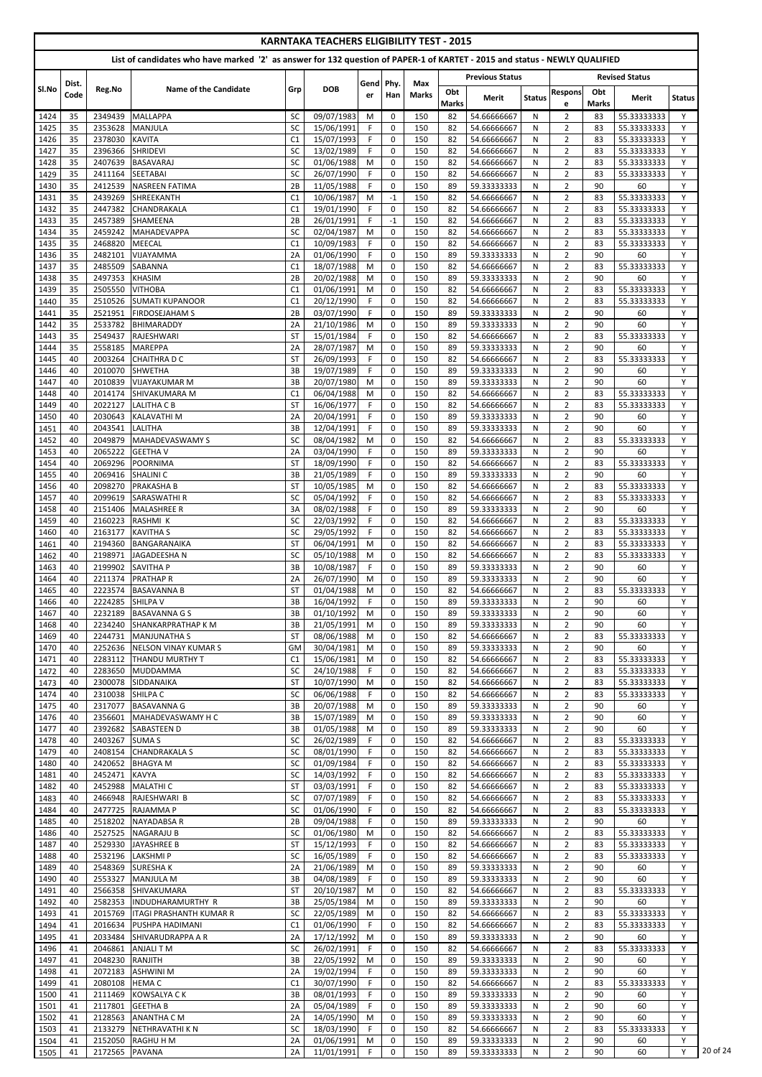|              |          |                    |                                                |                        |                          |                                                                                                                            | <b>KARNTAKA TEACHERS ELIGIBILITY TEST - 2015</b> |              |                     |                            |               |                                  |              |                            |               |
|--------------|----------|--------------------|------------------------------------------------|------------------------|--------------------------|----------------------------------------------------------------------------------------------------------------------------|--------------------------------------------------|--------------|---------------------|----------------------------|---------------|----------------------------------|--------------|----------------------------|---------------|
|              |          |                    |                                                |                        |                          | List of candidates who have marked '2' as answer for 132 question of PAPER-1 of KARTET - 2015 and status - NEWLY QUALIFIED |                                                  |              |                     |                            |               |                                  |              |                            |               |
|              | Dist.    |                    |                                                |                        |                          | Gend Phy.                                                                                                                  |                                                  | Max          |                     | <b>Previous Status</b>     |               |                                  |              | <b>Revised Status</b>      |               |
| Sl.No        | Code     | Reg.No             | Name of the Candidate                          | Grp                    | <b>DOB</b>               | er                                                                                                                         | Han                                              | <b>Marks</b> | Obt<br><b>Marks</b> | <b>Merit</b>               | <b>Status</b> | <b>Respons</b><br>e              | Obt<br>Marks | <b>Merit</b>               | <b>Status</b> |
| 1424         | 35       | 2349439            | <b>MALLAPPA</b>                                | <b>SC</b>              | 09/07/1983               | M                                                                                                                          | $\mathbf 0$                                      | 150          | 82                  | 54.66666667                | N             | $\overline{2}$                   | 83           | 55.33333333                | Y             |
| 1425         | 35       | 2353628            | <b>MANJULA</b>                                 | <b>SC</b>              | 15/06/1991               | F.                                                                                                                         | 0                                                | 150          | 82                  | 54.66666667                | N             | $\overline{2}$                   | 83           | 55.33333333                | Y             |
| 1426         | 35       | 2378030            | <b>KAVITA</b>                                  | C1                     | 15/07/1993               | F                                                                                                                          | $\mathbf 0$                                      | 150          | 82                  | 54.66666667                | N             | $\overline{2}$                   | 83           | 55.33333333                | Y             |
| 1427         | 35       | 2396366            | <b>SHRIDEVI</b>                                | SC                     | 13/02/1989               | F                                                                                                                          | $\mathbf 0$                                      | 150          | 82                  | 54.66666667                | N             | $\overline{2}$                   | 83           | 55.33333333                | Y             |
| 1428         | 35       | 2407639            | <b>BASAVARAJ</b>                               | SC                     | $\overline{01/06/1988}$  | M                                                                                                                          | $\mathbf 0$                                      | 150          | 82                  | 54.66666667                | N             | $\overline{2}$                   | 83           | 55.33333333                | Y             |
| 1429<br>1430 | 35<br>35 | 2411164<br>2412539 | <b>SEETABAI</b><br><b>NASREEN FATIMA</b>       | <b>SC</b><br>2B        | 26/07/1990<br>11/05/1988 | F<br>F                                                                                                                     | $\mathbf 0$<br>$\mathbf 0$                       | 150<br>150   | 82<br>89            | 54.66666667<br>59.33333333 | N<br>N        | $\overline{2}$<br>$\overline{2}$ | 83<br>90     | 55.33333333<br>60          | Y<br>Y        |
| 1431         | 35       | 2439269            | SHREEKANTH                                     | C1                     | 10/06/1987               | M                                                                                                                          | $-1$                                             | 150          | 82                  | 54.66666667                | N             | $\overline{2}$                   | 83           | 55.33333333                | Y             |
| 1432         | 35       | 2447382            | CHANDRAKALA                                    | C1                     | 19/01/1990               | F                                                                                                                          | $\mathbf 0$                                      | 150          | 82                  | 54.66666667                | N             | $\overline{2}$                   | 83           | 55.33333333                | Y             |
| 1433         | 35       | 2457389            | SHAMEENA                                       | 2B                     | 26/01/1991               | F                                                                                                                          | $-1$                                             | 150          | 82                  | 54.66666667                | N             | $\overline{2}$                   | 83           | 55.33333333                | Y             |
| 1434         | 35       | 2459242            | <b>MAHADEVAPPA</b>                             | <b>SC</b>              | 02/04/1987               | M                                                                                                                          | 0                                                | 150          | 82                  | 54.66666667                | N             | $\overline{2}$                   | 83           | 55.33333333                | Y             |
| 1435         | 35       | 2468820            | <b>MEECAL</b>                                  | C1                     | 10/09/1983               | F.                                                                                                                         | $\mathbf 0$                                      | 150          | 82                  | 54.66666667                | N             | $\overline{2}$                   | 83           | 55.33333333                | Y             |
| 1436         | 35       | 2482101            | VIJAYAMMA                                      | 2A                     | $\overline{01/06/1990}$  | F                                                                                                                          | $\mathbf 0$                                      | 150          | 89                  | 59.33333333                | ${\sf N}$     | $\overline{2}$                   | 90           | 60                         | Y             |
| 1437         | 35       | 2485509            | <b>SABANNA</b>                                 | C1                     | 18/07/1988               | M                                                                                                                          | 0                                                | 150          | 82                  | 54.66666667                | N             | $\overline{2}$                   | 83           | 55.33333333                | Y             |
| 1438         | 35<br>35 | 2497353<br>2505550 | <b>KHASIM</b><br><b>VITHOBA</b>                | 2B<br>C1               | 20/02/1988<br>01/06/1991 | M<br>M                                                                                                                     | 0<br>0                                           | 150<br>150   | 89<br>82            | 59.33333333<br>54.66666667 | N<br>N        | $\overline{2}$<br>$\overline{2}$ | 90<br>83     | 60<br>55.33333333          | Y<br>Y        |
| 1439<br>1440 | 35       | 2510526            | <b>SUMATI KUPANOOR</b>                         | C1                     | 20/12/1990               | F                                                                                                                          | $\mathbf 0$                                      | 150          | 82                  | 54.66666667                | N             | $\overline{2}$                   | 83           | 55.33333333                | Y             |
| 1441         | 35       | 2521951            | <b>FIRDOSEJAHAM S</b>                          | 2B                     | 03/07/1990               | F                                                                                                                          | $\mathbf 0$                                      | 150          | 89                  | 59.33333333                | N             | $\overline{2}$                   | 90           | 60                         | Y             |
| 1442         | 35       | 2533782            | BHIMARADDY                                     | 2A                     | 21/10/1986               | M                                                                                                                          | $\mathbf 0$                                      | 150          | 89                  | 59.33333333                | N             | $\overline{2}$                   | 90           | 60                         | Y             |
| 1443         | 35       | 2549437            | RAJESHWARI                                     | <b>ST</b>              | 15/01/1984               | F                                                                                                                          | $\pmb{0}$                                        | 150          | 82                  | 54.66666667                | N             | $\overline{2}$                   | 83           | 55.33333333                | Y             |
| 1444         | 35       | 2558185            | <b>MAREPPA</b>                                 | 2A                     | 28/07/1987               | M                                                                                                                          | $\mathbf 0$                                      | 150          | 89                  | 59.33333333                | N             | $\overline{2}$                   | 90           | 60                         | Y             |
| 1445         | 40       | 2003264            | <b>CHAITHRAD C</b>                             | <b>ST</b>              | 26/09/1993               | F                                                                                                                          | $\mathbf 0$                                      | 150          | 82                  | 54.66666667                | N             | $\overline{2}$                   | 83           | 55.33333333                | Y             |
| 1446         | 40       | 2010070            | <b>SHWETHA</b>                                 | 3B                     | 19/07/1989               | F                                                                                                                          | $\overline{0}$                                   | 150          | 89                  | 59.33333333                | N             | $\overline{2}$                   | 90           | 60                         | Y             |
| 1447         | 40       | 2010839            | <b>VIJAYAKUMAR M</b>                           | 3B                     | 20/07/1980               | M                                                                                                                          | $\mathbf 0$                                      | 150          | 89                  | 59.33333333                | N             | $\overline{2}$                   | 90           | 60                         | Y             |
| 1448         | 40       | 2014174            | SHIVAKUMARA M                                  | C1                     | 06/04/1988               | M                                                                                                                          | $\mathbf 0$                                      | 150          | 82                  | 54.66666667                | N             | $\overline{2}$                   | 83           | 55.33333333                | Y<br>Y        |
| 1449<br>1450 | 40<br>40 | 2022127<br>2030643 | LALITHA C B<br><b>KALAVATHIM</b>               | <b>ST</b><br>2A        | 16/06/1977<br>20/04/1991 | F.<br>F.                                                                                                                   | $\mathbf 0$<br>$\mathbf 0$                       | 150<br>150   | 82<br>89            | 54.66666667<br>59.33333333 | N<br>N        | $\overline{2}$<br>$\overline{2}$ | 83<br>90     | 55.33333333<br>60          | Y             |
| 1451         | 40       | 2043541            | <b>LALITHA</b>                                 | 3B                     | 12/04/1991               | F                                                                                                                          | 0                                                | 150          | 89                  | 59.33333333                | N             | $\overline{2}$                   | 90           | 60                         | Y             |
| 1452         | 40       |                    | 2049879 MAHADEVASWAMY S                        | SC.                    | 08/04/1982               | M                                                                                                                          | 0                                                | 150          | 82                  | 54.66666667                | N.            | 2                                | 83           | 55.33333333                | Y             |
| 1453         | 40       | 2065222            | <b>GEETHA V</b>                                | 2A                     | 03/04/1990               | F                                                                                                                          | $\Omega$                                         | 150          | 89                  | 59.33333333                | N             | $\overline{2}$                   | 90           | 60                         | Y             |
| 1454         | 40       |                    | 2069296 POORNIMA                               | <b>ST</b>              | 18/09/1990               | F.                                                                                                                         | $\mathbf 0$                                      | 150          | 82                  | 54.66666667                | N             | $\overline{2}$                   | 83           | 55.33333333                | Y             |
| 1455         | 40       | 2069416            | <b>SHALINI C</b>                               | 3B                     | 21/05/1989               | F.                                                                                                                         | $\mathbf 0$                                      | 150          | 89                  | 59.33333333                | N             | $\overline{2}$                   | 90           | 60                         | Y             |
| 1456         | 40       | 2098270            | <b>PRAKASHA B</b>                              | <b>ST</b>              | 10/05/1985               | M                                                                                                                          | $\mathbf 0$                                      | 150          | 82                  | 54.66666667                | N             | $\overline{2}$                   | 83           | 55.33333333                | Y             |
| 1457         | 40       | 2099619            | <b>SARASWATHI R</b>                            | <b>SC</b>              | 05/04/1992               | F.                                                                                                                         | $\mathbf 0$                                      | 150          | 82                  | 54.66666667                | N             | $\overline{2}$                   | 83           | 55.33333333                | Y             |
| 1458         | 40       | 2151406            | MALASHREE R                                    | 3A                     | 08/02/1988               | F.                                                                                                                         | $\mathbf 0$                                      | 150          | 89                  | 59.33333333                | N             | $\overline{2}$                   | 90           | 60                         | Y             |
| 1459         | 40       | 2160223            | RASHMI K<br><b>KAVITHA S</b>                   | <b>SC</b>              | 22/03/1992               | F<br>F                                                                                                                     | $\mathbf 0$<br>$\mathbf 0$                       | 150          | 82                  | 54.66666667                | N             | $\overline{2}$<br>$\overline{2}$ | 83           | 55.33333333                | Y<br>Y        |
| 1460<br>1461 | 40<br>40 | 2163177<br>2194360 | BANGARANAIKA                                   | <b>SC</b><br><b>ST</b> | 29/05/1992<br>06/04/1991 | M                                                                                                                          | $\overline{0}$                                   | 150<br>150   | 82<br>82            | 54.66666667<br>54.66666667 | N<br>N        | $\overline{2}$                   | 83<br>83     | 55.33333333<br>55.33333333 | Y             |
| 1462         | 40       | 2198971            | JAGADEESHA N                                   | <b>SC</b>              | 05/10/1988               | M                                                                                                                          | $\overline{0}$                                   | 150          | 82                  | 54.66666667                | N             | $\overline{2}$                   | 83           | 55.33333333                | Y             |
| 1463         | 40       | 2199902            | <b>SAVITHA P</b>                               | 3B                     | 10/08/1987               | F.                                                                                                                         | $\mathbf 0$                                      | 150          | 89                  | 59.33333333                | N             | $\overline{2}$                   | 90           | 60                         | Y             |
| 1464         | 40       | 2211374            | <b>PRATHAP R</b>                               | 2A                     | 26/07/1990               | M                                                                                                                          | $\mathbf 0$                                      | 150          | 89                  | 59.33333333                | N             | $\overline{2}$                   | 90           | 60                         | Y             |
| 1465         | 40       | 2223574            | <b>BASAVANNA B</b>                             | <b>ST</b>              | 01/04/1988               | M                                                                                                                          | $\mathbf 0$                                      | 150          | 82                  | 54.66666667                | N             | $\overline{2}$                   | 83           | 55.33333333                | Y             |
| 1466         | 40       | 2224285            | <b>SHILPA V</b>                                | 3B                     | 16/04/1992               | F.                                                                                                                         | $\mathbf 0$                                      | 150          | 89                  | 59.33333333                | N             | $\overline{2}$                   | 90           | 60                         | Y             |
| 1467         | 40       | 2232189            | <b>BASAVANNA G S</b>                           | 3B                     | 01/10/1992               | M                                                                                                                          | $\mathbf 0$                                      | 150          | 89                  | 59.33333333                | N             | $\overline{2}$                   | 90           | 60                         | Y             |
| 1468         | 40       | 2234240            | <b>SHANKARPRATHAP K M</b>                      | 3B                     | 21/05/1991               | M                                                                                                                          | $\mathbf 0$                                      | 150          | 89                  | 59.33333333                | N             | $\overline{2}$                   | 90           | 60                         | Y             |
| 1469         | 40       | 2244731            | <b>MANJUNATHA S</b>                            | <b>ST</b>              | 08/06/1988               | M                                                                                                                          | $\mathbf 0$                                      | 150          | 82                  | 54.66666667                | N             | $\overline{2}$                   | 83           | 55.33333333                | Y             |
| 1470<br>1471 | 40<br>40 | 2252636<br>2283112 | NELSON VINAY KUMAR S<br><b>THANDU MURTHY T</b> | GM<br>C1               | 30/04/1981<br>15/06/1981 | M<br>M                                                                                                                     | 0<br>0                                           | 150<br>150   | 89<br>82            | 59.33333333<br>54.66666667 | N<br>N        | $\overline{2}$<br>$\overline{2}$ | 90<br>83     | 60<br>55.33333333          | Y<br>Y        |
| 1472         | 40       | 2283650            | MUDDAMMA                                       | <b>SC</b>              | 24/10/1988               | F.                                                                                                                         | $\mathbf 0$                                      | 150          | 82                  | 54.66666667                | N             | $\overline{2}$                   | 83           | 55.33333333                | Y             |
| 1473         | 40       | 2300078            | SIDDANAIKA                                     | <b>ST</b>              | 10/07/1990               | M                                                                                                                          | $\mathbf 0$                                      | 150          | 82                  | 54.66666667                | N             | $\overline{2}$                   | 83           | 55.33333333                | Y             |
| 1474         | 40       | 2310038            | <b>SHILPA C</b>                                | SC                     | 06/06/1988               | F.                                                                                                                         | $\mathbf 0$                                      | 150          | 82                  | 54.66666667                | N             | $\overline{2}$                   | 83           | 55.33333333                | Y             |
| 1475         | 40       | 2317077            | <b>BASAVANNA G</b>                             | 3B                     | 20/07/1988               | M                                                                                                                          | $\mathbf 0$                                      | 150          | 89                  | 59.33333333                | N             | $\overline{2}$                   | 90           | 60                         | Y             |
| 1476         | 40       | 2356601            | MAHADEVASWAMY H C                              | 3B                     | 15/07/1989               | M                                                                                                                          | $\mathbf 0$                                      | 150          | 89                  | 59.33333333                | N             | $\overline{2}$                   | 90           | 60                         | Y             |
| 1477         | 40       | 2392682            | <b>SABASTEEN D</b>                             | 3B                     | 01/05/1988               | M                                                                                                                          | $\mathbf 0$                                      | 150          | 89                  | 59.33333333                | N             | $\overline{2}$                   | 90           | 60                         | Y             |
| 1478         | 40       | 2403267 SUMA S     |                                                | <b>SC</b>              | 26/02/1989               | F.                                                                                                                         | 0                                                | 150          | 82                  | 54.66666667                | N             | $\overline{2}$                   | 83           | 55.33333333                | Y             |
| 1479         | 40       | 2408154            | <b>CHANDRAKALA S</b>                           | <b>SC</b>              | 08/01/1990               | F.<br>F.                                                                                                                   | $\mathbf 0$                                      | 150          | 82                  | 54.66666667                | N             | $\overline{2}$                   | 83           | 55.33333333                | Y             |
| 1480<br>1481 | 40<br>40 | 2420652<br>2452471 | <b>BHAGYAM</b><br><b>KAVYA</b>                 | <b>SC</b><br><b>SC</b> | 01/09/1984<br>14/03/1992 | F.                                                                                                                         | $\mathbf 0$<br>$\mathbf 0$                       | 150<br>150   | 82<br>82            | 54.66666667<br>54.66666667 | N<br>N        | $\overline{2}$<br>$\overline{2}$ | 83<br>83     | 55.33333333<br>55.33333333 | Y<br>Y        |
| 1482         | 40       | 2452988            | MALATHI C                                      | <b>ST</b>              | 03/03/1991               | F                                                                                                                          | 0                                                | 150          | 82                  | 54.66666667                | N             | $\overline{2}$                   | 83           | 55.33333333                | Y             |
| 1483         | 40       | 2466948            | RAJESHWARI B                                   | SC                     | 07/07/1989               | F                                                                                                                          | $\mathbf 0$                                      | 150          | 82                  | 54.66666667                | N             | $\overline{2}$                   | 83           | 55.33333333                | Y             |
| 1484         | 40       | 2477725            | RAJAMMA P                                      | <b>SC</b>              | 01/06/1990               | F                                                                                                                          | $\overline{0}$                                   | 150          | 82                  | 54.66666667                | N             | $\overline{2}$                   | 83           | 55.33333333                | Y             |
| 1485         | 40       | 2518202            | NAYADABSA R                                    | 2B                     | 09/04/1988               | F.                                                                                                                         | $\mathbf 0$                                      | 150          | 89                  | 59.33333333                | N             | $\overline{2}$                   | 90           | 60                         | Y             |
| 1486         | 40       |                    | 2527525 NAGARAJU B                             | SC                     | 01/06/1980               | M                                                                                                                          | $\mathbf 0$                                      | 150          | 82                  | 54.66666667                | N             | $\overline{2}$                   | 83           | 55.33333333                | Y             |
| 1487         | 40       |                    | 2529330 JAYASHREE B                            | $\sim$ $-$<br>Ы        | 15/12/1993               | F.                                                                                                                         | $\mathbf 0$                                      | 150          | 82                  | 54.66666667                | ${\sf N}$     | $\overline{2}$                   | 83           | 55.333333333               | Y             |
| 1488         | 40       |                    | 2532196   LAKSHMI P                            | <b>SC</b>              | 16/05/1989               | F.                                                                                                                         | $\mathbf{0}$                                     | 150          | 82                  | 54.66666667                | N             | $\overline{2}$                   | 83           | 55.33333333                | Y             |
| 1489         | 40       |                    | 2548369 SURESHAK                               | 2A                     | 21/06/1989               | M                                                                                                                          | 0                                                | 150          | 89                  | 59.33333333                | N             | $\overline{2}$                   | 90           | 60                         | Y             |
| 1490<br>1491 | 40<br>40 | 2553327<br>2566358 | <b>MANJULA M</b><br>SHIVAKUMARA                | 3B<br>ST               | 04/08/1989<br>20/10/1987 | F.<br>M                                                                                                                    | $\mathbf 0$<br>0                                 | 150<br>150   | 89<br>82            | 59.33333333<br>54.66666667 | N<br>N        | $\overline{2}$<br>$\overline{2}$ | 90<br>83     | 60<br>55.33333333          | Y<br>Y        |
| 1492         | 40       | 2582353            | INDUDHARAMURTHY R                              | 3B                     | 25/05/1984               | M                                                                                                                          | $\mathbf 0$                                      | 150          | 89                  | 59.33333333                | N             | $\overline{2}$                   | 90           | 60                         | Y             |
| 1493         | 41       | 2015769            | <b>ITAGI PRASHANTH KUMAR R</b>                 | SC                     | 22/05/1989               | M                                                                                                                          | 0                                                | 150          | 82                  | 54.66666667                | N             | $\overline{2}$                   | 83           | 55.33333333                | Y             |
| 1494         | 41       | 2016634            | <b>PUSHPA HADIMANI</b>                         | C1                     | 01/06/1990               | F.                                                                                                                         | $\mathbf 0$                                      | 150          | 82                  | 54.66666667                | N             | $\overline{2}$                   | 83           | 55.33333333                | Y             |
| 1495         | 41       | 2033484            | ISHIVARUDRAPPA A R                             | 2A                     | 17/12/1992               | M                                                                                                                          | $\mathbf 0$                                      | 150          | 89                  | 59.33333333                | N             | $\overline{2}$                   | 90           | 60                         | Y             |
| 1496         | 41       | 2046861            | ANJALI T M                                     | <b>SC</b>              | 26/02/1991               | F.                                                                                                                         | $\mathbf 0$                                      | 150          | 82                  | 54.66666667                | N             | $\overline{2}$                   | 83           | 55.33333333                | Y             |
| 1497         | 41       | 2048230            | RANJITH                                        | 3B                     | 22/05/1992               | M                                                                                                                          | 0                                                | 150          | 89                  | 59.33333333                | N             | $\overline{2}$                   | 90           | 60                         | Y             |
| 1498         | 41       | 2072183            | <b>ASHWINI M</b>                               | 2A                     | 19/02/1994               | F.                                                                                                                         | 0                                                | 150          | 89                  | 59.33333333                | N             | $\overline{2}$                   | 90           | 60                         | Y             |
| 1499         | 41       | 2080108            | <b>HEMA C</b>                                  | C1                     | 30/07/1990               | F.                                                                                                                         | 0                                                | 150          | 82                  | 54.66666667                | N             | $\overline{2}$                   | 83           | 55.33333333                | Y             |
| 1500         | 41       | 2111469            | KOWSALYA C K                                   | 3B                     | 08/01/1993               | F.                                                                                                                         | $\mathbf 0$                                      | 150          | 89                  | 59.33333333                | N             | $\overline{2}$                   | 90           | 60                         | Y             |
| 1501         | 41       | 2117801            | <b>GEETHA B</b>                                | 2A                     | 05/04/1989               | F.                                                                                                                         | 0                                                | 150          | 89                  | 59.33333333                | N             | $\overline{2}$                   | 90           | 60                         | Y             |
| 1502<br>1503 | 41<br>41 | 2128563<br>2133279 | <b>ANANTHA C M</b><br>INETHRAVATHI K N         | 2A<br><b>SC</b>        | 14/05/1990<br>18/03/1990 | M<br>F.                                                                                                                    | 0<br>$\mathbf 0$                                 | 150<br>150   | 89<br>82            | 59.33333333<br>54.66666667 | N<br>N        | $\overline{2}$<br>$\overline{2}$ | 90<br>83     | 60<br>55.33333333          | Y<br>Y        |
| 1504         | 41       | 2152050            | RAGHU H M                                      | 2A                     | 01/06/1991               | M                                                                                                                          | $\mathbf{0}$                                     | 150          | 89                  | 59.33333333                | N             | $\overline{2}$                   | 90           | 60                         | Υ             |
| 1505         | 41       | 2172565            | <b>PAVANA</b>                                  | 2A                     | 11/01/1991               | F.                                                                                                                         | 0                                                | 150          | 89                  | 59.33333333                | N             | $\overline{2}$                   | 90           | 60                         | Y             |
|              |          |                    |                                                |                        |                          |                                                                                                                            |                                                  |              |                     |                            |               |                                  |              |                            |               |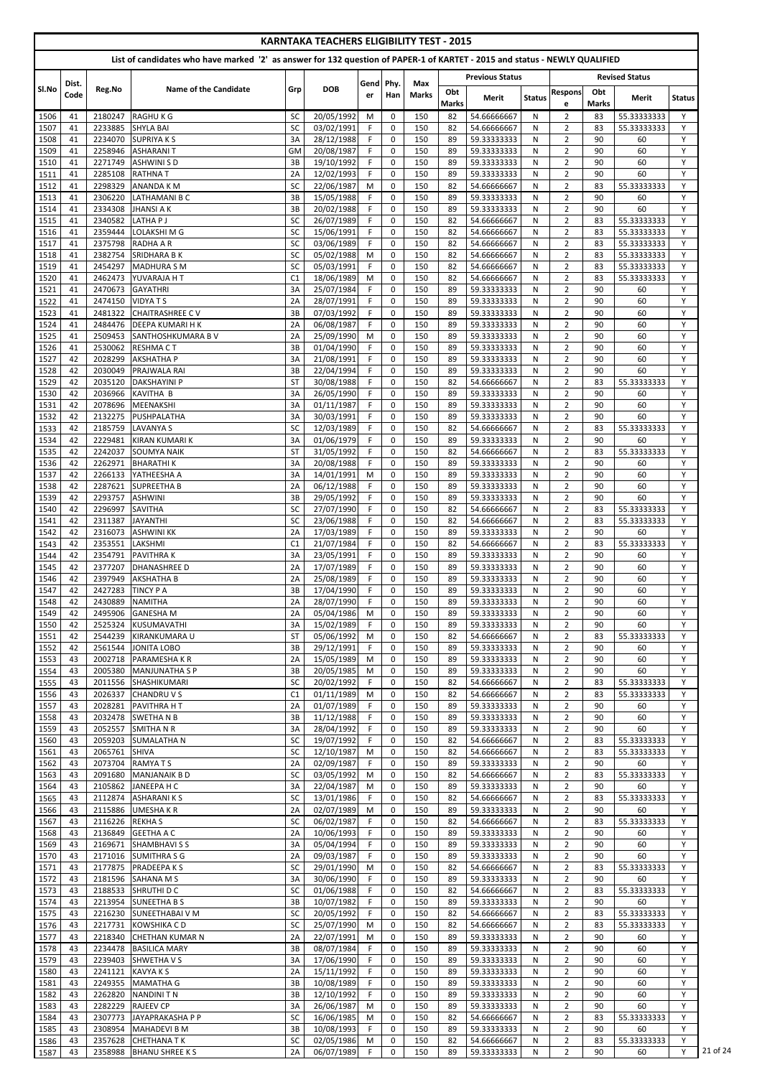|                                                                                                                            |          |                    |                                         |                 | <b>KARNTAKA TEACHERS ELIGIBILITY TEST - 2015</b> |           |                            |              |                     |                            |               |                                  |                     |                            |               |
|----------------------------------------------------------------------------------------------------------------------------|----------|--------------------|-----------------------------------------|-----------------|--------------------------------------------------|-----------|----------------------------|--------------|---------------------|----------------------------|---------------|----------------------------------|---------------------|----------------------------|---------------|
| List of candidates who have marked '2' as answer for 132 question of PAPER-1 of KARTET - 2015 and status - NEWLY QUALIFIED |          |                    |                                         |                 |                                                  |           |                            |              |                     |                            |               |                                  |                     |                            |               |
|                                                                                                                            | Dist.    |                    |                                         |                 |                                                  | Gend Phy. |                            | <b>Max</b>   |                     | <b>Previous Status</b>     |               |                                  |                     | <b>Revised Status</b>      |               |
| SI.No                                                                                                                      | Code     | Reg.No             | <b>Name of the Candidate</b>            | Grp             | <b>DOB</b>                                       | er        | Han                        | <b>Marks</b> | Obt<br><b>Marks</b> | Merit                      | <b>Status</b> | <b>Respons</b><br>e              | Obt<br><b>Marks</b> | Merit                      | <b>Status</b> |
| 1506                                                                                                                       | 41       | 2180247            | <b>RAGHUKG</b>                          | <b>SC</b>       | 20/05/1992                                       | M         | 0                          | 150          | 82                  | 54.66666667                | N             | 2                                | 83                  | 55.33333333                | Y             |
| 1507<br>1508                                                                                                               | 41<br>41 | 2233885<br>2234070 | <b>SHYLA BAI</b><br><b>SUPRIYAKS</b>    | <b>SC</b><br>3A | 03/02/1991<br>28/12/1988                         | F.<br>F.  | $\mathbf 0$<br>$\mathbf 0$ | 150<br>150   | 82<br>89            | 54.66666667<br>59.33333333 | N<br>N        | $\overline{2}$<br>$\overline{2}$ | 83<br>90            | 55.33333333<br>60          | Y<br>Y        |
| 1509                                                                                                                       | 41       | 2258946            | <b>ASHARANIT</b>                        | GM              | 20/08/1987                                       | F.        | $\mathbf 0$                | 150          | 89                  | 59.33333333                | N             | $\overline{2}$                   | 90                  | 60                         | Y             |
| 1510                                                                                                                       | 41       | 2271749            | <b>ASHWINISD</b>                        | 3B              | 19/10/1992                                       | F.        | $\mathbf 0$                | 150          | 89                  | 59.33333333                | N             | $\overline{2}$                   | 90                  | 60                         | Y             |
| 1511                                                                                                                       | 41       | 2285108            | <b>RATHNAT</b>                          | 2A              | 12/02/1993                                       | F         | $\mathbf 0$                | 150          | 89                  | 59.33333333                | N             | $\overline{2}$                   | 90                  | 60                         | Y             |
| 1512<br>1513                                                                                                               | 41<br>41 | 2298329<br>2306220 | <b>ANANDA KM</b><br>LATHAMANI B C       | <b>SC</b><br>3B | 22/06/1987<br>15/05/1988                         | M<br>F    | $\mathbf 0$<br>0           | 150<br>150   | 82<br>89            | 54.66666667<br>59.33333333 | N<br>N        | $\overline{2}$<br>$\overline{2}$ | 83<br>90            | 55.33333333<br>60          | Y<br>Y        |
| 1514                                                                                                                       | 41       | 2334308            | <b>JHANSI A K</b>                       | 3B              | 20/02/1988                                       | F         | $\mathbf 0$                | 150          | 89                  | 59.33333333                | N             | $\overline{2}$                   | 90                  | 60                         | Y             |
| 1515                                                                                                                       | 41       | 2340582            | LATHA P J                               | SC              | 26/07/1989                                       | F         | 0                          | 150          | 82                  | 54.66666667                | N             | $\overline{2}$                   | 83                  | 55.33333333                | Y             |
| 1516<br>1517                                                                                                               | 41<br>41 | 2359444<br>2375798 | LOLAKSHI M G<br>RADHA A R               | SC<br>SC        | 15/06/1991<br>03/06/1989                         | F.<br>F.  | $\mathbf 0$<br>$\mathbf 0$ | 150<br>150   | 82<br>82            | 54.66666667<br>54.66666667 | N<br>N        | $\overline{2}$<br>$\overline{2}$ | 83<br>83            | 55.33333333<br>55.33333333 | Y<br>Y        |
| 1518                                                                                                                       | 41       | 2382754            | <b>SRIDHARA B K</b>                     | <b>SC</b>       | 05/02/1988                                       | M         | $\mathbf 0$                | 150          | 82                  | 54.66666667                | N             | $\overline{2}$                   | 83                  | 55.33333333                | Y             |
| 1519                                                                                                                       | 41       | 2454297            | <b>MADHURA S M</b>                      | SC              | 05/03/1991                                       | F         | $\mathbf 0$                | 150          | 82                  | 54.66666667                | N             | $\overline{2}$                   | 83                  | 55.33333333                | Y             |
| 1520                                                                                                                       | 41       | 2462473            | YUVARAJA HT                             | C <sub>1</sub>  | 18/06/1989                                       | M         | $\mathbf 0$                | 150          | 82                  | 54.66666667                | N             | $\overline{2}$                   | 83                  | 55.33333333                | Y             |
| 1521<br>1522                                                                                                               | 41<br>41 | 2470673<br>2474150 | <b>GAYATHRI</b><br><b>VIDYATS</b>       | 3A<br>2A        | 25/07/1984<br>28/07/1991                         | F<br>F.   | 0<br>0                     | 150<br>150   | 89<br>89            | 59.33333333<br>59.33333333 | N<br>N        | $\overline{2}$<br>$\overline{2}$ | 90<br>90            | 60<br>60                   | Y<br>Y        |
| 1523                                                                                                                       | 41       | 2481322            | <b>CHAITRASHREE CV</b>                  | 3B              | 07/03/1992                                       | F.        | $\mathbf 0$                | 150          | 89                  | 59.33333333                | N             | $\overline{2}$                   | 90                  | 60                         | Y             |
| 1524                                                                                                                       | 41       | 2484476            | <b>DEEPA KUMARI H K</b>                 | 2A              | 06/08/1987                                       | F.        | 0                          | 150          | 89                  | 59.33333333                | N             | $\overline{2}$                   | 90                  | 60                         | Y             |
| 1525<br>1526                                                                                                               | 41<br>41 | 2509453<br>2530062 | SANTHOSHKUMARA B V<br><b>RESHMACT</b>   | 2A<br>3B        | 25/09/1990<br>01/04/1990                         | M<br>F    | 0<br>$\mathbf 0$           | 150<br>150   | 89<br>89            | 59.33333333<br>59.33333333 | N<br>N        | $\overline{2}$<br>$\overline{2}$ | 90<br>90            | 60<br>60                   | Y<br>Y        |
| 1527                                                                                                                       | 42       | 2028299            | <b>AKSHATHA P</b>                       | 3A              | 21/08/1991                                       | F.        | $\mathbf 0$                | 150          | 89                  | 59.33333333                | N             | $\overline{2}$                   | 90                  | 60                         | Y             |
| 1528                                                                                                                       | 42       | 2030049            | PRAJWALA RAI                            | 3B              | 22/04/1994                                       | F.        | 0                          | 150          | 89                  | 59.33333333                | N             | $\overline{2}$                   | 90                  | 60                         | Y             |
| 1529                                                                                                                       | 42       | 2035120            | <b>DAKSHAYINI P</b>                     | <b>ST</b>       | 30/08/1988                                       | F         | 0                          | 150          | 82                  | 54.66666667                | N             | $\overline{2}$                   | 83                  | 55.33333333                | Y             |
| 1530<br>1531                                                                                                               | 42<br>42 | 2036966<br>2078696 | <b>KAVITHA B</b><br>MEENAKSHI           | 3A<br>3A        | 26/05/1990<br>01/11/1987                         | F<br>F.   | 0<br>0                     | 150<br>150   | 89<br>89            | 59.33333333<br>59.33333333 | N<br>N        | $\overline{2}$<br>$\overline{2}$ | 90<br>90            | 60<br>60                   | Y<br>Y        |
| 1532                                                                                                                       | 42       | 2132275            | PUSHPALATHA                             | 3A              | 30/03/1991                                       | F.        | 0                          | 150          | 89                  | 59.33333333                | N             | $\overline{2}$                   | 90                  | 60                         | Y             |
| 1533                                                                                                                       | 42       | 2185759            | <b>LAVANYA S</b>                        | SC              | 12/03/1989                                       | F.        | $\mathbf 0$                | 150          | 82                  | 54.66666667                | N             | $\overline{2}$                   | 83                  | 55.33333333                | Y             |
| 1534                                                                                                                       | 42       |                    | 2229481 KIRAN KUMARI K                  | 3A              | 01/06/1979                                       | F.<br>F   | $\mathbf{0}$               | 150          | 89                  | 59.33333333                | N             | $\overline{2}$                   | 90                  | 60                         | Y<br>Y        |
| 1535<br>1536                                                                                                               | 42<br>42 | 2242037<br>2262971 | <b>SOUMYA NAIK</b><br><b>BHARATHIK</b>  | <b>ST</b><br>3A | 31/05/1992<br>20/08/1988                         | F         | $\Omega$<br>$\mathbf 0$    | 150<br>150   | 82<br>89            | 54.66666667<br>59.33333333 | N<br>N.       | $\overline{2}$<br>$\overline{2}$ | 83<br>90            | 55.33333333<br>60          | Y             |
| 1537                                                                                                                       | 42       | 2266133            | YATHEESHA A                             | 3A              | 14/01/1991                                       | M         | 0                          | 150          | 89                  | 59.33333333                | N             | $\overline{2}$                   | 90                  | 60                         | Y             |
| 1538                                                                                                                       | 42       | 2287621            | <b>SUPREETHA B</b>                      | 2A              | 06/12/1988                                       | F.        | $\mathbf 0$                | 150          | 89                  | 59.33333333                | N             | $\overline{2}$                   | 90                  | 60                         | Y             |
| 1539<br>1540                                                                                                               | 42<br>42 | 2293757<br>2296997 | <b>ASHWINI</b><br><b>SAVITHA</b>        | 3B<br><b>SC</b> | 29/05/1992<br>27/07/1990                         | F.<br>F   | $\mathbf 0$<br>$\mathbf 0$ | 150<br>150   | 89<br>82            | 59.33333333<br>54.66666667 | N<br>N        | $\overline{2}$<br>$\overline{2}$ | 90<br>83            | 60<br>55.33333333          | Y<br>Y        |
| 1541                                                                                                                       | 42       | 2311387            | <b>JAYANTHI</b>                         | <b>SC</b>       | 23/06/1988                                       | F.        | $\mathbf 0$                | 150          | 82                  | 54.66666667                | N             | $\overline{2}$                   | 83                  | 55.33333333                | Y             |
| 1542                                                                                                                       | 42       | 2316073            | <b>ASHWINI KK</b>                       | 2A              | 17/03/1989                                       | F         | $\mathbf 0$                | 150          | 89                  | 59.33333333                | N             | $\overline{2}$                   | 90                  | 60                         | Y             |
| 1543                                                                                                                       | 42       | 2353551            | LAKSHMI                                 | C <sub>1</sub>  | 21/07/1984                                       | F.        | $\mathbf 0$                | 150          | 82                  | 54.66666667                | N             | $\overline{2}$                   | 83                  | 55.33333333                | Y<br>Y        |
| 1544<br>1545                                                                                                               | 42<br>42 | 2354791<br>2377207 | <b>PAVITHRAK</b><br><b>DHANASHREE D</b> | 3A<br>2A        | 23/05/1991<br>17/07/1989                         | F<br>F.   | $\mathbf 0$<br>0           | 150<br>150   | 89<br>89            | 59.33333333<br>59.33333333 | N<br>N        | $\overline{2}$<br>$\overline{2}$ | 90<br>90            | 60<br>60                   | Y             |
| 1546                                                                                                                       | 42       | 2397949            | <b>AKSHATHA B</b>                       | 2A              | 25/08/1989                                       | F.        | 0                          | 150          | 89                  | 59.33333333                | N             | $\overline{2}$                   | 90                  | 60                         | Y             |
| 1547                                                                                                                       | 42       | 2427283            | <b>TINCY PA</b>                         | 3B              | 17/04/1990                                       | F.        | $\mathbf 0$                | 150          | 89                  | 59.33333333                | N             | $\overline{2}$                   | 90                  | 60                         | Y             |
| 1548                                                                                                                       | 42<br>42 | 2430889<br>2495906 | <b>NAMITHA</b><br><b>GANESHA M</b>      | 2A<br>2A        | 28/07/1990<br>05/04/1986                         | F<br>M    | $\mathbf 0$<br>0           | 150<br>150   | 89<br>89            | 59.33333333<br>59.33333333 | N             | $\overline{2}$<br>$\overline{2}$ | 90<br>90            | 60<br>60                   | Y<br>Y        |
| 1549<br>1550                                                                                                               | 42       | 2525324            | KUSUMAVATHI                             | 3A              | 15/02/1989                                       | F.        | $\mathbf 0$                | 150          | 89                  | 59.33333333                | N<br>N        | $\overline{2}$                   | 90                  | 60                         | Y             |
| 1551                                                                                                                       | 42       | 2544239            | KIRANKUMARA U                           | <b>ST</b>       | 05/06/1992                                       | M         | $\mathbf 0$                | 150          | 82                  | 54.66666667                | N             | $\overline{2}$                   | 83                  | 55.33333333                | Y             |
| 1552                                                                                                                       | 42       | 2561544            | JONITA LOBO                             | 3B              | 29/12/1991                                       | F.        | 0                          | 150          | 89                  | 59.33333333                | N             | $\overline{2}$                   | 90                  | 60                         | Y             |
| 1553<br>1554                                                                                                               | 43<br>43 | 2002718<br>2005380 | <b>PARAMESHAKR</b><br>MANJUNATHA S P    | 2A<br>3B        | 15/05/1989<br>20/05/1985                         | M<br>M    | 0<br>$\mathbf 0$           | 150<br>150   | 89<br>89            | 59.33333333<br>59.33333333 | N<br>N        | $\overline{2}$<br>$\overline{2}$ | 90<br>90            | 60<br>60                   | Y<br>Y        |
| 1555                                                                                                                       | 43       | 2011556            | SHASHIKUMARI                            | <b>SC</b>       | 20/02/1992                                       | F.        | 0                          | 150          | 82                  | 54.66666667                | N             | $\overline{2}$                   | 83                  | 55.33333333                | Y             |
| 1556                                                                                                                       | 43       | 2026337            | <b>CHANDRUVS</b>                        | C1              | 01/11/1989                                       | M         | $\mathbf 0$                | 150          | 82                  | 54.66666667                | N             | $\overline{2}$                   | 83                  | 55.33333333                | Y             |
| 1557<br>1558                                                                                                               | 43<br>43 | 2028281<br>2032478 | <b>PAVITHRA HT</b><br><b>SWETHANB</b>   | 2A<br>3B        | 01/07/1989<br>11/12/1988                         | F.<br>F.  | 0<br>$\mathbf 0$           | 150<br>150   | 89<br>89            | 59.33333333<br>59.33333333 | N<br>N        | $\overline{2}$<br>$\overline{2}$ | 90<br>90            | 60<br>60                   | Y<br>Y        |
| 1559                                                                                                                       | 43       | 2052557            | <b>SMITHANR</b>                         | 3A              | 28/04/1992                                       | F.        | 0                          | 150          | 89                  | 59.33333333                | N             | $\overline{2}$                   | 90                  | 60                         | Y             |
| 1560                                                                                                                       | 43       | 2059203            | <b>SUMALATHAN</b>                       | <b>SC</b>       | 19/07/1992                                       | F.        | 0                          | 150          | 82                  | 54.66666667                | N             | $\overline{2}$                   | 83                  | 55.33333333                | Y             |
| 1561                                                                                                                       | 43       | 2065761            | <b>SHIVA</b>                            | <b>SC</b>       | 12/10/1987<br>02/09/1987                         | M<br>F.   | 0<br>$\mathbf 0$           | 150          | 82                  | 54.66666667                | N             | $\overline{2}$                   | 83<br>90            | 55.33333333                | Y<br>Y        |
| 1562<br>1563                                                                                                               | 43<br>43 | 2073704<br>2091680 | <b>RAMYATS</b><br>MANJANAIK B D         | 2A<br><b>SC</b> | 03/05/1992                                       | M         | $\mathbf 0$                | 150<br>150   | 89<br>82            | 59.33333333<br>54.66666667 | N<br>N        | $\overline{2}$<br>$\overline{2}$ | 83                  | 60<br>55.33333333          | Y             |
| 1564                                                                                                                       | 43       | 2105862            | JANEEPA H C                             | 3A              | 22/04/1987                                       | M         | $\mathbf 0$                | 150          | 89                  | 59.33333333                | N             | $\overline{2}$                   | 90                  | 60                         | Y             |
| 1565                                                                                                                       | 43       | 2112874            | <b>ASHARANIKS</b>                       | <b>SC</b>       | 13/01/1986                                       | F.        | $\mathbf 0$                | 150          | 82                  | 54.66666667                | N             | $\overline{2}$                   | 83                  | 55.33333333                | Y             |
| 1566<br>1567                                                                                                               | 43<br>43 | 2115886<br>2116226 | <b>UMESHAKR</b><br><b>REKHA S</b>       | 2A<br><b>SC</b> | 02/07/1989<br>06/02/1987                         | M<br>F    | 0<br>0                     | 150<br>150   | 89<br>82            | 59.33333333<br>54.66666667 | N<br>N        | $\overline{2}$<br>$\overline{2}$ | 90<br>83            | 60<br>55.33333333          | Y<br>Y        |
| 1568                                                                                                                       | 43       | 2136849            | <b>GEETHA A C</b>                       | 2A              | 10/06/1993                                       | F.        | $\Omega$                   | 150          | 89                  | 59.33333333                | N             | $\overline{2}$                   | 90                  | 60                         | Y             |
| 1569                                                                                                                       | 43       |                    | 2169671 SHAMBHAVISS                     | 3A              | 05/04/1994                                       | F.        | 0                          | 150          | 89                  | 59.33333333                | N             | $\overline{2}$                   | 90                  | 60                         |               |
| 1570<br>1571                                                                                                               | 43<br>43 | 2177875            | 2171016 SUMITHRASG<br><b>PRADEEPAKS</b> | 2A<br>SC        | 09/03/1987<br>29/01/1990                         | F.<br>M   | $\Omega$<br>0              | 150<br>150   | 89<br>82            | 59.33333333<br>54.66666667 | N<br>N        | $\overline{2}$<br>$\overline{2}$ | 90<br>83            | 60<br>55.33333333          | Y<br>Y        |
| 1572                                                                                                                       | 43       |                    | 2181596 SAHANA M S                      | 3A              | 30/06/1990                                       | F.        | $\mathbf 0$                | 150          | 89                  | 59.33333333                | N             | $\overline{2}$                   | 90                  | 60                         | Y             |
| 1573                                                                                                                       | 43       | 2188533            | SHRUTHI D C                             | <b>SC</b>       | 01/06/1988                                       | F.        | $\mathbf 0$                | 150          | 82                  | 54.66666667                | N             | $\overline{2}$                   | 83                  | 55.33333333                | Y             |
| 1574                                                                                                                       | 43       | 2213954            | SUNEETHA B S                            | 3B              | 10/07/1982                                       | F.        | 0                          | 150          | 89                  | 59.33333333                | N             | $\overline{2}$                   | 90                  | 60                         | Y             |
| 1575<br>1576                                                                                                               | 43<br>43 | 2216230<br>2217731 | <b>SUNEETHABAI V M</b><br>IKOWSHIKA C D | SC<br>SC        | 20/05/1992<br>25/07/1990                         | F.<br>M   | 0<br>0                     | 150<br>150   | 82<br>82            | 54.66666667<br>54.66666667 | N<br>N        | $\overline{2}$<br>$\overline{2}$ | 83<br>83            | 55.33333333<br>55.33333333 | Y<br>Y        |
| 1577                                                                                                                       | 43       | 2218340            | <b>CHETHAN KUMAR N</b>                  | 2A              | 22/07/1991                                       | M         | $\mathbf{0}$               | 150          | 89                  | 59.33333333                | N             | $\overline{2}$                   | 90                  | 60                         | Y             |
| 1578                                                                                                                       | 43       | 2234478            | <b>BASILICA MARY</b>                    | 3B              | 08/07/1984                                       | F.        | 0                          | 150          | 89                  | 59.33333333                | N             | $\overline{2}$                   | 90                  | 60                         | Y             |
| 1579                                                                                                                       | 43       | 2239403            | SHWETHAVS                               | 3A              | 17/06/1990                                       | F.        | 0                          | 150          | 89                  | 59.33333333                | N             | $\overline{2}$                   | 90                  | 60                         | Y             |
| 1580<br>1581                                                                                                               | 43<br>43 | 2241121<br>2249355 | KAVYA K S<br><b>MAMATHA G</b>           | 2A<br>3B        | 15/11/1992<br>10/08/1989                         | F.<br>F.  | 0<br>0                     | 150<br>150   | 89<br>89            | 59.33333333<br>59.33333333 | N<br>N        | $\overline{2}$<br>$\overline{2}$ | 90<br>90            | 60<br>60                   | Y<br>Y        |
| 1582                                                                                                                       | 43       | 2262820            | NANDINI T N                             | 3B              | 12/10/1992                                       | F.        | 0                          | 150          | 89                  | 59.33333333                | N             | $\overline{2}$                   | 90                  | 60                         | Y             |
| 1583                                                                                                                       | 43       | 2282229            | <b>RAJEEV CP</b>                        | 3A              | 26/06/1987                                       | M         | 0                          | 150          | 89                  | 59.33333333                | N             | $\overline{2}$                   | 90                  | 60                         | Y             |
| 1584<br>1585                                                                                                               | 43<br>43 | 2307773<br>2308954 | JAYAPRAKASHA P P<br><b>MAHADEVI B M</b> | <b>SC</b><br>3B | 16/06/1985<br>10/08/1993                         | M<br>F.   | 0<br>0                     | 150<br>150   | 82<br>89            | 54.66666667<br>59.33333333 | N<br>N        | $\overline{2}$<br>$\overline{2}$ | 83<br>90            | 55.33333333<br>60          | Y<br>Y        |
| 1586                                                                                                                       | 43       | 2357628            | <b>CHETHANA TK</b>                      | <b>SC</b>       | 02/05/1986                                       | M         | 0                          | 150          | 82                  | 54.66666667                | N             | $\overline{2}$                   | 83                  | 55.33333333                | Y             |
| 1587                                                                                                                       | 43       | 2358988            | <b>BHANU SHREE K S</b>                  | 2A              | 06/07/1989                                       | F.        | 0                          | 150          | 89                  | 59.33333333                | N             | $\overline{2}$                   | 90                  | 60                         | Y             |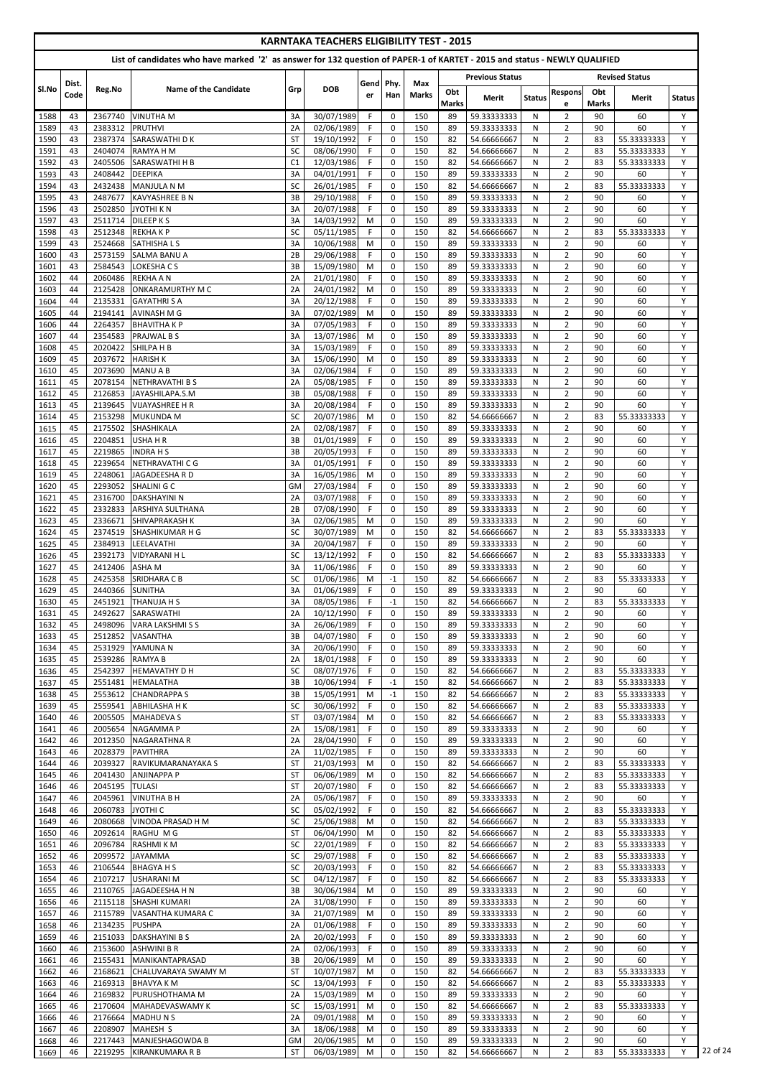|              |          |                           |                                                                                                                            |                        |                          |                | <b>KARNTAKA TEACHERS ELIGIBILITY TEST - 2015</b> |              |                     |                            |               |                                  |                     |                            |               |
|--------------|----------|---------------------------|----------------------------------------------------------------------------------------------------------------------------|------------------------|--------------------------|----------------|--------------------------------------------------|--------------|---------------------|----------------------------|---------------|----------------------------------|---------------------|----------------------------|---------------|
|              |          |                           | List of candidates who have marked '2' as answer for 132 question of PAPER-1 of KARTET - 2015 and status - NEWLY QUALIFIED |                        |                          |                |                                                  |              |                     |                            |               |                                  |                     |                            |               |
|              | Dist.    |                           |                                                                                                                            |                        |                          | Gend Phy.      |                                                  | Max          |                     | <b>Previous Status</b>     |               |                                  |                     | <b>Revised Status</b>      |               |
| Sl.No        | Code     | Reg.No                    | <b>Name of the Candidate</b>                                                                                               | Grp                    | <b>DOB</b>               | er             | Han                                              | <b>Marks</b> | Obt<br><b>Marks</b> | Merit                      | <b>Status</b> | <b>Respons</b><br>e              | Obt<br><b>Marks</b> | Merit                      | <b>Status</b> |
| 1588         | 43       | 2367740                   | <b>VINUTHAM</b>                                                                                                            | 3A                     | 30/07/1989               | F              | $\mathbf 0$                                      | 150          | 89                  | 59.33333333                | N             | $\overline{2}$                   | 90                  | 60                         | Y             |
| 1589<br>1590 | 43<br>43 | 2383312<br>2387374        | <b>PRUTHVI</b><br>SARASWATHI D K                                                                                           | 2A<br><b>ST</b>        | 02/06/1989<br>19/10/1992 | F.<br>F.       | $\mathbf 0$<br>$\mathbf 0$                       | 150<br>150   | 89<br>82            | 59.33333333<br>54.66666667 | N<br>N        | $\overline{2}$<br>$\overline{2}$ | 90<br>83            | 60<br>55.33333333          | Y<br>Y        |
| 1591         | 43       | 2404074                   | <b>RAMYA H M</b>                                                                                                           | SC                     | 08/06/1990               | F              | 0                                                | 150          | 82                  | 54.66666667                | N             | $\overline{2}$                   | 83                  | 55.33333333                | Y             |
| 1592         | 43       | 2405506                   | SARASWATHI H B                                                                                                             | C1                     | 12/03/1986               | F              | $\mathbf 0$                                      | 150          | 82                  | 54.66666667                | N             | $\overline{2}$                   | 83                  | 55.33333333                | Y             |
| 1593         | 43       | 2408442                   | <b>DEEPIKA</b>                                                                                                             | 3A                     | 04/01/1991               | F              | $\mathbf 0$                                      | 150          | 89                  | 59.33333333                | N             | $\overline{2}$                   | 90                  | 60                         | Y             |
| 1594         | 43       | 2432438                   | <b>MANJULA N M</b>                                                                                                         | SC                     | 26/01/1985               | F              | $\mathbf 0$                                      | 150          | 82                  | 54.66666667                | N             | $\overline{2}$                   | 83                  | 55.33333333                | Y             |
| 1595<br>1596 | 43<br>43 | 2487677<br>2502850        | <b>KAVYASHREE B N</b><br>JYOTHI K N                                                                                        | 3B<br>3A               | 29/10/1988<br>20/07/1988 | F<br>F.        | $\mathbf 0$<br>$\mathbf 0$                       | 150<br>150   | 89<br>89            | 59.33333333<br>59.33333333 | N<br>N        | $\overline{2}$<br>$\overline{2}$ | 90<br>90            | 60<br>60                   | Y<br>Y        |
| 1597         | 43       | 2511714                   | <b>DILEEP KS</b>                                                                                                           | 3A                     | 14/03/1992               | M              | $\mathbf 0$                                      | 150          | 89                  | 59.33333333                | N             | $\overline{2}$                   | 90                  | 60                         | Y             |
| 1598         | 43       | 2512348                   | <b>REKHAKP</b>                                                                                                             | SC                     | 05/11/1985               | F.             | $\mathbf 0$                                      | 150          | 82                  | 54.66666667                | N             | $\overline{2}$                   | 83                  | 55.33333333                | Y             |
| 1599         | 43       | 2524668                   | <b>SATHISHALS</b>                                                                                                          | 3A                     | 10/06/1988               | M              | 0                                                | 150          | 89                  | 59.33333333                | N             | $\overline{2}$                   | 90                  | 60                         | Y             |
| 1600<br>1601 | 43<br>43 | 2573159<br>2584543        | <b>SALMA BANU A</b><br>LOKESHA C S                                                                                         | 2B<br>3B               | 29/06/1988<br>15/09/1980 | F<br>M         | $\mathbf 0$<br>0                                 | 150<br>150   | 89<br>89            | 59.33333333<br>59.33333333 | N<br>N        | $\overline{2}$<br>$\overline{2}$ | 90<br>90            | 60<br>60                   | Y<br>Y        |
| 1602         | 44       | 2060486                   | <b>REKHA A N</b>                                                                                                           | 2A                     | 21/01/1980               | F              | $\mathbf 0$                                      | 150          | 89                  | 59.33333333                | N             | $\overline{2}$                   | 90                  | 60                         | Y             |
| 1603         | 44       | 2125428                   | <b>ONKARAMURTHY M C</b>                                                                                                    | 2A                     | 24/01/1982               | M              | 0                                                | 150          | 89                  | 59.33333333                | N             | $\overline{2}$                   | 90                  | 60                         | Y             |
| 1604         | 44       | 2135331                   | <b>GAYATHRISA</b>                                                                                                          | 3A                     | 20/12/1988               | F.             | $\mathbf 0$                                      | 150          | 89                  | 59.33333333                | N             | $\overline{2}$                   | 90                  | 60                         | Y             |
| 1605         | 44       | 2194141                   | AVINASH M G                                                                                                                | 3A                     | 07/02/1989               | M              | $\mathbf 0$                                      | 150          | 89                  | 59.33333333                | N             | $\overline{2}$                   | 90                  | 60                         | Y<br>Y        |
| 1606<br>1607 | 44<br>44 | 2264357<br>2354583        | <b>BHAVITHAKP</b><br>PRAJWAL B S                                                                                           | 3A<br>3A               | 07/05/1983<br>13/07/1986 | F.<br>M        | $\mathbf 0$<br>$\mathbf 0$                       | 150<br>150   | 89<br>89            | 59.33333333<br>59.33333333 | N<br>N        | $\overline{2}$<br>$\overline{2}$ | 90<br>90            | 60<br>60                   | Y             |
| 1608         | 45       | 2020422                   | SHILPA H B                                                                                                                 | 3A                     | 15/03/1989               | F              | $\mathbf 0$                                      | 150          | 89                  | 59.33333333                | N             | $\overline{2}$                   | 90                  | 60                         | Y             |
| 1609         | 45       | 2037672                   | <b>HARISH K</b>                                                                                                            | 3A                     | 15/06/1990               | M              | $\mathbf 0$                                      | 150          | 89                  | 59.33333333                | N             | $\overline{2}$                   | 90                  | 60                         | Y             |
| 1610         | 45       | 2073690                   | <b>MANU A B</b>                                                                                                            | 3A                     | 02/06/1984               | F.             | $\mathbf 0$                                      | 150          | 89                  | 59.33333333                | N             | $\overline{2}$                   | 90                  | 60                         | Y             |
| 1611<br>1612 | 45<br>45 | 2078154<br>2126853        | NETHRAVATHI B S                                                                                                            | 2A<br>3B               | 05/08/1985<br>05/08/1988 | F<br>F         | 0<br>$\mathbf 0$                                 | 150<br>150   | 89<br>89            | 59.33333333<br>59.33333333 | N<br>N        | $\overline{2}$<br>$\overline{2}$ | 90<br>90            | 60<br>60                   | Y<br>Y        |
| 1613         | 45       | 2139645                   | JAYASHILAPA.S.M<br><b>VIJAYASHREE H R</b>                                                                                  | 3A                     | 20/08/1984               | F              | 0                                                | 150          | 89                  | 59.33333333                | N             | $\overline{2}$                   | 90                  | 60                         | Y             |
| 1614         | 45       | 2153298                   | <b>MUKUNDA M</b>                                                                                                           | <b>SC</b>              | 20/07/1986               | M              | $\mathbf 0$                                      | 150          | 82                  | 54.66666667                | N             | $\overline{2}$                   | 83                  | 55.33333333                | Y             |
| 1615         | 45       | 2175502                   | SHASHIKALA                                                                                                                 | 2A                     | 02/08/1987               | F              | $\pmb{0}$                                        | 150          | 89                  | 59.33333333                | N             | $\overline{2}$                   | 90                  | 60                         | Y             |
| 1616         | 45       |                           | 2204851 USHA H R                                                                                                           | 3В                     | 01/01/1989               | F.             | 0                                                | 150          | 89                  | 59.33333333                | N.            | 2                                | 90                  | 60                         | Y             |
| 1617<br>1618 | 45<br>45 | 2219865                   | <b>INDRAHS</b><br>2239654 NETHRAVATHI C G                                                                                  | 3B<br>3A               | 20/05/1993<br>01/05/1991 | F<br>F.        | $\Omega$<br>0                                    | 150<br>150   | 89<br>89            | 59.33333333<br>59.33333333 | N<br>N        | $\overline{2}$<br>$\overline{2}$ | 90<br>90            | 60<br>60                   | Y<br>Y        |
| 1619         | 45       | 2248061                   | JAGADEESHA R D                                                                                                             | 3A                     | 16/05/1986               | M              | 0                                                | 150          | 89                  | 59.33333333                | N             | $\overline{2}$                   | 90                  | 60                         | Y             |
| 1620         | 45       | 2293052                   | SHALINI G C                                                                                                                | GM                     | 27/03/1984               | F.             | $\mathbf 0$                                      | 150          | 89                  | 59.33333333                | N             | $\overline{2}$                   | 90                  | 60                         | Y             |
| 1621         | 45       | 2316700                   | <b>DAKSHAYINI N</b>                                                                                                        | 2A                     | 03/07/1988               | F.             | $\mathbf 0$                                      | 150          | 89                  | 59.33333333                | N             | $\overline{2}$                   | 90                  | 60                         | Y             |
| 1622         | 45       | 2332833                   | <b>ARSHIYA SULTHANA</b>                                                                                                    | 2B                     | 07/08/1990               | F.             | 0                                                | 150          | 89                  | 59.33333333                | N             | $\overline{2}$                   | 90                  | 60                         | Y             |
| 1623<br>1624 | 45<br>45 | 2336671                   | <b>SHIVAPRAKASH K</b><br>2374519 SHASHIKUMAR H G                                                                           | 3A<br>SC               | 02/06/1985<br>30/07/1989 | M<br>M         | $\mathbf 0$<br>0                                 | 150<br>150   | 89<br>82            | 59.33333333<br>54.66666667 | N<br>N        | $\overline{2}$<br>$\overline{2}$ | 90<br>83            | 60<br>55.33333333          | Y<br>Y        |
| 1625         | 45       |                           | 2384913 LEELAVATHI                                                                                                         | 3A                     | 20/04/1987               | F.             | $\mathbf 0$                                      | 150          | 89                  | 59.33333333                | N             | $\overline{2}$                   | 90                  | 60                         | Y             |
| 1626         | 45       | 2392173                   | <b>VIDYARANI H L</b>                                                                                                       | <b>SC</b>              | 13/12/1992               | F.             | 0                                                | 150          | 82                  | 54.66666667                | N             | $\overline{2}$                   | 83                  | 55.33333333                | Y             |
| 1627         | 45       | 2412406                   | ASHA M                                                                                                                     | 3A                     | 11/06/1986               | F.             | 0                                                | 150          | 89                  | 59.33333333                | N             | $\overline{2}$                   | 90                  | 60                         | Y             |
| 1628         | 45       | 2425358                   | SRIDHARA C B                                                                                                               | <b>SC</b>              | 01/06/1986               | M              | $-1$                                             | 150          | 82                  | 54.66666667                | N             | $\overline{2}$                   | 83                  | 55.33333333                | Y             |
| 1629<br>1630 | 45<br>45 | 2440366<br>2451921        | <b>SUNITHA</b><br>THANUJA H S                                                                                              | 3A<br>3A               | 01/06/1989<br>08/05/1986 | F.<br>F        | $\mathbf 0$<br>$-1$                              | 150<br>150   | 89<br>82            | 59.33333333<br>54.66666667 | N<br>N        | $\overline{2}$<br>$\overline{2}$ | 90<br>83            | 60<br>55.33333333          | Y<br>Y        |
| 1631         | 45       | 2492627                   | <b>SARASWATHI</b>                                                                                                          | 2A                     | 10/12/1990               | F              | 0                                                | 150          | 89                  | 59.33333333                | N             | $\overline{2}$                   | 90                  | 60                         | Y             |
| 1632         | 45       |                           | 2498096 VARA LAKSHMISS                                                                                                     | 3A                     | 26/06/1989               | F              | $\overline{0}$                                   | 150          | 89                  | 59.33333333                | N             | $\overline{2}$                   | 90                  | 60                         | Y             |
| 1633         | 45       | 2512852                   | <b>VASANTHA</b>                                                                                                            | 3B                     | 04/07/1980               | F.             | $\overline{0}$                                   | 150          | 89                  | 59.33333333                | N             | $\overline{2}$                   | 90                  | 60                         | Y             |
| 1634         | 45<br>45 | 2531929<br>2539286        | YAMUNA N<br><b>RAMYA B</b>                                                                                                 | 3A                     | 20/06/1990               | F<br>F.        | 0<br>$\mathbf 0$                                 | 150<br>150   | 89<br>89            | 59.33333333                | N             | $\overline{2}$<br>$\overline{2}$ | 90<br>90            | 60<br>60                   | Y<br>Y        |
| 1635<br>1636 | 45       | 2542397                   | <b>HEMAVATHY D H</b>                                                                                                       | 2A<br><b>SC</b>        | 18/01/1988<br>08/07/1976 | F.             | $\mathbf 0$                                      | 150          | 82                  | 59.33333333<br>54.66666667 | N<br>N        | $\overline{2}$                   | 83                  | 55.33333333                | Y             |
| 1637         | 45       | 2551481                   | <b>HEMALATHA</b>                                                                                                           | 3B                     | 10/06/1994               | F.             | $-1$                                             | 150          | 82                  | 54.66666667                | N             | $\overline{2}$                   | 83                  | 55.33333333                | Y             |
| 1638         | 45       | 2553612                   | <b>CHANDRAPPA S</b>                                                                                                        | 3B                     | 15/05/1991               | M              | $-1$                                             | 150          | 82                  | 54.66666667                | N             | $\overline{2}$                   | 83                  | 55.33333333                | Y             |
| 1639         | 45       | 2559541                   | <b>ABHILASHA H K</b>                                                                                                       | <b>SC</b>              | 30/06/1992               | F              | 0                                                | 150          | 82                  | 54.66666667                | N             | $\overline{2}$                   | 83                  | 55.33333333                | Y             |
| 1640<br>1641 | 46<br>46 | 2005505<br>2005654        | <b>MAHADEVA S</b><br>NAGAMMA P                                                                                             | <b>ST</b><br>2A        | 03/07/1984<br>15/08/1981 | M<br>F.        | 0<br>$\overline{0}$                              | 150<br>150   | 82<br>89            | 54.66666667<br>59.33333333 | N<br>N        | $\overline{2}$<br>$\overline{2}$ | 83<br>90            | 55.33333333<br>60          | Y<br>Y        |
| 1642         | 46       | 2012350                   | NAGARATHNA R                                                                                                               | 2A                     | 28/04/1990               | F.             | 0                                                | 150          | 89                  | 59.33333333                | N             | $\overline{2}$                   | 90                  | 60                         | Y             |
| 1643         | 46       | 2028379                   | PAVITHRA                                                                                                                   | 2A                     | 11/02/1985               | F.             | $\mathbf 0$                                      | 150          | 89                  | 59.33333333                | N             | $\overline{2}$                   | 90                  | 60                         | Y             |
| 1644         | 46       | 2039327                   | RAVIKUMARANAYAKA S                                                                                                         | <b>ST</b>              | 21/03/1993               | M              | $\mathbf 0$                                      | 150          | 82                  | 54.66666667                | N             | $\overline{2}$                   | 83                  | 55.33333333                | Y             |
| 1645<br>1646 | 46<br>46 | 2041430<br>2045195        | <b>ANJINAPPA P</b><br><b>TULASI</b>                                                                                        | <b>ST</b><br><b>ST</b> | 06/06/1989<br>20/07/1980 | M<br>F.        | $\mathbf 0$<br>$\mathbf 0$                       | 150<br>150   | 82<br>82            | 54.66666667<br>54.66666667 | N<br>N        | $\overline{2}$<br>$\overline{2}$ | 83<br>83            | 55.33333333<br>55.33333333 | Y<br>Y        |
| 1647         | 46       | 2045961                   | <b>VINUTHA B H</b>                                                                                                         | 2A                     | 05/06/1987               | F.             | 0                                                | 150          | 89                  | 59.33333333                | N             | $\overline{2}$                   | 90                  | 60                         | Y             |
| 1648         | 46       | 2060783                   | JYOTHI <sub>C</sub>                                                                                                        | <b>SC</b>              | 05/02/1992               | F.             | $\mathbf 0$                                      | 150          | 82                  | 54.66666667                | N             | $\overline{2}$                   | 83                  | 55.33333333                | Y             |
| 1649         | 46       | 2080668                   | VINODA PRASAD H M                                                                                                          | <b>SC</b>              | 25/06/1988               | M              | 0                                                | 150          | 82                  | 54.66666667                | N             | $\overline{2}$                   | 83                  | 55.33333333                | Y             |
| 1650         | 46       | 2092614                   | RAGHU M G                                                                                                                  | <b>ST</b>              | 06/04/1990               | M              | 0                                                | 150          | 82                  | 54.66666667                | N             | $\overline{2}$                   | 83                  | 55.33333333                | Y             |
| 1651<br>1652 | 46<br>46 | 2099572                   | 2096784 RASHMI K M<br><b>JAYAMMA</b>                                                                                       | 5C<br><b>SC</b>        | 22/01/1989<br>29/07/1988 | <b>F</b><br>F. | 0<br>$\Omega$                                    | 150<br>150   | 82<br>82            | 54.66666667<br>54.66666667 | N.<br>N       | 2<br>$\overline{2}$              | 83<br>83            | 55.33333333<br>55.33333333 | Y             |
| 1653         | 46       |                           | 2106544 BHAGYA H S                                                                                                         | SC                     | 20/03/1993               | F.             | 0                                                | 150          | 82                  | 54.66666667                | N             | $\overline{2}$                   | 83                  | 55.33333333                | Y             |
| 1654         | 46       | 2107217                   | <b>USHARANI M</b>                                                                                                          | SC                     | 04/12/1987               | F.             | 0                                                | 150          | 82                  | 54.66666667                | N             | $\overline{2}$                   | 83                  | 55.33333333                | Y             |
| 1655         | 46       |                           | 2110765 JAGADEESHA H N                                                                                                     | 3B                     | 30/06/1984               | M              | 0                                                | 150          | 89                  | 59.33333333                | N             | $\overline{2}$                   | 90                  | 60                         | Y             |
| 1656         | 46       |                           | 2115118 SHASHI KUMARI                                                                                                      | 2A                     | 31/08/1990               | F.             | $\mathbf 0$                                      | 150          | 89                  | 59.33333333                | N             | $\overline{2}$                   | 90                  | 60                         | Y             |
| 1657<br>1658 | 46<br>46 | 2115789<br>2134235 PUSHPA | VASANTHA KUMARA C                                                                                                          | 3A<br>2A               | 21/07/1989<br>01/06/1988 | M<br>F.        | $\mathbf 0$<br>0                                 | 150<br>150   | 89<br>89            | 59.33333333<br>59.33333333 | N<br>N        | $\overline{2}$<br>$\overline{2}$ | 90<br>90            | 60<br>60                   | Y<br>Y        |
| 1659         | 46       | 2151033                   | <b>DAKSHAYINI B S</b>                                                                                                      | 2A                     | 20/02/1993               | F.             | $\mathbf{0}$                                     | 150          | 89                  | 59.33333333                | N             | $\overline{2}$                   | 90                  | 60                         | Y             |
| 1660         | 46       | 2153600                   | <b>ASHWINI B R</b>                                                                                                         | 2A                     | 02/06/1993               | F.             | 0                                                | 150          | 89                  | 59.33333333                | N             | $\overline{2}$                   | 90                  | 60                         | Υ             |
| 1661         | 46       | 2155431                   | MANIKANTAPRASAD                                                                                                            | 3B                     | 20/06/1989               | M              | $\mathbf 0$                                      | 150          | 89                  | 59.33333333                | N             | $\overline{2}$                   | 90                  | 60                         | Y             |
| 1662         | 46       | 2168621                   | CHALUVARAYA SWAMY M                                                                                                        | <b>ST</b>              | 10/07/1987               | M              | $\mathbf 0$                                      | 150          | 82                  | 54.66666667                | N             | $\overline{2}$                   | 83                  | 55.33333333                | Y             |
| 1663<br>1664 | 46<br>46 | 2169832                   | 2169313 BHAVYA K M<br><b>PURUSHOTHAMA M</b>                                                                                | <b>SC</b><br>2A        | 13/04/1993<br>15/03/1989 | F.<br>M        | $\mathbf 0$<br>$\mathbf 0$                       | 150<br>150   | 82<br>89            | 54.66666667<br>59.33333333 | N<br>N        | $\overline{2}$<br>$\overline{2}$ | 83<br>90            | 55.33333333<br>60          | Y<br>Y        |
| 1665         | 46       | 2170604                   | <b>MAHADEVASWAMY K</b>                                                                                                     | SC                     | 15/03/1991               | M              | $\mathbf 0$                                      | 150          | 82                  | 54.66666667                | N             | $\overline{2}$                   | 83                  | 55.33333333                | Y             |
| 1666         | 46       | 2176664                   | MADHUNS                                                                                                                    | 2A                     | 09/01/1988               | M              | $\mathbf 0$                                      | 150          | 89                  | 59.33333333                | N             | $\overline{2}$                   | 90                  | 60                         | Y             |
| 1667         | 46       | 2208907                   | <b>MAHESH S</b>                                                                                                            | 3A                     | 18/06/1988               | M              | $\mathbf{0}$                                     | 150          | 89                  | 59.33333333                | N             | $\overline{2}$                   | 90                  | 60                         | Y             |
| 1668         | 46<br>46 | 2217443<br>2219295        | MANJESHAGOWDA B                                                                                                            | GM<br><b>ST</b>        | 20/06/1985               | M<br>M         | 0                                                | 150<br>150   | 89<br>82            | 59.33333333<br>54.66666667 | N<br>N        | $\overline{2}$<br>$\overline{2}$ | 90<br>83            | 60<br>55.33333333          | Y<br>Y        |
| 1669         |          |                           | KIRANKUMARA R B                                                                                                            |                        | 06/03/1989               |                | 0                                                |              |                     |                            |               |                                  |                     |                            |               |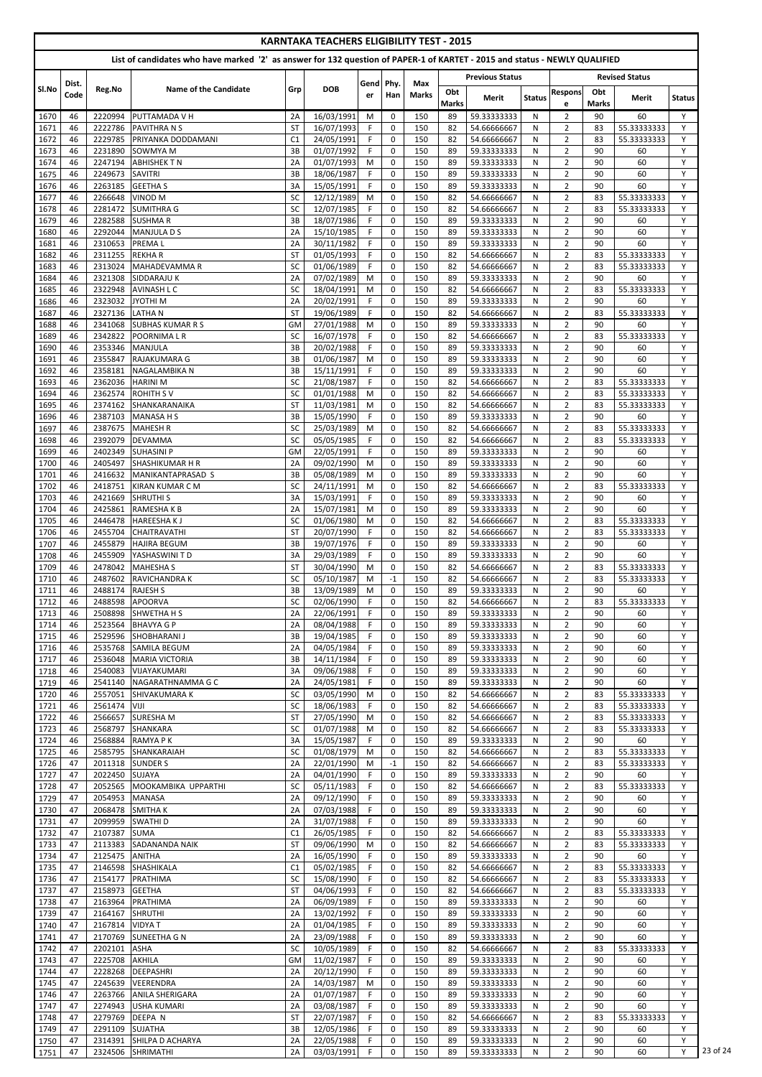| List of candidates who have marked '2' as answer for 132 question of PAPER-1 of KARTET - 2015 and status - NEWLY QUALIFIED<br><b>Previous Status</b><br><b>Revised Status</b><br>Gend Phy.<br>Max<br>Dist.<br>SI.No<br>Reg.No<br>Name of the Candidate<br>Grp<br><b>DOB</b><br>Obt<br>Obt<br><b>Respons</b><br><b>Marks</b><br>Code<br>Han<br>er<br><b>Merit</b><br><b>Status</b><br>Merit<br><b>Marks</b><br>Marks<br>e<br>2220994<br>16/03/1991<br>59.33333333<br>$\overline{2}$<br>60<br>PUTTAMADA V H<br>M<br>$\mathbf 0$<br>150<br>N<br>90<br>1670<br>46<br>2A<br>89<br>1671<br>46<br>2222786<br><b>PAVITHRA N S</b><br>16/07/1993<br>F.<br>0<br>150<br>82<br>$\overline{2}$<br>55.33333333<br><b>ST</b><br>54.66666667<br>N<br>83<br>F<br>$\overline{2}$<br>1672<br>C <sub>1</sub><br>24/05/1991<br>0<br>150<br>46<br>2229785<br><b>PRIYANKA DODDAMANI</b><br>82<br>54.66666667<br>N<br>83<br>55.33333333<br>1673<br>01/07/1992<br>F.<br>150<br>59.33333333<br>$\overline{2}$<br>90<br>46<br>2231890<br><b>SOWMYA M</b><br>3B<br>$\mathbf 0$<br>89<br>N<br>60<br>$\overline{01/07/1993}$<br>150<br>$\overline{2}$<br>90<br>1674<br>46<br>2247194<br><b>ABHISHEK T N</b><br>2A<br>M<br>$\mathbf 0$<br>89<br>59.33333333<br>N<br>60<br>2249673<br>18/06/1987<br>F<br>$\mathbf 0$<br>59.33333333<br>$\overline{2}$<br>1675<br>46<br><b>SAVITRI</b><br>3B<br>150<br>89<br>N<br>90<br>60<br>F<br>$\overline{2}$<br>15/05/1991<br>$\mathbf 0$<br>90<br>60<br>2263185<br><b>GEETHA S</b><br>3A<br>150<br>89<br>59.33333333<br>N<br>1676<br>46<br>2266648<br><b>VINOD M</b><br>12/12/1989<br>M<br>150<br>82<br>$\overline{2}$<br>1677<br>46<br><b>SC</b><br>0<br>54.66666667<br>83<br>55.33333333<br>N<br>F<br>150<br>$\overline{2}$<br>1678<br>2281472<br>SC<br>12/07/1985<br>$\mathbf 0$<br>82<br>N<br>83<br>46<br><b>SUMITHRA G</b><br>54.66666667<br>55.33333333<br>F<br>150<br>$\overline{2}$<br>90<br>1679<br>46<br>2282588<br><b>SUSHMAR</b><br>3B<br>18/07/1986<br>0<br>59.33333333<br>N<br>89<br>60<br>$\overline{2}$<br>15/10/1985<br>F<br>150<br>90<br>1680<br>2292044<br><b>MANJULA D S</b><br>2A<br>0<br>59.33333333<br>N<br>60<br>46<br>89<br>2310653<br>30/11/1982<br>F<br>150<br>$\overline{2}$<br>90<br>1681<br>46<br><b>PREMAL</b><br>2A<br>$\mathbf 0$<br>89<br>59.33333333<br>60<br>N<br>F.<br>150<br>$\overline{2}$<br>2311255<br><b>REKHAR</b><br><b>ST</b><br>01/05/1993<br>$\mathbf 0$<br>82<br>54.66666667<br>N<br>83<br>55.33333333<br>1682<br>46<br>2313024<br>MAHADEVAMMA R<br>01/06/1989<br>F<br>$\mathbf 0$<br>$\overline{2}$<br>46<br><b>SC</b><br>150<br>82<br>54.66666667<br>N<br>83<br>55.33333333<br>1683<br>$\overline{2}$<br>07/02/1989<br>$\mathbf 0$<br>90<br>2321308<br>SIDDARAJU K<br>2A<br>M<br>150<br>89<br>59.33333333<br>N<br>60<br>1684<br>46<br>2322948<br><b>AVINASH L C</b><br>SC<br>18/04/1991<br>150<br>82<br>$\overline{2}$<br>1685<br>46<br>M<br>0<br>54.66666667<br>83<br>55.33333333<br>N<br>150<br>$\overline{2}$<br>1686<br>20/02/1991<br>F<br>90<br>46<br>2323032<br>JYOTHI <sub>M</sub><br>2A<br>0<br>89<br>59.33333333<br>N.<br>60<br>F<br>$\overline{2}$<br>1687<br>46<br><b>LATHAN</b><br>19/06/1989<br>0<br>150<br>55.33333333<br>2327136<br><b>ST</b><br>82<br>54.66666667<br>N<br>83<br>$\overline{2}$<br>1688<br>27/01/1988<br>150<br>90<br>46<br>2341068<br><b>SUBHAS KUMAR R S</b><br>GM<br>M<br>0<br>89<br>59.33333333<br>60<br>N<br>16/07/1978<br>1689<br>2342822<br>POORNIMALR<br>SC<br>F<br>$\mathbf 0$<br>150<br>82<br>54.66666667<br>$\overline{2}$<br>55.33333333<br>46<br>83<br>N<br>2353346<br>20/02/1988<br>F<br>150<br>59.33333333<br>$\overline{2}$<br>1690<br>46<br><b>MANJULA</b><br>3B<br>0<br>89<br>N<br>90<br>60<br>01/06/1987<br>M<br>$\mathbf 0$<br>$\overline{2}$<br>1691<br>46<br>2355847<br>RAJAKUMARA G<br>3B<br>150<br>89<br>59.33333333<br>90<br>60<br>N<br>$\overline{2}$<br>2358181<br>15/11/1991<br>F<br>$\mathbf 0$<br>150<br>90<br>60<br>1692<br>46<br>NAGALAMBIKA N<br>3B<br>89<br>59.33333333<br>N<br>2362036<br>SC<br>21/08/1987<br>F<br>150<br>$\overline{2}$<br>1693<br>46<br><b>HARINI M</b><br>0<br>82<br>54.66666667<br>N<br>83<br>55.33333333<br>$\overline{2}$<br>1694<br>2362574<br><b>ROHITH SV</b><br><b>SC</b><br>01/01/1988<br>M<br>0<br>150<br>54.66666667<br>46<br>82<br>N<br>83<br>55.33333333<br>$\overline{2}$<br>11/03/1981<br>0<br>1695<br>46<br>2374162<br>SHANKARANAIKA<br><b>ST</b><br>M<br>150<br>82<br>54.66666667<br>N<br>83<br>55.33333333<br>$\overline{2}$<br>$\mathbf 0$<br>2387103<br>3B<br>15/05/1990<br>F.<br>150<br>89<br>59.33333333<br>90<br>60<br>1696<br>46<br><b>MANASA H S</b><br>N<br>SC<br>25/03/1989<br>M<br>150<br>82<br>$\overline{2}$<br>46<br>2387675<br><b>MAHESH R</b><br>0<br>54.66666667<br>N<br>83<br>55.33333333<br>1697<br>05/05/1985<br>55.33333333<br>1698<br>2392079 DEVAMMA<br>$\mathbf{0}$<br>54.66666667<br>SC.<br>F.<br>150<br>2<br>83<br>46<br>82<br>N<br>F<br>$\overline{2}$<br>1699<br>2402349<br>GM<br>22/05/1991<br>$\Omega$<br>150<br>59.33333333<br>90<br>46<br><b>ISUHASINI P</b><br>89<br>N<br>60<br>1700<br>46<br>2405497<br><b>SHASHIKUMAR H R</b><br>2A<br>09/02/1990<br>M<br>$\mathbf 0$<br>150<br>89<br>59.33333333<br>$\overline{2}$<br>90<br>60<br>N<br>$\overline{2}$<br>90<br>1701<br>2416632<br>3B<br>05/08/1989<br>$\mathbf 0$<br>150<br>59.33333333<br>60<br>46<br>MANIKANTAPRASAD S<br>M<br>89<br>N<br>1702<br><b>SC</b><br>24/11/1991<br>150<br>$\overline{2}$<br>55.33333333<br>46<br>2418751<br>M<br>0<br>82<br>54.66666667<br>N<br>83<br>KIRAN KUMAR C M<br>1703<br>15/03/1991<br>F.<br>$\mathbf 0$<br>150<br>$\overline{2}$<br>90<br>46<br>2421669<br><b>SHRUTHIS</b><br>3A<br>89<br>59.33333333<br>N<br>60<br>1704<br>2425861<br>RAMESHA K B<br>2A<br>15/07/1981<br>M<br>$\mathbf 0$<br>150<br>59.33333333<br>$\overline{2}$<br>90<br>60<br>46<br>89<br>N<br>01/06/1980<br>$\mathbf 0$<br>$\overline{2}$<br>1705<br>2446478<br><b>SC</b><br>M<br>150<br>82<br>54.66666667<br>N<br>83<br>55.33333333<br>46<br><b>HAREESHAKJ</b><br>F<br>$\overline{2}$<br>1706<br>2455704<br><b>ST</b><br>20/07/1990<br>$\mathbf 0$<br>150<br>83<br>55.33333333<br>46<br><b>CHAITRAVATHI</b><br>82<br>54.66666667<br>N<br>F<br>$\overline{2}$<br>1707<br>2455879<br>19/07/1976<br>$\mathbf 0$<br>150<br>59.33333333<br>90<br>46<br><b>HAJIRA BEGUM</b><br>3B<br>89<br>N<br>60<br>2455909<br>29/03/1989<br>F.<br>$\mathbf 0$<br>150<br>$\overline{2}$<br>90<br>60<br>46<br>YASHASWINI T D<br>3A<br>89<br>59.33333333<br>N<br>1708<br>$\overline{2}$<br><b>ST</b><br>30/04/1990<br>$\mathbf 0$<br>150<br>1709<br>46<br>2478042<br><b>MAHESHA S</b><br>M<br>82<br>54.66666667<br>N<br>83<br>55.33333333<br><b>SC</b><br>05/10/1987<br>150<br>$\overline{2}$<br>46<br>2487602<br><b>RAVICHANDRAK</b><br>M<br>$-1$<br>82<br>54.66666667<br>83<br>55.33333333<br>1710<br>N<br>13/09/1989<br>150<br>$\overline{2}$<br>90<br>46<br>2488174<br><b>RAJESH S</b><br>3B<br>M<br>0<br>89<br>59.33333333<br>N<br>60<br>1711<br>SC<br>02/06/1990<br>$\overline{2}$<br>1712<br>2488598<br><b>APOORVA</b><br>F.<br>$\mathbf 0$<br>150<br>82<br>54.66666667<br>83<br>55.33333333<br>46<br>N<br>22/06/1991<br>F<br>$\overline{2}$<br>90<br>1713<br>46<br>2508898<br><b>SHWETHA H S</b><br>2A<br>$\mathbf 0$<br>150<br>89<br>59.33333333<br>N<br>60<br>F<br>$\overline{2}$<br>2523564<br>08/04/1988<br>$\mathbf 0$<br>59.33333333<br>90<br>1714<br>46<br><b>BHAVYA G P</b><br>2A<br>150<br>89<br>N<br>60<br>$\overline{2}$<br>1715<br>2529596<br>3B<br>19/04/1985<br>F.<br>$\mathbf 0$<br>150<br>89<br>59.33333333<br>90<br>60<br>46<br><b>SHOBHARANI J</b><br>N<br>1716<br>46<br>2535768<br>04/05/1984<br>F.<br>0<br>150<br>59.33333333<br>$\overline{2}$<br>90<br>60<br><b>SAMILA BEGUM</b><br>2A<br>89<br>N<br>$\overline{2}$<br>1717<br>2536048<br>3B<br>14/11/1984<br>F.<br>150<br>90<br>60<br>46<br><b>MARIA VICTORIA</b><br>0<br>89<br>59.33333333<br>N<br>1718<br>3A<br>09/06/1988<br>F.<br>$\overline{2}$<br>90<br>46<br>2540083<br>0<br>150<br>89<br>59.33333333<br>N<br>60<br><b>VIJAYAKUMARI</b><br>1719<br>2A<br>24/05/1981<br>F.<br>$\mathbf 0$<br>150<br>59.33333333<br>$\overline{2}$<br>90<br>60<br>46<br>2541140<br>NAGARATHNAMMA G C<br>89<br>N<br>03/05/1990<br>1720<br>2557051<br><b>SC</b><br>M<br>$\mathbf 0$<br>150<br>82<br>54.66666667<br>$\overline{2}$<br>55.33333333<br>46<br><b>SHIVAKUMARA K</b><br>83<br>N<br>$\overline{2}$<br>1721<br>2561474<br><b>SC</b><br>18/06/1983<br>F.<br>$\mathbf 0$<br>150<br>82<br>54.66666667<br>55.33333333<br>46<br><b>IVIJI</b><br>N<br>83<br>$\overline{2}$<br>2566657<br><b>SURESHAM</b><br>27/05/1990<br>M<br>$\mathbf 0$<br>55.33333333<br>1722<br>46<br><b>ST</b><br>150<br>82<br>54.66666667<br>N<br>83<br>$\overline{2}$<br>2568797<br><b>SC</b><br>01/07/1988<br>$\mathbf 0$<br>150<br>82<br>83<br>55.33333333<br>1723<br>46<br><b>SHANKARA</b><br>M<br>54.66666667<br>N.<br>46<br>2568884<br><b>RAMYAPK</b><br>15/05/1987<br>F.<br>$\mathbf 0$<br>150<br>59.33333333<br>$\overline{2}$<br>90<br>1724<br>3A<br>89<br>60<br>N<br>$\overline{2}$<br>2585795<br><b>SC</b><br>01/08/1979<br>150<br>1725<br>46<br>SHANKARAIAH<br>M<br>0<br>82<br>54.66666667<br>N<br>83<br>55.33333333<br>1726<br>22/01/1990<br>$-1$<br>$\overline{2}$<br>47<br>2011318<br><b>SUNDER S</b><br>2A<br>M<br>150<br>82<br>54.66666667<br>83<br>55.33333333<br>N<br>1727<br>2022450<br>2A<br>04/01/1990<br>F.<br>$\mathbf 0$<br>150<br>89<br>59.33333333<br>$\overline{2}$<br>90<br>60<br>47<br><b>SUJAYA</b><br>N<br>05/11/1983<br>F<br>$\overline{2}$<br>1728<br>47<br>2052565<br>MOOKAMBIKA UPPARTHI<br><b>SC</b><br>$\mathbf 0$<br>150<br>82<br>54.66666667<br>N<br>83<br>55.33333333<br>1729<br>47<br>2054953<br><b>MANASA</b><br>2A<br>09/12/1990<br>F.<br>$\mathbf 0$<br>150<br>89<br>59.33333333<br>$\overline{2}$<br>90<br>N<br>60<br>$\overline{2}$<br>2068478<br>2A<br>07/03/1988<br>F.<br>$\mathbf 0$<br>59.33333333<br>90<br>60<br>1730<br>47<br><b>SMITHAK</b><br>150<br>89<br>N<br>1731<br>47<br>2099959<br><b>SWATHID</b><br>31/07/1988<br>F.<br>$\mathbf 0$<br>150<br>89<br>59.33333333<br>$\overline{2}$<br>90<br>60<br>2A<br>N<br>1732<br>F<br>$\overline{2}$<br>47<br>2107387<br><b>SUMA</b><br>C <sub>1</sub><br>26/05/1985<br>$\mathbf 0$<br>150<br>82<br>N.<br>83<br>55.33333333<br>54.66666667<br>1733<br>2113383 SADANANDA NAIK<br>09/06/1990<br>82<br>54.66666667<br>$\overline{2}$<br>83<br>55.333333333<br>47<br>ST<br>${\sf M}$<br>$\pmb{0}$<br>150<br>${\sf N}$<br>2A<br>16/05/1990<br>$\overline{2}$<br>1734<br>47<br>2125475<br>ANITHA<br>F.<br>0<br>150<br>89<br>59.33333333<br>N<br>90<br>60<br>2146598 SHASHIKALA<br>C1<br>05/02/1985<br>F.<br>150<br>54.66666667<br>$\overline{2}$<br>55.33333333<br>1735<br>47<br>0<br>82<br>83<br>N<br>F<br>$\overline{2}$<br>47<br>2154177<br>PRATHIMA<br>SC<br>15/08/1990<br>$\mathbf 0$<br>150<br>82<br>54.66666667<br>N<br>55.33333333<br>1736<br>83<br>2158973<br>04/06/1993<br>F.<br>0<br>54.66666667<br>$\overline{2}$<br>55.33333333<br>1737<br>47<br><b>GEETHA</b><br><b>ST</b><br>150<br>82<br>N<br>83<br>$\overline{2}$<br>06/09/1989<br>F.<br>$\mathbf 0$<br>90<br>1738<br>47<br>2163964<br><b>PRATHIMA</b><br>2A<br>150<br>89<br>59.33333333<br>N<br>60<br>$\overline{2}$<br>47<br>2164167<br><b>SHRUTHI</b><br>13/02/1992<br>F.<br>59.33333333<br>90<br>1739<br>2A<br>0<br>150<br>89<br>60<br>N<br>$\overline{2}$<br>1740<br>2167814<br><b>VIDYAT</b><br>2A<br>01/04/1985<br>F.<br>150<br>59.33333333<br>90<br>60<br>47<br>0<br>89<br>N<br>23/09/1988<br>F.<br>$\overline{2}$<br>90<br>1741<br>47<br>2170769<br>SUNEETHA G N<br>2A<br>0<br>150<br>59.33333333<br>60<br>89<br>N<br>2202101<br><b>SC</b><br>10/05/1989<br>F.<br>150<br>$\overline{2}$<br>55.33333333<br>1742<br>47<br><b>ASHA</b><br>0<br>82<br>54.66666667<br>83<br>N<br>59.33333333<br>1743<br>47<br>2225708<br>11/02/1987<br>F.<br>0<br>$\overline{2}$<br>90<br><b>AKHILA</b><br>GM<br>150<br>89<br>N<br>60<br>2228268<br><b>DEEPASHRI</b><br>20/12/1990<br>F.<br>0<br>150<br>89<br>59.33333333<br>$\overline{2}$<br>90<br>1744<br>47<br>2A<br>N<br>60<br>14/03/1987<br>59.33333333<br>$\overline{2}$<br>90<br>1745<br>47<br>2245639<br>VEERENDRA<br>2A<br>M<br>0<br>150<br>89<br>60<br>N |  |  |  | <b>KARNTAKA TEACHERS ELIGIBILITY TEST - 2015</b> |  |  |  |  |  |  |  |  |               |
|-----------------------------------------------------------------------------------------------------------------------------------------------------------------------------------------------------------------------------------------------------------------------------------------------------------------------------------------------------------------------------------------------------------------------------------------------------------------------------------------------------------------------------------------------------------------------------------------------------------------------------------------------------------------------------------------------------------------------------------------------------------------------------------------------------------------------------------------------------------------------------------------------------------------------------------------------------------------------------------------------------------------------------------------------------------------------------------------------------------------------------------------------------------------------------------------------------------------------------------------------------------------------------------------------------------------------------------------------------------------------------------------------------------------------------------------------------------------------------------------------------------------------------------------------------------------------------------------------------------------------------------------------------------------------------------------------------------------------------------------------------------------------------------------------------------------------------------------------------------------------------------------------------------------------------------------------------------------------------------------------------------------------------------------------------------------------------------------------------------------------------------------------------------------------------------------------------------------------------------------------------------------------------------------------------------------------------------------------------------------------------------------------------------------------------------------------------------------------------------------------------------------------------------------------------------------------------------------------------------------------------------------------------------------------------------------------------------------------------------------------------------------------------------------------------------------------------------------------------------------------------------------------------------------------------------------------------------------------------------------------------------------------------------------------------------------------------------------------------------------------------------------------------------------------------------------------------------------------------------------------------------------------------------------------------------------------------------------------------------------------------------------------------------------------------------------------------------------------------------------------------------------------------------------------------------------------------------------------------------------------------------------------------------------------------------------------------------------------------------------------------------------------------------------------------------------------------------------------------------------------------------------------------------------------------------------------------------------------------------------------------------------------------------------------------------------------------------------------------------------------------------------------------------------------------------------------------------------------------------------------------------------------------------------------------------------------------------------------------------------------------------------------------------------------------------------------------------------------------------------------------------------------------------------------------------------------------------------------------------------------------------------------------------------------------------------------------------------------------------------------------------------------------------------------------------------------------------------------------------------------------------------------------------------------------------------------------------------------------------------------------------------------------------------------------------------------------------------------------------------------------------------------------------------------------------------------------------------------------------------------------------------------------------------------------------------------------------------------------------------------------------------------------------------------------------------------------------------------------------------------------------------------------------------------------------------------------------------------------------------------------------------------------------------------------------------------------------------------------------------------------------------------------------------------------------------------------------------------------------------------------------------------------------------------------------------------------------------------------------------------------------------------------------------------------------------------------------------------------------------------------------------------------------------------------------------------------------------------------------------------------------------------------------------------------------------------------------------------------------------------------------------------------------------------------------------------------------------------------------------------------------------------------------------------------------------------------------------------------------------------------------------------------------------------------------------------------------------------------------------------------------------------------------------------------------------------------------------------------------------------------------------------------------------------------------------------------------------------------------------------------------------------------------------------------------------------------------------------------------------------------------------------------------------------------------------------------------------------------------------------------------------------------------------------------------------------------------------------------------------------------------------------------------------------------------------------------------------------------------------------------------------------------------------------------------------------------------------------------------------------------------------------------------------------------------------------------------------------------------------------------------------------------------------------------------------------------------------------------------------------------------------------------------------------------------------------------------------------------------------------------------------------------------------------------------------------------------------------------------------------------------------------------------------------------------------------------------------------------------------------------------------------------------------------------------------------------------------------------------------------------------------------------------------------------------------------------------------------------------------------------------------------------------------------------------------------------------------------------------------------------------------------------------------------------------------------------------------------------------------------------------------------------------------------------------------------------------------------------------------------------------------------------------------------------------------------------------------------------------------------------------------------------------------------------------------------------------------------------------------------------------------------------------------------------------------------------------------------------------------------------------------------------------------------------------------------------------------------------------------------------------------------------------------------------------------------------------------------------------------------------------------------------------------------------------------------------------------------------------------------------------------------------------------------------------------------------------------------------------------------------------------------------------------------------------------------------------------------------------------------------------------------------------------------------------------------------------------------------------------------------------------------------------------------------------------------------------------------------------------------------------------------------------------------------------------------------------------------------------------------------------------------------------------------------------------------------------------------------------------------------------------------------------------------------------------------------------------------------------------------------------------------------------------------------------------------------------------------------------------------------------------------------------------------------------------------------------------------------------------------------------------------------------------------------------------------------------------------------------------------------------------------------------------------------------------------------------------------------------------------------------------------------------------------------------------------------------------------------------------------------------------------------------------------------------------------------------------------------------------------------------------------------------------------------------------------------------------------------------------------------------------------------------------------------------------------------------------------------------------------------------------------------------------------------------------------------------------------------------------------------------------------------------------------------------------------------------------------------------------------------------------------------------------------------------------------------------------------------------------------------------------------------------------------------------------------------------------------------------------------------------------------------------------------------------------------------------------------------------------------------------------------------------------------------------------------------------------------------------------------------|--|--|--|--------------------------------------------------|--|--|--|--|--|--|--|--|---------------|
|                                                                                                                                                                                                                                                                                                                                                                                                                                                                                                                                                                                                                                                                                                                                                                                                                                                                                                                                                                                                                                                                                                                                                                                                                                                                                                                                                                                                                                                                                                                                                                                                                                                                                                                                                                                                                                                                                                                                                                                                                                                                                                                                                                                                                                                                                                                                                                                                                                                                                                                                                                                                                                                                                                                                                                                                                                                                                                                                                                                                                                                                                                                                                                                                                                                                                                                                                                                                                                                                                                                                                                                                                                                                                                                                                                                                                                                                                                                                                                                                                                                                                                                                                                                                                                                                                                                                                                                                                                                                                                                                                                                                                                                                                                                                                                                                                                                                                                                                                                                                                                                                                                                                                                                                                                                                                                                                                                                                                                                                                                                                                                                                                                                                                                                                                                                                                                                                                                                                                                                                                                                                                                                                                                                                                                                                                                                                                                                                                                                                                                                                                                                                                                                                                                                                                                                                                                                                                                                                                                                                                                                                                                                                                                                                                                                                                                                                                                                                                                                                                                                                                                                                                                                                                                                                                                                                                                                                                                                                                                                                                                                                                                                                                                                                                                                                                                                                                                                                                                                                                                                                                                                                                                                                                                                                                                                                                                                                                                                                                                                                                                                                                                                                                                                                                                                                                                                                                                                                                                                                                                                                                                                                                                                                                                                                                                                                                                                                                                                                                                                                                                                                                                                                                                                                                                                                                                                                                                                                                                                                                                                                                                                                                                                                                                                                                                                                                                                                                                                                                                                                                                                                                                                                                                                                                                                                                                                                                                                                                                                                                                                                                                                                                                                                                                                                                                                                                                                                                                                                                                                                                                                                                                                                                                                                                                                     |  |  |  |                                                  |  |  |  |  |  |  |  |  |               |
|                                                                                                                                                                                                                                                                                                                                                                                                                                                                                                                                                                                                                                                                                                                                                                                                                                                                                                                                                                                                                                                                                                                                                                                                                                                                                                                                                                                                                                                                                                                                                                                                                                                                                                                                                                                                                                                                                                                                                                                                                                                                                                                                                                                                                                                                                                                                                                                                                                                                                                                                                                                                                                                                                                                                                                                                                                                                                                                                                                                                                                                                                                                                                                                                                                                                                                                                                                                                                                                                                                                                                                                                                                                                                                                                                                                                                                                                                                                                                                                                                                                                                                                                                                                                                                                                                                                                                                                                                                                                                                                                                                                                                                                                                                                                                                                                                                                                                                                                                                                                                                                                                                                                                                                                                                                                                                                                                                                                                                                                                                                                                                                                                                                                                                                                                                                                                                                                                                                                                                                                                                                                                                                                                                                                                                                                                                                                                                                                                                                                                                                                                                                                                                                                                                                                                                                                                                                                                                                                                                                                                                                                                                                                                                                                                                                                                                                                                                                                                                                                                                                                                                                                                                                                                                                                                                                                                                                                                                                                                                                                                                                                                                                                                                                                                                                                                                                                                                                                                                                                                                                                                                                                                                                                                                                                                                                                                                                                                                                                                                                                                                                                                                                                                                                                                                                                                                                                                                                                                                                                                                                                                                                                                                                                                                                                                                                                                                                                                                                                                                                                                                                                                                                                                                                                                                                                                                                                                                                                                                                                                                                                                                                                                                                                                                                                                                                                                                                                                                                                                                                                                                                                                                                                                                                                                                                                                                                                                                                                                                                                                                                                                                                                                                                                                                                                                                                                                                                                                                                                                                                                                                                                                                                                                                                                                                                     |  |  |  |                                                  |  |  |  |  |  |  |  |  |               |
|                                                                                                                                                                                                                                                                                                                                                                                                                                                                                                                                                                                                                                                                                                                                                                                                                                                                                                                                                                                                                                                                                                                                                                                                                                                                                                                                                                                                                                                                                                                                                                                                                                                                                                                                                                                                                                                                                                                                                                                                                                                                                                                                                                                                                                                                                                                                                                                                                                                                                                                                                                                                                                                                                                                                                                                                                                                                                                                                                                                                                                                                                                                                                                                                                                                                                                                                                                                                                                                                                                                                                                                                                                                                                                                                                                                                                                                                                                                                                                                                                                                                                                                                                                                                                                                                                                                                                                                                                                                                                                                                                                                                                                                                                                                                                                                                                                                                                                                                                                                                                                                                                                                                                                                                                                                                                                                                                                                                                                                                                                                                                                                                                                                                                                                                                                                                                                                                                                                                                                                                                                                                                                                                                                                                                                                                                                                                                                                                                                                                                                                                                                                                                                                                                                                                                                                                                                                                                                                                                                                                                                                                                                                                                                                                                                                                                                                                                                                                                                                                                                                                                                                                                                                                                                                                                                                                                                                                                                                                                                                                                                                                                                                                                                                                                                                                                                                                                                                                                                                                                                                                                                                                                                                                                                                                                                                                                                                                                                                                                                                                                                                                                                                                                                                                                                                                                                                                                                                                                                                                                                                                                                                                                                                                                                                                                                                                                                                                                                                                                                                                                                                                                                                                                                                                                                                                                                                                                                                                                                                                                                                                                                                                                                                                                                                                                                                                                                                                                                                                                                                                                                                                                                                                                                                                                                                                                                                                                                                                                                                                                                                                                                                                                                                                                                                                                                                                                                                                                                                                                                                                                                                                                                                                                                                                                                                     |  |  |  |                                                  |  |  |  |  |  |  |  |  | <b>Status</b> |
|                                                                                                                                                                                                                                                                                                                                                                                                                                                                                                                                                                                                                                                                                                                                                                                                                                                                                                                                                                                                                                                                                                                                                                                                                                                                                                                                                                                                                                                                                                                                                                                                                                                                                                                                                                                                                                                                                                                                                                                                                                                                                                                                                                                                                                                                                                                                                                                                                                                                                                                                                                                                                                                                                                                                                                                                                                                                                                                                                                                                                                                                                                                                                                                                                                                                                                                                                                                                                                                                                                                                                                                                                                                                                                                                                                                                                                                                                                                                                                                                                                                                                                                                                                                                                                                                                                                                                                                                                                                                                                                                                                                                                                                                                                                                                                                                                                                                                                                                                                                                                                                                                                                                                                                                                                                                                                                                                                                                                                                                                                                                                                                                                                                                                                                                                                                                                                                                                                                                                                                                                                                                                                                                                                                                                                                                                                                                                                                                                                                                                                                                                                                                                                                                                                                                                                                                                                                                                                                                                                                                                                                                                                                                                                                                                                                                                                                                                                                                                                                                                                                                                                                                                                                                                                                                                                                                                                                                                                                                                                                                                                                                                                                                                                                                                                                                                                                                                                                                                                                                                                                                                                                                                                                                                                                                                                                                                                                                                                                                                                                                                                                                                                                                                                                                                                                                                                                                                                                                                                                                                                                                                                                                                                                                                                                                                                                                                                                                                                                                                                                                                                                                                                                                                                                                                                                                                                                                                                                                                                                                                                                                                                                                                                                                                                                                                                                                                                                                                                                                                                                                                                                                                                                                                                                                                                                                                                                                                                                                                                                                                                                                                                                                                                                                                                                                                                                                                                                                                                                                                                                                                                                                                                                                                                                                                                                     |  |  |  |                                                  |  |  |  |  |  |  |  |  | Y             |
|                                                                                                                                                                                                                                                                                                                                                                                                                                                                                                                                                                                                                                                                                                                                                                                                                                                                                                                                                                                                                                                                                                                                                                                                                                                                                                                                                                                                                                                                                                                                                                                                                                                                                                                                                                                                                                                                                                                                                                                                                                                                                                                                                                                                                                                                                                                                                                                                                                                                                                                                                                                                                                                                                                                                                                                                                                                                                                                                                                                                                                                                                                                                                                                                                                                                                                                                                                                                                                                                                                                                                                                                                                                                                                                                                                                                                                                                                                                                                                                                                                                                                                                                                                                                                                                                                                                                                                                                                                                                                                                                                                                                                                                                                                                                                                                                                                                                                                                                                                                                                                                                                                                                                                                                                                                                                                                                                                                                                                                                                                                                                                                                                                                                                                                                                                                                                                                                                                                                                                                                                                                                                                                                                                                                                                                                                                                                                                                                                                                                                                                                                                                                                                                                                                                                                                                                                                                                                                                                                                                                                                                                                                                                                                                                                                                                                                                                                                                                                                                                                                                                                                                                                                                                                                                                                                                                                                                                                                                                                                                                                                                                                                                                                                                                                                                                                                                                                                                                                                                                                                                                                                                                                                                                                                                                                                                                                                                                                                                                                                                                                                                                                                                                                                                                                                                                                                                                                                                                                                                                                                                                                                                                                                                                                                                                                                                                                                                                                                                                                                                                                                                                                                                                                                                                                                                                                                                                                                                                                                                                                                                                                                                                                                                                                                                                                                                                                                                                                                                                                                                                                                                                                                                                                                                                                                                                                                                                                                                                                                                                                                                                                                                                                                                                                                                                                                                                                                                                                                                                                                                                                                                                                                                                                                                                                                                     |  |  |  |                                                  |  |  |  |  |  |  |  |  | Y             |
|                                                                                                                                                                                                                                                                                                                                                                                                                                                                                                                                                                                                                                                                                                                                                                                                                                                                                                                                                                                                                                                                                                                                                                                                                                                                                                                                                                                                                                                                                                                                                                                                                                                                                                                                                                                                                                                                                                                                                                                                                                                                                                                                                                                                                                                                                                                                                                                                                                                                                                                                                                                                                                                                                                                                                                                                                                                                                                                                                                                                                                                                                                                                                                                                                                                                                                                                                                                                                                                                                                                                                                                                                                                                                                                                                                                                                                                                                                                                                                                                                                                                                                                                                                                                                                                                                                                                                                                                                                                                                                                                                                                                                                                                                                                                                                                                                                                                                                                                                                                                                                                                                                                                                                                                                                                                                                                                                                                                                                                                                                                                                                                                                                                                                                                                                                                                                                                                                                                                                                                                                                                                                                                                                                                                                                                                                                                                                                                                                                                                                                                                                                                                                                                                                                                                                                                                                                                                                                                                                                                                                                                                                                                                                                                                                                                                                                                                                                                                                                                                                                                                                                                                                                                                                                                                                                                                                                                                                                                                                                                                                                                                                                                                                                                                                                                                                                                                                                                                                                                                                                                                                                                                                                                                                                                                                                                                                                                                                                                                                                                                                                                                                                                                                                                                                                                                                                                                                                                                                                                                                                                                                                                                                                                                                                                                                                                                                                                                                                                                                                                                                                                                                                                                                                                                                                                                                                                                                                                                                                                                                                                                                                                                                                                                                                                                                                                                                                                                                                                                                                                                                                                                                                                                                                                                                                                                                                                                                                                                                                                                                                                                                                                                                                                                                                                                                                                                                                                                                                                                                                                                                                                                                                                                                                                                                                                     |  |  |  |                                                  |  |  |  |  |  |  |  |  | Y             |
|                                                                                                                                                                                                                                                                                                                                                                                                                                                                                                                                                                                                                                                                                                                                                                                                                                                                                                                                                                                                                                                                                                                                                                                                                                                                                                                                                                                                                                                                                                                                                                                                                                                                                                                                                                                                                                                                                                                                                                                                                                                                                                                                                                                                                                                                                                                                                                                                                                                                                                                                                                                                                                                                                                                                                                                                                                                                                                                                                                                                                                                                                                                                                                                                                                                                                                                                                                                                                                                                                                                                                                                                                                                                                                                                                                                                                                                                                                                                                                                                                                                                                                                                                                                                                                                                                                                                                                                                                                                                                                                                                                                                                                                                                                                                                                                                                                                                                                                                                                                                                                                                                                                                                                                                                                                                                                                                                                                                                                                                                                                                                                                                                                                                                                                                                                                                                                                                                                                                                                                                                                                                                                                                                                                                                                                                                                                                                                                                                                                                                                                                                                                                                                                                                                                                                                                                                                                                                                                                                                                                                                                                                                                                                                                                                                                                                                                                                                                                                                                                                                                                                                                                                                                                                                                                                                                                                                                                                                                                                                                                                                                                                                                                                                                                                                                                                                                                                                                                                                                                                                                                                                                                                                                                                                                                                                                                                                                                                                                                                                                                                                                                                                                                                                                                                                                                                                                                                                                                                                                                                                                                                                                                                                                                                                                                                                                                                                                                                                                                                                                                                                                                                                                                                                                                                                                                                                                                                                                                                                                                                                                                                                                                                                                                                                                                                                                                                                                                                                                                                                                                                                                                                                                                                                                                                                                                                                                                                                                                                                                                                                                                                                                                                                                                                                                                                                                                                                                                                                                                                                                                                                                                                                                                                                                                                                                     |  |  |  |                                                  |  |  |  |  |  |  |  |  | Y             |
|                                                                                                                                                                                                                                                                                                                                                                                                                                                                                                                                                                                                                                                                                                                                                                                                                                                                                                                                                                                                                                                                                                                                                                                                                                                                                                                                                                                                                                                                                                                                                                                                                                                                                                                                                                                                                                                                                                                                                                                                                                                                                                                                                                                                                                                                                                                                                                                                                                                                                                                                                                                                                                                                                                                                                                                                                                                                                                                                                                                                                                                                                                                                                                                                                                                                                                                                                                                                                                                                                                                                                                                                                                                                                                                                                                                                                                                                                                                                                                                                                                                                                                                                                                                                                                                                                                                                                                                                                                                                                                                                                                                                                                                                                                                                                                                                                                                                                                                                                                                                                                                                                                                                                                                                                                                                                                                                                                                                                                                                                                                                                                                                                                                                                                                                                                                                                                                                                                                                                                                                                                                                                                                                                                                                                                                                                                                                                                                                                                                                                                                                                                                                                                                                                                                                                                                                                                                                                                                                                                                                                                                                                                                                                                                                                                                                                                                                                                                                                                                                                                                                                                                                                                                                                                                                                                                                                                                                                                                                                                                                                                                                                                                                                                                                                                                                                                                                                                                                                                                                                                                                                                                                                                                                                                                                                                                                                                                                                                                                                                                                                                                                                                                                                                                                                                                                                                                                                                                                                                                                                                                                                                                                                                                                                                                                                                                                                                                                                                                                                                                                                                                                                                                                                                                                                                                                                                                                                                                                                                                                                                                                                                                                                                                                                                                                                                                                                                                                                                                                                                                                                                                                                                                                                                                                                                                                                                                                                                                                                                                                                                                                                                                                                                                                                                                                                                                                                                                                                                                                                                                                                                                                                                                                                                                                                                                     |  |  |  |                                                  |  |  |  |  |  |  |  |  | Y<br>Y        |
|                                                                                                                                                                                                                                                                                                                                                                                                                                                                                                                                                                                                                                                                                                                                                                                                                                                                                                                                                                                                                                                                                                                                                                                                                                                                                                                                                                                                                                                                                                                                                                                                                                                                                                                                                                                                                                                                                                                                                                                                                                                                                                                                                                                                                                                                                                                                                                                                                                                                                                                                                                                                                                                                                                                                                                                                                                                                                                                                                                                                                                                                                                                                                                                                                                                                                                                                                                                                                                                                                                                                                                                                                                                                                                                                                                                                                                                                                                                                                                                                                                                                                                                                                                                                                                                                                                                                                                                                                                                                                                                                                                                                                                                                                                                                                                                                                                                                                                                                                                                                                                                                                                                                                                                                                                                                                                                                                                                                                                                                                                                                                                                                                                                                                                                                                                                                                                                                                                                                                                                                                                                                                                                                                                                                                                                                                                                                                                                                                                                                                                                                                                                                                                                                                                                                                                                                                                                                                                                                                                                                                                                                                                                                                                                                                                                                                                                                                                                                                                                                                                                                                                                                                                                                                                                                                                                                                                                                                                                                                                                                                                                                                                                                                                                                                                                                                                                                                                                                                                                                                                                                                                                                                                                                                                                                                                                                                                                                                                                                                                                                                                                                                                                                                                                                                                                                                                                                                                                                                                                                                                                                                                                                                                                                                                                                                                                                                                                                                                                                                                                                                                                                                                                                                                                                                                                                                                                                                                                                                                                                                                                                                                                                                                                                                                                                                                                                                                                                                                                                                                                                                                                                                                                                                                                                                                                                                                                                                                                                                                                                                                                                                                                                                                                                                                                                                                                                                                                                                                                                                                                                                                                                                                                                                                                                                                                     |  |  |  |                                                  |  |  |  |  |  |  |  |  | Y             |
|                                                                                                                                                                                                                                                                                                                                                                                                                                                                                                                                                                                                                                                                                                                                                                                                                                                                                                                                                                                                                                                                                                                                                                                                                                                                                                                                                                                                                                                                                                                                                                                                                                                                                                                                                                                                                                                                                                                                                                                                                                                                                                                                                                                                                                                                                                                                                                                                                                                                                                                                                                                                                                                                                                                                                                                                                                                                                                                                                                                                                                                                                                                                                                                                                                                                                                                                                                                                                                                                                                                                                                                                                                                                                                                                                                                                                                                                                                                                                                                                                                                                                                                                                                                                                                                                                                                                                                                                                                                                                                                                                                                                                                                                                                                                                                                                                                                                                                                                                                                                                                                                                                                                                                                                                                                                                                                                                                                                                                                                                                                                                                                                                                                                                                                                                                                                                                                                                                                                                                                                                                                                                                                                                                                                                                                                                                                                                                                                                                                                                                                                                                                                                                                                                                                                                                                                                                                                                                                                                                                                                                                                                                                                                                                                                                                                                                                                                                                                                                                                                                                                                                                                                                                                                                                                                                                                                                                                                                                                                                                                                                                                                                                                                                                                                                                                                                                                                                                                                                                                                                                                                                                                                                                                                                                                                                                                                                                                                                                                                                                                                                                                                                                                                                                                                                                                                                                                                                                                                                                                                                                                                                                                                                                                                                                                                                                                                                                                                                                                                                                                                                                                                                                                                                                                                                                                                                                                                                                                                                                                                                                                                                                                                                                                                                                                                                                                                                                                                                                                                                                                                                                                                                                                                                                                                                                                                                                                                                                                                                                                                                                                                                                                                                                                                                                                                                                                                                                                                                                                                                                                                                                                                                                                                                                                                                                     |  |  |  |                                                  |  |  |  |  |  |  |  |  | Y             |
|                                                                                                                                                                                                                                                                                                                                                                                                                                                                                                                                                                                                                                                                                                                                                                                                                                                                                                                                                                                                                                                                                                                                                                                                                                                                                                                                                                                                                                                                                                                                                                                                                                                                                                                                                                                                                                                                                                                                                                                                                                                                                                                                                                                                                                                                                                                                                                                                                                                                                                                                                                                                                                                                                                                                                                                                                                                                                                                                                                                                                                                                                                                                                                                                                                                                                                                                                                                                                                                                                                                                                                                                                                                                                                                                                                                                                                                                                                                                                                                                                                                                                                                                                                                                                                                                                                                                                                                                                                                                                                                                                                                                                                                                                                                                                                                                                                                                                                                                                                                                                                                                                                                                                                                                                                                                                                                                                                                                                                                                                                                                                                                                                                                                                                                                                                                                                                                                                                                                                                                                                                                                                                                                                                                                                                                                                                                                                                                                                                                                                                                                                                                                                                                                                                                                                                                                                                                                                                                                                                                                                                                                                                                                                                                                                                                                                                                                                                                                                                                                                                                                                                                                                                                                                                                                                                                                                                                                                                                                                                                                                                                                                                                                                                                                                                                                                                                                                                                                                                                                                                                                                                                                                                                                                                                                                                                                                                                                                                                                                                                                                                                                                                                                                                                                                                                                                                                                                                                                                                                                                                                                                                                                                                                                                                                                                                                                                                                                                                                                                                                                                                                                                                                                                                                                                                                                                                                                                                                                                                                                                                                                                                                                                                                                                                                                                                                                                                                                                                                                                                                                                                                                                                                                                                                                                                                                                                                                                                                                                                                                                                                                                                                                                                                                                                                                                                                                                                                                                                                                                                                                                                                                                                                                                                                                                                                     |  |  |  |                                                  |  |  |  |  |  |  |  |  | Y             |
|                                                                                                                                                                                                                                                                                                                                                                                                                                                                                                                                                                                                                                                                                                                                                                                                                                                                                                                                                                                                                                                                                                                                                                                                                                                                                                                                                                                                                                                                                                                                                                                                                                                                                                                                                                                                                                                                                                                                                                                                                                                                                                                                                                                                                                                                                                                                                                                                                                                                                                                                                                                                                                                                                                                                                                                                                                                                                                                                                                                                                                                                                                                                                                                                                                                                                                                                                                                                                                                                                                                                                                                                                                                                                                                                                                                                                                                                                                                                                                                                                                                                                                                                                                                                                                                                                                                                                                                                                                                                                                                                                                                                                                                                                                                                                                                                                                                                                                                                                                                                                                                                                                                                                                                                                                                                                                                                                                                                                                                                                                                                                                                                                                                                                                                                                                                                                                                                                                                                                                                                                                                                                                                                                                                                                                                                                                                                                                                                                                                                                                                                                                                                                                                                                                                                                                                                                                                                                                                                                                                                                                                                                                                                                                                                                                                                                                                                                                                                                                                                                                                                                                                                                                                                                                                                                                                                                                                                                                                                                                                                                                                                                                                                                                                                                                                                                                                                                                                                                                                                                                                                                                                                                                                                                                                                                                                                                                                                                                                                                                                                                                                                                                                                                                                                                                                                                                                                                                                                                                                                                                                                                                                                                                                                                                                                                                                                                                                                                                                                                                                                                                                                                                                                                                                                                                                                                                                                                                                                                                                                                                                                                                                                                                                                                                                                                                                                                                                                                                                                                                                                                                                                                                                                                                                                                                                                                                                                                                                                                                                                                                                                                                                                                                                                                                                                                                                                                                                                                                                                                                                                                                                                                                                                                                                                                                                     |  |  |  |                                                  |  |  |  |  |  |  |  |  | Y<br>Y        |
|                                                                                                                                                                                                                                                                                                                                                                                                                                                                                                                                                                                                                                                                                                                                                                                                                                                                                                                                                                                                                                                                                                                                                                                                                                                                                                                                                                                                                                                                                                                                                                                                                                                                                                                                                                                                                                                                                                                                                                                                                                                                                                                                                                                                                                                                                                                                                                                                                                                                                                                                                                                                                                                                                                                                                                                                                                                                                                                                                                                                                                                                                                                                                                                                                                                                                                                                                                                                                                                                                                                                                                                                                                                                                                                                                                                                                                                                                                                                                                                                                                                                                                                                                                                                                                                                                                                                                                                                                                                                                                                                                                                                                                                                                                                                                                                                                                                                                                                                                                                                                                                                                                                                                                                                                                                                                                                                                                                                                                                                                                                                                                                                                                                                                                                                                                                                                                                                                                                                                                                                                                                                                                                                                                                                                                                                                                                                                                                                                                                                                                                                                                                                                                                                                                                                                                                                                                                                                                                                                                                                                                                                                                                                                                                                                                                                                                                                                                                                                                                                                                                                                                                                                                                                                                                                                                                                                                                                                                                                                                                                                                                                                                                                                                                                                                                                                                                                                                                                                                                                                                                                                                                                                                                                                                                                                                                                                                                                                                                                                                                                                                                                                                                                                                                                                                                                                                                                                                                                                                                                                                                                                                                                                                                                                                                                                                                                                                                                                                                                                                                                                                                                                                                                                                                                                                                                                                                                                                                                                                                                                                                                                                                                                                                                                                                                                                                                                                                                                                                                                                                                                                                                                                                                                                                                                                                                                                                                                                                                                                                                                                                                                                                                                                                                                                                                                                                                                                                                                                                                                                                                                                                                                                                                                                                                                                                     |  |  |  |                                                  |  |  |  |  |  |  |  |  | Y             |
|                                                                                                                                                                                                                                                                                                                                                                                                                                                                                                                                                                                                                                                                                                                                                                                                                                                                                                                                                                                                                                                                                                                                                                                                                                                                                                                                                                                                                                                                                                                                                                                                                                                                                                                                                                                                                                                                                                                                                                                                                                                                                                                                                                                                                                                                                                                                                                                                                                                                                                                                                                                                                                                                                                                                                                                                                                                                                                                                                                                                                                                                                                                                                                                                                                                                                                                                                                                                                                                                                                                                                                                                                                                                                                                                                                                                                                                                                                                                                                                                                                                                                                                                                                                                                                                                                                                                                                                                                                                                                                                                                                                                                                                                                                                                                                                                                                                                                                                                                                                                                                                                                                                                                                                                                                                                                                                                                                                                                                                                                                                                                                                                                                                                                                                                                                                                                                                                                                                                                                                                                                                                                                                                                                                                                                                                                                                                                                                                                                                                                                                                                                                                                                                                                                                                                                                                                                                                                                                                                                                                                                                                                                                                                                                                                                                                                                                                                                                                                                                                                                                                                                                                                                                                                                                                                                                                                                                                                                                                                                                                                                                                                                                                                                                                                                                                                                                                                                                                                                                                                                                                                                                                                                                                                                                                                                                                                                                                                                                                                                                                                                                                                                                                                                                                                                                                                                                                                                                                                                                                                                                                                                                                                                                                                                                                                                                                                                                                                                                                                                                                                                                                                                                                                                                                                                                                                                                                                                                                                                                                                                                                                                                                                                                                                                                                                                                                                                                                                                                                                                                                                                                                                                                                                                                                                                                                                                                                                                                                                                                                                                                                                                                                                                                                                                                                                                                                                                                                                                                                                                                                                                                                                                                                                                                                                                                     |  |  |  |                                                  |  |  |  |  |  |  |  |  | Y             |
|                                                                                                                                                                                                                                                                                                                                                                                                                                                                                                                                                                                                                                                                                                                                                                                                                                                                                                                                                                                                                                                                                                                                                                                                                                                                                                                                                                                                                                                                                                                                                                                                                                                                                                                                                                                                                                                                                                                                                                                                                                                                                                                                                                                                                                                                                                                                                                                                                                                                                                                                                                                                                                                                                                                                                                                                                                                                                                                                                                                                                                                                                                                                                                                                                                                                                                                                                                                                                                                                                                                                                                                                                                                                                                                                                                                                                                                                                                                                                                                                                                                                                                                                                                                                                                                                                                                                                                                                                                                                                                                                                                                                                                                                                                                                                                                                                                                                                                                                                                                                                                                                                                                                                                                                                                                                                                                                                                                                                                                                                                                                                                                                                                                                                                                                                                                                                                                                                                                                                                                                                                                                                                                                                                                                                                                                                                                                                                                                                                                                                                                                                                                                                                                                                                                                                                                                                                                                                                                                                                                                                                                                                                                                                                                                                                                                                                                                                                                                                                                                                                                                                                                                                                                                                                                                                                                                                                                                                                                                                                                                                                                                                                                                                                                                                                                                                                                                                                                                                                                                                                                                                                                                                                                                                                                                                                                                                                                                                                                                                                                                                                                                                                                                                                                                                                                                                                                                                                                                                                                                                                                                                                                                                                                                                                                                                                                                                                                                                                                                                                                                                                                                                                                                                                                                                                                                                                                                                                                                                                                                                                                                                                                                                                                                                                                                                                                                                                                                                                                                                                                                                                                                                                                                                                                                                                                                                                                                                                                                                                                                                                                                                                                                                                                                                                                                                                                                                                                                                                                                                                                                                                                                                                                                                                                                                                                     |  |  |  |                                                  |  |  |  |  |  |  |  |  | Y             |
|                                                                                                                                                                                                                                                                                                                                                                                                                                                                                                                                                                                                                                                                                                                                                                                                                                                                                                                                                                                                                                                                                                                                                                                                                                                                                                                                                                                                                                                                                                                                                                                                                                                                                                                                                                                                                                                                                                                                                                                                                                                                                                                                                                                                                                                                                                                                                                                                                                                                                                                                                                                                                                                                                                                                                                                                                                                                                                                                                                                                                                                                                                                                                                                                                                                                                                                                                                                                                                                                                                                                                                                                                                                                                                                                                                                                                                                                                                                                                                                                                                                                                                                                                                                                                                                                                                                                                                                                                                                                                                                                                                                                                                                                                                                                                                                                                                                                                                                                                                                                                                                                                                                                                                                                                                                                                                                                                                                                                                                                                                                                                                                                                                                                                                                                                                                                                                                                                                                                                                                                                                                                                                                                                                                                                                                                                                                                                                                                                                                                                                                                                                                                                                                                                                                                                                                                                                                                                                                                                                                                                                                                                                                                                                                                                                                                                                                                                                                                                                                                                                                                                                                                                                                                                                                                                                                                                                                                                                                                                                                                                                                                                                                                                                                                                                                                                                                                                                                                                                                                                                                                                                                                                                                                                                                                                                                                                                                                                                                                                                                                                                                                                                                                                                                                                                                                                                                                                                                                                                                                                                                                                                                                                                                                                                                                                                                                                                                                                                                                                                                                                                                                                                                                                                                                                                                                                                                                                                                                                                                                                                                                                                                                                                                                                                                                                                                                                                                                                                                                                                                                                                                                                                                                                                                                                                                                                                                                                                                                                                                                                                                                                                                                                                                                                                                                                                                                                                                                                                                                                                                                                                                                                                                                                                                                                                                     |  |  |  |                                                  |  |  |  |  |  |  |  |  | Y             |
|                                                                                                                                                                                                                                                                                                                                                                                                                                                                                                                                                                                                                                                                                                                                                                                                                                                                                                                                                                                                                                                                                                                                                                                                                                                                                                                                                                                                                                                                                                                                                                                                                                                                                                                                                                                                                                                                                                                                                                                                                                                                                                                                                                                                                                                                                                                                                                                                                                                                                                                                                                                                                                                                                                                                                                                                                                                                                                                                                                                                                                                                                                                                                                                                                                                                                                                                                                                                                                                                                                                                                                                                                                                                                                                                                                                                                                                                                                                                                                                                                                                                                                                                                                                                                                                                                                                                                                                                                                                                                                                                                                                                                                                                                                                                                                                                                                                                                                                                                                                                                                                                                                                                                                                                                                                                                                                                                                                                                                                                                                                                                                                                                                                                                                                                                                                                                                                                                                                                                                                                                                                                                                                                                                                                                                                                                                                                                                                                                                                                                                                                                                                                                                                                                                                                                                                                                                                                                                                                                                                                                                                                                                                                                                                                                                                                                                                                                                                                                                                                                                                                                                                                                                                                                                                                                                                                                                                                                                                                                                                                                                                                                                                                                                                                                                                                                                                                                                                                                                                                                                                                                                                                                                                                                                                                                                                                                                                                                                                                                                                                                                                                                                                                                                                                                                                                                                                                                                                                                                                                                                                                                                                                                                                                                                                                                                                                                                                                                                                                                                                                                                                                                                                                                                                                                                                                                                                                                                                                                                                                                                                                                                                                                                                                                                                                                                                                                                                                                                                                                                                                                                                                                                                                                                                                                                                                                                                                                                                                                                                                                                                                                                                                                                                                                                                                                                                                                                                                                                                                                                                                                                                                                                                                                                                                                                                     |  |  |  |                                                  |  |  |  |  |  |  |  |  | Y<br>Y        |
|                                                                                                                                                                                                                                                                                                                                                                                                                                                                                                                                                                                                                                                                                                                                                                                                                                                                                                                                                                                                                                                                                                                                                                                                                                                                                                                                                                                                                                                                                                                                                                                                                                                                                                                                                                                                                                                                                                                                                                                                                                                                                                                                                                                                                                                                                                                                                                                                                                                                                                                                                                                                                                                                                                                                                                                                                                                                                                                                                                                                                                                                                                                                                                                                                                                                                                                                                                                                                                                                                                                                                                                                                                                                                                                                                                                                                                                                                                                                                                                                                                                                                                                                                                                                                                                                                                                                                                                                                                                                                                                                                                                                                                                                                                                                                                                                                                                                                                                                                                                                                                                                                                                                                                                                                                                                                                                                                                                                                                                                                                                                                                                                                                                                                                                                                                                                                                                                                                                                                                                                                                                                                                                                                                                                                                                                                                                                                                                                                                                                                                                                                                                                                                                                                                                                                                                                                                                                                                                                                                                                                                                                                                                                                                                                                                                                                                                                                                                                                                                                                                                                                                                                                                                                                                                                                                                                                                                                                                                                                                                                                                                                                                                                                                                                                                                                                                                                                                                                                                                                                                                                                                                                                                                                                                                                                                                                                                                                                                                                                                                                                                                                                                                                                                                                                                                                                                                                                                                                                                                                                                                                                                                                                                                                                                                                                                                                                                                                                                                                                                                                                                                                                                                                                                                                                                                                                                                                                                                                                                                                                                                                                                                                                                                                                                                                                                                                                                                                                                                                                                                                                                                                                                                                                                                                                                                                                                                                                                                                                                                                                                                                                                                                                                                                                                                                                                                                                                                                                                                                                                                                                                                                                                                                                                                                                                                     |  |  |  |                                                  |  |  |  |  |  |  |  |  | Y             |
|                                                                                                                                                                                                                                                                                                                                                                                                                                                                                                                                                                                                                                                                                                                                                                                                                                                                                                                                                                                                                                                                                                                                                                                                                                                                                                                                                                                                                                                                                                                                                                                                                                                                                                                                                                                                                                                                                                                                                                                                                                                                                                                                                                                                                                                                                                                                                                                                                                                                                                                                                                                                                                                                                                                                                                                                                                                                                                                                                                                                                                                                                                                                                                                                                                                                                                                                                                                                                                                                                                                                                                                                                                                                                                                                                                                                                                                                                                                                                                                                                                                                                                                                                                                                                                                                                                                                                                                                                                                                                                                                                                                                                                                                                                                                                                                                                                                                                                                                                                                                                                                                                                                                                                                                                                                                                                                                                                                                                                                                                                                                                                                                                                                                                                                                                                                                                                                                                                                                                                                                                                                                                                                                                                                                                                                                                                                                                                                                                                                                                                                                                                                                                                                                                                                                                                                                                                                                                                                                                                                                                                                                                                                                                                                                                                                                                                                                                                                                                                                                                                                                                                                                                                                                                                                                                                                                                                                                                                                                                                                                                                                                                                                                                                                                                                                                                                                                                                                                                                                                                                                                                                                                                                                                                                                                                                                                                                                                                                                                                                                                                                                                                                                                                                                                                                                                                                                                                                                                                                                                                                                                                                                                                                                                                                                                                                                                                                                                                                                                                                                                                                                                                                                                                                                                                                                                                                                                                                                                                                                                                                                                                                                                                                                                                                                                                                                                                                                                                                                                                                                                                                                                                                                                                                                                                                                                                                                                                                                                                                                                                                                                                                                                                                                                                                                                                                                                                                                                                                                                                                                                                                                                                                                                                                                                                                                     |  |  |  |                                                  |  |  |  |  |  |  |  |  | Y             |
|                                                                                                                                                                                                                                                                                                                                                                                                                                                                                                                                                                                                                                                                                                                                                                                                                                                                                                                                                                                                                                                                                                                                                                                                                                                                                                                                                                                                                                                                                                                                                                                                                                                                                                                                                                                                                                                                                                                                                                                                                                                                                                                                                                                                                                                                                                                                                                                                                                                                                                                                                                                                                                                                                                                                                                                                                                                                                                                                                                                                                                                                                                                                                                                                                                                                                                                                                                                                                                                                                                                                                                                                                                                                                                                                                                                                                                                                                                                                                                                                                                                                                                                                                                                                                                                                                                                                                                                                                                                                                                                                                                                                                                                                                                                                                                                                                                                                                                                                                                                                                                                                                                                                                                                                                                                                                                                                                                                                                                                                                                                                                                                                                                                                                                                                                                                                                                                                                                                                                                                                                                                                                                                                                                                                                                                                                                                                                                                                                                                                                                                                                                                                                                                                                                                                                                                                                                                                                                                                                                                                                                                                                                                                                                                                                                                                                                                                                                                                                                                                                                                                                                                                                                                                                                                                                                                                                                                                                                                                                                                                                                                                                                                                                                                                                                                                                                                                                                                                                                                                                                                                                                                                                                                                                                                                                                                                                                                                                                                                                                                                                                                                                                                                                                                                                                                                                                                                                                                                                                                                                                                                                                                                                                                                                                                                                                                                                                                                                                                                                                                                                                                                                                                                                                                                                                                                                                                                                                                                                                                                                                                                                                                                                                                                                                                                                                                                                                                                                                                                                                                                                                                                                                                                                                                                                                                                                                                                                                                                                                                                                                                                                                                                                                                                                                                                                                                                                                                                                                                                                                                                                                                                                                                                                                                                                                                     |  |  |  |                                                  |  |  |  |  |  |  |  |  | Y             |
|                                                                                                                                                                                                                                                                                                                                                                                                                                                                                                                                                                                                                                                                                                                                                                                                                                                                                                                                                                                                                                                                                                                                                                                                                                                                                                                                                                                                                                                                                                                                                                                                                                                                                                                                                                                                                                                                                                                                                                                                                                                                                                                                                                                                                                                                                                                                                                                                                                                                                                                                                                                                                                                                                                                                                                                                                                                                                                                                                                                                                                                                                                                                                                                                                                                                                                                                                                                                                                                                                                                                                                                                                                                                                                                                                                                                                                                                                                                                                                                                                                                                                                                                                                                                                                                                                                                                                                                                                                                                                                                                                                                                                                                                                                                                                                                                                                                                                                                                                                                                                                                                                                                                                                                                                                                                                                                                                                                                                                                                                                                                                                                                                                                                                                                                                                                                                                                                                                                                                                                                                                                                                                                                                                                                                                                                                                                                                                                                                                                                                                                                                                                                                                                                                                                                                                                                                                                                                                                                                                                                                                                                                                                                                                                                                                                                                                                                                                                                                                                                                                                                                                                                                                                                                                                                                                                                                                                                                                                                                                                                                                                                                                                                                                                                                                                                                                                                                                                                                                                                                                                                                                                                                                                                                                                                                                                                                                                                                                                                                                                                                                                                                                                                                                                                                                                                                                                                                                                                                                                                                                                                                                                                                                                                                                                                                                                                                                                                                                                                                                                                                                                                                                                                                                                                                                                                                                                                                                                                                                                                                                                                                                                                                                                                                                                                                                                                                                                                                                                                                                                                                                                                                                                                                                                                                                                                                                                                                                                                                                                                                                                                                                                                                                                                                                                                                                                                                                                                                                                                                                                                                                                                                                                                                                                                                                                     |  |  |  |                                                  |  |  |  |  |  |  |  |  | Y             |
|                                                                                                                                                                                                                                                                                                                                                                                                                                                                                                                                                                                                                                                                                                                                                                                                                                                                                                                                                                                                                                                                                                                                                                                                                                                                                                                                                                                                                                                                                                                                                                                                                                                                                                                                                                                                                                                                                                                                                                                                                                                                                                                                                                                                                                                                                                                                                                                                                                                                                                                                                                                                                                                                                                                                                                                                                                                                                                                                                                                                                                                                                                                                                                                                                                                                                                                                                                                                                                                                                                                                                                                                                                                                                                                                                                                                                                                                                                                                                                                                                                                                                                                                                                                                                                                                                                                                                                                                                                                                                                                                                                                                                                                                                                                                                                                                                                                                                                                                                                                                                                                                                                                                                                                                                                                                                                                                                                                                                                                                                                                                                                                                                                                                                                                                                                                                                                                                                                                                                                                                                                                                                                                                                                                                                                                                                                                                                                                                                                                                                                                                                                                                                                                                                                                                                                                                                                                                                                                                                                                                                                                                                                                                                                                                                                                                                                                                                                                                                                                                                                                                                                                                                                                                                                                                                                                                                                                                                                                                                                                                                                                                                                                                                                                                                                                                                                                                                                                                                                                                                                                                                                                                                                                                                                                                                                                                                                                                                                                                                                                                                                                                                                                                                                                                                                                                                                                                                                                                                                                                                                                                                                                                                                                                                                                                                                                                                                                                                                                                                                                                                                                                                                                                                                                                                                                                                                                                                                                                                                                                                                                                                                                                                                                                                                                                                                                                                                                                                                                                                                                                                                                                                                                                                                                                                                                                                                                                                                                                                                                                                                                                                                                                                                                                                                                                                                                                                                                                                                                                                                                                                                                                                                                                                                                                                                                     |  |  |  |                                                  |  |  |  |  |  |  |  |  | Y<br>Y        |
|                                                                                                                                                                                                                                                                                                                                                                                                                                                                                                                                                                                                                                                                                                                                                                                                                                                                                                                                                                                                                                                                                                                                                                                                                                                                                                                                                                                                                                                                                                                                                                                                                                                                                                                                                                                                                                                                                                                                                                                                                                                                                                                                                                                                                                                                                                                                                                                                                                                                                                                                                                                                                                                                                                                                                                                                                                                                                                                                                                                                                                                                                                                                                                                                                                                                                                                                                                                                                                                                                                                                                                                                                                                                                                                                                                                                                                                                                                                                                                                                                                                                                                                                                                                                                                                                                                                                                                                                                                                                                                                                                                                                                                                                                                                                                                                                                                                                                                                                                                                                                                                                                                                                                                                                                                                                                                                                                                                                                                                                                                                                                                                                                                                                                                                                                                                                                                                                                                                                                                                                                                                                                                                                                                                                                                                                                                                                                                                                                                                                                                                                                                                                                                                                                                                                                                                                                                                                                                                                                                                                                                                                                                                                                                                                                                                                                                                                                                                                                                                                                                                                                                                                                                                                                                                                                                                                                                                                                                                                                                                                                                                                                                                                                                                                                                                                                                                                                                                                                                                                                                                                                                                                                                                                                                                                                                                                                                                                                                                                                                                                                                                                                                                                                                                                                                                                                                                                                                                                                                                                                                                                                                                                                                                                                                                                                                                                                                                                                                                                                                                                                                                                                                                                                                                                                                                                                                                                                                                                                                                                                                                                                                                                                                                                                                                                                                                                                                                                                                                                                                                                                                                                                                                                                                                                                                                                                                                                                                                                                                                                                                                                                                                                                                                                                                                                                                                                                                                                                                                                                                                                                                                                                                                                                                                                                                                     |  |  |  |                                                  |  |  |  |  |  |  |  |  | Y             |
|                                                                                                                                                                                                                                                                                                                                                                                                                                                                                                                                                                                                                                                                                                                                                                                                                                                                                                                                                                                                                                                                                                                                                                                                                                                                                                                                                                                                                                                                                                                                                                                                                                                                                                                                                                                                                                                                                                                                                                                                                                                                                                                                                                                                                                                                                                                                                                                                                                                                                                                                                                                                                                                                                                                                                                                                                                                                                                                                                                                                                                                                                                                                                                                                                                                                                                                                                                                                                                                                                                                                                                                                                                                                                                                                                                                                                                                                                                                                                                                                                                                                                                                                                                                                                                                                                                                                                                                                                                                                                                                                                                                                                                                                                                                                                                                                                                                                                                                                                                                                                                                                                                                                                                                                                                                                                                                                                                                                                                                                                                                                                                                                                                                                                                                                                                                                                                                                                                                                                                                                                                                                                                                                                                                                                                                                                                                                                                                                                                                                                                                                                                                                                                                                                                                                                                                                                                                                                                                                                                                                                                                                                                                                                                                                                                                                                                                                                                                                                                                                                                                                                                                                                                                                                                                                                                                                                                                                                                                                                                                                                                                                                                                                                                                                                                                                                                                                                                                                                                                                                                                                                                                                                                                                                                                                                                                                                                                                                                                                                                                                                                                                                                                                                                                                                                                                                                                                                                                                                                                                                                                                                                                                                                                                                                                                                                                                                                                                                                                                                                                                                                                                                                                                                                                                                                                                                                                                                                                                                                                                                                                                                                                                                                                                                                                                                                                                                                                                                                                                                                                                                                                                                                                                                                                                                                                                                                                                                                                                                                                                                                                                                                                                                                                                                                                                                                                                                                                                                                                                                                                                                                                                                                                                                                                                                                                     |  |  |  |                                                  |  |  |  |  |  |  |  |  | Y             |
|                                                                                                                                                                                                                                                                                                                                                                                                                                                                                                                                                                                                                                                                                                                                                                                                                                                                                                                                                                                                                                                                                                                                                                                                                                                                                                                                                                                                                                                                                                                                                                                                                                                                                                                                                                                                                                                                                                                                                                                                                                                                                                                                                                                                                                                                                                                                                                                                                                                                                                                                                                                                                                                                                                                                                                                                                                                                                                                                                                                                                                                                                                                                                                                                                                                                                                                                                                                                                                                                                                                                                                                                                                                                                                                                                                                                                                                                                                                                                                                                                                                                                                                                                                                                                                                                                                                                                                                                                                                                                                                                                                                                                                                                                                                                                                                                                                                                                                                                                                                                                                                                                                                                                                                                                                                                                                                                                                                                                                                                                                                                                                                                                                                                                                                                                                                                                                                                                                                                                                                                                                                                                                                                                                                                                                                                                                                                                                                                                                                                                                                                                                                                                                                                                                                                                                                                                                                                                                                                                                                                                                                                                                                                                                                                                                                                                                                                                                                                                                                                                                                                                                                                                                                                                                                                                                                                                                                                                                                                                                                                                                                                                                                                                                                                                                                                                                                                                                                                                                                                                                                                                                                                                                                                                                                                                                                                                                                                                                                                                                                                                                                                                                                                                                                                                                                                                                                                                                                                                                                                                                                                                                                                                                                                                                                                                                                                                                                                                                                                                                                                                                                                                                                                                                                                                                                                                                                                                                                                                                                                                                                                                                                                                                                                                                                                                                                                                                                                                                                                                                                                                                                                                                                                                                                                                                                                                                                                                                                                                                                                                                                                                                                                                                                                                                                                                                                                                                                                                                                                                                                                                                                                                                                                                                                                                                                     |  |  |  |                                                  |  |  |  |  |  |  |  |  | Y             |
|                                                                                                                                                                                                                                                                                                                                                                                                                                                                                                                                                                                                                                                                                                                                                                                                                                                                                                                                                                                                                                                                                                                                                                                                                                                                                                                                                                                                                                                                                                                                                                                                                                                                                                                                                                                                                                                                                                                                                                                                                                                                                                                                                                                                                                                                                                                                                                                                                                                                                                                                                                                                                                                                                                                                                                                                                                                                                                                                                                                                                                                                                                                                                                                                                                                                                                                                                                                                                                                                                                                                                                                                                                                                                                                                                                                                                                                                                                                                                                                                                                                                                                                                                                                                                                                                                                                                                                                                                                                                                                                                                                                                                                                                                                                                                                                                                                                                                                                                                                                                                                                                                                                                                                                                                                                                                                                                                                                                                                                                                                                                                                                                                                                                                                                                                                                                                                                                                                                                                                                                                                                                                                                                                                                                                                                                                                                                                                                                                                                                                                                                                                                                                                                                                                                                                                                                                                                                                                                                                                                                                                                                                                                                                                                                                                                                                                                                                                                                                                                                                                                                                                                                                                                                                                                                                                                                                                                                                                                                                                                                                                                                                                                                                                                                                                                                                                                                                                                                                                                                                                                                                                                                                                                                                                                                                                                                                                                                                                                                                                                                                                                                                                                                                                                                                                                                                                                                                                                                                                                                                                                                                                                                                                                                                                                                                                                                                                                                                                                                                                                                                                                                                                                                                                                                                                                                                                                                                                                                                                                                                                                                                                                                                                                                                                                                                                                                                                                                                                                                                                                                                                                                                                                                                                                                                                                                                                                                                                                                                                                                                                                                                                                                                                                                                                                                                                                                                                                                                                                                                                                                                                                                                                                                                                                                                                                     |  |  |  |                                                  |  |  |  |  |  |  |  |  | Y             |
|                                                                                                                                                                                                                                                                                                                                                                                                                                                                                                                                                                                                                                                                                                                                                                                                                                                                                                                                                                                                                                                                                                                                                                                                                                                                                                                                                                                                                                                                                                                                                                                                                                                                                                                                                                                                                                                                                                                                                                                                                                                                                                                                                                                                                                                                                                                                                                                                                                                                                                                                                                                                                                                                                                                                                                                                                                                                                                                                                                                                                                                                                                                                                                                                                                                                                                                                                                                                                                                                                                                                                                                                                                                                                                                                                                                                                                                                                                                                                                                                                                                                                                                                                                                                                                                                                                                                                                                                                                                                                                                                                                                                                                                                                                                                                                                                                                                                                                                                                                                                                                                                                                                                                                                                                                                                                                                                                                                                                                                                                                                                                                                                                                                                                                                                                                                                                                                                                                                                                                                                                                                                                                                                                                                                                                                                                                                                                                                                                                                                                                                                                                                                                                                                                                                                                                                                                                                                                                                                                                                                                                                                                                                                                                                                                                                                                                                                                                                                                                                                                                                                                                                                                                                                                                                                                                                                                                                                                                                                                                                                                                                                                                                                                                                                                                                                                                                                                                                                                                                                                                                                                                                                                                                                                                                                                                                                                                                                                                                                                                                                                                                                                                                                                                                                                                                                                                                                                                                                                                                                                                                                                                                                                                                                                                                                                                                                                                                                                                                                                                                                                                                                                                                                                                                                                                                                                                                                                                                                                                                                                                                                                                                                                                                                                                                                                                                                                                                                                                                                                                                                                                                                                                                                                                                                                                                                                                                                                                                                                                                                                                                                                                                                                                                                                                                                                                                                                                                                                                                                                                                                                                                                                                                                                                                                                                                     |  |  |  |                                                  |  |  |  |  |  |  |  |  | Y             |
|                                                                                                                                                                                                                                                                                                                                                                                                                                                                                                                                                                                                                                                                                                                                                                                                                                                                                                                                                                                                                                                                                                                                                                                                                                                                                                                                                                                                                                                                                                                                                                                                                                                                                                                                                                                                                                                                                                                                                                                                                                                                                                                                                                                                                                                                                                                                                                                                                                                                                                                                                                                                                                                                                                                                                                                                                                                                                                                                                                                                                                                                                                                                                                                                                                                                                                                                                                                                                                                                                                                                                                                                                                                                                                                                                                                                                                                                                                                                                                                                                                                                                                                                                                                                                                                                                                                                                                                                                                                                                                                                                                                                                                                                                                                                                                                                                                                                                                                                                                                                                                                                                                                                                                                                                                                                                                                                                                                                                                                                                                                                                                                                                                                                                                                                                                                                                                                                                                                                                                                                                                                                                                                                                                                                                                                                                                                                                                                                                                                                                                                                                                                                                                                                                                                                                                                                                                                                                                                                                                                                                                                                                                                                                                                                                                                                                                                                                                                                                                                                                                                                                                                                                                                                                                                                                                                                                                                                                                                                                                                                                                                                                                                                                                                                                                                                                                                                                                                                                                                                                                                                                                                                                                                                                                                                                                                                                                                                                                                                                                                                                                                                                                                                                                                                                                                                                                                                                                                                                                                                                                                                                                                                                                                                                                                                                                                                                                                                                                                                                                                                                                                                                                                                                                                                                                                                                                                                                                                                                                                                                                                                                                                                                                                                                                                                                                                                                                                                                                                                                                                                                                                                                                                                                                                                                                                                                                                                                                                                                                                                                                                                                                                                                                                                                                                                                                                                                                                                                                                                                                                                                                                                                                                                                                                                                                                     |  |  |  |                                                  |  |  |  |  |  |  |  |  | Y<br>Y        |
|                                                                                                                                                                                                                                                                                                                                                                                                                                                                                                                                                                                                                                                                                                                                                                                                                                                                                                                                                                                                                                                                                                                                                                                                                                                                                                                                                                                                                                                                                                                                                                                                                                                                                                                                                                                                                                                                                                                                                                                                                                                                                                                                                                                                                                                                                                                                                                                                                                                                                                                                                                                                                                                                                                                                                                                                                                                                                                                                                                                                                                                                                                                                                                                                                                                                                                                                                                                                                                                                                                                                                                                                                                                                                                                                                                                                                                                                                                                                                                                                                                                                                                                                                                                                                                                                                                                                                                                                                                                                                                                                                                                                                                                                                                                                                                                                                                                                                                                                                                                                                                                                                                                                                                                                                                                                                                                                                                                                                                                                                                                                                                                                                                                                                                                                                                                                                                                                                                                                                                                                                                                                                                                                                                                                                                                                                                                                                                                                                                                                                                                                                                                                                                                                                                                                                                                                                                                                                                                                                                                                                                                                                                                                                                                                                                                                                                                                                                                                                                                                                                                                                                                                                                                                                                                                                                                                                                                                                                                                                                                                                                                                                                                                                                                                                                                                                                                                                                                                                                                                                                                                                                                                                                                                                                                                                                                                                                                                                                                                                                                                                                                                                                                                                                                                                                                                                                                                                                                                                                                                                                                                                                                                                                                                                                                                                                                                                                                                                                                                                                                                                                                                                                                                                                                                                                                                                                                                                                                                                                                                                                                                                                                                                                                                                                                                                                                                                                                                                                                                                                                                                                                                                                                                                                                                                                                                                                                                                                                                                                                                                                                                                                                                                                                                                                                                                                                                                                                                                                                                                                                                                                                                                                                                                                                                                                                     |  |  |  |                                                  |  |  |  |  |  |  |  |  | Y             |
|                                                                                                                                                                                                                                                                                                                                                                                                                                                                                                                                                                                                                                                                                                                                                                                                                                                                                                                                                                                                                                                                                                                                                                                                                                                                                                                                                                                                                                                                                                                                                                                                                                                                                                                                                                                                                                                                                                                                                                                                                                                                                                                                                                                                                                                                                                                                                                                                                                                                                                                                                                                                                                                                                                                                                                                                                                                                                                                                                                                                                                                                                                                                                                                                                                                                                                                                                                                                                                                                                                                                                                                                                                                                                                                                                                                                                                                                                                                                                                                                                                                                                                                                                                                                                                                                                                                                                                                                                                                                                                                                                                                                                                                                                                                                                                                                                                                                                                                                                                                                                                                                                                                                                                                                                                                                                                                                                                                                                                                                                                                                                                                                                                                                                                                                                                                                                                                                                                                                                                                                                                                                                                                                                                                                                                                                                                                                                                                                                                                                                                                                                                                                                                                                                                                                                                                                                                                                                                                                                                                                                                                                                                                                                                                                                                                                                                                                                                                                                                                                                                                                                                                                                                                                                                                                                                                                                                                                                                                                                                                                                                                                                                                                                                                                                                                                                                                                                                                                                                                                                                                                                                                                                                                                                                                                                                                                                                                                                                                                                                                                                                                                                                                                                                                                                                                                                                                                                                                                                                                                                                                                                                                                                                                                                                                                                                                                                                                                                                                                                                                                                                                                                                                                                                                                                                                                                                                                                                                                                                                                                                                                                                                                                                                                                                                                                                                                                                                                                                                                                                                                                                                                                                                                                                                                                                                                                                                                                                                                                                                                                                                                                                                                                                                                                                                                                                                                                                                                                                                                                                                                                                                                                                                                                                                                                                                     |  |  |  |                                                  |  |  |  |  |  |  |  |  | Y             |
|                                                                                                                                                                                                                                                                                                                                                                                                                                                                                                                                                                                                                                                                                                                                                                                                                                                                                                                                                                                                                                                                                                                                                                                                                                                                                                                                                                                                                                                                                                                                                                                                                                                                                                                                                                                                                                                                                                                                                                                                                                                                                                                                                                                                                                                                                                                                                                                                                                                                                                                                                                                                                                                                                                                                                                                                                                                                                                                                                                                                                                                                                                                                                                                                                                                                                                                                                                                                                                                                                                                                                                                                                                                                                                                                                                                                                                                                                                                                                                                                                                                                                                                                                                                                                                                                                                                                                                                                                                                                                                                                                                                                                                                                                                                                                                                                                                                                                                                                                                                                                                                                                                                                                                                                                                                                                                                                                                                                                                                                                                                                                                                                                                                                                                                                                                                                                                                                                                                                                                                                                                                                                                                                                                                                                                                                                                                                                                                                                                                                                                                                                                                                                                                                                                                                                                                                                                                                                                                                                                                                                                                                                                                                                                                                                                                                                                                                                                                                                                                                                                                                                                                                                                                                                                                                                                                                                                                                                                                                                                                                                                                                                                                                                                                                                                                                                                                                                                                                                                                                                                                                                                                                                                                                                                                                                                                                                                                                                                                                                                                                                                                                                                                                                                                                                                                                                                                                                                                                                                                                                                                                                                                                                                                                                                                                                                                                                                                                                                                                                                                                                                                                                                                                                                                                                                                                                                                                                                                                                                                                                                                                                                                                                                                                                                                                                                                                                                                                                                                                                                                                                                                                                                                                                                                                                                                                                                                                                                                                                                                                                                                                                                                                                                                                                                                                                                                                                                                                                                                                                                                                                                                                                                                                                                                                                                                     |  |  |  |                                                  |  |  |  |  |  |  |  |  | Y             |
|                                                                                                                                                                                                                                                                                                                                                                                                                                                                                                                                                                                                                                                                                                                                                                                                                                                                                                                                                                                                                                                                                                                                                                                                                                                                                                                                                                                                                                                                                                                                                                                                                                                                                                                                                                                                                                                                                                                                                                                                                                                                                                                                                                                                                                                                                                                                                                                                                                                                                                                                                                                                                                                                                                                                                                                                                                                                                                                                                                                                                                                                                                                                                                                                                                                                                                                                                                                                                                                                                                                                                                                                                                                                                                                                                                                                                                                                                                                                                                                                                                                                                                                                                                                                                                                                                                                                                                                                                                                                                                                                                                                                                                                                                                                                                                                                                                                                                                                                                                                                                                                                                                                                                                                                                                                                                                                                                                                                                                                                                                                                                                                                                                                                                                                                                                                                                                                                                                                                                                                                                                                                                                                                                                                                                                                                                                                                                                                                                                                                                                                                                                                                                                                                                                                                                                                                                                                                                                                                                                                                                                                                                                                                                                                                                                                                                                                                                                                                                                                                                                                                                                                                                                                                                                                                                                                                                                                                                                                                                                                                                                                                                                                                                                                                                                                                                                                                                                                                                                                                                                                                                                                                                                                                                                                                                                                                                                                                                                                                                                                                                                                                                                                                                                                                                                                                                                                                                                                                                                                                                                                                                                                                                                                                                                                                                                                                                                                                                                                                                                                                                                                                                                                                                                                                                                                                                                                                                                                                                                                                                                                                                                                                                                                                                                                                                                                                                                                                                                                                                                                                                                                                                                                                                                                                                                                                                                                                                                                                                                                                                                                                                                                                                                                                                                                                                                                                                                                                                                                                                                                                                                                                                                                                                                                                                                                     |  |  |  |                                                  |  |  |  |  |  |  |  |  | Y             |
|                                                                                                                                                                                                                                                                                                                                                                                                                                                                                                                                                                                                                                                                                                                                                                                                                                                                                                                                                                                                                                                                                                                                                                                                                                                                                                                                                                                                                                                                                                                                                                                                                                                                                                                                                                                                                                                                                                                                                                                                                                                                                                                                                                                                                                                                                                                                                                                                                                                                                                                                                                                                                                                                                                                                                                                                                                                                                                                                                                                                                                                                                                                                                                                                                                                                                                                                                                                                                                                                                                                                                                                                                                                                                                                                                                                                                                                                                                                                                                                                                                                                                                                                                                                                                                                                                                                                                                                                                                                                                                                                                                                                                                                                                                                                                                                                                                                                                                                                                                                                                                                                                                                                                                                                                                                                                                                                                                                                                                                                                                                                                                                                                                                                                                                                                                                                                                                                                                                                                                                                                                                                                                                                                                                                                                                                                                                                                                                                                                                                                                                                                                                                                                                                                                                                                                                                                                                                                                                                                                                                                                                                                                                                                                                                                                                                                                                                                                                                                                                                                                                                                                                                                                                                                                                                                                                                                                                                                                                                                                                                                                                                                                                                                                                                                                                                                                                                                                                                                                                                                                                                                                                                                                                                                                                                                                                                                                                                                                                                                                                                                                                                                                                                                                                                                                                                                                                                                                                                                                                                                                                                                                                                                                                                                                                                                                                                                                                                                                                                                                                                                                                                                                                                                                                                                                                                                                                                                                                                                                                                                                                                                                                                                                                                                                                                                                                                                                                                                                                                                                                                                                                                                                                                                                                                                                                                                                                                                                                                                                                                                                                                                                                                                                                                                                                                                                                                                                                                                                                                                                                                                                                                                                                                                                                                                                                     |  |  |  |                                                  |  |  |  |  |  |  |  |  | Y             |
|                                                                                                                                                                                                                                                                                                                                                                                                                                                                                                                                                                                                                                                                                                                                                                                                                                                                                                                                                                                                                                                                                                                                                                                                                                                                                                                                                                                                                                                                                                                                                                                                                                                                                                                                                                                                                                                                                                                                                                                                                                                                                                                                                                                                                                                                                                                                                                                                                                                                                                                                                                                                                                                                                                                                                                                                                                                                                                                                                                                                                                                                                                                                                                                                                                                                                                                                                                                                                                                                                                                                                                                                                                                                                                                                                                                                                                                                                                                                                                                                                                                                                                                                                                                                                                                                                                                                                                                                                                                                                                                                                                                                                                                                                                                                                                                                                                                                                                                                                                                                                                                                                                                                                                                                                                                                                                                                                                                                                                                                                                                                                                                                                                                                                                                                                                                                                                                                                                                                                                                                                                                                                                                                                                                                                                                                                                                                                                                                                                                                                                                                                                                                                                                                                                                                                                                                                                                                                                                                                                                                                                                                                                                                                                                                                                                                                                                                                                                                                                                                                                                                                                                                                                                                                                                                                                                                                                                                                                                                                                                                                                                                                                                                                                                                                                                                                                                                                                                                                                                                                                                                                                                                                                                                                                                                                                                                                                                                                                                                                                                                                                                                                                                                                                                                                                                                                                                                                                                                                                                                                                                                                                                                                                                                                                                                                                                                                                                                                                                                                                                                                                                                                                                                                                                                                                                                                                                                                                                                                                                                                                                                                                                                                                                                                                                                                                                                                                                                                                                                                                                                                                                                                                                                                                                                                                                                                                                                                                                                                                                                                                                                                                                                                                                                                                                                                                                                                                                                                                                                                                                                                                                                                                                                                                                                                                                     |  |  |  |                                                  |  |  |  |  |  |  |  |  | Y<br>Y        |
|                                                                                                                                                                                                                                                                                                                                                                                                                                                                                                                                                                                                                                                                                                                                                                                                                                                                                                                                                                                                                                                                                                                                                                                                                                                                                                                                                                                                                                                                                                                                                                                                                                                                                                                                                                                                                                                                                                                                                                                                                                                                                                                                                                                                                                                                                                                                                                                                                                                                                                                                                                                                                                                                                                                                                                                                                                                                                                                                                                                                                                                                                                                                                                                                                                                                                                                                                                                                                                                                                                                                                                                                                                                                                                                                                                                                                                                                                                                                                                                                                                                                                                                                                                                                                                                                                                                                                                                                                                                                                                                                                                                                                                                                                                                                                                                                                                                                                                                                                                                                                                                                                                                                                                                                                                                                                                                                                                                                                                                                                                                                                                                                                                                                                                                                                                                                                                                                                                                                                                                                                                                                                                                                                                                                                                                                                                                                                                                                                                                                                                                                                                                                                                                                                                                                                                                                                                                                                                                                                                                                                                                                                                                                                                                                                                                                                                                                                                                                                                                                                                                                                                                                                                                                                                                                                                                                                                                                                                                                                                                                                                                                                                                                                                                                                                                                                                                                                                                                                                                                                                                                                                                                                                                                                                                                                                                                                                                                                                                                                                                                                                                                                                                                                                                                                                                                                                                                                                                                                                                                                                                                                                                                                                                                                                                                                                                                                                                                                                                                                                                                                                                                                                                                                                                                                                                                                                                                                                                                                                                                                                                                                                                                                                                                                                                                                                                                                                                                                                                                                                                                                                                                                                                                                                                                                                                                                                                                                                                                                                                                                                                                                                                                                                                                                                                                                                                                                                                                                                                                                                                                                                                                                                                                                                                                                                                     |  |  |  |                                                  |  |  |  |  |  |  |  |  | Y             |
|                                                                                                                                                                                                                                                                                                                                                                                                                                                                                                                                                                                                                                                                                                                                                                                                                                                                                                                                                                                                                                                                                                                                                                                                                                                                                                                                                                                                                                                                                                                                                                                                                                                                                                                                                                                                                                                                                                                                                                                                                                                                                                                                                                                                                                                                                                                                                                                                                                                                                                                                                                                                                                                                                                                                                                                                                                                                                                                                                                                                                                                                                                                                                                                                                                                                                                                                                                                                                                                                                                                                                                                                                                                                                                                                                                                                                                                                                                                                                                                                                                                                                                                                                                                                                                                                                                                                                                                                                                                                                                                                                                                                                                                                                                                                                                                                                                                                                                                                                                                                                                                                                                                                                                                                                                                                                                                                                                                                                                                                                                                                                                                                                                                                                                                                                                                                                                                                                                                                                                                                                                                                                                                                                                                                                                                                                                                                                                                                                                                                                                                                                                                                                                                                                                                                                                                                                                                                                                                                                                                                                                                                                                                                                                                                                                                                                                                                                                                                                                                                                                                                                                                                                                                                                                                                                                                                                                                                                                                                                                                                                                                                                                                                                                                                                                                                                                                                                                                                                                                                                                                                                                                                                                                                                                                                                                                                                                                                                                                                                                                                                                                                                                                                                                                                                                                                                                                                                                                                                                                                                                                                                                                                                                                                                                                                                                                                                                                                                                                                                                                                                                                                                                                                                                                                                                                                                                                                                                                                                                                                                                                                                                                                                                                                                                                                                                                                                                                                                                                                                                                                                                                                                                                                                                                                                                                                                                                                                                                                                                                                                                                                                                                                                                                                                                                                                                                                                                                                                                                                                                                                                                                                                                                                                                                                                                                     |  |  |  |                                                  |  |  |  |  |  |  |  |  | Y             |
|                                                                                                                                                                                                                                                                                                                                                                                                                                                                                                                                                                                                                                                                                                                                                                                                                                                                                                                                                                                                                                                                                                                                                                                                                                                                                                                                                                                                                                                                                                                                                                                                                                                                                                                                                                                                                                                                                                                                                                                                                                                                                                                                                                                                                                                                                                                                                                                                                                                                                                                                                                                                                                                                                                                                                                                                                                                                                                                                                                                                                                                                                                                                                                                                                                                                                                                                                                                                                                                                                                                                                                                                                                                                                                                                                                                                                                                                                                                                                                                                                                                                                                                                                                                                                                                                                                                                                                                                                                                                                                                                                                                                                                                                                                                                                                                                                                                                                                                                                                                                                                                                                                                                                                                                                                                                                                                                                                                                                                                                                                                                                                                                                                                                                                                                                                                                                                                                                                                                                                                                                                                                                                                                                                                                                                                                                                                                                                                                                                                                                                                                                                                                                                                                                                                                                                                                                                                                                                                                                                                                                                                                                                                                                                                                                                                                                                                                                                                                                                                                                                                                                                                                                                                                                                                                                                                                                                                                                                                                                                                                                                                                                                                                                                                                                                                                                                                                                                                                                                                                                                                                                                                                                                                                                                                                                                                                                                                                                                                                                                                                                                                                                                                                                                                                                                                                                                                                                                                                                                                                                                                                                                                                                                                                                                                                                                                                                                                                                                                                                                                                                                                                                                                                                                                                                                                                                                                                                                                                                                                                                                                                                                                                                                                                                                                                                                                                                                                                                                                                                                                                                                                                                                                                                                                                                                                                                                                                                                                                                                                                                                                                                                                                                                                                                                                                                                                                                                                                                                                                                                                                                                                                                                                                                                                                                                                     |  |  |  |                                                  |  |  |  |  |  |  |  |  | Y             |
|                                                                                                                                                                                                                                                                                                                                                                                                                                                                                                                                                                                                                                                                                                                                                                                                                                                                                                                                                                                                                                                                                                                                                                                                                                                                                                                                                                                                                                                                                                                                                                                                                                                                                                                                                                                                                                                                                                                                                                                                                                                                                                                                                                                                                                                                                                                                                                                                                                                                                                                                                                                                                                                                                                                                                                                                                                                                                                                                                                                                                                                                                                                                                                                                                                                                                                                                                                                                                                                                                                                                                                                                                                                                                                                                                                                                                                                                                                                                                                                                                                                                                                                                                                                                                                                                                                                                                                                                                                                                                                                                                                                                                                                                                                                                                                                                                                                                                                                                                                                                                                                                                                                                                                                                                                                                                                                                                                                                                                                                                                                                                                                                                                                                                                                                                                                                                                                                                                                                                                                                                                                                                                                                                                                                                                                                                                                                                                                                                                                                                                                                                                                                                                                                                                                                                                                                                                                                                                                                                                                                                                                                                                                                                                                                                                                                                                                                                                                                                                                                                                                                                                                                                                                                                                                                                                                                                                                                                                                                                                                                                                                                                                                                                                                                                                                                                                                                                                                                                                                                                                                                                                                                                                                                                                                                                                                                                                                                                                                                                                                                                                                                                                                                                                                                                                                                                                                                                                                                                                                                                                                                                                                                                                                                                                                                                                                                                                                                                                                                                                                                                                                                                                                                                                                                                                                                                                                                                                                                                                                                                                                                                                                                                                                                                                                                                                                                                                                                                                                                                                                                                                                                                                                                                                                                                                                                                                                                                                                                                                                                                                                                                                                                                                                                                                                                                                                                                                                                                                                                                                                                                                                                                                                                                                                                                                                     |  |  |  |                                                  |  |  |  |  |  |  |  |  | Y             |
|                                                                                                                                                                                                                                                                                                                                                                                                                                                                                                                                                                                                                                                                                                                                                                                                                                                                                                                                                                                                                                                                                                                                                                                                                                                                                                                                                                                                                                                                                                                                                                                                                                                                                                                                                                                                                                                                                                                                                                                                                                                                                                                                                                                                                                                                                                                                                                                                                                                                                                                                                                                                                                                                                                                                                                                                                                                                                                                                                                                                                                                                                                                                                                                                                                                                                                                                                                                                                                                                                                                                                                                                                                                                                                                                                                                                                                                                                                                                                                                                                                                                                                                                                                                                                                                                                                                                                                                                                                                                                                                                                                                                                                                                                                                                                                                                                                                                                                                                                                                                                                                                                                                                                                                                                                                                                                                                                                                                                                                                                                                                                                                                                                                                                                                                                                                                                                                                                                                                                                                                                                                                                                                                                                                                                                                                                                                                                                                                                                                                                                                                                                                                                                                                                                                                                                                                                                                                                                                                                                                                                                                                                                                                                                                                                                                                                                                                                                                                                                                                                                                                                                                                                                                                                                                                                                                                                                                                                                                                                                                                                                                                                                                                                                                                                                                                                                                                                                                                                                                                                                                                                                                                                                                                                                                                                                                                                                                                                                                                                                                                                                                                                                                                                                                                                                                                                                                                                                                                                                                                                                                                                                                                                                                                                                                                                                                                                                                                                                                                                                                                                                                                                                                                                                                                                                                                                                                                                                                                                                                                                                                                                                                                                                                                                                                                                                                                                                                                                                                                                                                                                                                                                                                                                                                                                                                                                                                                                                                                                                                                                                                                                                                                                                                                                                                                                                                                                                                                                                                                                                                                                                                                                                                                                                                                                                                     |  |  |  |                                                  |  |  |  |  |  |  |  |  | Y             |
|                                                                                                                                                                                                                                                                                                                                                                                                                                                                                                                                                                                                                                                                                                                                                                                                                                                                                                                                                                                                                                                                                                                                                                                                                                                                                                                                                                                                                                                                                                                                                                                                                                                                                                                                                                                                                                                                                                                                                                                                                                                                                                                                                                                                                                                                                                                                                                                                                                                                                                                                                                                                                                                                                                                                                                                                                                                                                                                                                                                                                                                                                                                                                                                                                                                                                                                                                                                                                                                                                                                                                                                                                                                                                                                                                                                                                                                                                                                                                                                                                                                                                                                                                                                                                                                                                                                                                                                                                                                                                                                                                                                                                                                                                                                                                                                                                                                                                                                                                                                                                                                                                                                                                                                                                                                                                                                                                                                                                                                                                                                                                                                                                                                                                                                                                                                                                                                                                                                                                                                                                                                                                                                                                                                                                                                                                                                                                                                                                                                                                                                                                                                                                                                                                                                                                                                                                                                                                                                                                                                                                                                                                                                                                                                                                                                                                                                                                                                                                                                                                                                                                                                                                                                                                                                                                                                                                                                                                                                                                                                                                                                                                                                                                                                                                                                                                                                                                                                                                                                                                                                                                                                                                                                                                                                                                                                                                                                                                                                                                                                                                                                                                                                                                                                                                                                                                                                                                                                                                                                                                                                                                                                                                                                                                                                                                                                                                                                                                                                                                                                                                                                                                                                                                                                                                                                                                                                                                                                                                                                                                                                                                                                                                                                                                                                                                                                                                                                                                                                                                                                                                                                                                                                                                                                                                                                                                                                                                                                                                                                                                                                                                                                                                                                                                                                                                                                                                                                                                                                                                                                                                                                                                                                                                                                                                                                     |  |  |  |                                                  |  |  |  |  |  |  |  |  | Υ<br>Y        |
|                                                                                                                                                                                                                                                                                                                                                                                                                                                                                                                                                                                                                                                                                                                                                                                                                                                                                                                                                                                                                                                                                                                                                                                                                                                                                                                                                                                                                                                                                                                                                                                                                                                                                                                                                                                                                                                                                                                                                                                                                                                                                                                                                                                                                                                                                                                                                                                                                                                                                                                                                                                                                                                                                                                                                                                                                                                                                                                                                                                                                                                                                                                                                                                                                                                                                                                                                                                                                                                                                                                                                                                                                                                                                                                                                                                                                                                                                                                                                                                                                                                                                                                                                                                                                                                                                                                                                                                                                                                                                                                                                                                                                                                                                                                                                                                                                                                                                                                                                                                                                                                                                                                                                                                                                                                                                                                                                                                                                                                                                                                                                                                                                                                                                                                                                                                                                                                                                                                                                                                                                                                                                                                                                                                                                                                                                                                                                                                                                                                                                                                                                                                                                                                                                                                                                                                                                                                                                                                                                                                                                                                                                                                                                                                                                                                                                                                                                                                                                                                                                                                                                                                                                                                                                                                                                                                                                                                                                                                                                                                                                                                                                                                                                                                                                                                                                                                                                                                                                                                                                                                                                                                                                                                                                                                                                                                                                                                                                                                                                                                                                                                                                                                                                                                                                                                                                                                                                                                                                                                                                                                                                                                                                                                                                                                                                                                                                                                                                                                                                                                                                                                                                                                                                                                                                                                                                                                                                                                                                                                                                                                                                                                                                                                                                                                                                                                                                                                                                                                                                                                                                                                                                                                                                                                                                                                                                                                                                                                                                                                                                                                                                                                                                                                                                                                                                                                                                                                                                                                                                                                                                                                                                                                                                                                                                                                     |  |  |  |                                                  |  |  |  |  |  |  |  |  | Y             |
|                                                                                                                                                                                                                                                                                                                                                                                                                                                                                                                                                                                                                                                                                                                                                                                                                                                                                                                                                                                                                                                                                                                                                                                                                                                                                                                                                                                                                                                                                                                                                                                                                                                                                                                                                                                                                                                                                                                                                                                                                                                                                                                                                                                                                                                                                                                                                                                                                                                                                                                                                                                                                                                                                                                                                                                                                                                                                                                                                                                                                                                                                                                                                                                                                                                                                                                                                                                                                                                                                                                                                                                                                                                                                                                                                                                                                                                                                                                                                                                                                                                                                                                                                                                                                                                                                                                                                                                                                                                                                                                                                                                                                                                                                                                                                                                                                                                                                                                                                                                                                                                                                                                                                                                                                                                                                                                                                                                                                                                                                                                                                                                                                                                                                                                                                                                                                                                                                                                                                                                                                                                                                                                                                                                                                                                                                                                                                                                                                                                                                                                                                                                                                                                                                                                                                                                                                                                                                                                                                                                                                                                                                                                                                                                                                                                                                                                                                                                                                                                                                                                                                                                                                                                                                                                                                                                                                                                                                                                                                                                                                                                                                                                                                                                                                                                                                                                                                                                                                                                                                                                                                                                                                                                                                                                                                                                                                                                                                                                                                                                                                                                                                                                                                                                                                                                                                                                                                                                                                                                                                                                                                                                                                                                                                                                                                                                                                                                                                                                                                                                                                                                                                                                                                                                                                                                                                                                                                                                                                                                                                                                                                                                                                                                                                                                                                                                                                                                                                                                                                                                                                                                                                                                                                                                                                                                                                                                                                                                                                                                                                                                                                                                                                                                                                                                                                                                                                                                                                                                                                                                                                                                                                                                                                                                                                                                     |  |  |  |                                                  |  |  |  |  |  |  |  |  | Y             |
|                                                                                                                                                                                                                                                                                                                                                                                                                                                                                                                                                                                                                                                                                                                                                                                                                                                                                                                                                                                                                                                                                                                                                                                                                                                                                                                                                                                                                                                                                                                                                                                                                                                                                                                                                                                                                                                                                                                                                                                                                                                                                                                                                                                                                                                                                                                                                                                                                                                                                                                                                                                                                                                                                                                                                                                                                                                                                                                                                                                                                                                                                                                                                                                                                                                                                                                                                                                                                                                                                                                                                                                                                                                                                                                                                                                                                                                                                                                                                                                                                                                                                                                                                                                                                                                                                                                                                                                                                                                                                                                                                                                                                                                                                                                                                                                                                                                                                                                                                                                                                                                                                                                                                                                                                                                                                                                                                                                                                                                                                                                                                                                                                                                                                                                                                                                                                                                                                                                                                                                                                                                                                                                                                                                                                                                                                                                                                                                                                                                                                                                                                                                                                                                                                                                                                                                                                                                                                                                                                                                                                                                                                                                                                                                                                                                                                                                                                                                                                                                                                                                                                                                                                                                                                                                                                                                                                                                                                                                                                                                                                                                                                                                                                                                                                                                                                                                                                                                                                                                                                                                                                                                                                                                                                                                                                                                                                                                                                                                                                                                                                                                                                                                                                                                                                                                                                                                                                                                                                                                                                                                                                                                                                                                                                                                                                                                                                                                                                                                                                                                                                                                                                                                                                                                                                                                                                                                                                                                                                                                                                                                                                                                                                                                                                                                                                                                                                                                                                                                                                                                                                                                                                                                                                                                                                                                                                                                                                                                                                                                                                                                                                                                                                                                                                                                                                                                                                                                                                                                                                                                                                                                                                                                                                                                                                                                     |  |  |  |                                                  |  |  |  |  |  |  |  |  | Y             |
|                                                                                                                                                                                                                                                                                                                                                                                                                                                                                                                                                                                                                                                                                                                                                                                                                                                                                                                                                                                                                                                                                                                                                                                                                                                                                                                                                                                                                                                                                                                                                                                                                                                                                                                                                                                                                                                                                                                                                                                                                                                                                                                                                                                                                                                                                                                                                                                                                                                                                                                                                                                                                                                                                                                                                                                                                                                                                                                                                                                                                                                                                                                                                                                                                                                                                                                                                                                                                                                                                                                                                                                                                                                                                                                                                                                                                                                                                                                                                                                                                                                                                                                                                                                                                                                                                                                                                                                                                                                                                                                                                                                                                                                                                                                                                                                                                                                                                                                                                                                                                                                                                                                                                                                                                                                                                                                                                                                                                                                                                                                                                                                                                                                                                                                                                                                                                                                                                                                                                                                                                                                                                                                                                                                                                                                                                                                                                                                                                                                                                                                                                                                                                                                                                                                                                                                                                                                                                                                                                                                                                                                                                                                                                                                                                                                                                                                                                                                                                                                                                                                                                                                                                                                                                                                                                                                                                                                                                                                                                                                                                                                                                                                                                                                                                                                                                                                                                                                                                                                                                                                                                                                                                                                                                                                                                                                                                                                                                                                                                                                                                                                                                                                                                                                                                                                                                                                                                                                                                                                                                                                                                                                                                                                                                                                                                                                                                                                                                                                                                                                                                                                                                                                                                                                                                                                                                                                                                                                                                                                                                                                                                                                                                                                                                                                                                                                                                                                                                                                                                                                                                                                                                                                                                                                                                                                                                                                                                                                                                                                                                                                                                                                                                                                                                                                                                                                                                                                                                                                                                                                                                                                                                                                                                                                                                                                     |  |  |  |                                                  |  |  |  |  |  |  |  |  | Y<br>Y        |
|                                                                                                                                                                                                                                                                                                                                                                                                                                                                                                                                                                                                                                                                                                                                                                                                                                                                                                                                                                                                                                                                                                                                                                                                                                                                                                                                                                                                                                                                                                                                                                                                                                                                                                                                                                                                                                                                                                                                                                                                                                                                                                                                                                                                                                                                                                                                                                                                                                                                                                                                                                                                                                                                                                                                                                                                                                                                                                                                                                                                                                                                                                                                                                                                                                                                                                                                                                                                                                                                                                                                                                                                                                                                                                                                                                                                                                                                                                                                                                                                                                                                                                                                                                                                                                                                                                                                                                                                                                                                                                                                                                                                                                                                                                                                                                                                                                                                                                                                                                                                                                                                                                                                                                                                                                                                                                                                                                                                                                                                                                                                                                                                                                                                                                                                                                                                                                                                                                                                                                                                                                                                                                                                                                                                                                                                                                                                                                                                                                                                                                                                                                                                                                                                                                                                                                                                                                                                                                                                                                                                                                                                                                                                                                                                                                                                                                                                                                                                                                                                                                                                                                                                                                                                                                                                                                                                                                                                                                                                                                                                                                                                                                                                                                                                                                                                                                                                                                                                                                                                                                                                                                                                                                                                                                                                                                                                                                                                                                                                                                                                                                                                                                                                                                                                                                                                                                                                                                                                                                                                                                                                                                                                                                                                                                                                                                                                                                                                                                                                                                                                                                                                                                                                                                                                                                                                                                                                                                                                                                                                                                                                                                                                                                                                                                                                                                                                                                                                                                                                                                                                                                                                                                                                                                                                                                                                                                                                                                                                                                                                                                                                                                                                                                                                                                                                                                                                                                                                                                                                                                                                                                                                                                                                                                                                                                                     |  |  |  |                                                  |  |  |  |  |  |  |  |  | Y             |
|                                                                                                                                                                                                                                                                                                                                                                                                                                                                                                                                                                                                                                                                                                                                                                                                                                                                                                                                                                                                                                                                                                                                                                                                                                                                                                                                                                                                                                                                                                                                                                                                                                                                                                                                                                                                                                                                                                                                                                                                                                                                                                                                                                                                                                                                                                                                                                                                                                                                                                                                                                                                                                                                                                                                                                                                                                                                                                                                                                                                                                                                                                                                                                                                                                                                                                                                                                                                                                                                                                                                                                                                                                                                                                                                                                                                                                                                                                                                                                                                                                                                                                                                                                                                                                                                                                                                                                                                                                                                                                                                                                                                                                                                                                                                                                                                                                                                                                                                                                                                                                                                                                                                                                                                                                                                                                                                                                                                                                                                                                                                                                                                                                                                                                                                                                                                                                                                                                                                                                                                                                                                                                                                                                                                                                                                                                                                                                                                                                                                                                                                                                                                                                                                                                                                                                                                                                                                                                                                                                                                                                                                                                                                                                                                                                                                                                                                                                                                                                                                                                                                                                                                                                                                                                                                                                                                                                                                                                                                                                                                                                                                                                                                                                                                                                                                                                                                                                                                                                                                                                                                                                                                                                                                                                                                                                                                                                                                                                                                                                                                                                                                                                                                                                                                                                                                                                                                                                                                                                                                                                                                                                                                                                                                                                                                                                                                                                                                                                                                                                                                                                                                                                                                                                                                                                                                                                                                                                                                                                                                                                                                                                                                                                                                                                                                                                                                                                                                                                                                                                                                                                                                                                                                                                                                                                                                                                                                                                                                                                                                                                                                                                                                                                                                                                                                                                                                                                                                                                                                                                                                                                                                                                                                                                                                                                                     |  |  |  |                                                  |  |  |  |  |  |  |  |  | Y             |
|                                                                                                                                                                                                                                                                                                                                                                                                                                                                                                                                                                                                                                                                                                                                                                                                                                                                                                                                                                                                                                                                                                                                                                                                                                                                                                                                                                                                                                                                                                                                                                                                                                                                                                                                                                                                                                                                                                                                                                                                                                                                                                                                                                                                                                                                                                                                                                                                                                                                                                                                                                                                                                                                                                                                                                                                                                                                                                                                                                                                                                                                                                                                                                                                                                                                                                                                                                                                                                                                                                                                                                                                                                                                                                                                                                                                                                                                                                                                                                                                                                                                                                                                                                                                                                                                                                                                                                                                                                                                                                                                                                                                                                                                                                                                                                                                                                                                                                                                                                                                                                                                                                                                                                                                                                                                                                                                                                                                                                                                                                                                                                                                                                                                                                                                                                                                                                                                                                                                                                                                                                                                                                                                                                                                                                                                                                                                                                                                                                                                                                                                                                                                                                                                                                                                                                                                                                                                                                                                                                                                                                                                                                                                                                                                                                                                                                                                                                                                                                                                                                                                                                                                                                                                                                                                                                                                                                                                                                                                                                                                                                                                                                                                                                                                                                                                                                                                                                                                                                                                                                                                                                                                                                                                                                                                                                                                                                                                                                                                                                                                                                                                                                                                                                                                                                                                                                                                                                                                                                                                                                                                                                                                                                                                                                                                                                                                                                                                                                                                                                                                                                                                                                                                                                                                                                                                                                                                                                                                                                                                                                                                                                                                                                                                                                                                                                                                                                                                                                                                                                                                                                                                                                                                                                                                                                                                                                                                                                                                                                                                                                                                                                                                                                                                                                                                                                                                                                                                                                                                                                                                                                                                                                                                                                                                                                                     |  |  |  |                                                  |  |  |  |  |  |  |  |  | Y             |
|                                                                                                                                                                                                                                                                                                                                                                                                                                                                                                                                                                                                                                                                                                                                                                                                                                                                                                                                                                                                                                                                                                                                                                                                                                                                                                                                                                                                                                                                                                                                                                                                                                                                                                                                                                                                                                                                                                                                                                                                                                                                                                                                                                                                                                                                                                                                                                                                                                                                                                                                                                                                                                                                                                                                                                                                                                                                                                                                                                                                                                                                                                                                                                                                                                                                                                                                                                                                                                                                                                                                                                                                                                                                                                                                                                                                                                                                                                                                                                                                                                                                                                                                                                                                                                                                                                                                                                                                                                                                                                                                                                                                                                                                                                                                                                                                                                                                                                                                                                                                                                                                                                                                                                                                                                                                                                                                                                                                                                                                                                                                                                                                                                                                                                                                                                                                                                                                                                                                                                                                                                                                                                                                                                                                                                                                                                                                                                                                                                                                                                                                                                                                                                                                                                                                                                                                                                                                                                                                                                                                                                                                                                                                                                                                                                                                                                                                                                                                                                                                                                                                                                                                                                                                                                                                                                                                                                                                                                                                                                                                                                                                                                                                                                                                                                                                                                                                                                                                                                                                                                                                                                                                                                                                                                                                                                                                                                                                                                                                                                                                                                                                                                                                                                                                                                                                                                                                                                                                                                                                                                                                                                                                                                                                                                                                                                                                                                                                                                                                                                                                                                                                                                                                                                                                                                                                                                                                                                                                                                                                                                                                                                                                                                                                                                                                                                                                                                                                                                                                                                                                                                                                                                                                                                                                                                                                                                                                                                                                                                                                                                                                                                                                                                                                                                                                                                                                                                                                                                                                                                                                                                                                                                                                                                                                                                                     |  |  |  |                                                  |  |  |  |  |  |  |  |  | Y             |
|                                                                                                                                                                                                                                                                                                                                                                                                                                                                                                                                                                                                                                                                                                                                                                                                                                                                                                                                                                                                                                                                                                                                                                                                                                                                                                                                                                                                                                                                                                                                                                                                                                                                                                                                                                                                                                                                                                                                                                                                                                                                                                                                                                                                                                                                                                                                                                                                                                                                                                                                                                                                                                                                                                                                                                                                                                                                                                                                                                                                                                                                                                                                                                                                                                                                                                                                                                                                                                                                                                                                                                                                                                                                                                                                                                                                                                                                                                                                                                                                                                                                                                                                                                                                                                                                                                                                                                                                                                                                                                                                                                                                                                                                                                                                                                                                                                                                                                                                                                                                                                                                                                                                                                                                                                                                                                                                                                                                                                                                                                                                                                                                                                                                                                                                                                                                                                                                                                                                                                                                                                                                                                                                                                                                                                                                                                                                                                                                                                                                                                                                                                                                                                                                                                                                                                                                                                                                                                                                                                                                                                                                                                                                                                                                                                                                                                                                                                                                                                                                                                                                                                                                                                                                                                                                                                                                                                                                                                                                                                                                                                                                                                                                                                                                                                                                                                                                                                                                                                                                                                                                                                                                                                                                                                                                                                                                                                                                                                                                                                                                                                                                                                                                                                                                                                                                                                                                                                                                                                                                                                                                                                                                                                                                                                                                                                                                                                                                                                                                                                                                                                                                                                                                                                                                                                                                                                                                                                                                                                                                                                                                                                                                                                                                                                                                                                                                                                                                                                                                                                                                                                                                                                                                                                                                                                                                                                                                                                                                                                                                                                                                                                                                                                                                                                                                                                                                                                                                                                                                                                                                                                                                                                                                                                                                                                                     |  |  |  |                                                  |  |  |  |  |  |  |  |  | Y             |
|                                                                                                                                                                                                                                                                                                                                                                                                                                                                                                                                                                                                                                                                                                                                                                                                                                                                                                                                                                                                                                                                                                                                                                                                                                                                                                                                                                                                                                                                                                                                                                                                                                                                                                                                                                                                                                                                                                                                                                                                                                                                                                                                                                                                                                                                                                                                                                                                                                                                                                                                                                                                                                                                                                                                                                                                                                                                                                                                                                                                                                                                                                                                                                                                                                                                                                                                                                                                                                                                                                                                                                                                                                                                                                                                                                                                                                                                                                                                                                                                                                                                                                                                                                                                                                                                                                                                                                                                                                                                                                                                                                                                                                                                                                                                                                                                                                                                                                                                                                                                                                                                                                                                                                                                                                                                                                                                                                                                                                                                                                                                                                                                                                                                                                                                                                                                                                                                                                                                                                                                                                                                                                                                                                                                                                                                                                                                                                                                                                                                                                                                                                                                                                                                                                                                                                                                                                                                                                                                                                                                                                                                                                                                                                                                                                                                                                                                                                                                                                                                                                                                                                                                                                                                                                                                                                                                                                                                                                                                                                                                                                                                                                                                                                                                                                                                                                                                                                                                                                                                                                                                                                                                                                                                                                                                                                                                                                                                                                                                                                                                                                                                                                                                                                                                                                                                                                                                                                                                                                                                                                                                                                                                                                                                                                                                                                                                                                                                                                                                                                                                                                                                                                                                                                                                                                                                                                                                                                                                                                                                                                                                                                                                                                                                                                                                                                                                                                                                                                                                                                                                                                                                                                                                                                                                                                                                                                                                                                                                                                                                                                                                                                                                                                                                                                                                                                                                                                                                                                                                                                                                                                                                                                                                                                                                                                                     |  |  |  |                                                  |  |  |  |  |  |  |  |  | Y<br>Y        |
|                                                                                                                                                                                                                                                                                                                                                                                                                                                                                                                                                                                                                                                                                                                                                                                                                                                                                                                                                                                                                                                                                                                                                                                                                                                                                                                                                                                                                                                                                                                                                                                                                                                                                                                                                                                                                                                                                                                                                                                                                                                                                                                                                                                                                                                                                                                                                                                                                                                                                                                                                                                                                                                                                                                                                                                                                                                                                                                                                                                                                                                                                                                                                                                                                                                                                                                                                                                                                                                                                                                                                                                                                                                                                                                                                                                                                                                                                                                                                                                                                                                                                                                                                                                                                                                                                                                                                                                                                                                                                                                                                                                                                                                                                                                                                                                                                                                                                                                                                                                                                                                                                                                                                                                                                                                                                                                                                                                                                                                                                                                                                                                                                                                                                                                                                                                                                                                                                                                                                                                                                                                                                                                                                                                                                                                                                                                                                                                                                                                                                                                                                                                                                                                                                                                                                                                                                                                                                                                                                                                                                                                                                                                                                                                                                                                                                                                                                                                                                                                                                                                                                                                                                                                                                                                                                                                                                                                                                                                                                                                                                                                                                                                                                                                                                                                                                                                                                                                                                                                                                                                                                                                                                                                                                                                                                                                                                                                                                                                                                                                                                                                                                                                                                                                                                                                                                                                                                                                                                                                                                                                                                                                                                                                                                                                                                                                                                                                                                                                                                                                                                                                                                                                                                                                                                                                                                                                                                                                                                                                                                                                                                                                                                                                                                                                                                                                                                                                                                                                                                                                                                                                                                                                                                                                                                                                                                                                                                                                                                                                                                                                                                                                                                                                                                                                                                                                                                                                                                                                                                                                                                                                                                                                                                                                                                                                     |  |  |  |                                                  |  |  |  |  |  |  |  |  | Υ             |
|                                                                                                                                                                                                                                                                                                                                                                                                                                                                                                                                                                                                                                                                                                                                                                                                                                                                                                                                                                                                                                                                                                                                                                                                                                                                                                                                                                                                                                                                                                                                                                                                                                                                                                                                                                                                                                                                                                                                                                                                                                                                                                                                                                                                                                                                                                                                                                                                                                                                                                                                                                                                                                                                                                                                                                                                                                                                                                                                                                                                                                                                                                                                                                                                                                                                                                                                                                                                                                                                                                                                                                                                                                                                                                                                                                                                                                                                                                                                                                                                                                                                                                                                                                                                                                                                                                                                                                                                                                                                                                                                                                                                                                                                                                                                                                                                                                                                                                                                                                                                                                                                                                                                                                                                                                                                                                                                                                                                                                                                                                                                                                                                                                                                                                                                                                                                                                                                                                                                                                                                                                                                                                                                                                                                                                                                                                                                                                                                                                                                                                                                                                                                                                                                                                                                                                                                                                                                                                                                                                                                                                                                                                                                                                                                                                                                                                                                                                                                                                                                                                                                                                                                                                                                                                                                                                                                                                                                                                                                                                                                                                                                                                                                                                                                                                                                                                                                                                                                                                                                                                                                                                                                                                                                                                                                                                                                                                                                                                                                                                                                                                                                                                                                                                                                                                                                                                                                                                                                                                                                                                                                                                                                                                                                                                                                                                                                                                                                                                                                                                                                                                                                                                                                                                                                                                                                                                                                                                                                                                                                                                                                                                                                                                                                                                                                                                                                                                                                                                                                                                                                                                                                                                                                                                                                                                                                                                                                                                                                                                                                                                                                                                                                                                                                                                                                                                                                                                                                                                                                                                                                                                                                                                                                                                                                                                                     |  |  |  |                                                  |  |  |  |  |  |  |  |  | Y             |
|                                                                                                                                                                                                                                                                                                                                                                                                                                                                                                                                                                                                                                                                                                                                                                                                                                                                                                                                                                                                                                                                                                                                                                                                                                                                                                                                                                                                                                                                                                                                                                                                                                                                                                                                                                                                                                                                                                                                                                                                                                                                                                                                                                                                                                                                                                                                                                                                                                                                                                                                                                                                                                                                                                                                                                                                                                                                                                                                                                                                                                                                                                                                                                                                                                                                                                                                                                                                                                                                                                                                                                                                                                                                                                                                                                                                                                                                                                                                                                                                                                                                                                                                                                                                                                                                                                                                                                                                                                                                                                                                                                                                                                                                                                                                                                                                                                                                                                                                                                                                                                                                                                                                                                                                                                                                                                                                                                                                                                                                                                                                                                                                                                                                                                                                                                                                                                                                                                                                                                                                                                                                                                                                                                                                                                                                                                                                                                                                                                                                                                                                                                                                                                                                                                                                                                                                                                                                                                                                                                                                                                                                                                                                                                                                                                                                                                                                                                                                                                                                                                                                                                                                                                                                                                                                                                                                                                                                                                                                                                                                                                                                                                                                                                                                                                                                                                                                                                                                                                                                                                                                                                                                                                                                                                                                                                                                                                                                                                                                                                                                                                                                                                                                                                                                                                                                                                                                                                                                                                                                                                                                                                                                                                                                                                                                                                                                                                                                                                                                                                                                                                                                                                                                                                                                                                                                                                                                                                                                                                                                                                                                                                                                                                                                                                                                                                                                                                                                                                                                                                                                                                                                                                                                                                                                                                                                                                                                                                                                                                                                                                                                                                                                                                                                                                                                                                                                                                                                                                                                                                                                                                                                                                                                                                                                                                                     |  |  |  |                                                  |  |  |  |  |  |  |  |  | Y             |
|                                                                                                                                                                                                                                                                                                                                                                                                                                                                                                                                                                                                                                                                                                                                                                                                                                                                                                                                                                                                                                                                                                                                                                                                                                                                                                                                                                                                                                                                                                                                                                                                                                                                                                                                                                                                                                                                                                                                                                                                                                                                                                                                                                                                                                                                                                                                                                                                                                                                                                                                                                                                                                                                                                                                                                                                                                                                                                                                                                                                                                                                                                                                                                                                                                                                                                                                                                                                                                                                                                                                                                                                                                                                                                                                                                                                                                                                                                                                                                                                                                                                                                                                                                                                                                                                                                                                                                                                                                                                                                                                                                                                                                                                                                                                                                                                                                                                                                                                                                                                                                                                                                                                                                                                                                                                                                                                                                                                                                                                                                                                                                                                                                                                                                                                                                                                                                                                                                                                                                                                                                                                                                                                                                                                                                                                                                                                                                                                                                                                                                                                                                                                                                                                                                                                                                                                                                                                                                                                                                                                                                                                                                                                                                                                                                                                                                                                                                                                                                                                                                                                                                                                                                                                                                                                                                                                                                                                                                                                                                                                                                                                                                                                                                                                                                                                                                                                                                                                                                                                                                                                                                                                                                                                                                                                                                                                                                                                                                                                                                                                                                                                                                                                                                                                                                                                                                                                                                                                                                                                                                                                                                                                                                                                                                                                                                                                                                                                                                                                                                                                                                                                                                                                                                                                                                                                                                                                                                                                                                                                                                                                                                                                                                                                                                                                                                                                                                                                                                                                                                                                                                                                                                                                                                                                                                                                                                                                                                                                                                                                                                                                                                                                                                                                                                                                                                                                                                                                                                                                                                                                                                                                                                                                                                                                                                                     |  |  |  |                                                  |  |  |  |  |  |  |  |  | Y             |
|                                                                                                                                                                                                                                                                                                                                                                                                                                                                                                                                                                                                                                                                                                                                                                                                                                                                                                                                                                                                                                                                                                                                                                                                                                                                                                                                                                                                                                                                                                                                                                                                                                                                                                                                                                                                                                                                                                                                                                                                                                                                                                                                                                                                                                                                                                                                                                                                                                                                                                                                                                                                                                                                                                                                                                                                                                                                                                                                                                                                                                                                                                                                                                                                                                                                                                                                                                                                                                                                                                                                                                                                                                                                                                                                                                                                                                                                                                                                                                                                                                                                                                                                                                                                                                                                                                                                                                                                                                                                                                                                                                                                                                                                                                                                                                                                                                                                                                                                                                                                                                                                                                                                                                                                                                                                                                                                                                                                                                                                                                                                                                                                                                                                                                                                                                                                                                                                                                                                                                                                                                                                                                                                                                                                                                                                                                                                                                                                                                                                                                                                                                                                                                                                                                                                                                                                                                                                                                                                                                                                                                                                                                                                                                                                                                                                                                                                                                                                                                                                                                                                                                                                                                                                                                                                                                                                                                                                                                                                                                                                                                                                                                                                                                                                                                                                                                                                                                                                                                                                                                                                                                                                                                                                                                                                                                                                                                                                                                                                                                                                                                                                                                                                                                                                                                                                                                                                                                                                                                                                                                                                                                                                                                                                                                                                                                                                                                                                                                                                                                                                                                                                                                                                                                                                                                                                                                                                                                                                                                                                                                                                                                                                                                                                                                                                                                                                                                                                                                                                                                                                                                                                                                                                                                                                                                                                                                                                                                                                                                                                                                                                                                                                                                                                                                                                                                                                                                                                                                                                                                                                                                                                                                                                                                                                                                                     |  |  |  |                                                  |  |  |  |  |  |  |  |  | Y<br>Y        |
|                                                                                                                                                                                                                                                                                                                                                                                                                                                                                                                                                                                                                                                                                                                                                                                                                                                                                                                                                                                                                                                                                                                                                                                                                                                                                                                                                                                                                                                                                                                                                                                                                                                                                                                                                                                                                                                                                                                                                                                                                                                                                                                                                                                                                                                                                                                                                                                                                                                                                                                                                                                                                                                                                                                                                                                                                                                                                                                                                                                                                                                                                                                                                                                                                                                                                                                                                                                                                                                                                                                                                                                                                                                                                                                                                                                                                                                                                                                                                                                                                                                                                                                                                                                                                                                                                                                                                                                                                                                                                                                                                                                                                                                                                                                                                                                                                                                                                                                                                                                                                                                                                                                                                                                                                                                                                                                                                                                                                                                                                                                                                                                                                                                                                                                                                                                                                                                                                                                                                                                                                                                                                                                                                                                                                                                                                                                                                                                                                                                                                                                                                                                                                                                                                                                                                                                                                                                                                                                                                                                                                                                                                                                                                                                                                                                                                                                                                                                                                                                                                                                                                                                                                                                                                                                                                                                                                                                                                                                                                                                                                                                                                                                                                                                                                                                                                                                                                                                                                                                                                                                                                                                                                                                                                                                                                                                                                                                                                                                                                                                                                                                                                                                                                                                                                                                                                                                                                                                                                                                                                                                                                                                                                                                                                                                                                                                                                                                                                                                                                                                                                                                                                                                                                                                                                                                                                                                                                                                                                                                                                                                                                                                                                                                                                                                                                                                                                                                                                                                                                                                                                                                                                                                                                                                                                                                                                                                                                                                                                                                                                                                                                                                                                                                                                                                                                                                                                                                                                                                                                                                                                                                                                                                                                                                                                                                     |  |  |  |                                                  |  |  |  |  |  |  |  |  | Y             |
|                                                                                                                                                                                                                                                                                                                                                                                                                                                                                                                                                                                                                                                                                                                                                                                                                                                                                                                                                                                                                                                                                                                                                                                                                                                                                                                                                                                                                                                                                                                                                                                                                                                                                                                                                                                                                                                                                                                                                                                                                                                                                                                                                                                                                                                                                                                                                                                                                                                                                                                                                                                                                                                                                                                                                                                                                                                                                                                                                                                                                                                                                                                                                                                                                                                                                                                                                                                                                                                                                                                                                                                                                                                                                                                                                                                                                                                                                                                                                                                                                                                                                                                                                                                                                                                                                                                                                                                                                                                                                                                                                                                                                                                                                                                                                                                                                                                                                                                                                                                                                                                                                                                                                                                                                                                                                                                                                                                                                                                                                                                                                                                                                                                                                                                                                                                                                                                                                                                                                                                                                                                                                                                                                                                                                                                                                                                                                                                                                                                                                                                                                                                                                                                                                                                                                                                                                                                                                                                                                                                                                                                                                                                                                                                                                                                                                                                                                                                                                                                                                                                                                                                                                                                                                                                                                                                                                                                                                                                                                                                                                                                                                                                                                                                                                                                                                                                                                                                                                                                                                                                                                                                                                                                                                                                                                                                                                                                                                                                                                                                                                                                                                                                                                                                                                                                                                                                                                                                                                                                                                                                                                                                                                                                                                                                                                                                                                                                                                                                                                                                                                                                                                                                                                                                                                                                                                                                                                                                                                                                                                                                                                                                                                                                                                                                                                                                                                                                                                                                                                                                                                                                                                                                                                                                                                                                                                                                                                                                                                                                                                                                                                                                                                                                                                                                                                                                                                                                                                                                                                                                                                                                                                                                                                                                                                                                     |  |  |  |                                                  |  |  |  |  |  |  |  |  |               |
|                                                                                                                                                                                                                                                                                                                                                                                                                                                                                                                                                                                                                                                                                                                                                                                                                                                                                                                                                                                                                                                                                                                                                                                                                                                                                                                                                                                                                                                                                                                                                                                                                                                                                                                                                                                                                                                                                                                                                                                                                                                                                                                                                                                                                                                                                                                                                                                                                                                                                                                                                                                                                                                                                                                                                                                                                                                                                                                                                                                                                                                                                                                                                                                                                                                                                                                                                                                                                                                                                                                                                                                                                                                                                                                                                                                                                                                                                                                                                                                                                                                                                                                                                                                                                                                                                                                                                                                                                                                                                                                                                                                                                                                                                                                                                                                                                                                                                                                                                                                                                                                                                                                                                                                                                                                                                                                                                                                                                                                                                                                                                                                                                                                                                                                                                                                                                                                                                                                                                                                                                                                                                                                                                                                                                                                                                                                                                                                                                                                                                                                                                                                                                                                                                                                                                                                                                                                                                                                                                                                                                                                                                                                                                                                                                                                                                                                                                                                                                                                                                                                                                                                                                                                                                                                                                                                                                                                                                                                                                                                                                                                                                                                                                                                                                                                                                                                                                                                                                                                                                                                                                                                                                                                                                                                                                                                                                                                                                                                                                                                                                                                                                                                                                                                                                                                                                                                                                                                                                                                                                                                                                                                                                                                                                                                                                                                                                                                                                                                                                                                                                                                                                                                                                                                                                                                                                                                                                                                                                                                                                                                                                                                                                                                                                                                                                                                                                                                                                                                                                                                                                                                                                                                                                                                                                                                                                                                                                                                                                                                                                                                                                                                                                                                                                                                                                                                                                                                                                                                                                                                                                                                                                                                                                                                                                                                     |  |  |  |                                                  |  |  |  |  |  |  |  |  | Y             |
|                                                                                                                                                                                                                                                                                                                                                                                                                                                                                                                                                                                                                                                                                                                                                                                                                                                                                                                                                                                                                                                                                                                                                                                                                                                                                                                                                                                                                                                                                                                                                                                                                                                                                                                                                                                                                                                                                                                                                                                                                                                                                                                                                                                                                                                                                                                                                                                                                                                                                                                                                                                                                                                                                                                                                                                                                                                                                                                                                                                                                                                                                                                                                                                                                                                                                                                                                                                                                                                                                                                                                                                                                                                                                                                                                                                                                                                                                                                                                                                                                                                                                                                                                                                                                                                                                                                                                                                                                                                                                                                                                                                                                                                                                                                                                                                                                                                                                                                                                                                                                                                                                                                                                                                                                                                                                                                                                                                                                                                                                                                                                                                                                                                                                                                                                                                                                                                                                                                                                                                                                                                                                                                                                                                                                                                                                                                                                                                                                                                                                                                                                                                                                                                                                                                                                                                                                                                                                                                                                                                                                                                                                                                                                                                                                                                                                                                                                                                                                                                                                                                                                                                                                                                                                                                                                                                                                                                                                                                                                                                                                                                                                                                                                                                                                                                                                                                                                                                                                                                                                                                                                                                                                                                                                                                                                                                                                                                                                                                                                                                                                                                                                                                                                                                                                                                                                                                                                                                                                                                                                                                                                                                                                                                                                                                                                                                                                                                                                                                                                                                                                                                                                                                                                                                                                                                                                                                                                                                                                                                                                                                                                                                                                                                                                                                                                                                                                                                                                                                                                                                                                                                                                                                                                                                                                                                                                                                                                                                                                                                                                                                                                                                                                                                                                                                                                                                                                                                                                                                                                                                                                                                                                                                                                                                                                                                     |  |  |  |                                                  |  |  |  |  |  |  |  |  | Y             |
|                                                                                                                                                                                                                                                                                                                                                                                                                                                                                                                                                                                                                                                                                                                                                                                                                                                                                                                                                                                                                                                                                                                                                                                                                                                                                                                                                                                                                                                                                                                                                                                                                                                                                                                                                                                                                                                                                                                                                                                                                                                                                                                                                                                                                                                                                                                                                                                                                                                                                                                                                                                                                                                                                                                                                                                                                                                                                                                                                                                                                                                                                                                                                                                                                                                                                                                                                                                                                                                                                                                                                                                                                                                                                                                                                                                                                                                                                                                                                                                                                                                                                                                                                                                                                                                                                                                                                                                                                                                                                                                                                                                                                                                                                                                                                                                                                                                                                                                                                                                                                                                                                                                                                                                                                                                                                                                                                                                                                                                                                                                                                                                                                                                                                                                                                                                                                                                                                                                                                                                                                                                                                                                                                                                                                                                                                                                                                                                                                                                                                                                                                                                                                                                                                                                                                                                                                                                                                                                                                                                                                                                                                                                                                                                                                                                                                                                                                                                                                                                                                                                                                                                                                                                                                                                                                                                                                                                                                                                                                                                                                                                                                                                                                                                                                                                                                                                                                                                                                                                                                                                                                                                                                                                                                                                                                                                                                                                                                                                                                                                                                                                                                                                                                                                                                                                                                                                                                                                                                                                                                                                                                                                                                                                                                                                                                                                                                                                                                                                                                                                                                                                                                                                                                                                                                                                                                                                                                                                                                                                                                                                                                                                                                                                                                                                                                                                                                                                                                                                                                                                                                                                                                                                                                                                                                                                                                                                                                                                                                                                                                                                                                                                                                                                                                                                                                                                                                                                                                                                                                                                                                                                                                                                                                                                                                                                     |  |  |  |                                                  |  |  |  |  |  |  |  |  | Y<br>Y        |
|                                                                                                                                                                                                                                                                                                                                                                                                                                                                                                                                                                                                                                                                                                                                                                                                                                                                                                                                                                                                                                                                                                                                                                                                                                                                                                                                                                                                                                                                                                                                                                                                                                                                                                                                                                                                                                                                                                                                                                                                                                                                                                                                                                                                                                                                                                                                                                                                                                                                                                                                                                                                                                                                                                                                                                                                                                                                                                                                                                                                                                                                                                                                                                                                                                                                                                                                                                                                                                                                                                                                                                                                                                                                                                                                                                                                                                                                                                                                                                                                                                                                                                                                                                                                                                                                                                                                                                                                                                                                                                                                                                                                                                                                                                                                                                                                                                                                                                                                                                                                                                                                                                                                                                                                                                                                                                                                                                                                                                                                                                                                                                                                                                                                                                                                                                                                                                                                                                                                                                                                                                                                                                                                                                                                                                                                                                                                                                                                                                                                                                                                                                                                                                                                                                                                                                                                                                                                                                                                                                                                                                                                                                                                                                                                                                                                                                                                                                                                                                                                                                                                                                                                                                                                                                                                                                                                                                                                                                                                                                                                                                                                                                                                                                                                                                                                                                                                                                                                                                                                                                                                                                                                                                                                                                                                                                                                                                                                                                                                                                                                                                                                                                                                                                                                                                                                                                                                                                                                                                                                                                                                                                                                                                                                                                                                                                                                                                                                                                                                                                                                                                                                                                                                                                                                                                                                                                                                                                                                                                                                                                                                                                                                                                                                                                                                                                                                                                                                                                                                                                                                                                                                                                                                                                                                                                                                                                                                                                                                                                                                                                                                                                                                                                                                                                                                                                                                                                                                                                                                                                                                                                                                                                                                                                                                                                                     |  |  |  |                                                  |  |  |  |  |  |  |  |  | Y             |
|                                                                                                                                                                                                                                                                                                                                                                                                                                                                                                                                                                                                                                                                                                                                                                                                                                                                                                                                                                                                                                                                                                                                                                                                                                                                                                                                                                                                                                                                                                                                                                                                                                                                                                                                                                                                                                                                                                                                                                                                                                                                                                                                                                                                                                                                                                                                                                                                                                                                                                                                                                                                                                                                                                                                                                                                                                                                                                                                                                                                                                                                                                                                                                                                                                                                                                                                                                                                                                                                                                                                                                                                                                                                                                                                                                                                                                                                                                                                                                                                                                                                                                                                                                                                                                                                                                                                                                                                                                                                                                                                                                                                                                                                                                                                                                                                                                                                                                                                                                                                                                                                                                                                                                                                                                                                                                                                                                                                                                                                                                                                                                                                                                                                                                                                                                                                                                                                                                                                                                                                                                                                                                                                                                                                                                                                                                                                                                                                                                                                                                                                                                                                                                                                                                                                                                                                                                                                                                                                                                                                                                                                                                                                                                                                                                                                                                                                                                                                                                                                                                                                                                                                                                                                                                                                                                                                                                                                                                                                                                                                                                                                                                                                                                                                                                                                                                                                                                                                                                                                                                                                                                                                                                                                                                                                                                                                                                                                                                                                                                                                                                                                                                                                                                                                                                                                                                                                                                                                                                                                                                                                                                                                                                                                                                                                                                                                                                                                                                                                                                                                                                                                                                                                                                                                                                                                                                                                                                                                                                                                                                                                                                                                                                                                                                                                                                                                                                                                                                                                                                                                                                                                                                                                                                                                                                                                                                                                                                                                                                                                                                                                                                                                                                                                                                                                                                                                                                                                                                                                                                                                                                                                                                                                                                                                                                                     |  |  |  |                                                  |  |  |  |  |  |  |  |  | Y             |
|                                                                                                                                                                                                                                                                                                                                                                                                                                                                                                                                                                                                                                                                                                                                                                                                                                                                                                                                                                                                                                                                                                                                                                                                                                                                                                                                                                                                                                                                                                                                                                                                                                                                                                                                                                                                                                                                                                                                                                                                                                                                                                                                                                                                                                                                                                                                                                                                                                                                                                                                                                                                                                                                                                                                                                                                                                                                                                                                                                                                                                                                                                                                                                                                                                                                                                                                                                                                                                                                                                                                                                                                                                                                                                                                                                                                                                                                                                                                                                                                                                                                                                                                                                                                                                                                                                                                                                                                                                                                                                                                                                                                                                                                                                                                                                                                                                                                                                                                                                                                                                                                                                                                                                                                                                                                                                                                                                                                                                                                                                                                                                                                                                                                                                                                                                                                                                                                                                                                                                                                                                                                                                                                                                                                                                                                                                                                                                                                                                                                                                                                                                                                                                                                                                                                                                                                                                                                                                                                                                                                                                                                                                                                                                                                                                                                                                                                                                                                                                                                                                                                                                                                                                                                                                                                                                                                                                                                                                                                                                                                                                                                                                                                                                                                                                                                                                                                                                                                                                                                                                                                                                                                                                                                                                                                                                                                                                                                                                                                                                                                                                                                                                                                                                                                                                                                                                                                                                                                                                                                                                                                                                                                                                                                                                                                                                                                                                                                                                                                                                                                                                                                                                                                                                                                                                                                                                                                                                                                                                                                                                                                                                                                                                                                                                                                                                                                                                                                                                                                                                                                                                                                                                                                                                                                                                                                                                                                                                                                                                                                                                                                                                                                                                                                                                                                                                                                                                                                                                                                                                                                                                                                                                                                                                                                                                                     |  |  |  |                                                  |  |  |  |  |  |  |  |  | Y             |
|                                                                                                                                                                                                                                                                                                                                                                                                                                                                                                                                                                                                                                                                                                                                                                                                                                                                                                                                                                                                                                                                                                                                                                                                                                                                                                                                                                                                                                                                                                                                                                                                                                                                                                                                                                                                                                                                                                                                                                                                                                                                                                                                                                                                                                                                                                                                                                                                                                                                                                                                                                                                                                                                                                                                                                                                                                                                                                                                                                                                                                                                                                                                                                                                                                                                                                                                                                                                                                                                                                                                                                                                                                                                                                                                                                                                                                                                                                                                                                                                                                                                                                                                                                                                                                                                                                                                                                                                                                                                                                                                                                                                                                                                                                                                                                                                                                                                                                                                                                                                                                                                                                                                                                                                                                                                                                                                                                                                                                                                                                                                                                                                                                                                                                                                                                                                                                                                                                                                                                                                                                                                                                                                                                                                                                                                                                                                                                                                                                                                                                                                                                                                                                                                                                                                                                                                                                                                                                                                                                                                                                                                                                                                                                                                                                                                                                                                                                                                                                                                                                                                                                                                                                                                                                                                                                                                                                                                                                                                                                                                                                                                                                                                                                                                                                                                                                                                                                                                                                                                                                                                                                                                                                                                                                                                                                                                                                                                                                                                                                                                                                                                                                                                                                                                                                                                                                                                                                                                                                                                                                                                                                                                                                                                                                                                                                                                                                                                                                                                                                                                                                                                                                                                                                                                                                                                                                                                                                                                                                                                                                                                                                                                                                                                                                                                                                                                                                                                                                                                                                                                                                                                                                                                                                                                                                                                                                                                                                                                                                                                                                                                                                                                                                                                                                                                                                                                                                                                                                                                                                                                                                                                                                                                                                                                                                                     |  |  |  |                                                  |  |  |  |  |  |  |  |  | Y             |
|                                                                                                                                                                                                                                                                                                                                                                                                                                                                                                                                                                                                                                                                                                                                                                                                                                                                                                                                                                                                                                                                                                                                                                                                                                                                                                                                                                                                                                                                                                                                                                                                                                                                                                                                                                                                                                                                                                                                                                                                                                                                                                                                                                                                                                                                                                                                                                                                                                                                                                                                                                                                                                                                                                                                                                                                                                                                                                                                                                                                                                                                                                                                                                                                                                                                                                                                                                                                                                                                                                                                                                                                                                                                                                                                                                                                                                                                                                                                                                                                                                                                                                                                                                                                                                                                                                                                                                                                                                                                                                                                                                                                                                                                                                                                                                                                                                                                                                                                                                                                                                                                                                                                                                                                                                                                                                                                                                                                                                                                                                                                                                                                                                                                                                                                                                                                                                                                                                                                                                                                                                                                                                                                                                                                                                                                                                                                                                                                                                                                                                                                                                                                                                                                                                                                                                                                                                                                                                                                                                                                                                                                                                                                                                                                                                                                                                                                                                                                                                                                                                                                                                                                                                                                                                                                                                                                                                                                                                                                                                                                                                                                                                                                                                                                                                                                                                                                                                                                                                                                                                                                                                                                                                                                                                                                                                                                                                                                                                                                                                                                                                                                                                                                                                                                                                                                                                                                                                                                                                                                                                                                                                                                                                                                                                                                                                                                                                                                                                                                                                                                                                                                                                                                                                                                                                                                                                                                                                                                                                                                                                                                                                                                                                                                                                                                                                                                                                                                                                                                                                                                                                                                                                                                                                                                                                                                                                                                                                                                                                                                                                                                                                                                                                                                                                                                                                                                                                                                                                                                                                                                                                                                                                                                                                                                                                                     |  |  |  |                                                  |  |  |  |  |  |  |  |  | Y             |
|                                                                                                                                                                                                                                                                                                                                                                                                                                                                                                                                                                                                                                                                                                                                                                                                                                                                                                                                                                                                                                                                                                                                                                                                                                                                                                                                                                                                                                                                                                                                                                                                                                                                                                                                                                                                                                                                                                                                                                                                                                                                                                                                                                                                                                                                                                                                                                                                                                                                                                                                                                                                                                                                                                                                                                                                                                                                                                                                                                                                                                                                                                                                                                                                                                                                                                                                                                                                                                                                                                                                                                                                                                                                                                                                                                                                                                                                                                                                                                                                                                                                                                                                                                                                                                                                                                                                                                                                                                                                                                                                                                                                                                                                                                                                                                                                                                                                                                                                                                                                                                                                                                                                                                                                                                                                                                                                                                                                                                                                                                                                                                                                                                                                                                                                                                                                                                                                                                                                                                                                                                                                                                                                                                                                                                                                                                                                                                                                                                                                                                                                                                                                                                                                                                                                                                                                                                                                                                                                                                                                                                                                                                                                                                                                                                                                                                                                                                                                                                                                                                                                                                                                                                                                                                                                                                                                                                                                                                                                                                                                                                                                                                                                                                                                                                                                                                                                                                                                                                                                                                                                                                                                                                                                                                                                                                                                                                                                                                                                                                                                                                                                                                                                                                                                                                                                                                                                                                                                                                                                                                                                                                                                                                                                                                                                                                                                                                                                                                                                                                                                                                                                                                                                                                                                                                                                                                                                                                                                                                                                                                                                                                                                                                                                                                                                                                                                                                                                                                                                                                                                                                                                                                                                                                                                                                                                                                                                                                                                                                                                                                                                                                                                                                                                                                                                                                                                                                                                                                                                                                                                                                                                                                                                                                                                                                                     |  |  |  |                                                  |  |  |  |  |  |  |  |  | Y<br>Y        |
|                                                                                                                                                                                                                                                                                                                                                                                                                                                                                                                                                                                                                                                                                                                                                                                                                                                                                                                                                                                                                                                                                                                                                                                                                                                                                                                                                                                                                                                                                                                                                                                                                                                                                                                                                                                                                                                                                                                                                                                                                                                                                                                                                                                                                                                                                                                                                                                                                                                                                                                                                                                                                                                                                                                                                                                                                                                                                                                                                                                                                                                                                                                                                                                                                                                                                                                                                                                                                                                                                                                                                                                                                                                                                                                                                                                                                                                                                                                                                                                                                                                                                                                                                                                                                                                                                                                                                                                                                                                                                                                                                                                                                                                                                                                                                                                                                                                                                                                                                                                                                                                                                                                                                                                                                                                                                                                                                                                                                                                                                                                                                                                                                                                                                                                                                                                                                                                                                                                                                                                                                                                                                                                                                                                                                                                                                                                                                                                                                                                                                                                                                                                                                                                                                                                                                                                                                                                                                                                                                                                                                                                                                                                                                                                                                                                                                                                                                                                                                                                                                                                                                                                                                                                                                                                                                                                                                                                                                                                                                                                                                                                                                                                                                                                                                                                                                                                                                                                                                                                                                                                                                                                                                                                                                                                                                                                                                                                                                                                                                                                                                                                                                                                                                                                                                                                                                                                                                                                                                                                                                                                                                                                                                                                                                                                                                                                                                                                                                                                                                                                                                                                                                                                                                                                                                                                                                                                                                                                                                                                                                                                                                                                                                                                                                                                                                                                                                                                                                                                                                                                                                                                                                                                                                                                                                                                                                                                                                                                                                                                                                                                                                                                                                                                                                                                                                                                                                                                                                                                                                                                                                                                                                                                                                                                                                                                     |  |  |  |                                                  |  |  |  |  |  |  |  |  | Y             |
| $\overline{2}$<br>2263766<br>01/07/1987<br>F.<br>$\mathbf 0$<br>59.33333333<br>90<br>1746<br>47<br><b>ANILA SHERIGARA</b><br>2A<br>150<br>89<br>60<br>N                                                                                                                                                                                                                                                                                                                                                                                                                                                                                                                                                                                                                                                                                                                                                                                                                                                                                                                                                                                                                                                                                                                                                                                                                                                                                                                                                                                                                                                                                                                                                                                                                                                                                                                                                                                                                                                                                                                                                                                                                                                                                                                                                                                                                                                                                                                                                                                                                                                                                                                                                                                                                                                                                                                                                                                                                                                                                                                                                                                                                                                                                                                                                                                                                                                                                                                                                                                                                                                                                                                                                                                                                                                                                                                                                                                                                                                                                                                                                                                                                                                                                                                                                                                                                                                                                                                                                                                                                                                                                                                                                                                                                                                                                                                                                                                                                                                                                                                                                                                                                                                                                                                                                                                                                                                                                                                                                                                                                                                                                                                                                                                                                                                                                                                                                                                                                                                                                                                                                                                                                                                                                                                                                                                                                                                                                                                                                                                                                                                                                                                                                                                                                                                                                                                                                                                                                                                                                                                                                                                                                                                                                                                                                                                                                                                                                                                                                                                                                                                                                                                                                                                                                                                                                                                                                                                                                                                                                                                                                                                                                                                                                                                                                                                                                                                                                                                                                                                                                                                                                                                                                                                                                                                                                                                                                                                                                                                                                                                                                                                                                                                                                                                                                                                                                                                                                                                                                                                                                                                                                                                                                                                                                                                                                                                                                                                                                                                                                                                                                                                                                                                                                                                                                                                                                                                                                                                                                                                                                                                                                                                                                                                                                                                                                                                                                                                                                                                                                                                                                                                                                                                                                                                                                                                                                                                                                                                                                                                                                                                                                                                                                                                                                                                                                                                                                                                                                                                                                                                                                                                                                                                                                             |  |  |  |                                                  |  |  |  |  |  |  |  |  | Y             |
| 1747<br>47<br>2274943<br><b>USHA KUMARI</b><br>03/08/1987<br>F.<br>59.33333333<br>$\overline{2}$<br>90<br>2A<br>0<br>150<br>89<br>60<br>N                                                                                                                                                                                                                                                                                                                                                                                                                                                                                                                                                                                                                                                                                                                                                                                                                                                                                                                                                                                                                                                                                                                                                                                                                                                                                                                                                                                                                                                                                                                                                                                                                                                                                                                                                                                                                                                                                                                                                                                                                                                                                                                                                                                                                                                                                                                                                                                                                                                                                                                                                                                                                                                                                                                                                                                                                                                                                                                                                                                                                                                                                                                                                                                                                                                                                                                                                                                                                                                                                                                                                                                                                                                                                                                                                                                                                                                                                                                                                                                                                                                                                                                                                                                                                                                                                                                                                                                                                                                                                                                                                                                                                                                                                                                                                                                                                                                                                                                                                                                                                                                                                                                                                                                                                                                                                                                                                                                                                                                                                                                                                                                                                                                                                                                                                                                                                                                                                                                                                                                                                                                                                                                                                                                                                                                                                                                                                                                                                                                                                                                                                                                                                                                                                                                                                                                                                                                                                                                                                                                                                                                                                                                                                                                                                                                                                                                                                                                                                                                                                                                                                                                                                                                                                                                                                                                                                                                                                                                                                                                                                                                                                                                                                                                                                                                                                                                                                                                                                                                                                                                                                                                                                                                                                                                                                                                                                                                                                                                                                                                                                                                                                                                                                                                                                                                                                                                                                                                                                                                                                                                                                                                                                                                                                                                                                                                                                                                                                                                                                                                                                                                                                                                                                                                                                                                                                                                                                                                                                                                                                                                                                                                                                                                                                                                                                                                                                                                                                                                                                                                                                                                                                                                                                                                                                                                                                                                                                                                                                                                                                                                                                                                                                                                                                                                                                                                                                                                                                                                                                                                                                                                                                                           |  |  |  |                                                  |  |  |  |  |  |  |  |  | Y             |
| 22/07/1987<br>54.66666667<br>$\overline{2}$<br>1748<br>47<br>2279769<br>DEEPA N<br><b>ST</b><br>F.<br>0<br>150<br>82<br>83<br>55.33333333<br>N                                                                                                                                                                                                                                                                                                                                                                                                                                                                                                                                                                                                                                                                                                                                                                                                                                                                                                                                                                                                                                                                                                                                                                                                                                                                                                                                                                                                                                                                                                                                                                                                                                                                                                                                                                                                                                                                                                                                                                                                                                                                                                                                                                                                                                                                                                                                                                                                                                                                                                                                                                                                                                                                                                                                                                                                                                                                                                                                                                                                                                                                                                                                                                                                                                                                                                                                                                                                                                                                                                                                                                                                                                                                                                                                                                                                                                                                                                                                                                                                                                                                                                                                                                                                                                                                                                                                                                                                                                                                                                                                                                                                                                                                                                                                                                                                                                                                                                                                                                                                                                                                                                                                                                                                                                                                                                                                                                                                                                                                                                                                                                                                                                                                                                                                                                                                                                                                                                                                                                                                                                                                                                                                                                                                                                                                                                                                                                                                                                                                                                                                                                                                                                                                                                                                                                                                                                                                                                                                                                                                                                                                                                                                                                                                                                                                                                                                                                                                                                                                                                                                                                                                                                                                                                                                                                                                                                                                                                                                                                                                                                                                                                                                                                                                                                                                                                                                                                                                                                                                                                                                                                                                                                                                                                                                                                                                                                                                                                                                                                                                                                                                                                                                                                                                                                                                                                                                                                                                                                                                                                                                                                                                                                                                                                                                                                                                                                                                                                                                                                                                                                                                                                                                                                                                                                                                                                                                                                                                                                                                                                                                                                                                                                                                                                                                                                                                                                                                                                                                                                                                                                                                                                                                                                                                                                                                                                                                                                                                                                                                                                                                                                                                                                                                                                                                                                                                                                                                                                                                                                                                                                                                                                      |  |  |  |                                                  |  |  |  |  |  |  |  |  | Y             |
| $\overline{2}$<br>90<br>47<br><b>SUJATHA</b><br>3B<br>12/05/1986<br>F.<br>0<br>150<br>59.33333333<br>1749<br>2291109<br>89<br>N<br>60                                                                                                                                                                                                                                                                                                                                                                                                                                                                                                                                                                                                                                                                                                                                                                                                                                                                                                                                                                                                                                                                                                                                                                                                                                                                                                                                                                                                                                                                                                                                                                                                                                                                                                                                                                                                                                                                                                                                                                                                                                                                                                                                                                                                                                                                                                                                                                                                                                                                                                                                                                                                                                                                                                                                                                                                                                                                                                                                                                                                                                                                                                                                                                                                                                                                                                                                                                                                                                                                                                                                                                                                                                                                                                                                                                                                                                                                                                                                                                                                                                                                                                                                                                                                                                                                                                                                                                                                                                                                                                                                                                                                                                                                                                                                                                                                                                                                                                                                                                                                                                                                                                                                                                                                                                                                                                                                                                                                                                                                                                                                                                                                                                                                                                                                                                                                                                                                                                                                                                                                                                                                                                                                                                                                                                                                                                                                                                                                                                                                                                                                                                                                                                                                                                                                                                                                                                                                                                                                                                                                                                                                                                                                                                                                                                                                                                                                                                                                                                                                                                                                                                                                                                                                                                                                                                                                                                                                                                                                                                                                                                                                                                                                                                                                                                                                                                                                                                                                                                                                                                                                                                                                                                                                                                                                                                                                                                                                                                                                                                                                                                                                                                                                                                                                                                                                                                                                                                                                                                                                                                                                                                                                                                                                                                                                                                                                                                                                                                                                                                                                                                                                                                                                                                                                                                                                                                                                                                                                                                                                                                                                                                                                                                                                                                                                                                                                                                                                                                                                                                                                                                                                                                                                                                                                                                                                                                                                                                                                                                                                                                                                                                                                                                                                                                                                                                                                                                                                                                                                                                                                                                                                                                               |  |  |  |                                                  |  |  |  |  |  |  |  |  | Y             |
| 2A<br>22/05/1988<br>59.33333333<br>$\overline{2}$<br>90<br>1750<br>47<br>2314391<br><b>SHILPA D ACHARYA</b><br>F.<br>0<br>150<br>89<br>60<br>N<br>47<br>03/03/1991<br>F.<br>59.33333333<br>$\overline{2}$<br>90<br>1751<br>2324506<br><b>SHRIMATHI</b><br>2A<br>0<br>150<br>89<br>N<br>60                                                                                                                                                                                                                                                                                                                                                                                                                                                                                                                                                                                                                                                                                                                                                                                                                                                                                                                                                                                                                                                                                                                                                                                                                                                                                                                                                                                                                                                                                                                                                                                                                                                                                                                                                                                                                                                                                                                                                                                                                                                                                                                                                                                                                                                                                                                                                                                                                                                                                                                                                                                                                                                                                                                                                                                                                                                                                                                                                                                                                                                                                                                                                                                                                                                                                                                                                                                                                                                                                                                                                                                                                                                                                                                                                                                                                                                                                                                                                                                                                                                                                                                                                                                                                                                                                                                                                                                                                                                                                                                                                                                                                                                                                                                                                                                                                                                                                                                                                                                                                                                                                                                                                                                                                                                                                                                                                                                                                                                                                                                                                                                                                                                                                                                                                                                                                                                                                                                                                                                                                                                                                                                                                                                                                                                                                                                                                                                                                                                                                                                                                                                                                                                                                                                                                                                                                                                                                                                                                                                                                                                                                                                                                                                                                                                                                                                                                                                                                                                                                                                                                                                                                                                                                                                                                                                                                                                                                                                                                                                                                                                                                                                                                                                                                                                                                                                                                                                                                                                                                                                                                                                                                                                                                                                                                                                                                                                                                                                                                                                                                                                                                                                                                                                                                                                                                                                                                                                                                                                                                                                                                                                                                                                                                                                                                                                                                                                                                                                                                                                                                                                                                                                                                                                                                                                                                                                                                                                                                                                                                                                                                                                                                                                                                                                                                                                                                                                                                                                                                                                                                                                                                                                                                                                                                                                                                                                                                                                                                                                                                                                                                                                                                                                                                                                                                                                                                                                                                                                                                           |  |  |  |                                                  |  |  |  |  |  |  |  |  | Y<br>Y        |